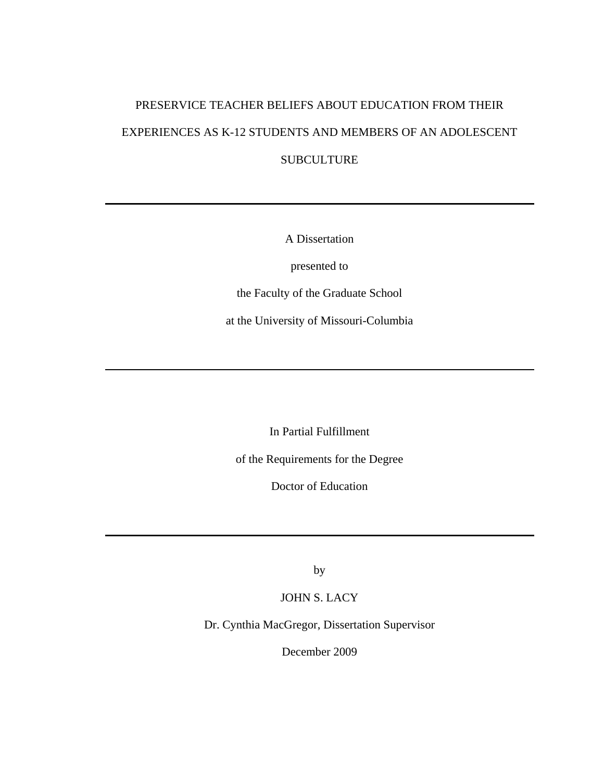# PRESERVICE TEACHER BELIEFS ABOUT EDUCATION FROM THEIR EXPERIENCES AS K-12 STUDENTS AND MEMBERS OF AN ADOLESCENT SUBCULTURE

A Dissertation

presented to

the Faculty of the Graduate School

at the University of Missouri-Columbia

In Partial Fulfillment

of the Requirements for the Degree

Doctor of Education

by

JOHN S. LACY

Dr. Cynthia MacGregor, Dissertation Supervisor

December 2009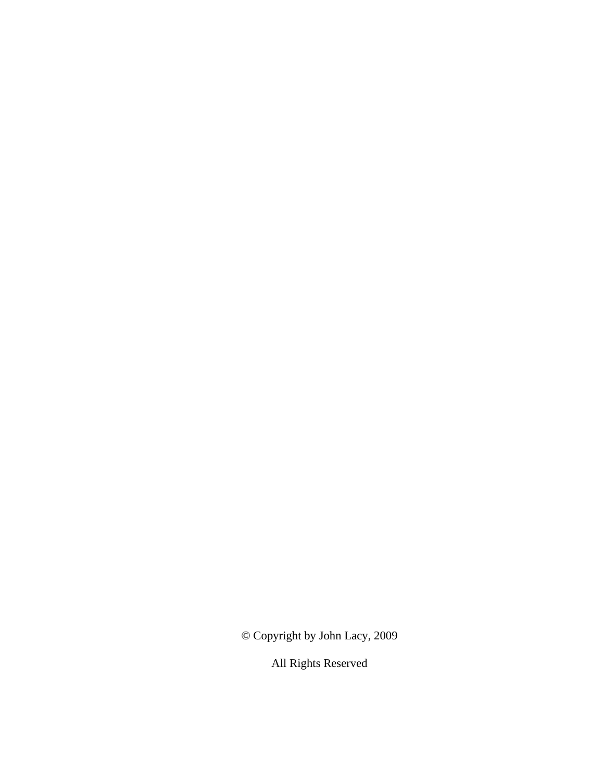© Copyright by John Lacy, 2009

All Rights Reserved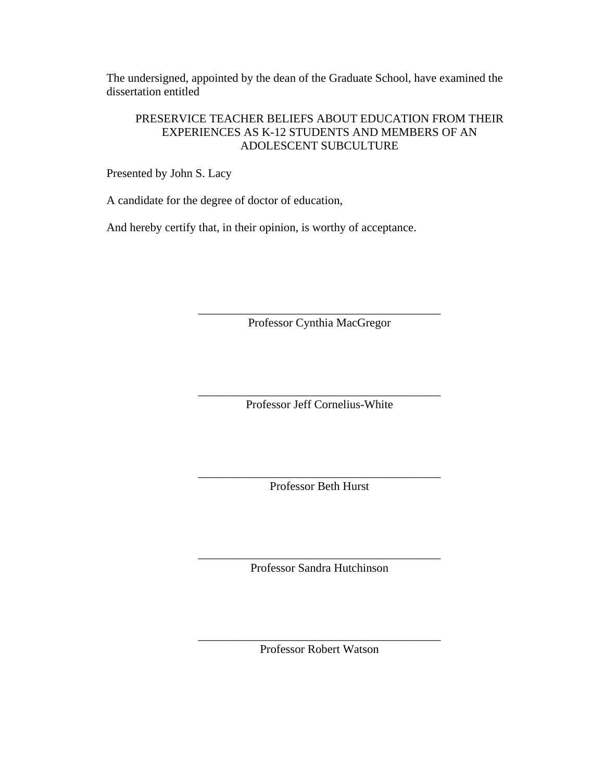The undersigned, appointed by the dean of the Graduate School, have examined the dissertation entitled

# PRESERVICE TEACHER BELIEFS ABOUT EDUCATION FROM THEIR EXPERIENCES AS K-12 STUDENTS AND MEMBERS OF AN ADOLESCENT SUBCULTURE

Presented by John S. Lacy

A candidate for the degree of doctor of education,

And hereby certify that, in their opinion, is worthy of acceptance.

\_\_\_\_\_\_\_\_\_\_\_\_\_\_\_\_\_\_\_\_\_\_\_\_\_\_\_\_\_\_\_\_\_\_\_\_\_\_\_\_\_ Professor Cynthia MacGregor

\_\_\_\_\_\_\_\_\_\_\_\_\_\_\_\_\_\_\_\_\_\_\_\_\_\_\_\_\_\_\_\_\_\_\_\_\_\_\_\_\_ Professor Jeff Cornelius-White

\_\_\_\_\_\_\_\_\_\_\_\_\_\_\_\_\_\_\_\_\_\_\_\_\_\_\_\_\_\_\_\_\_\_\_\_\_\_\_\_\_ Professor Beth Hurst

\_\_\_\_\_\_\_\_\_\_\_\_\_\_\_\_\_\_\_\_\_\_\_\_\_\_\_\_\_\_\_\_\_\_\_\_\_\_\_\_\_ Professor Sandra Hutchinson

\_\_\_\_\_\_\_\_\_\_\_\_\_\_\_\_\_\_\_\_\_\_\_\_\_\_\_\_\_\_\_\_\_\_\_\_\_\_\_\_\_ Professor Robert Watson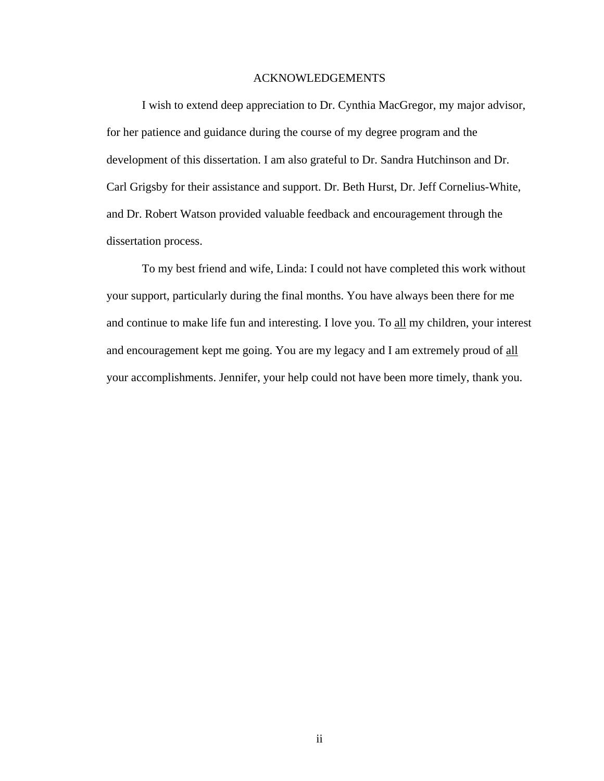# ACKNOWLEDGEMENTS

 I wish to extend deep appreciation to Dr. Cynthia MacGregor, my major advisor, for her patience and guidance during the course of my degree program and the development of this dissertation. I am also grateful to Dr. Sandra Hutchinson and Dr. Carl Grigsby for their assistance and support. Dr. Beth Hurst, Dr. Jeff Cornelius-White, and Dr. Robert Watson provided valuable feedback and encouragement through the dissertation process.

 To my best friend and wife, Linda: I could not have completed this work without your support, particularly during the final months. You have always been there for me and continue to make life fun and interesting. I love you. To all my children, your interest and encouragement kept me going. You are my legacy and I am extremely proud of all your accomplishments. Jennifer, your help could not have been more timely, thank you.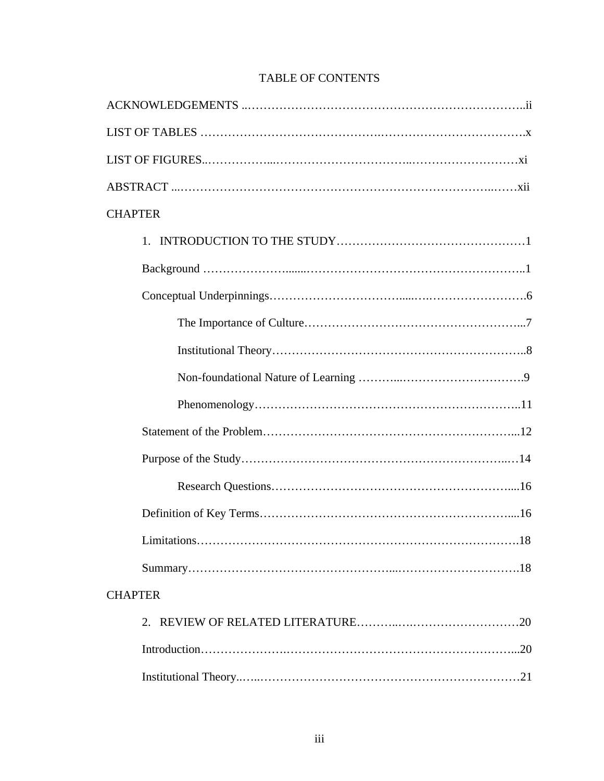| <b>CHAPTER</b> |
|----------------|
| 1.             |
|                |
|                |
|                |
|                |
|                |
|                |
|                |
|                |
|                |
|                |
|                |
|                |
| <b>CHAPTER</b> |
|                |
|                |
|                |

# TABLE OF CONTENTS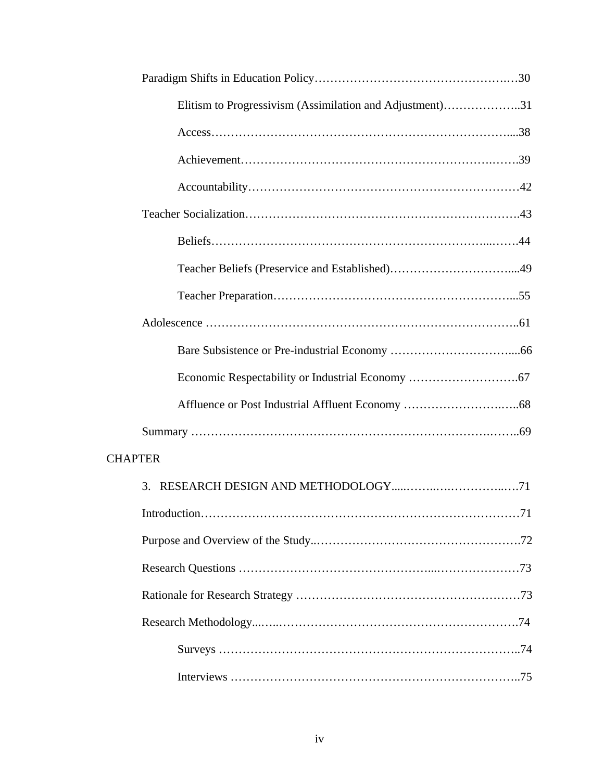| Elitism to Progressivism (Assimilation and Adjustment)31 |
|----------------------------------------------------------|
|                                                          |
|                                                          |
|                                                          |
|                                                          |
|                                                          |
|                                                          |
|                                                          |
|                                                          |
|                                                          |
|                                                          |
|                                                          |
|                                                          |
| <b>CHAPTER</b>                                           |
|                                                          |
|                                                          |
|                                                          |
|                                                          |
|                                                          |
|                                                          |
|                                                          |
|                                                          |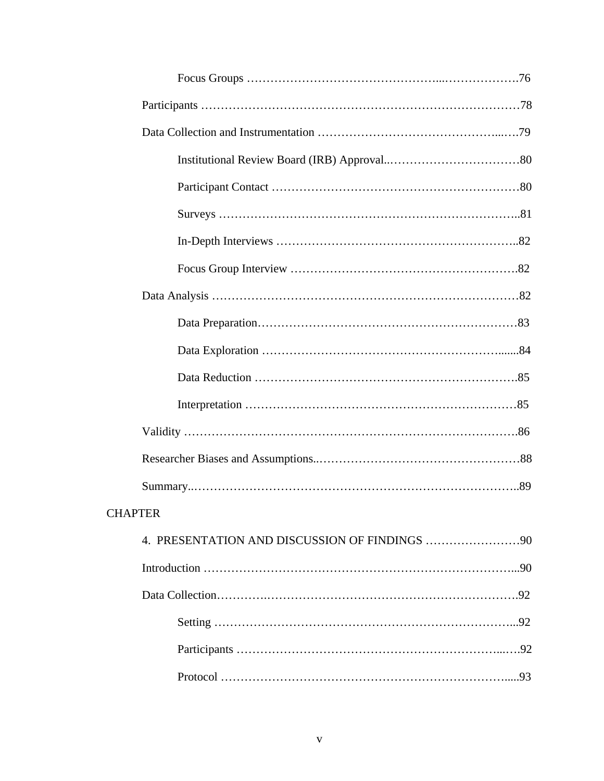| <b>CHAPTER</b> |
|----------------|
|                |
|                |
|                |
|                |
|                |
|                |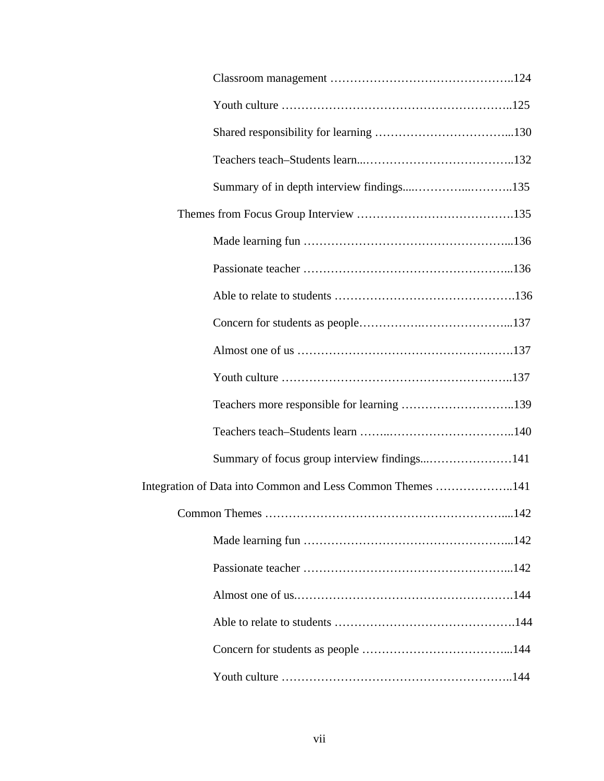| Integration of Data into Common and Less Common Themes 141 |
|------------------------------------------------------------|
|                                                            |
|                                                            |
|                                                            |
|                                                            |
|                                                            |
|                                                            |
|                                                            |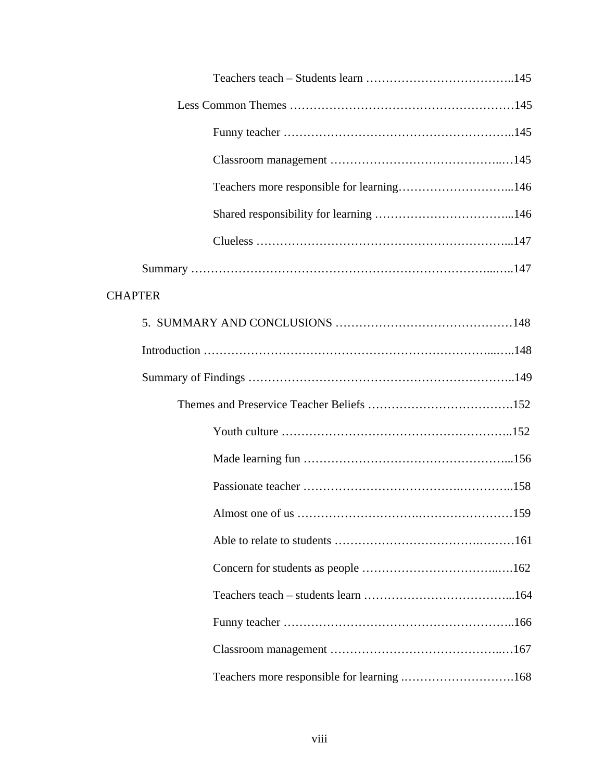| <b>CHAPTER</b> |                                            |
|----------------|--------------------------------------------|
|                |                                            |
|                |                                            |
|                |                                            |
|                |                                            |
|                |                                            |
|                |                                            |
|                |                                            |
|                | .159                                       |
|                |                                            |
|                |                                            |
|                |                                            |
|                |                                            |
|                |                                            |
|                | Teachers more responsible for learning 168 |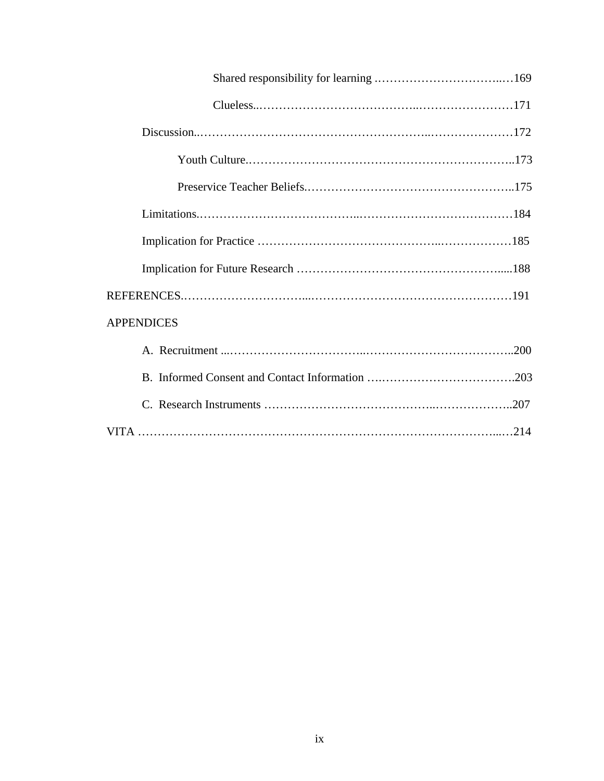| <b>APPENDICES</b> |
|-------------------|
|                   |
|                   |
|                   |
|                   |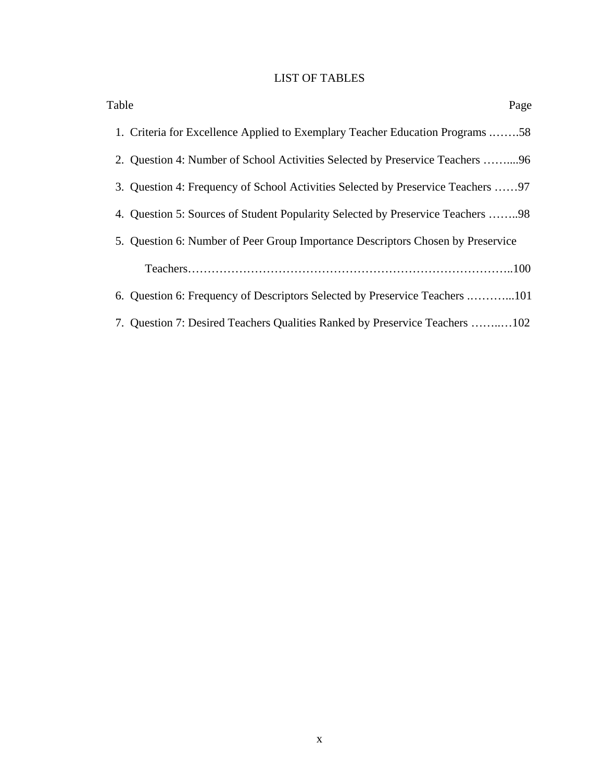# LIST OF TABLES

| Table<br>Page                                                                    |
|----------------------------------------------------------------------------------|
| 1. Criteria for Excellence Applied to Exemplary Teacher Education Programs 58    |
| 2. Question 4: Number of School Activities Selected by Preservice Teachers 96    |
| 3. Question 4: Frequency of School Activities Selected by Preservice Teachers 97 |
| 4. Question 5: Sources of Student Popularity Selected by Preservice Teachers 98  |
| 5. Question 6: Number of Peer Group Importance Descriptors Chosen by Preservice  |
|                                                                                  |
| 6. Question 6: Frequency of Descriptors Selected by Preservice Teachers 101      |
| 7. Question 7: Desired Teachers Qualities Ranked by Preservice Teachers 102      |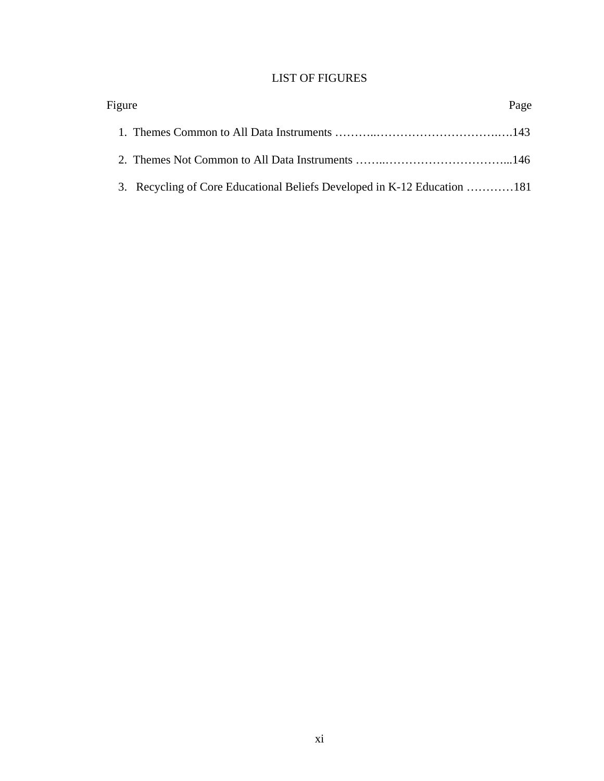# LIST OF FIGURES

| Figure                                                                   | Page |
|--------------------------------------------------------------------------|------|
|                                                                          |      |
|                                                                          |      |
| 3. Recycling of Core Educational Beliefs Developed in K-12 Education 181 |      |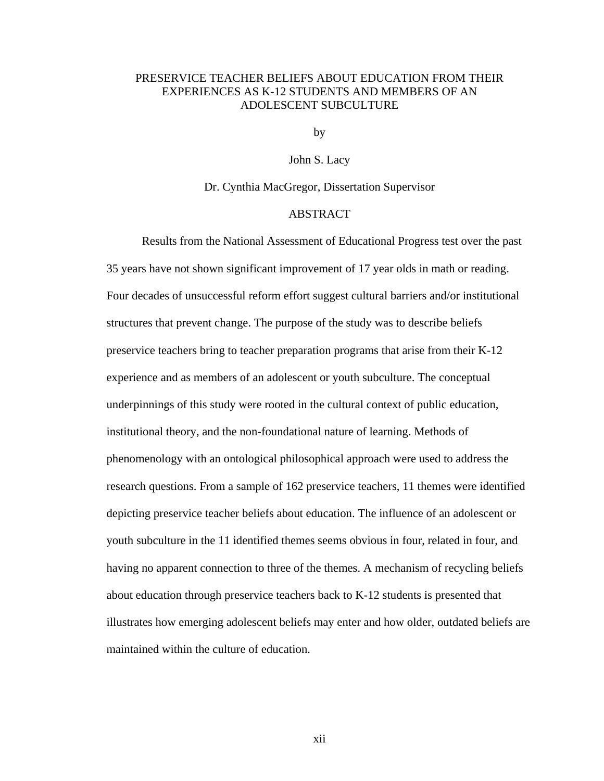# PRESERVICE TEACHER BELIEFS ABOUT EDUCATION FROM THEIR EXPERIENCES AS K-12 STUDENTS AND MEMBERS OF AN ADOLESCENT SUBCULTURE

by

John S. Lacy

Dr. Cynthia MacGregor, Dissertation Supervisor

# ABSTRACT

 Results from the National Assessment of Educational Progress test over the past 35 years have not shown significant improvement of 17 year olds in math or reading. Four decades of unsuccessful reform effort suggest cultural barriers and/or institutional structures that prevent change. The purpose of the study was to describe beliefs preservice teachers bring to teacher preparation programs that arise from their K-12 experience and as members of an adolescent or youth subculture. The conceptual underpinnings of this study were rooted in the cultural context of public education, institutional theory, and the non-foundational nature of learning. Methods of phenomenology with an ontological philosophical approach were used to address the research questions. From a sample of 162 preservice teachers, 11 themes were identified depicting preservice teacher beliefs about education. The influence of an adolescent or youth subculture in the 11 identified themes seems obvious in four, related in four, and having no apparent connection to three of the themes. A mechanism of recycling beliefs about education through preservice teachers back to K-12 students is presented that illustrates how emerging adolescent beliefs may enter and how older, outdated beliefs are maintained within the culture of education.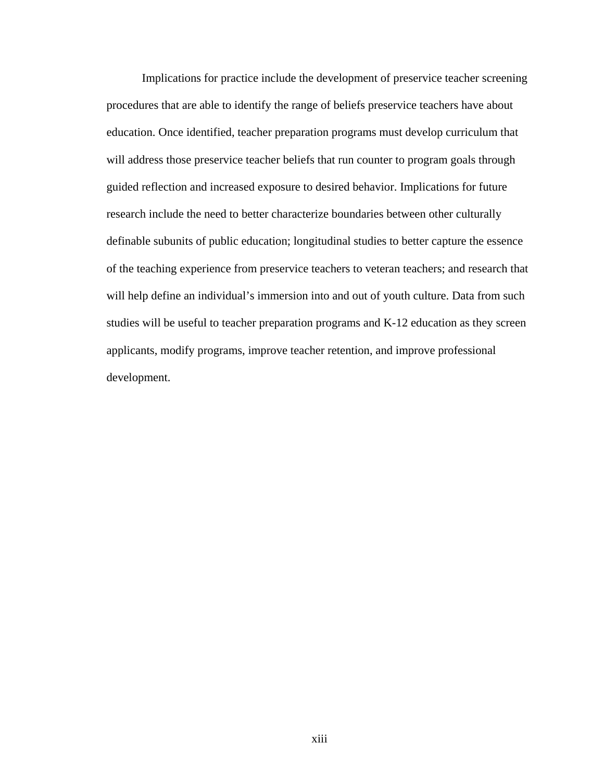Implications for practice include the development of preservice teacher screening procedures that are able to identify the range of beliefs preservice teachers have about education. Once identified, teacher preparation programs must develop curriculum that will address those preservice teacher beliefs that run counter to program goals through guided reflection and increased exposure to desired behavior. Implications for future research include the need to better characterize boundaries between other culturally definable subunits of public education; longitudinal studies to better capture the essence of the teaching experience from preservice teachers to veteran teachers; and research that will help define an individual's immersion into and out of youth culture. Data from such studies will be useful to teacher preparation programs and K-12 education as they screen applicants, modify programs, improve teacher retention, and improve professional development.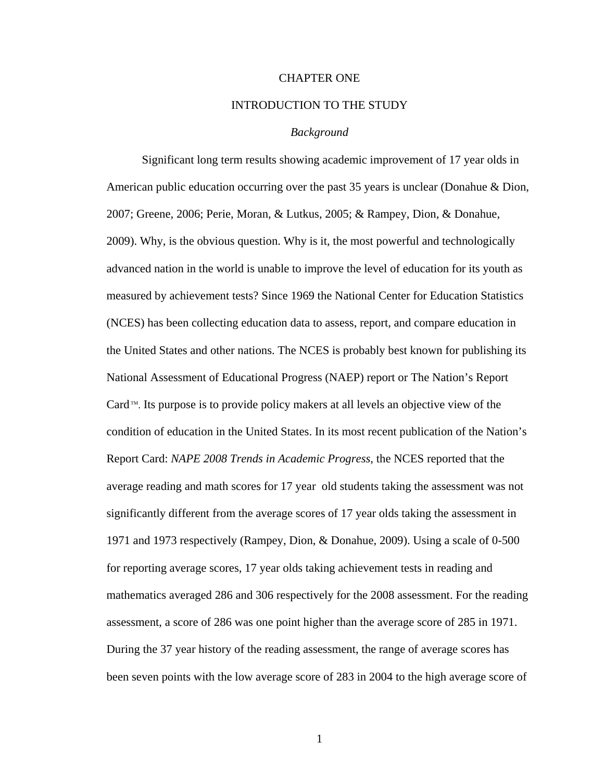# CHAPTER ONE

# INTRODUCTION TO THE STUDY

## *Background*

Significant long term results showing academic improvement of 17 year olds in American public education occurring over the past 35 years is unclear (Donahue & Dion, 2007; Greene, 2006; Perie, Moran, & Lutkus, 2005; & Rampey, Dion, & Donahue, 2009). Why, is the obvious question. Why is it, the most powerful and technologically advanced nation in the world is unable to improve the level of education for its youth as measured by achievement tests? Since 1969 the National Center for Education Statistics (NCES) has been collecting education data to assess, report, and compare education in the United States and other nations. The NCES is probably best known for publishing its National Assessment of Educational Progress (NAEP) report or The Nation's Report Card  $\mathbb{M}$ . Its purpose is to provide policy makers at all levels an objective view of the condition of education in the United States. In its most recent publication of the Nation's Report Card: *NAPE 2008 Trends in Academic Progress,* the NCES reported that the average reading and math scores for 17 year old students taking the assessment was not significantly different from the average scores of 17 year olds taking the assessment in 1971 and 1973 respectively (Rampey, Dion, & Donahue, 2009). Using a scale of 0-500 for reporting average scores, 17 year olds taking achievement tests in reading and mathematics averaged 286 and 306 respectively for the 2008 assessment. For the reading assessment, a score of 286 was one point higher than the average score of 285 in 1971. During the 37 year history of the reading assessment, the range of average scores has been seven points with the low average score of 283 in 2004 to the high average score of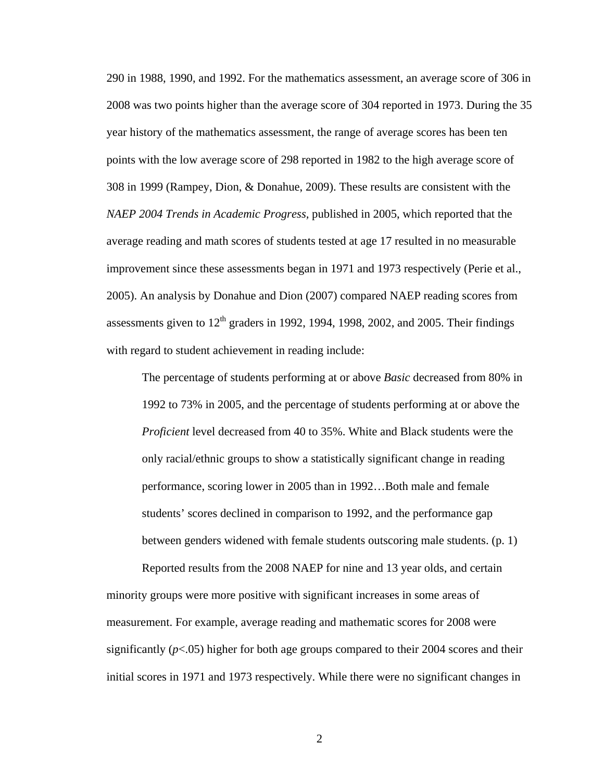290 in 1988, 1990, and 1992. For the mathematics assessment, an average score of 306 in 2008 was two points higher than the average score of 304 reported in 1973. During the 35 year history of the mathematics assessment, the range of average scores has been ten points with the low average score of 298 reported in 1982 to the high average score of 308 in 1999 (Rampey, Dion, & Donahue, 2009). These results are consistent with the *NAEP 2004 Trends in Academic Progress,* published in 2005, which reported that the average reading and math scores of students tested at age 17 resulted in no measurable improvement since these assessments began in 1971 and 1973 respectively (Perie et al., 2005). An analysis by Donahue and Dion (2007) compared NAEP reading scores from assessments given to  $12<sup>th</sup>$  graders in 1992, 1994, 1998, 2002, and 2005. Their findings with regard to student achievement in reading include:

The percentage of students performing at or above *Basic* decreased from 80% in 1992 to 73% in 2005, and the percentage of students performing at or above the *Proficient* level decreased from 40 to 35%. White and Black students were the only racial/ethnic groups to show a statistically significant change in reading performance, scoring lower in 2005 than in 1992…Both male and female students' scores declined in comparison to 1992, and the performance gap between genders widened with female students outscoring male students. (p. 1)

Reported results from the 2008 NAEP for nine and 13 year olds, and certain minority groups were more positive with significant increases in some areas of measurement. For example, average reading and mathematic scores for 2008 were significantly  $(p<.05)$  higher for both age groups compared to their 2004 scores and their initial scores in 1971 and 1973 respectively. While there were no significant changes in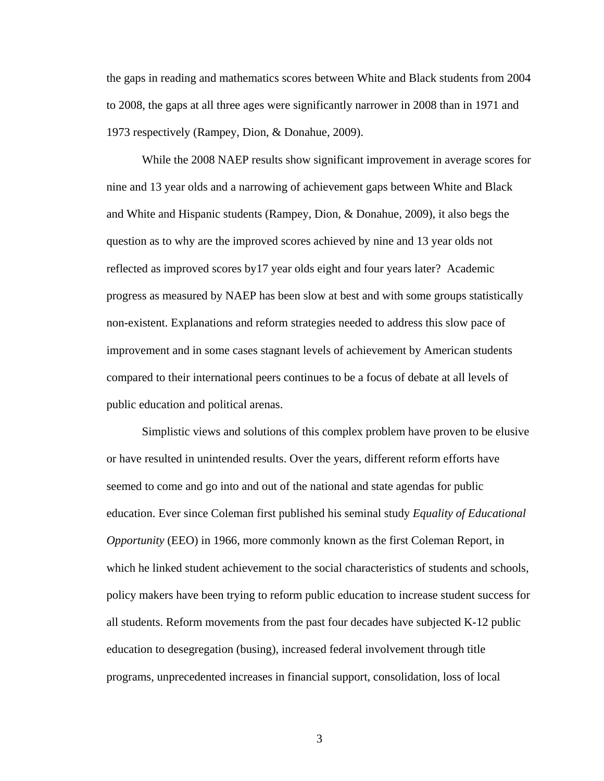the gaps in reading and mathematics scores between White and Black students from 2004 to 2008, the gaps at all three ages were significantly narrower in 2008 than in 1971 and 1973 respectively (Rampey, Dion, & Donahue, 2009).

While the 2008 NAEP results show significant improvement in average scores for nine and 13 year olds and a narrowing of achievement gaps between White and Black and White and Hispanic students (Rampey, Dion, & Donahue, 2009), it also begs the question as to why are the improved scores achieved by nine and 13 year olds not reflected as improved scores by17 year olds eight and four years later? Academic progress as measured by NAEP has been slow at best and with some groups statistically non-existent. Explanations and reform strategies needed to address this slow pace of improvement and in some cases stagnant levels of achievement by American students compared to their international peers continues to be a focus of debate at all levels of public education and political arenas.

Simplistic views and solutions of this complex problem have proven to be elusive or have resulted in unintended results. Over the years, different reform efforts have seemed to come and go into and out of the national and state agendas for public education. Ever since Coleman first published his seminal study *Equality of Educational Opportunity* (EEO) in 1966, more commonly known as the first Coleman Report, in which he linked student achievement to the social characteristics of students and schools, policy makers have been trying to reform public education to increase student success for all students. Reform movements from the past four decades have subjected K-12 public education to desegregation (busing), increased federal involvement through title programs, unprecedented increases in financial support, consolidation, loss of local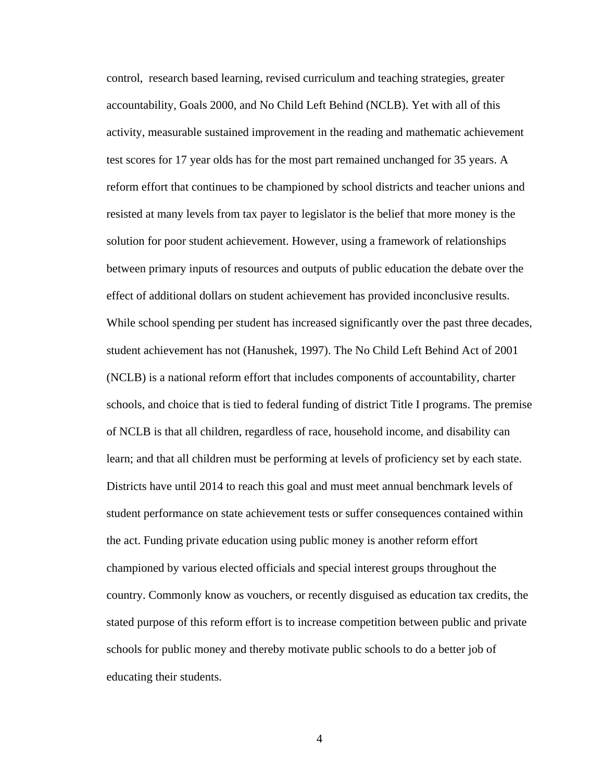control, research based learning, revised curriculum and teaching strategies, greater accountability, Goals 2000, and No Child Left Behind (NCLB). Yet with all of this activity, measurable sustained improvement in the reading and mathematic achievement test scores for 17 year olds has for the most part remained unchanged for 35 years. A reform effort that continues to be championed by school districts and teacher unions and resisted at many levels from tax payer to legislator is the belief that more money is the solution for poor student achievement. However, using a framework of relationships between primary inputs of resources and outputs of public education the debate over the effect of additional dollars on student achievement has provided inconclusive results. While school spending per student has increased significantly over the past three decades, student achievement has not (Hanushek, 1997). The No Child Left Behind Act of 2001 (NCLB) is a national reform effort that includes components of accountability, charter schools, and choice that is tied to federal funding of district Title I programs. The premise of NCLB is that all children, regardless of race, household income, and disability can learn; and that all children must be performing at levels of proficiency set by each state. Districts have until 2014 to reach this goal and must meet annual benchmark levels of student performance on state achievement tests or suffer consequences contained within the act. Funding private education using public money is another reform effort championed by various elected officials and special interest groups throughout the country. Commonly know as vouchers, or recently disguised as education tax credits, the stated purpose of this reform effort is to increase competition between public and private schools for public money and thereby motivate public schools to do a better job of educating their students.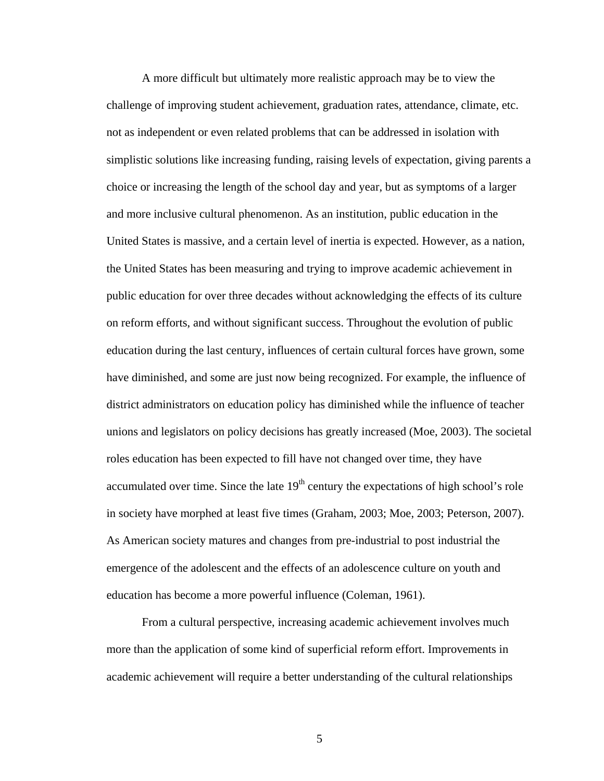A more difficult but ultimately more realistic approach may be to view the challenge of improving student achievement, graduation rates, attendance, climate, etc. not as independent or even related problems that can be addressed in isolation with simplistic solutions like increasing funding, raising levels of expectation, giving parents a choice or increasing the length of the school day and year, but as symptoms of a larger and more inclusive cultural phenomenon. As an institution, public education in the United States is massive, and a certain level of inertia is expected. However, as a nation, the United States has been measuring and trying to improve academic achievement in public education for over three decades without acknowledging the effects of its culture on reform efforts, and without significant success. Throughout the evolution of public education during the last century, influences of certain cultural forces have grown, some have diminished, and some are just now being recognized. For example, the influence of district administrators on education policy has diminished while the influence of teacher unions and legislators on policy decisions has greatly increased (Moe, 2003). The societal roles education has been expected to fill have not changed over time, they have accumulated over time. Since the late  $19<sup>th</sup>$  century the expectations of high school's role in society have morphed at least five times (Graham, 2003; Moe, 2003; Peterson, 2007). As American society matures and changes from pre-industrial to post industrial the emergence of the adolescent and the effects of an adolescence culture on youth and education has become a more powerful influence (Coleman, 1961).

From a cultural perspective, increasing academic achievement involves much more than the application of some kind of superficial reform effort. Improvements in academic achievement will require a better understanding of the cultural relationships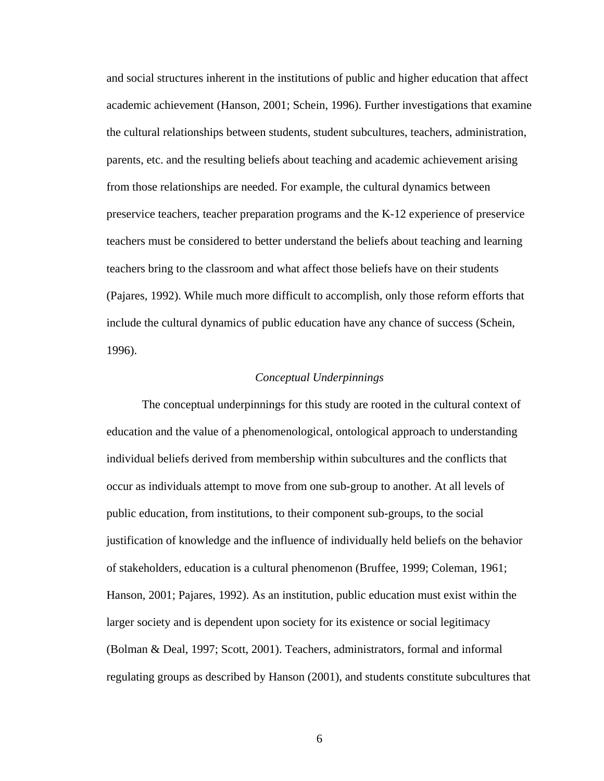and social structures inherent in the institutions of public and higher education that affect academic achievement (Hanson, 2001; Schein, 1996). Further investigations that examine the cultural relationships between students, student subcultures, teachers, administration, parents, etc. and the resulting beliefs about teaching and academic achievement arising from those relationships are needed. For example, the cultural dynamics between preservice teachers, teacher preparation programs and the K-12 experience of preservice teachers must be considered to better understand the beliefs about teaching and learning teachers bring to the classroom and what affect those beliefs have on their students (Pajares, 1992). While much more difficult to accomplish, only those reform efforts that include the cultural dynamics of public education have any chance of success (Schein, 1996).

## *Conceptual Underpinnings*

 The conceptual underpinnings for this study are rooted in the cultural context of education and the value of a phenomenological, ontological approach to understanding individual beliefs derived from membership within subcultures and the conflicts that occur as individuals attempt to move from one sub-group to another. At all levels of public education, from institutions, to their component sub-groups, to the social justification of knowledge and the influence of individually held beliefs on the behavior of stakeholders, education is a cultural phenomenon (Bruffee, 1999; Coleman, 1961; Hanson, 2001; Pajares, 1992). As an institution, public education must exist within the larger society and is dependent upon society for its existence or social legitimacy (Bolman & Deal, 1997; Scott, 2001). Teachers, administrators, formal and informal regulating groups as described by Hanson (2001), and students constitute subcultures that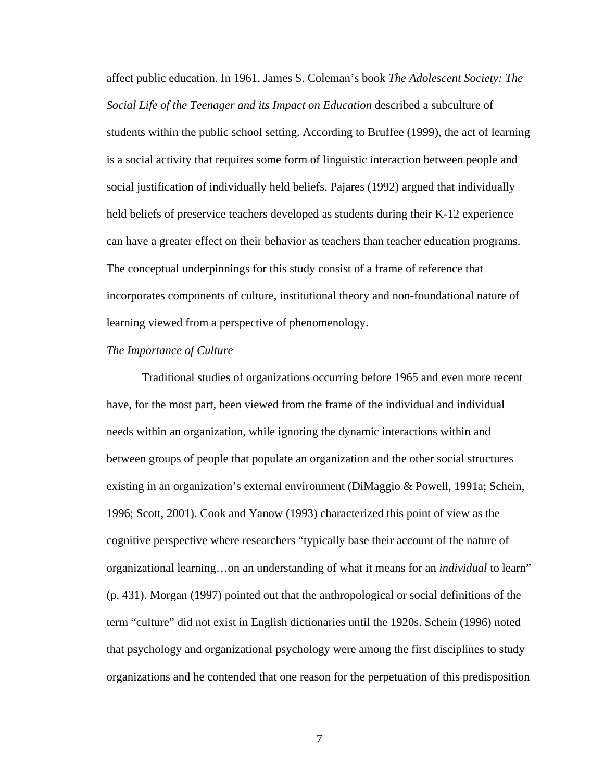affect public education. In 1961, James S. Coleman's book *The Adolescent Society: The Social Life of the Teenager and its Impact on Education* described a subculture of students within the public school setting. According to Bruffee (1999), the act of learning is a social activity that requires some form of linguistic interaction between people and social justification of individually held beliefs. Pajares (1992) argued that individually held beliefs of preservice teachers developed as students during their K-12 experience can have a greater effect on their behavior as teachers than teacher education programs. The conceptual underpinnings for this study consist of a frame of reference that incorporates components of culture, institutional theory and non-foundational nature of learning viewed from a perspective of phenomenology.

#### *The Importance of Culture*

Traditional studies of organizations occurring before 1965 and even more recent have, for the most part, been viewed from the frame of the individual and individual needs within an organization, while ignoring the dynamic interactions within and between groups of people that populate an organization and the other social structures existing in an organization's external environment (DiMaggio & Powell, 1991a; Schein, 1996; Scott, 2001). Cook and Yanow (1993) characterized this point of view as the cognitive perspective where researchers "typically base their account of the nature of organizational learning…on an understanding of what it means for an *individual* to learn" (p. 431). Morgan (1997) pointed out that the anthropological or social definitions of the term "culture" did not exist in English dictionaries until the 1920s. Schein (1996) noted that psychology and organizational psychology were among the first disciplines to study organizations and he contended that one reason for the perpetuation of this predisposition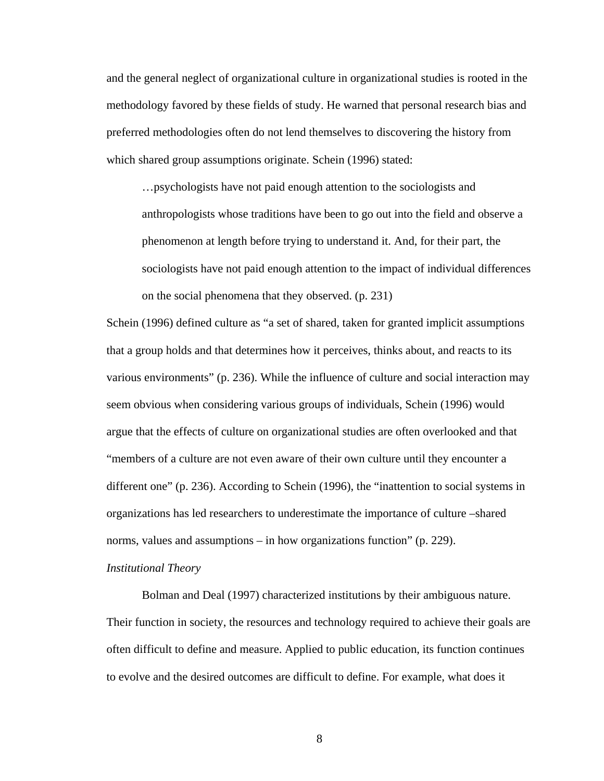and the general neglect of organizational culture in organizational studies is rooted in the methodology favored by these fields of study. He warned that personal research bias and preferred methodologies often do not lend themselves to discovering the history from which shared group assumptions originate. Schein (1996) stated:

…psychologists have not paid enough attention to the sociologists and anthropologists whose traditions have been to go out into the field and observe a phenomenon at length before trying to understand it. And, for their part, the sociologists have not paid enough attention to the impact of individual differences on the social phenomena that they observed. (p. 231)

Schein (1996) defined culture as "a set of shared, taken for granted implicit assumptions that a group holds and that determines how it perceives, thinks about, and reacts to its various environments" (p. 236). While the influence of culture and social interaction may seem obvious when considering various groups of individuals, Schein (1996) would argue that the effects of culture on organizational studies are often overlooked and that "members of a culture are not even aware of their own culture until they encounter a different one" (p. 236). According to Schein (1996), the "inattention to social systems in organizations has led researchers to underestimate the importance of culture –shared norms, values and assumptions – in how organizations function" (p. 229).

## *Institutional Theory*

Bolman and Deal (1997) characterized institutions by their ambiguous nature. Their function in society, the resources and technology required to achieve their goals are often difficult to define and measure. Applied to public education, its function continues to evolve and the desired outcomes are difficult to define. For example, what does it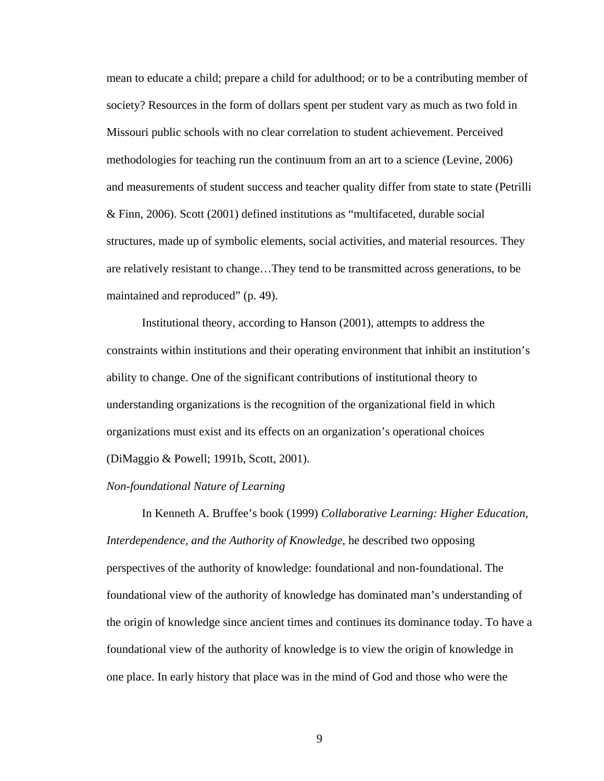mean to educate a child; prepare a child for adulthood; or to be a contributing member of society? Resources in the form of dollars spent per student vary as much as two fold in Missouri public schools with no clear correlation to student achievement. Perceived methodologies for teaching run the continuum from an art to a science (Levine, 2006) and measurements of student success and teacher quality differ from state to state (Petrilli & Finn, 2006). Scott (2001) defined institutions as "multifaceted, durable social structures, made up of symbolic elements, social activities, and material resources. They are relatively resistant to change…They tend to be transmitted across generations, to be maintained and reproduced" (p. 49).

Institutional theory, according to Hanson (2001), attempts to address the constraints within institutions and their operating environment that inhibit an institution's ability to change. One of the significant contributions of institutional theory to understanding organizations is the recognition of the organizational field in which organizations must exist and its effects on an organization's operational choices (DiMaggio & Powell; 1991b, Scott, 2001).

# *Non-foundational Nature of Learning*

In Kenneth A. Bruffee's book (1999) *Collaborative Learning: Higher Education, Interdependence, and the Authority of Knowledge*, he described two opposing perspectives of the authority of knowledge: foundational and non-foundational. The foundational view of the authority of knowledge has dominated man's understanding of the origin of knowledge since ancient times and continues its dominance today. To have a foundational view of the authority of knowledge is to view the origin of knowledge in one place. In early history that place was in the mind of God and those who were the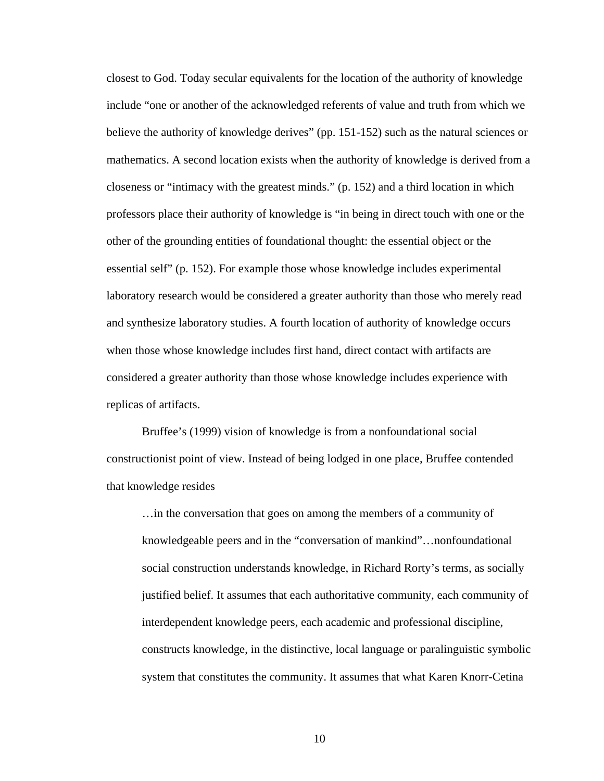closest to God. Today secular equivalents for the location of the authority of knowledge include "one or another of the acknowledged referents of value and truth from which we believe the authority of knowledge derives" (pp. 151-152) such as the natural sciences or mathematics. A second location exists when the authority of knowledge is derived from a closeness or "intimacy with the greatest minds." (p. 152) and a third location in which professors place their authority of knowledge is "in being in direct touch with one or the other of the grounding entities of foundational thought: the essential object or the essential self" (p. 152). For example those whose knowledge includes experimental laboratory research would be considered a greater authority than those who merely read and synthesize laboratory studies. A fourth location of authority of knowledge occurs when those whose knowledge includes first hand, direct contact with artifacts are considered a greater authority than those whose knowledge includes experience with replicas of artifacts.

Bruffee's (1999) vision of knowledge is from a nonfoundational social constructionist point of view. Instead of being lodged in one place, Bruffee contended that knowledge resides

…in the conversation that goes on among the members of a community of knowledgeable peers and in the "conversation of mankind"…nonfoundational social construction understands knowledge, in Richard Rorty's terms, as socially justified belief. It assumes that each authoritative community, each community of interdependent knowledge peers, each academic and professional discipline, constructs knowledge, in the distinctive, local language or paralinguistic symbolic system that constitutes the community. It assumes that what Karen Knorr-Cetina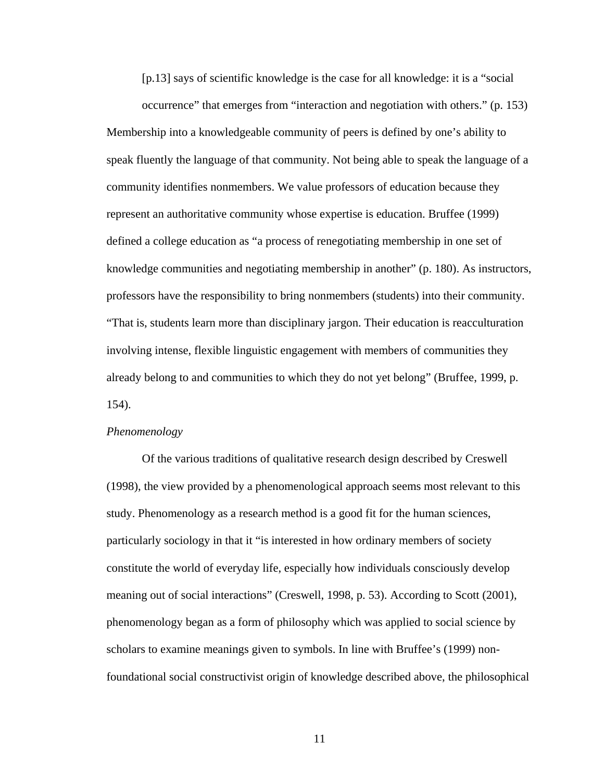[p.13] says of scientific knowledge is the case for all knowledge: it is a "social

occurrence" that emerges from "interaction and negotiation with others." (p. 153) Membership into a knowledgeable community of peers is defined by one's ability to speak fluently the language of that community. Not being able to speak the language of a community identifies nonmembers. We value professors of education because they represent an authoritative community whose expertise is education. Bruffee (1999) defined a college education as "a process of renegotiating membership in one set of knowledge communities and negotiating membership in another" (p. 180). As instructors, professors have the responsibility to bring nonmembers (students) into their community. "That is, students learn more than disciplinary jargon. Their education is reacculturation involving intense, flexible linguistic engagement with members of communities they already belong to and communities to which they do not yet belong" (Bruffee, 1999, p. 154).

#### *Phenomenology*

Of the various traditions of qualitative research design described by Creswell (1998), the view provided by a phenomenological approach seems most relevant to this study. Phenomenology as a research method is a good fit for the human sciences, particularly sociology in that it "is interested in how ordinary members of society constitute the world of everyday life, especially how individuals consciously develop meaning out of social interactions" (Creswell, 1998, p. 53). According to Scott (2001), phenomenology began as a form of philosophy which was applied to social science by scholars to examine meanings given to symbols. In line with Bruffee's (1999) nonfoundational social constructivist origin of knowledge described above, the philosophical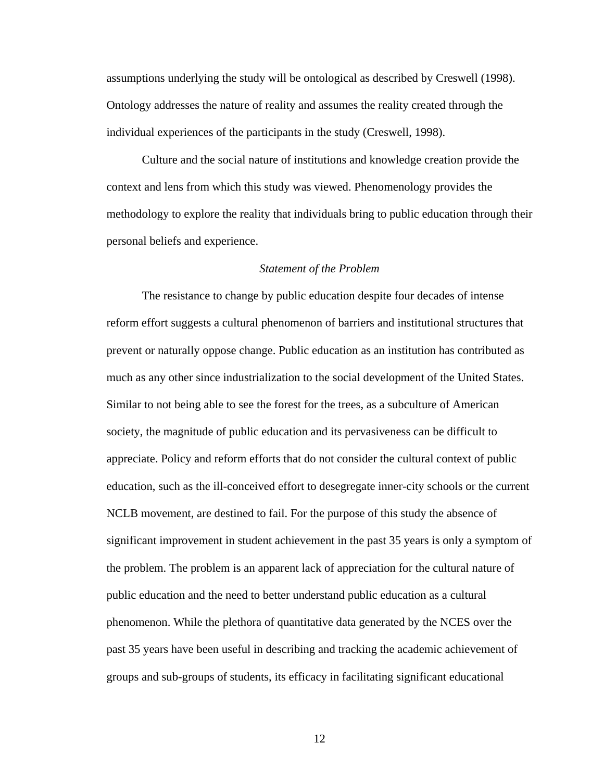assumptions underlying the study will be ontological as described by Creswell (1998). Ontology addresses the nature of reality and assumes the reality created through the individual experiences of the participants in the study (Creswell, 1998).

Culture and the social nature of institutions and knowledge creation provide the context and lens from which this study was viewed. Phenomenology provides the methodology to explore the reality that individuals bring to public education through their personal beliefs and experience.

#### *Statement of the Problem*

The resistance to change by public education despite four decades of intense reform effort suggests a cultural phenomenon of barriers and institutional structures that prevent or naturally oppose change. Public education as an institution has contributed as much as any other since industrialization to the social development of the United States. Similar to not being able to see the forest for the trees, as a subculture of American society, the magnitude of public education and its pervasiveness can be difficult to appreciate. Policy and reform efforts that do not consider the cultural context of public education, such as the ill-conceived effort to desegregate inner-city schools or the current NCLB movement, are destined to fail. For the purpose of this study the absence of significant improvement in student achievement in the past 35 years is only a symptom of the problem. The problem is an apparent lack of appreciation for the cultural nature of public education and the need to better understand public education as a cultural phenomenon. While the plethora of quantitative data generated by the NCES over the past 35 years have been useful in describing and tracking the academic achievement of groups and sub-groups of students, its efficacy in facilitating significant educational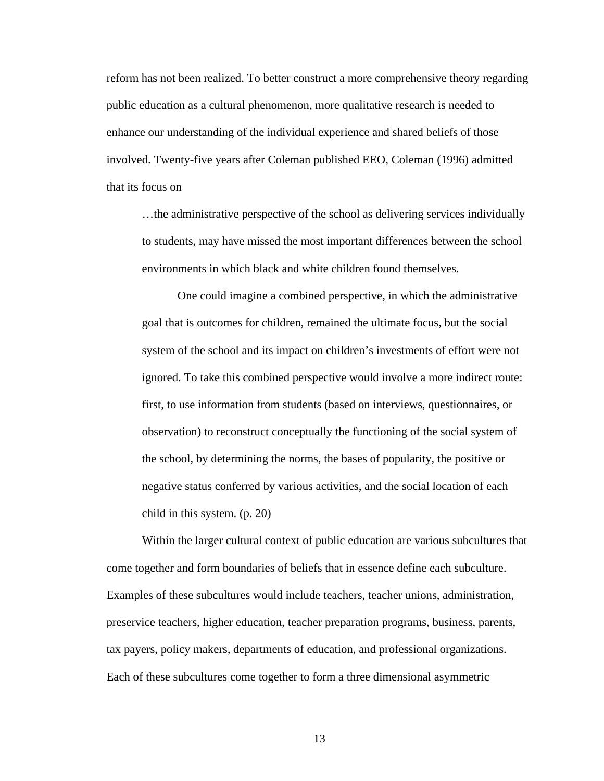reform has not been realized. To better construct a more comprehensive theory regarding public education as a cultural phenomenon, more qualitative research is needed to enhance our understanding of the individual experience and shared beliefs of those involved. Twenty-five years after Coleman published EEO, Coleman (1996) admitted that its focus on

…the administrative perspective of the school as delivering services individually to students, may have missed the most important differences between the school environments in which black and white children found themselves.

One could imagine a combined perspective, in which the administrative goal that is outcomes for children, remained the ultimate focus, but the social system of the school and its impact on children's investments of effort were not ignored. To take this combined perspective would involve a more indirect route: first, to use information from students (based on interviews, questionnaires, or observation) to reconstruct conceptually the functioning of the social system of the school, by determining the norms, the bases of popularity, the positive or negative status conferred by various activities, and the social location of each child in this system. (p. 20)

 Within the larger cultural context of public education are various subcultures that come together and form boundaries of beliefs that in essence define each subculture. Examples of these subcultures would include teachers, teacher unions, administration, preservice teachers, higher education, teacher preparation programs, business, parents, tax payers, policy makers, departments of education, and professional organizations. Each of these subcultures come together to form a three dimensional asymmetric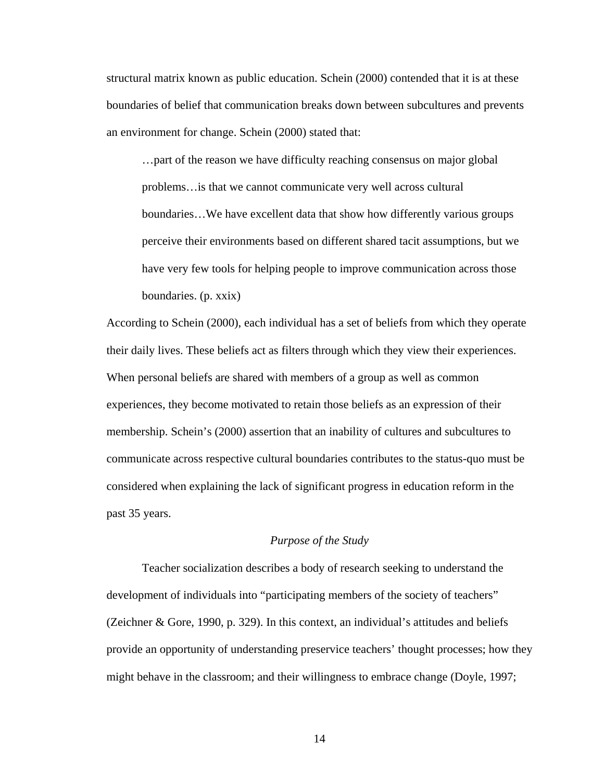structural matrix known as public education. Schein (2000) contended that it is at these boundaries of belief that communication breaks down between subcultures and prevents an environment for change. Schein (2000) stated that:

…part of the reason we have difficulty reaching consensus on major global problems…is that we cannot communicate very well across cultural boundaries…We have excellent data that show how differently various groups perceive their environments based on different shared tacit assumptions, but we have very few tools for helping people to improve communication across those boundaries. (p. xxix)

According to Schein (2000), each individual has a set of beliefs from which they operate their daily lives. These beliefs act as filters through which they view their experiences. When personal beliefs are shared with members of a group as well as common experiences, they become motivated to retain those beliefs as an expression of their membership. Schein's (2000) assertion that an inability of cultures and subcultures to communicate across respective cultural boundaries contributes to the status-quo must be considered when explaining the lack of significant progress in education reform in the past 35 years.

# *Purpose of the Study*

 Teacher socialization describes a body of research seeking to understand the development of individuals into "participating members of the society of teachers" (Zeichner & Gore, 1990, p. 329). In this context, an individual's attitudes and beliefs provide an opportunity of understanding preservice teachers' thought processes; how they might behave in the classroom; and their willingness to embrace change (Doyle, 1997;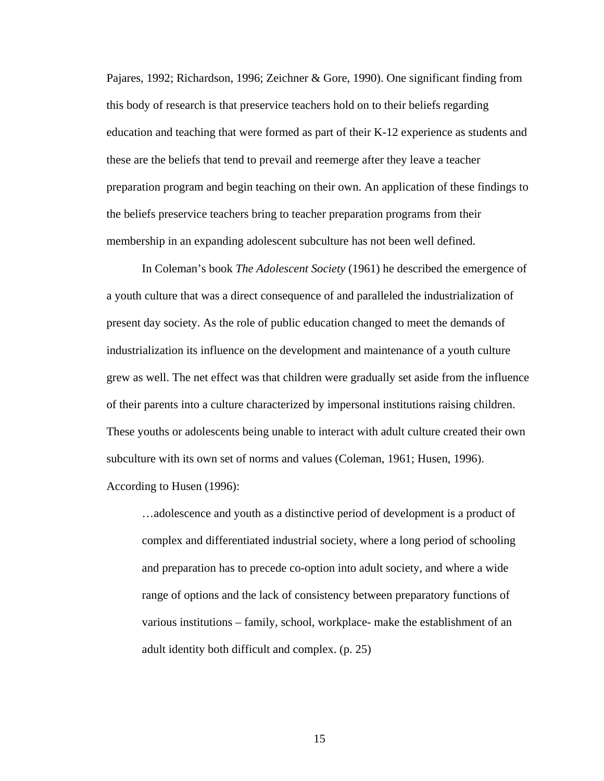Pajares, 1992; Richardson, 1996; Zeichner & Gore, 1990). One significant finding from this body of research is that preservice teachers hold on to their beliefs regarding education and teaching that were formed as part of their K-12 experience as students and these are the beliefs that tend to prevail and reemerge after they leave a teacher preparation program and begin teaching on their own. An application of these findings to the beliefs preservice teachers bring to teacher preparation programs from their membership in an expanding adolescent subculture has not been well defined.

In Coleman's book *The Adolescent Society* (1961) he described the emergence of a youth culture that was a direct consequence of and paralleled the industrialization of present day society. As the role of public education changed to meet the demands of industrialization its influence on the development and maintenance of a youth culture grew as well. The net effect was that children were gradually set aside from the influence of their parents into a culture characterized by impersonal institutions raising children. These youths or adolescents being unable to interact with adult culture created their own subculture with its own set of norms and values (Coleman, 1961; Husen, 1996). According to Husen (1996):

…adolescence and youth as a distinctive period of development is a product of complex and differentiated industrial society, where a long period of schooling and preparation has to precede co-option into adult society, and where a wide range of options and the lack of consistency between preparatory functions of various institutions – family, school, workplace- make the establishment of an adult identity both difficult and complex. (p. 25)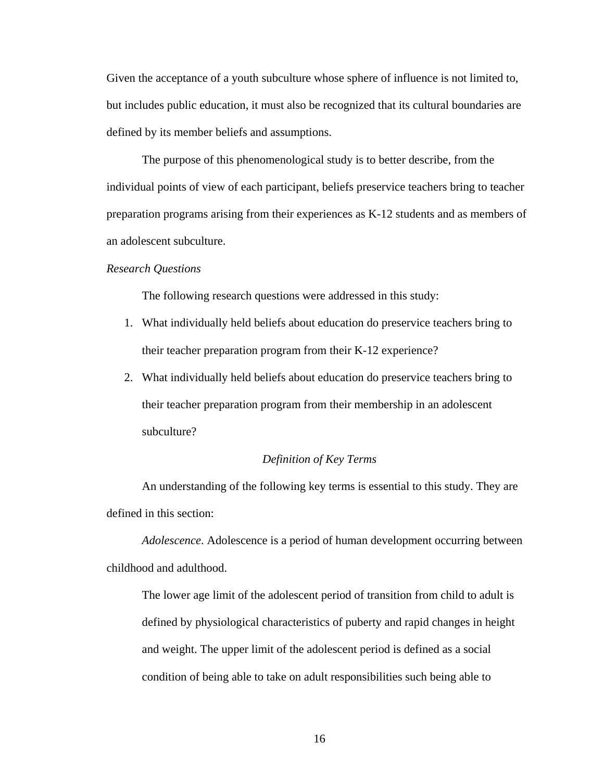Given the acceptance of a youth subculture whose sphere of influence is not limited to, but includes public education, it must also be recognized that its cultural boundaries are defined by its member beliefs and assumptions.

 The purpose of this phenomenological study is to better describe, from the individual points of view of each participant, beliefs preservice teachers bring to teacher preparation programs arising from their experiences as K-12 students and as members of an adolescent subculture.

#### *Research Questions*

The following research questions were addressed in this study:

- 1. What individually held beliefs about education do preservice teachers bring to their teacher preparation program from their K-12 experience?
- 2. What individually held beliefs about education do preservice teachers bring to their teacher preparation program from their membership in an adolescent subculture?

## *Definition of Key Terms*

An understanding of the following key terms is essential to this study. They are defined in this section:

*Adolescence*. Adolescence is a period of human development occurring between childhood and adulthood.

The lower age limit of the adolescent period of transition from child to adult is defined by physiological characteristics of puberty and rapid changes in height and weight. The upper limit of the adolescent period is defined as a social condition of being able to take on adult responsibilities such being able to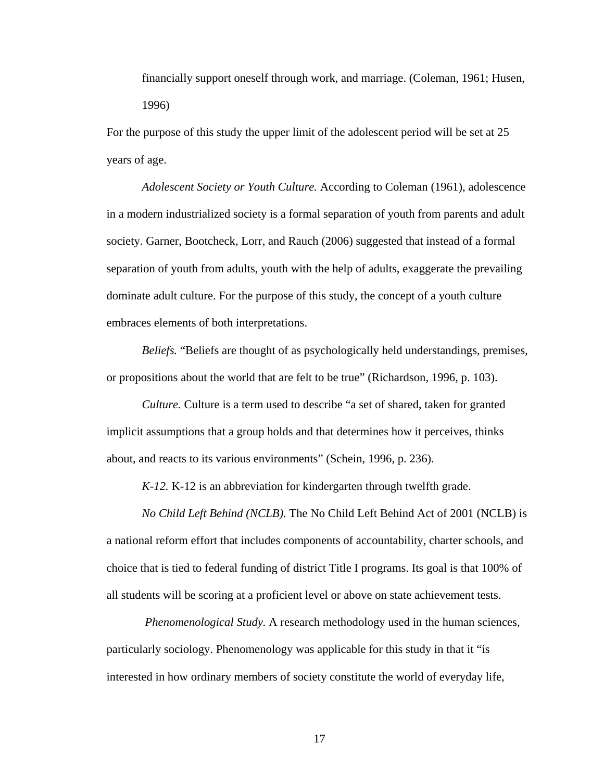financially support oneself through work, and marriage. (Coleman, 1961; Husen, 1996)

For the purpose of this study the upper limit of the adolescent period will be set at 25 years of age.

*Adolescent Society or Youth Culture.* According to Coleman (1961), adolescence in a modern industrialized society is a formal separation of youth from parents and adult society. Garner, Bootcheck, Lorr, and Rauch (2006) suggested that instead of a formal separation of youth from adults, youth with the help of adults, exaggerate the prevailing dominate adult culture. For the purpose of this study, the concept of a youth culture embraces elements of both interpretations.

*Beliefs.* "Beliefs are thought of as psychologically held understandings, premises, or propositions about the world that are felt to be true" (Richardson, 1996, p. 103).

*Culture.* Culture is a term used to describe "a set of shared, taken for granted implicit assumptions that a group holds and that determines how it perceives, thinks about, and reacts to its various environments" (Schein, 1996, p. 236).

*K-12.* K-12 is an abbreviation for kindergarten through twelfth grade.

*No Child Left Behind (NCLB).* The No Child Left Behind Act of 2001 (NCLB) is a national reform effort that includes components of accountability, charter schools, and choice that is tied to federal funding of district Title I programs. Its goal is that 100% of all students will be scoring at a proficient level or above on state achievement tests.

 *Phenomenological Study.* A research methodology used in the human sciences, particularly sociology. Phenomenology was applicable for this study in that it "is interested in how ordinary members of society constitute the world of everyday life,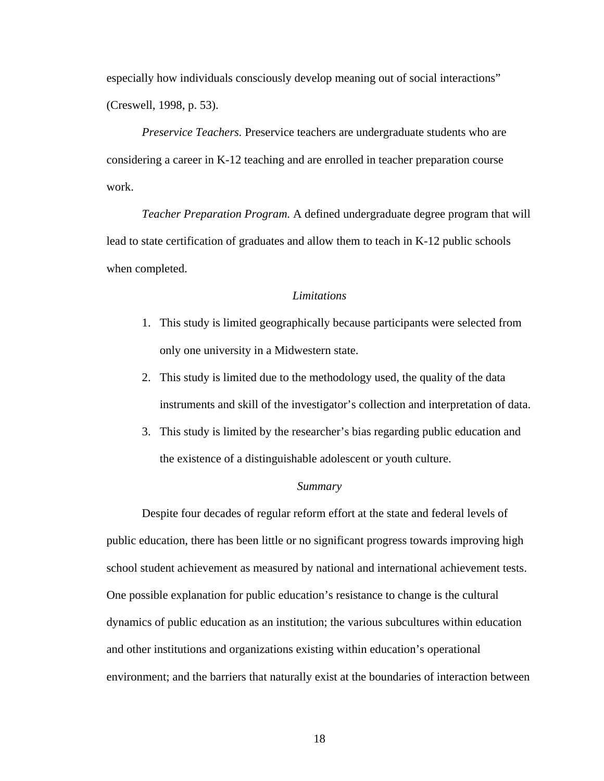especially how individuals consciously develop meaning out of social interactions" (Creswell, 1998, p. 53).

*Preservice Teachers.* Preservice teachers are undergraduate students who are considering a career in K-12 teaching and are enrolled in teacher preparation course work.

*Teacher Preparation Program.* A defined undergraduate degree program that will lead to state certification of graduates and allow them to teach in K-12 public schools when completed.

# *Limitations*

- 1. This study is limited geographically because participants were selected from only one university in a Midwestern state.
- 2. This study is limited due to the methodology used, the quality of the data instruments and skill of the investigator's collection and interpretation of data.
- 3. This study is limited by the researcher's bias regarding public education and the existence of a distinguishable adolescent or youth culture.

#### *Summary*

Despite four decades of regular reform effort at the state and federal levels of public education, there has been little or no significant progress towards improving high school student achievement as measured by national and international achievement tests. One possible explanation for public education's resistance to change is the cultural dynamics of public education as an institution; the various subcultures within education and other institutions and organizations existing within education's operational environment; and the barriers that naturally exist at the boundaries of interaction between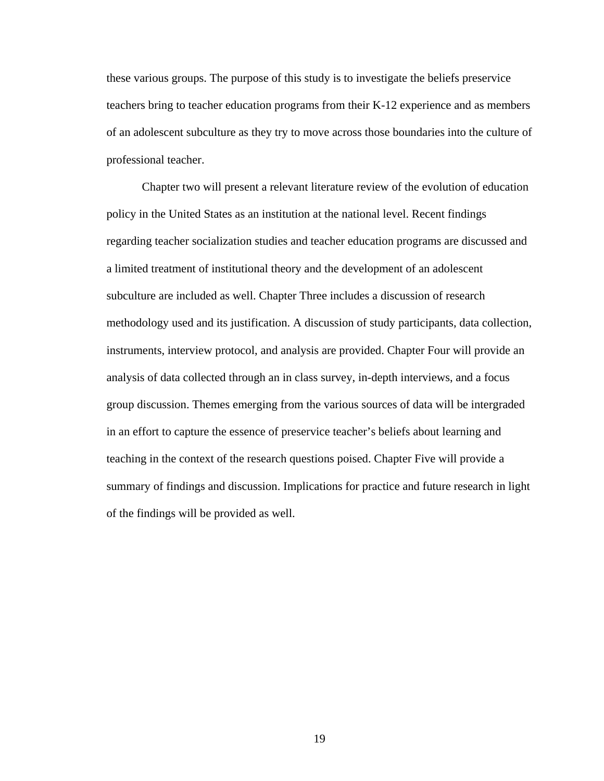these various groups. The purpose of this study is to investigate the beliefs preservice teachers bring to teacher education programs from their K-12 experience and as members of an adolescent subculture as they try to move across those boundaries into the culture of professional teacher.

 Chapter two will present a relevant literature review of the evolution of education policy in the United States as an institution at the national level. Recent findings regarding teacher socialization studies and teacher education programs are discussed and a limited treatment of institutional theory and the development of an adolescent subculture are included as well. Chapter Three includes a discussion of research methodology used and its justification. A discussion of study participants, data collection, instruments, interview protocol, and analysis are provided. Chapter Four will provide an analysis of data collected through an in class survey, in-depth interviews, and a focus group discussion. Themes emerging from the various sources of data will be intergraded in an effort to capture the essence of preservice teacher's beliefs about learning and teaching in the context of the research questions poised. Chapter Five will provide a summary of findings and discussion. Implications for practice and future research in light of the findings will be provided as well.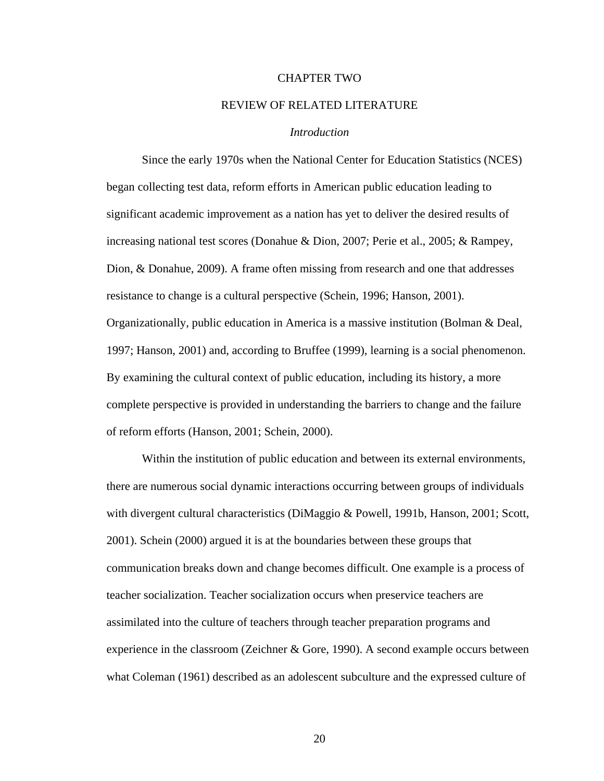## CHAPTER TWO

# REVIEW OF RELATED LITERATURE

# *Introduction*

 Since the early 1970s when the National Center for Education Statistics (NCES) began collecting test data, reform efforts in American public education leading to significant academic improvement as a nation has yet to deliver the desired results of increasing national test scores (Donahue & Dion, 2007; Perie et al., 2005; & Rampey, Dion, & Donahue, 2009). A frame often missing from research and one that addresses resistance to change is a cultural perspective (Schein, 1996; Hanson, 2001). Organizationally, public education in America is a massive institution (Bolman & Deal, 1997; Hanson, 2001) and, according to Bruffee (1999), learning is a social phenomenon. By examining the cultural context of public education, including its history, a more complete perspective is provided in understanding the barriers to change and the failure of reform efforts (Hanson, 2001; Schein, 2000).

Within the institution of public education and between its external environments, there are numerous social dynamic interactions occurring between groups of individuals with divergent cultural characteristics (DiMaggio & Powell, 1991b, Hanson, 2001; Scott, 2001). Schein (2000) argued it is at the boundaries between these groups that communication breaks down and change becomes difficult. One example is a process of teacher socialization. Teacher socialization occurs when preservice teachers are assimilated into the culture of teachers through teacher preparation programs and experience in the classroom (Zeichner & Gore, 1990). A second example occurs between what Coleman (1961) described as an adolescent subculture and the expressed culture of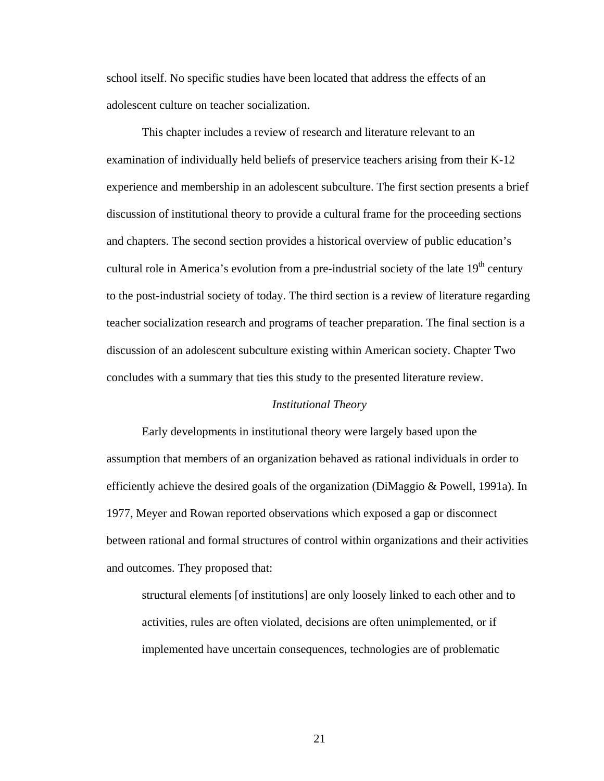school itself. No specific studies have been located that address the effects of an adolescent culture on teacher socialization.

This chapter includes a review of research and literature relevant to an examination of individually held beliefs of preservice teachers arising from their K-12 experience and membership in an adolescent subculture. The first section presents a brief discussion of institutional theory to provide a cultural frame for the proceeding sections and chapters. The second section provides a historical overview of public education's cultural role in America's evolution from a pre-industrial society of the late  $19<sup>th</sup>$  century to the post-industrial society of today. The third section is a review of literature regarding teacher socialization research and programs of teacher preparation. The final section is a discussion of an adolescent subculture existing within American society. Chapter Two concludes with a summary that ties this study to the presented literature review.

# *Institutional Theory*

 Early developments in institutional theory were largely based upon the assumption that members of an organization behaved as rational individuals in order to efficiently achieve the desired goals of the organization (DiMaggio & Powell, 1991a). In 1977, Meyer and Rowan reported observations which exposed a gap or disconnect between rational and formal structures of control within organizations and their activities and outcomes. They proposed that:

structural elements [of institutions] are only loosely linked to each other and to activities, rules are often violated, decisions are often unimplemented, or if implemented have uncertain consequences, technologies are of problematic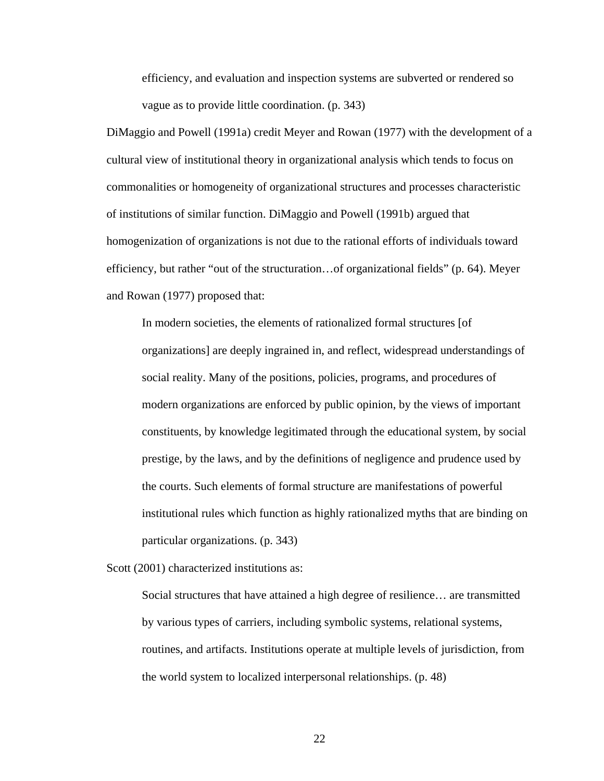efficiency, and evaluation and inspection systems are subverted or rendered so vague as to provide little coordination. (p. 343)

DiMaggio and Powell (1991a) credit Meyer and Rowan (1977) with the development of a cultural view of institutional theory in organizational analysis which tends to focus on commonalities or homogeneity of organizational structures and processes characteristic of institutions of similar function. DiMaggio and Powell (1991b) argued that homogenization of organizations is not due to the rational efforts of individuals toward efficiency, but rather "out of the structuration…of organizational fields" (p. 64). Meyer and Rowan (1977) proposed that:

In modern societies, the elements of rationalized formal structures [of organizations] are deeply ingrained in, and reflect, widespread understandings of social reality. Many of the positions, policies, programs, and procedures of modern organizations are enforced by public opinion, by the views of important constituents, by knowledge legitimated through the educational system, by social prestige, by the laws, and by the definitions of negligence and prudence used by the courts. Such elements of formal structure are manifestations of powerful institutional rules which function as highly rationalized myths that are binding on particular organizations. (p. 343)

Scott (2001) characterized institutions as:

Social structures that have attained a high degree of resilience… are transmitted by various types of carriers, including symbolic systems, relational systems, routines, and artifacts. Institutions operate at multiple levels of jurisdiction, from the world system to localized interpersonal relationships. (p. 48)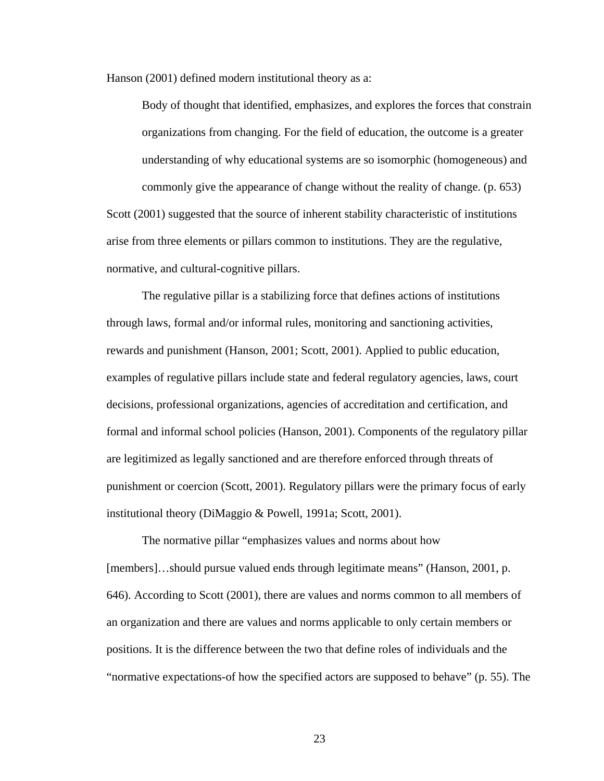Hanson (2001) defined modern institutional theory as a:

Body of thought that identified, emphasizes, and explores the forces that constrain organizations from changing. For the field of education, the outcome is a greater understanding of why educational systems are so isomorphic (homogeneous) and commonly give the appearance of change without the reality of change. (p. 653) Scott (2001) suggested that the source of inherent stability characteristic of institutions arise from three elements or pillars common to institutions. They are the regulative, normative, and cultural-cognitive pillars.

The regulative pillar is a stabilizing force that defines actions of institutions through laws, formal and/or informal rules, monitoring and sanctioning activities, rewards and punishment (Hanson, 2001; Scott, 2001). Applied to public education, examples of regulative pillars include state and federal regulatory agencies, laws, court decisions, professional organizations, agencies of accreditation and certification, and formal and informal school policies (Hanson, 2001). Components of the regulatory pillar are legitimized as legally sanctioned and are therefore enforced through threats of punishment or coercion (Scott, 2001). Regulatory pillars were the primary focus of early institutional theory (DiMaggio & Powell, 1991a; Scott, 2001).

 The normative pillar "emphasizes values and norms about how [members]…should pursue valued ends through legitimate means" (Hanson, 2001, p. 646). According to Scott (2001), there are values and norms common to all members of an organization and there are values and norms applicable to only certain members or positions. It is the difference between the two that define roles of individuals and the "normative expectations-of how the specified actors are supposed to behave" (p. 55). The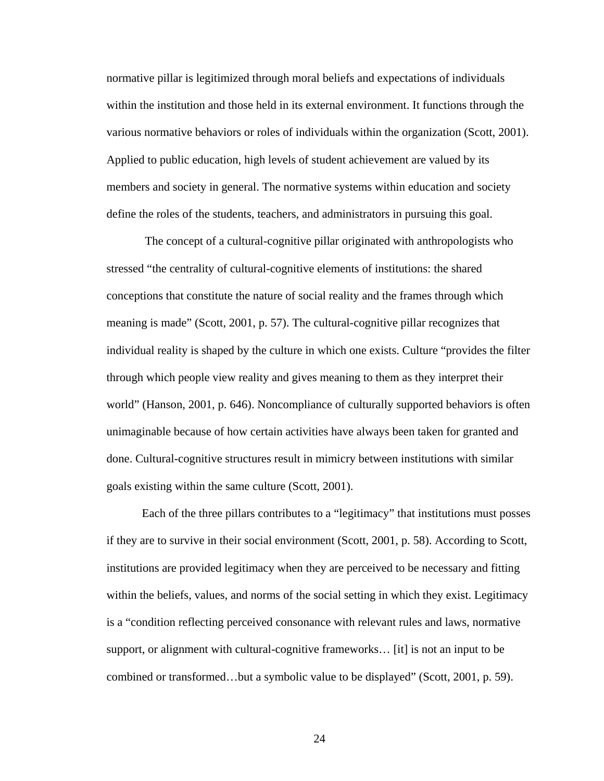normative pillar is legitimized through moral beliefs and expectations of individuals within the institution and those held in its external environment. It functions through the various normative behaviors or roles of individuals within the organization (Scott, 2001). Applied to public education, high levels of student achievement are valued by its members and society in general. The normative systems within education and society define the roles of the students, teachers, and administrators in pursuing this goal.

 The concept of a cultural-cognitive pillar originated with anthropologists who stressed "the centrality of cultural-cognitive elements of institutions: the shared conceptions that constitute the nature of social reality and the frames through which meaning is made" (Scott, 2001, p. 57). The cultural-cognitive pillar recognizes that individual reality is shaped by the culture in which one exists. Culture "provides the filter through which people view reality and gives meaning to them as they interpret their world" (Hanson, 2001, p. 646). Noncompliance of culturally supported behaviors is often unimaginable because of how certain activities have always been taken for granted and done. Cultural-cognitive structures result in mimicry between institutions with similar goals existing within the same culture (Scott, 2001).

Each of the three pillars contributes to a "legitimacy" that institutions must posses if they are to survive in their social environment (Scott, 2001, p. 58). According to Scott, institutions are provided legitimacy when they are perceived to be necessary and fitting within the beliefs, values, and norms of the social setting in which they exist. Legitimacy is a "condition reflecting perceived consonance with relevant rules and laws, normative support, or alignment with cultural-cognitive frameworks… [it] is not an input to be combined or transformed…but a symbolic value to be displayed" (Scott, 2001, p. 59).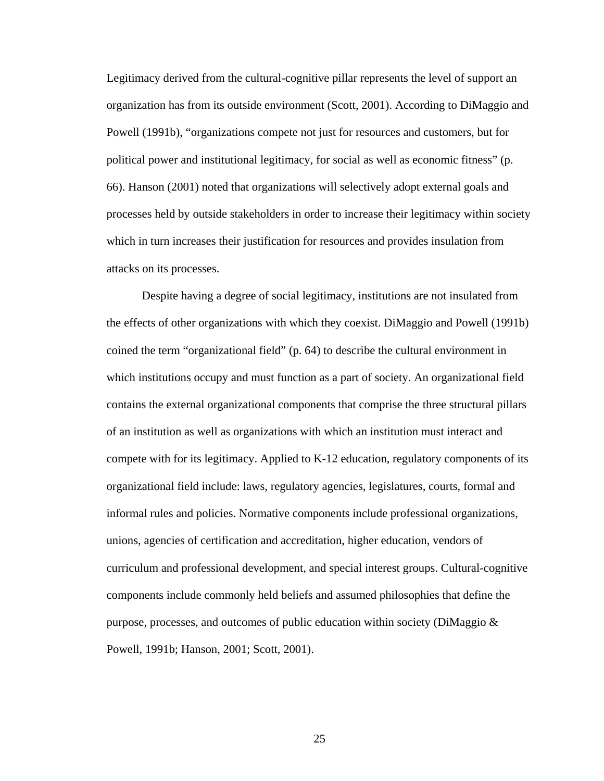Legitimacy derived from the cultural-cognitive pillar represents the level of support an organization has from its outside environment (Scott, 2001). According to DiMaggio and Powell (1991b), "organizations compete not just for resources and customers, but for political power and institutional legitimacy, for social as well as economic fitness" (p. 66). Hanson (2001) noted that organizations will selectively adopt external goals and processes held by outside stakeholders in order to increase their legitimacy within society which in turn increases their justification for resources and provides insulation from attacks on its processes.

Despite having a degree of social legitimacy, institutions are not insulated from the effects of other organizations with which they coexist. DiMaggio and Powell (1991b) coined the term "organizational field" (p. 64) to describe the cultural environment in which institutions occupy and must function as a part of society. An organizational field contains the external organizational components that comprise the three structural pillars of an institution as well as organizations with which an institution must interact and compete with for its legitimacy. Applied to K-12 education, regulatory components of its organizational field include: laws, regulatory agencies, legislatures, courts, formal and informal rules and policies. Normative components include professional organizations, unions, agencies of certification and accreditation, higher education, vendors of curriculum and professional development, and special interest groups. Cultural-cognitive components include commonly held beliefs and assumed philosophies that define the purpose, processes, and outcomes of public education within society (DiMaggio & Powell, 1991b; Hanson, 2001; Scott, 2001).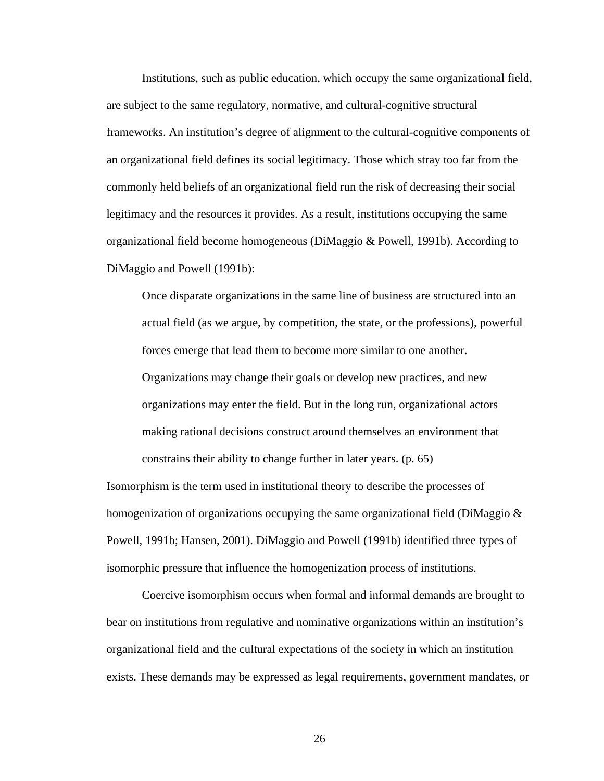Institutions, such as public education, which occupy the same organizational field, are subject to the same regulatory, normative, and cultural-cognitive structural frameworks. An institution's degree of alignment to the cultural-cognitive components of an organizational field defines its social legitimacy. Those which stray too far from the commonly held beliefs of an organizational field run the risk of decreasing their social legitimacy and the resources it provides. As a result, institutions occupying the same organizational field become homogeneous (DiMaggio & Powell, 1991b). According to DiMaggio and Powell (1991b):

Once disparate organizations in the same line of business are structured into an actual field (as we argue, by competition, the state, or the professions), powerful forces emerge that lead them to become more similar to one another. Organizations may change their goals or develop new practices, and new organizations may enter the field. But in the long run, organizational actors making rational decisions construct around themselves an environment that constrains their ability to change further in later years. (p. 65)

Isomorphism is the term used in institutional theory to describe the processes of homogenization of organizations occupying the same organizational field (DiMaggio  $\&$ Powell, 1991b; Hansen, 2001). DiMaggio and Powell (1991b) identified three types of isomorphic pressure that influence the homogenization process of institutions.

 Coercive isomorphism occurs when formal and informal demands are brought to bear on institutions from regulative and nominative organizations within an institution's organizational field and the cultural expectations of the society in which an institution exists. These demands may be expressed as legal requirements, government mandates, or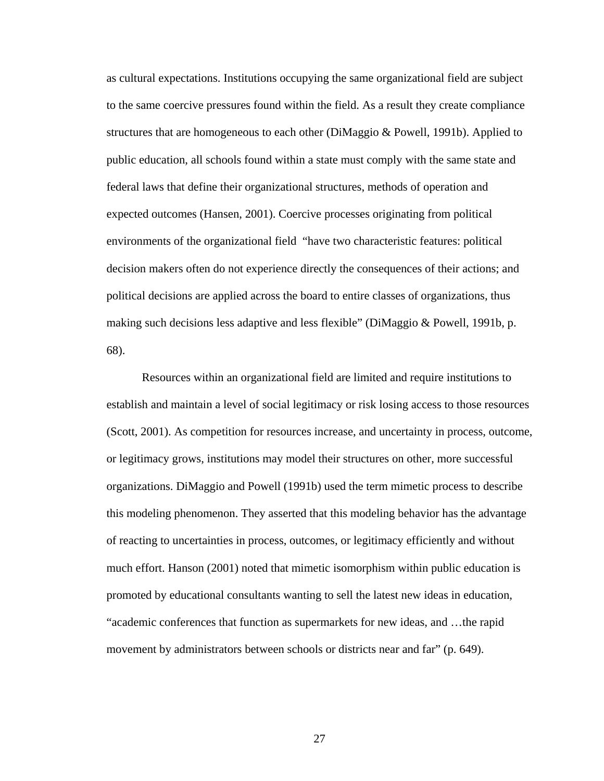as cultural expectations. Institutions occupying the same organizational field are subject to the same coercive pressures found within the field. As a result they create compliance structures that are homogeneous to each other (DiMaggio & Powell, 1991b). Applied to public education, all schools found within a state must comply with the same state and federal laws that define their organizational structures, methods of operation and expected outcomes (Hansen, 2001). Coercive processes originating from political environments of the organizational field "have two characteristic features: political decision makers often do not experience directly the consequences of their actions; and political decisions are applied across the board to entire classes of organizations, thus making such decisions less adaptive and less flexible" (DiMaggio & Powell, 1991b, p. 68).

Resources within an organizational field are limited and require institutions to establish and maintain a level of social legitimacy or risk losing access to those resources (Scott, 2001). As competition for resources increase, and uncertainty in process, outcome, or legitimacy grows, institutions may model their structures on other, more successful organizations. DiMaggio and Powell (1991b) used the term mimetic process to describe this modeling phenomenon. They asserted that this modeling behavior has the advantage of reacting to uncertainties in process, outcomes, or legitimacy efficiently and without much effort. Hanson (2001) noted that mimetic isomorphism within public education is promoted by educational consultants wanting to sell the latest new ideas in education, "academic conferences that function as supermarkets for new ideas, and …the rapid movement by administrators between schools or districts near and far" (p. 649).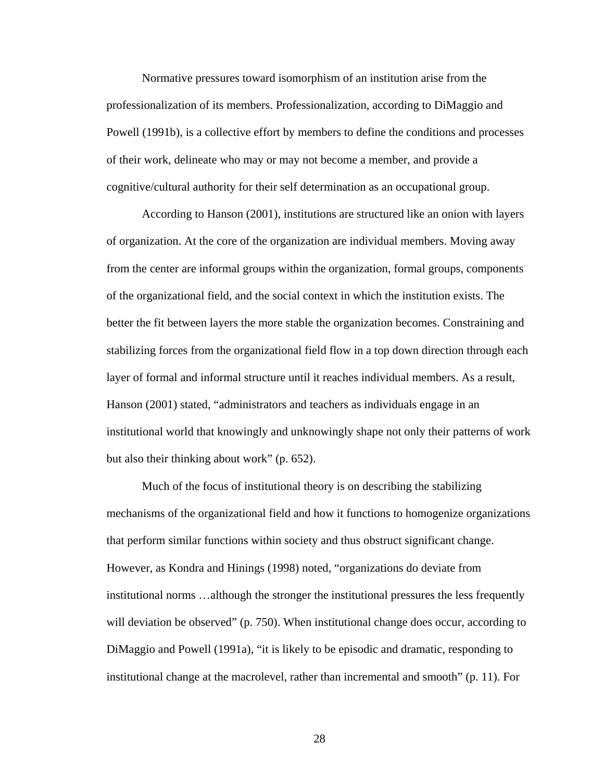Normative pressures toward isomorphism of an institution arise from the professionalization of its members. Professionalization, according to DiMaggio and Powell (1991b), is a collective effort by members to define the conditions and processes of their work, delineate who may or may not become a member, and provide a cognitive/cultural authority for their self determination as an occupational group.

According to Hanson (2001), institutions are structured like an onion with layers of organization. At the core of the organization are individual members. Moving away from the center are informal groups within the organization, formal groups, components of the organizational field, and the social context in which the institution exists. The better the fit between layers the more stable the organization becomes. Constraining and stabilizing forces from the organizational field flow in a top down direction through each layer of formal and informal structure until it reaches individual members. As a result, Hanson (2001) stated, "administrators and teachers as individuals engage in an institutional world that knowingly and unknowingly shape not only their patterns of work but also their thinking about work" (p. 652).

Much of the focus of institutional theory is on describing the stabilizing mechanisms of the organizational field and how it functions to homogenize organizations that perform similar functions within society and thus obstruct significant change. However, as Kondra and Hinings (1998) noted, "organizations do deviate from institutional norms …although the stronger the institutional pressures the less frequently will deviation be observed" (p. 750). When institutional change does occur, according to DiMaggio and Powell (1991a), "it is likely to be episodic and dramatic, responding to institutional change at the macrolevel, rather than incremental and smooth" (p. 11). For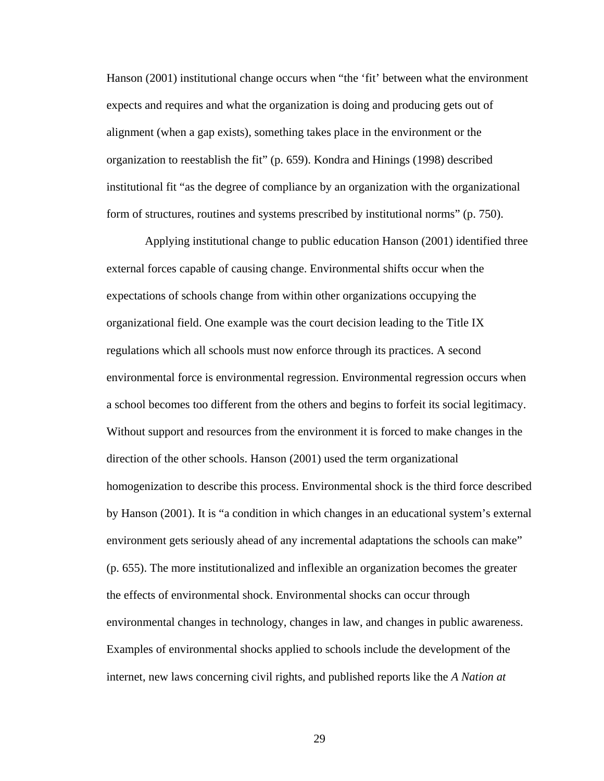Hanson (2001) institutional change occurs when "the 'fit' between what the environment expects and requires and what the organization is doing and producing gets out of alignment (when a gap exists), something takes place in the environment or the organization to reestablish the fit" (p. 659). Kondra and Hinings (1998) described institutional fit "as the degree of compliance by an organization with the organizational form of structures, routines and systems prescribed by institutional norms" (p. 750).

 Applying institutional change to public education Hanson (2001) identified three external forces capable of causing change. Environmental shifts occur when the expectations of schools change from within other organizations occupying the organizational field. One example was the court decision leading to the Title IX regulations which all schools must now enforce through its practices. A second environmental force is environmental regression. Environmental regression occurs when a school becomes too different from the others and begins to forfeit its social legitimacy. Without support and resources from the environment it is forced to make changes in the direction of the other schools. Hanson (2001) used the term organizational homogenization to describe this process. Environmental shock is the third force described by Hanson (2001). It is "a condition in which changes in an educational system's external environment gets seriously ahead of any incremental adaptations the schools can make" (p. 655). The more institutionalized and inflexible an organization becomes the greater the effects of environmental shock. Environmental shocks can occur through environmental changes in technology, changes in law, and changes in public awareness. Examples of environmental shocks applied to schools include the development of the internet, new laws concerning civil rights, and published reports like the *A Nation at*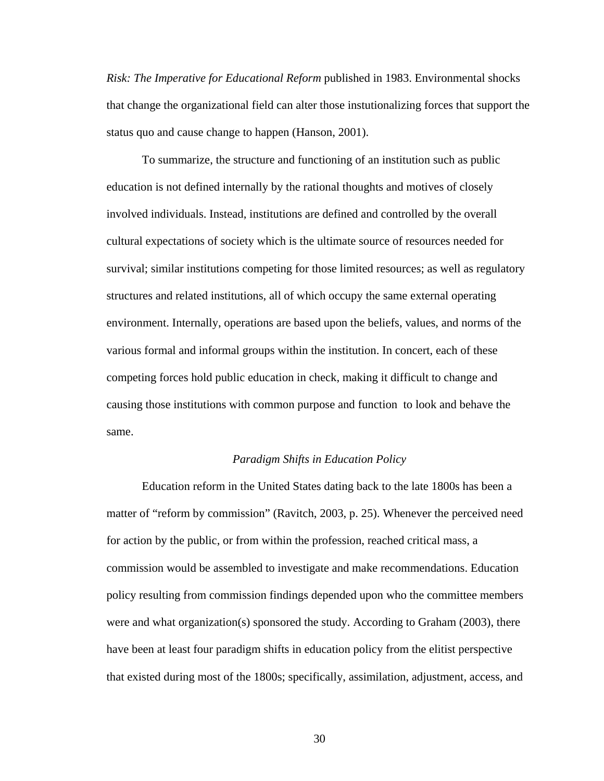*Risk: The Imperative for Educational Reform* published in 1983. Environmental shocks that change the organizational field can alter those instutionalizing forces that support the status quo and cause change to happen (Hanson, 2001).

To summarize, the structure and functioning of an institution such as public education is not defined internally by the rational thoughts and motives of closely involved individuals. Instead, institutions are defined and controlled by the overall cultural expectations of society which is the ultimate source of resources needed for survival; similar institutions competing for those limited resources; as well as regulatory structures and related institutions, all of which occupy the same external operating environment. Internally, operations are based upon the beliefs, values, and norms of the various formal and informal groups within the institution. In concert, each of these competing forces hold public education in check, making it difficult to change and causing those institutions with common purpose and function to look and behave the same.

### *Paradigm Shifts in Education Policy*

 Education reform in the United States dating back to the late 1800s has been a matter of "reform by commission" (Ravitch, 2003, p. 25). Whenever the perceived need for action by the public, or from within the profession, reached critical mass, a commission would be assembled to investigate and make recommendations. Education policy resulting from commission findings depended upon who the committee members were and what organization(s) sponsored the study. According to Graham (2003), there have been at least four paradigm shifts in education policy from the elitist perspective that existed during most of the 1800s; specifically, assimilation, adjustment, access, and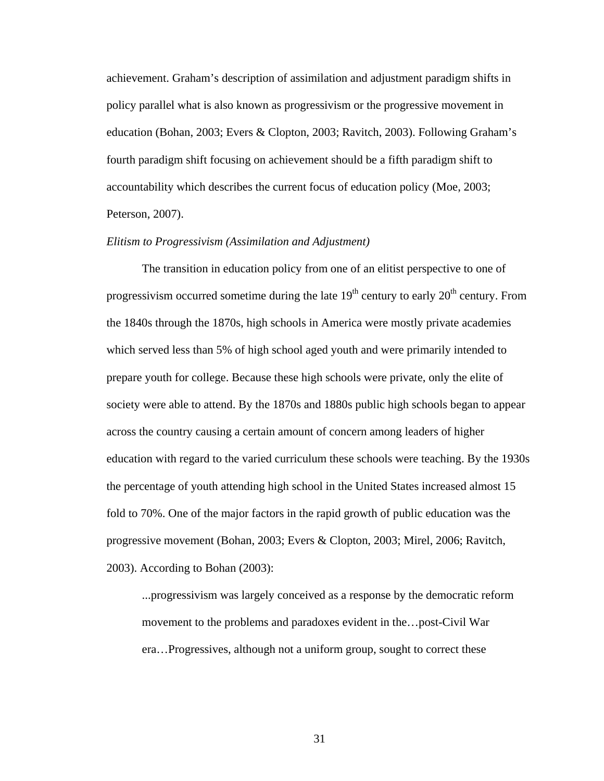achievement. Graham's description of assimilation and adjustment paradigm shifts in policy parallel what is also known as progressivism or the progressive movement in education (Bohan, 2003; Evers & Clopton, 2003; Ravitch, 2003). Following Graham's fourth paradigm shift focusing on achievement should be a fifth paradigm shift to accountability which describes the current focus of education policy (Moe, 2003; Peterson, 2007).

## *Elitism to Progressivism (Assimilation and Adjustment)*

The transition in education policy from one of an elitist perspective to one of progressivism occurred sometime during the late  $19<sup>th</sup>$  century to early  $20<sup>th</sup>$  century. From the 1840s through the 1870s, high schools in America were mostly private academies which served less than 5% of high school aged youth and were primarily intended to prepare youth for college. Because these high schools were private, only the elite of society were able to attend. By the 1870s and 1880s public high schools began to appear across the country causing a certain amount of concern among leaders of higher education with regard to the varied curriculum these schools were teaching. By the 1930s the percentage of youth attending high school in the United States increased almost 15 fold to 70%. One of the major factors in the rapid growth of public education was the progressive movement (Bohan, 2003; Evers & Clopton, 2003; Mirel, 2006; Ravitch, 2003). According to Bohan (2003):

...progressivism was largely conceived as a response by the democratic reform movement to the problems and paradoxes evident in the…post-Civil War era…Progressives, although not a uniform group, sought to correct these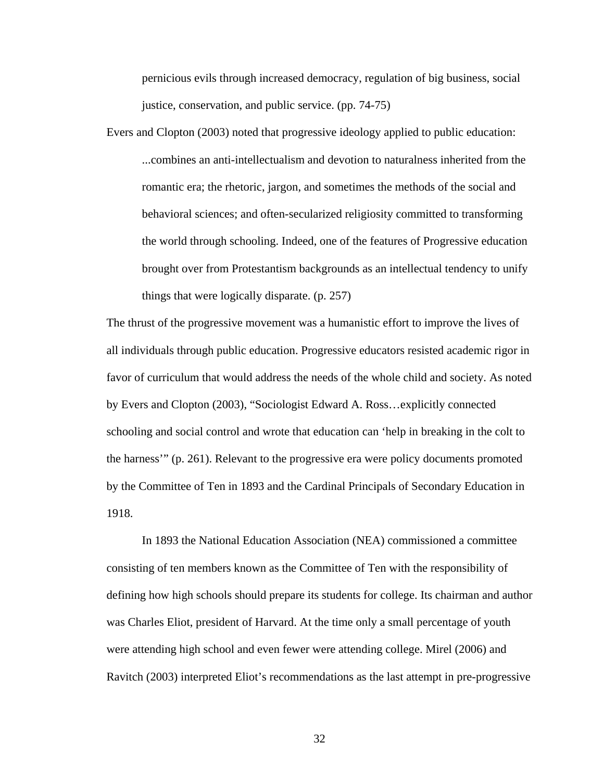pernicious evils through increased democracy, regulation of big business, social justice, conservation, and public service. (pp. 74-75)

Evers and Clopton (2003) noted that progressive ideology applied to public education: ...combines an anti-intellectualism and devotion to naturalness inherited from the romantic era; the rhetoric, jargon, and sometimes the methods of the social and behavioral sciences; and often-secularized religiosity committed to transforming the world through schooling. Indeed, one of the features of Progressive education brought over from Protestantism backgrounds as an intellectual tendency to unify things that were logically disparate. (p. 257)

The thrust of the progressive movement was a humanistic effort to improve the lives of all individuals through public education. Progressive educators resisted academic rigor in favor of curriculum that would address the needs of the whole child and society. As noted by Evers and Clopton (2003), "Sociologist Edward A. Ross…explicitly connected schooling and social control and wrote that education can 'help in breaking in the colt to the harness'" (p. 261). Relevant to the progressive era were policy documents promoted by the Committee of Ten in 1893 and the Cardinal Principals of Secondary Education in 1918.

 In 1893 the National Education Association (NEA) commissioned a committee consisting of ten members known as the Committee of Ten with the responsibility of defining how high schools should prepare its students for college. Its chairman and author was Charles Eliot, president of Harvard. At the time only a small percentage of youth were attending high school and even fewer were attending college. Mirel (2006) and Ravitch (2003) interpreted Eliot's recommendations as the last attempt in pre-progressive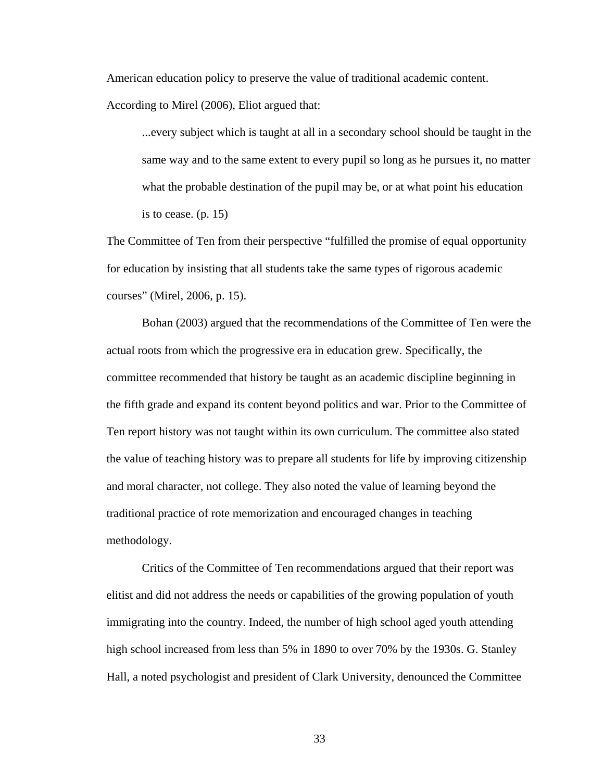American education policy to preserve the value of traditional academic content.

According to Mirel (2006), Eliot argued that:

...every subject which is taught at all in a secondary school should be taught in the same way and to the same extent to every pupil so long as he pursues it, no matter what the probable destination of the pupil may be, or at what point his education is to cease. (p. 15)

The Committee of Ten from their perspective "fulfilled the promise of equal opportunity for education by insisting that all students take the same types of rigorous academic courses" (Mirel, 2006, p. 15).

Bohan (2003) argued that the recommendations of the Committee of Ten were the actual roots from which the progressive era in education grew. Specifically, the committee recommended that history be taught as an academic discipline beginning in the fifth grade and expand its content beyond politics and war. Prior to the Committee of Ten report history was not taught within its own curriculum. The committee also stated the value of teaching history was to prepare all students for life by improving citizenship and moral character, not college. They also noted the value of learning beyond the traditional practice of rote memorization and encouraged changes in teaching methodology.

 Critics of the Committee of Ten recommendations argued that their report was elitist and did not address the needs or capabilities of the growing population of youth immigrating into the country. Indeed, the number of high school aged youth attending high school increased from less than 5% in 1890 to over 70% by the 1930s. G. Stanley Hall, a noted psychologist and president of Clark University, denounced the Committee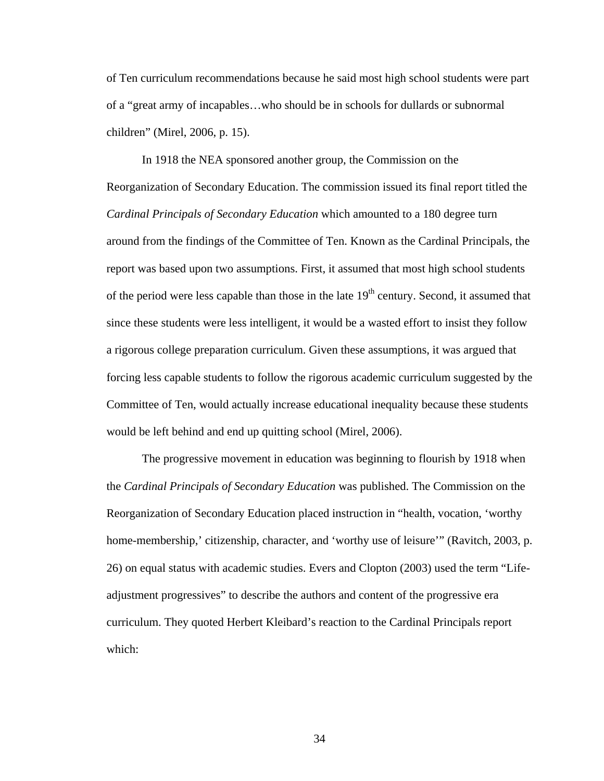of Ten curriculum recommendations because he said most high school students were part of a "great army of incapables…who should be in schools for dullards or subnormal children" (Mirel, 2006, p. 15).

In 1918 the NEA sponsored another group, the Commission on the Reorganization of Secondary Education. The commission issued its final report titled the *Cardinal Principals of Secondary Education* which amounted to a 180 degree turn around from the findings of the Committee of Ten. Known as the Cardinal Principals, the report was based upon two assumptions. First, it assumed that most high school students of the period were less capable than those in the late  $19<sup>th</sup>$  century. Second, it assumed that since these students were less intelligent, it would be a wasted effort to insist they follow a rigorous college preparation curriculum. Given these assumptions, it was argued that forcing less capable students to follow the rigorous academic curriculum suggested by the Committee of Ten, would actually increase educational inequality because these students would be left behind and end up quitting school (Mirel, 2006).

 The progressive movement in education was beginning to flourish by 1918 when the *Cardinal Principals of Secondary Education* was published. The Commission on the Reorganization of Secondary Education placed instruction in "health, vocation, 'worthy home-membership,' citizenship, character, and 'worthy use of leisure'" (Ravitch, 2003, p. 26) on equal status with academic studies. Evers and Clopton (2003) used the term "Lifeadjustment progressives" to describe the authors and content of the progressive era curriculum. They quoted Herbert Kleibard's reaction to the Cardinal Principals report which: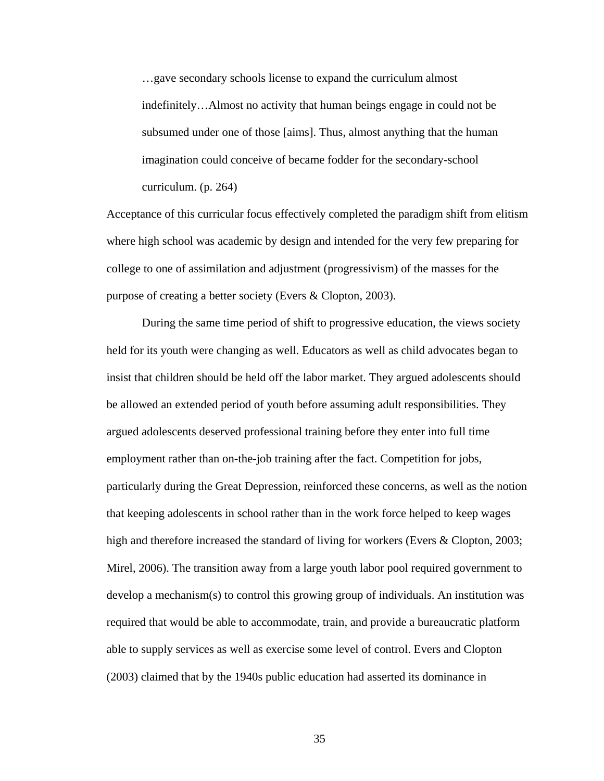…gave secondary schools license to expand the curriculum almost indefinitely…Almost no activity that human beings engage in could not be subsumed under one of those [aims]. Thus, almost anything that the human imagination could conceive of became fodder for the secondary-school curriculum. (p. 264)

Acceptance of this curricular focus effectively completed the paradigm shift from elitism where high school was academic by design and intended for the very few preparing for college to one of assimilation and adjustment (progressivism) of the masses for the purpose of creating a better society (Evers & Clopton, 2003).

 During the same time period of shift to progressive education, the views society held for its youth were changing as well. Educators as well as child advocates began to insist that children should be held off the labor market. They argued adolescents should be allowed an extended period of youth before assuming adult responsibilities. They argued adolescents deserved professional training before they enter into full time employment rather than on-the-job training after the fact. Competition for jobs, particularly during the Great Depression, reinforced these concerns, as well as the notion that keeping adolescents in school rather than in the work force helped to keep wages high and therefore increased the standard of living for workers (Evers & Clopton, 2003; Mirel, 2006). The transition away from a large youth labor pool required government to develop a mechanism(s) to control this growing group of individuals. An institution was required that would be able to accommodate, train, and provide a bureaucratic platform able to supply services as well as exercise some level of control. Evers and Clopton (2003) claimed that by the 1940s public education had asserted its dominance in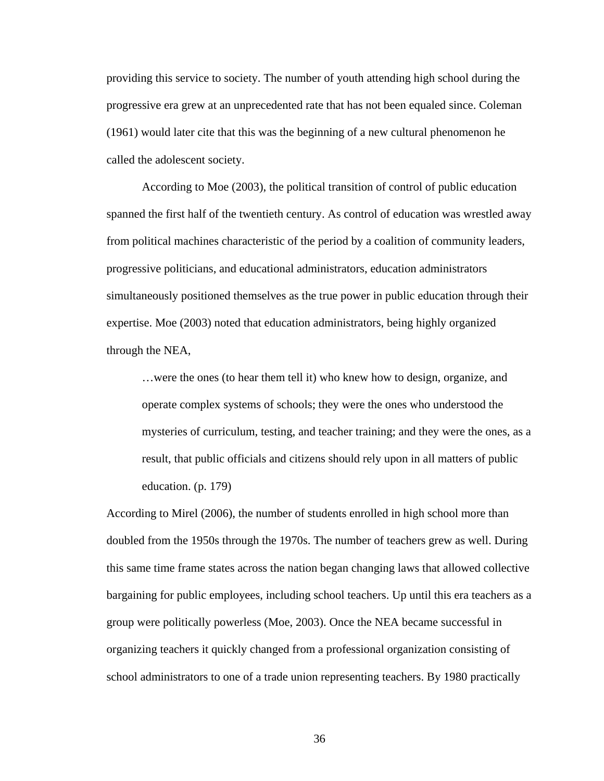providing this service to society. The number of youth attending high school during the progressive era grew at an unprecedented rate that has not been equaled since. Coleman (1961) would later cite that this was the beginning of a new cultural phenomenon he called the adolescent society.

 According to Moe (2003), the political transition of control of public education spanned the first half of the twentieth century. As control of education was wrestled away from political machines characteristic of the period by a coalition of community leaders, progressive politicians, and educational administrators, education administrators simultaneously positioned themselves as the true power in public education through their expertise. Moe (2003) noted that education administrators, being highly organized through the NEA,

…were the ones (to hear them tell it) who knew how to design, organize, and operate complex systems of schools; they were the ones who understood the mysteries of curriculum, testing, and teacher training; and they were the ones, as a result, that public officials and citizens should rely upon in all matters of public education. (p. 179)

According to Mirel (2006), the number of students enrolled in high school more than doubled from the 1950s through the 1970s. The number of teachers grew as well. During this same time frame states across the nation began changing laws that allowed collective bargaining for public employees, including school teachers. Up until this era teachers as a group were politically powerless (Moe, 2003). Once the NEA became successful in organizing teachers it quickly changed from a professional organization consisting of school administrators to one of a trade union representing teachers. By 1980 practically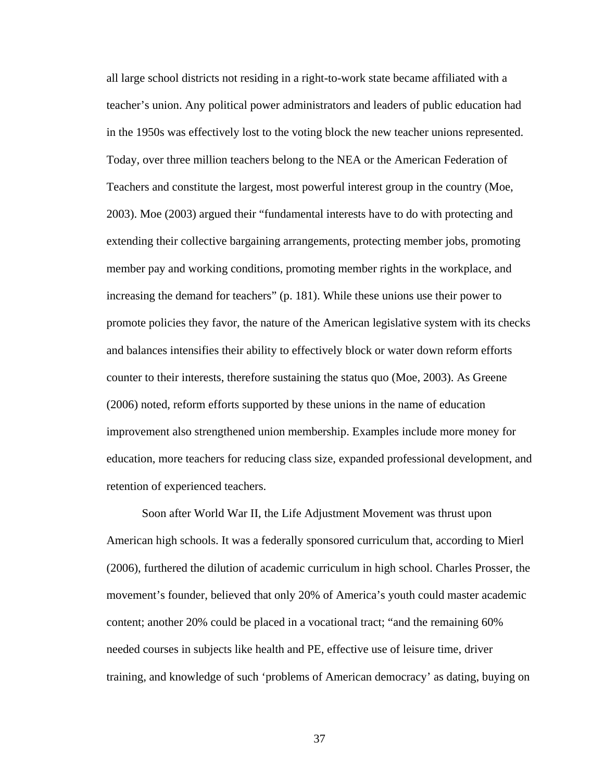all large school districts not residing in a right-to-work state became affiliated with a teacher's union. Any political power administrators and leaders of public education had in the 1950s was effectively lost to the voting block the new teacher unions represented. Today, over three million teachers belong to the NEA or the American Federation of Teachers and constitute the largest, most powerful interest group in the country (Moe, 2003). Moe (2003) argued their "fundamental interests have to do with protecting and extending their collective bargaining arrangements, protecting member jobs, promoting member pay and working conditions, promoting member rights in the workplace, and increasing the demand for teachers" (p. 181). While these unions use their power to promote policies they favor, the nature of the American legislative system with its checks and balances intensifies their ability to effectively block or water down reform efforts counter to their interests, therefore sustaining the status quo (Moe, 2003). As Greene (2006) noted, reform efforts supported by these unions in the name of education improvement also strengthened union membership. Examples include more money for education, more teachers for reducing class size, expanded professional development, and retention of experienced teachers.

 Soon after World War II, the Life Adjustment Movement was thrust upon American high schools. It was a federally sponsored curriculum that, according to Mierl (2006), furthered the dilution of academic curriculum in high school. Charles Prosser, the movement's founder, believed that only 20% of America's youth could master academic content; another 20% could be placed in a vocational tract; "and the remaining 60% needed courses in subjects like health and PE, effective use of leisure time, driver training, and knowledge of such 'problems of American democracy' as dating, buying on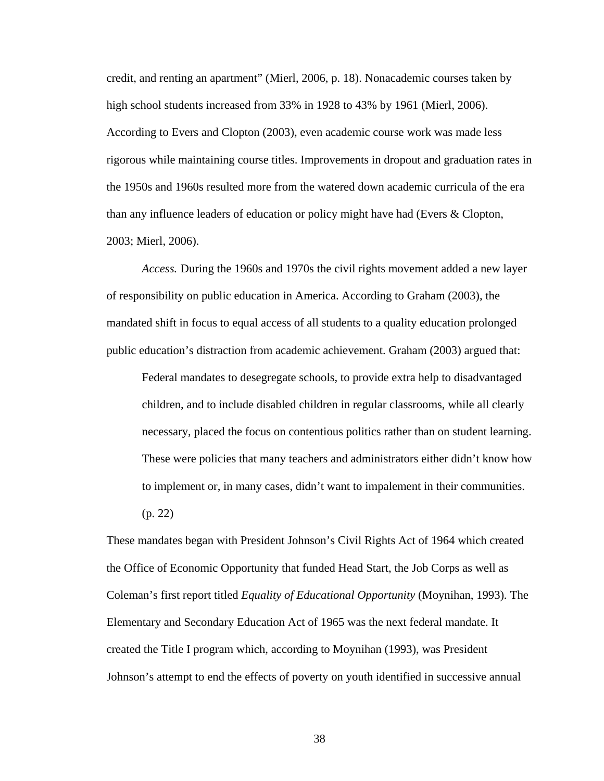credit, and renting an apartment" (Mierl, 2006, p. 18). Nonacademic courses taken by high school students increased from 33% in 1928 to 43% by 1961 (Mierl, 2006). According to Evers and Clopton (2003), even academic course work was made less rigorous while maintaining course titles. Improvements in dropout and graduation rates in the 1950s and 1960s resulted more from the watered down academic curricula of the era than any influence leaders of education or policy might have had (Evers & Clopton, 2003; Mierl, 2006).

*Access.* During the 1960s and 1970s the civil rights movement added a new layer of responsibility on public education in America. According to Graham (2003), the mandated shift in focus to equal access of all students to a quality education prolonged public education's distraction from academic achievement. Graham (2003) argued that:

Federal mandates to desegregate schools, to provide extra help to disadvantaged children, and to include disabled children in regular classrooms, while all clearly necessary, placed the focus on contentious politics rather than on student learning. These were policies that many teachers and administrators either didn't know how to implement or, in many cases, didn't want to impalement in their communities. (p. 22)

These mandates began with President Johnson's Civil Rights Act of 1964 which created the Office of Economic Opportunity that funded Head Start, the Job Corps as well as Coleman's first report titled *Equality of Educational Opportunity* (Moynihan, 1993)*.* The Elementary and Secondary Education Act of 1965 was the next federal mandate. It created the Title I program which, according to Moynihan (1993), was President Johnson's attempt to end the effects of poverty on youth identified in successive annual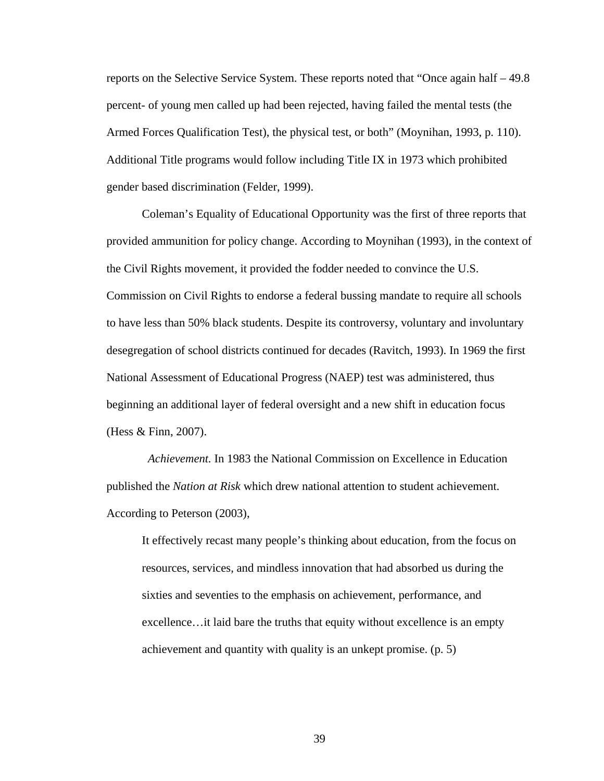reports on the Selective Service System. These reports noted that "Once again half – 49.8 percent- of young men called up had been rejected, having failed the mental tests (the Armed Forces Qualification Test), the physical test, or both" (Moynihan, 1993, p. 110). Additional Title programs would follow including Title IX in 1973 which prohibited gender based discrimination (Felder, 1999).

 Coleman's Equality of Educational Opportunity was the first of three reports that provided ammunition for policy change. According to Moynihan (1993), in the context of the Civil Rights movement, it provided the fodder needed to convince the U.S. Commission on Civil Rights to endorse a federal bussing mandate to require all schools to have less than 50% black students. Despite its controversy, voluntary and involuntary desegregation of school districts continued for decades (Ravitch, 1993). In 1969 the first National Assessment of Educational Progress (NAEP) test was administered, thus beginning an additional layer of federal oversight and a new shift in education focus (Hess & Finn, 2007).

 *Achievement.* In 1983 the National Commission on Excellence in Education published the *Nation at Risk* which drew national attention to student achievement. According to Peterson (2003),

It effectively recast many people's thinking about education, from the focus on resources, services, and mindless innovation that had absorbed us during the sixties and seventies to the emphasis on achievement, performance, and excellence…it laid bare the truths that equity without excellence is an empty achievement and quantity with quality is an unkept promise. (p. 5)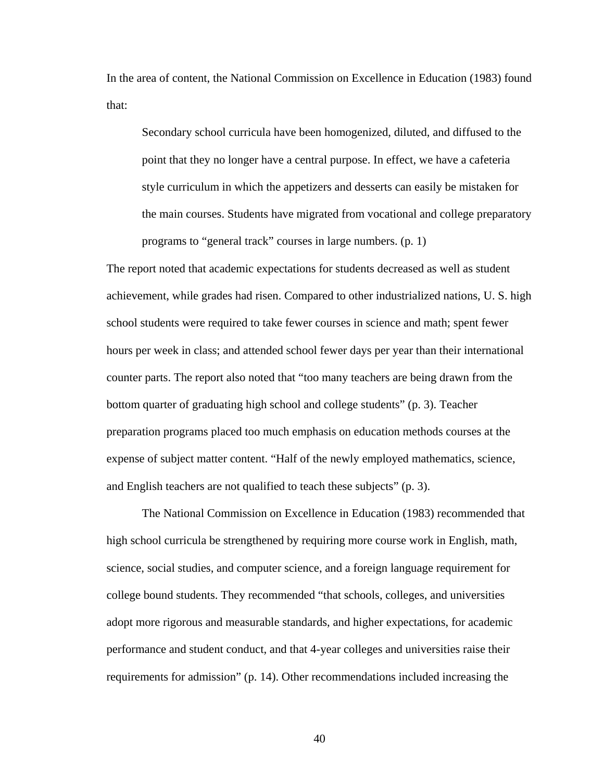In the area of content, the National Commission on Excellence in Education (1983) found that:

Secondary school curricula have been homogenized, diluted, and diffused to the point that they no longer have a central purpose. In effect, we have a cafeteria style curriculum in which the appetizers and desserts can easily be mistaken for the main courses. Students have migrated from vocational and college preparatory programs to "general track" courses in large numbers. (p. 1)

The report noted that academic expectations for students decreased as well as student achievement, while grades had risen. Compared to other industrialized nations, U. S. high school students were required to take fewer courses in science and math; spent fewer hours per week in class; and attended school fewer days per year than their international counter parts. The report also noted that "too many teachers are being drawn from the bottom quarter of graduating high school and college students" (p. 3). Teacher preparation programs placed too much emphasis on education methods courses at the expense of subject matter content. "Half of the newly employed mathematics, science, and English teachers are not qualified to teach these subjects" (p. 3).

 The National Commission on Excellence in Education (1983) recommended that high school curricula be strengthened by requiring more course work in English, math, science, social studies, and computer science, and a foreign language requirement for college bound students. They recommended "that schools, colleges, and universities adopt more rigorous and measurable standards, and higher expectations, for academic performance and student conduct, and that 4-year colleges and universities raise their requirements for admission" (p. 14). Other recommendations included increasing the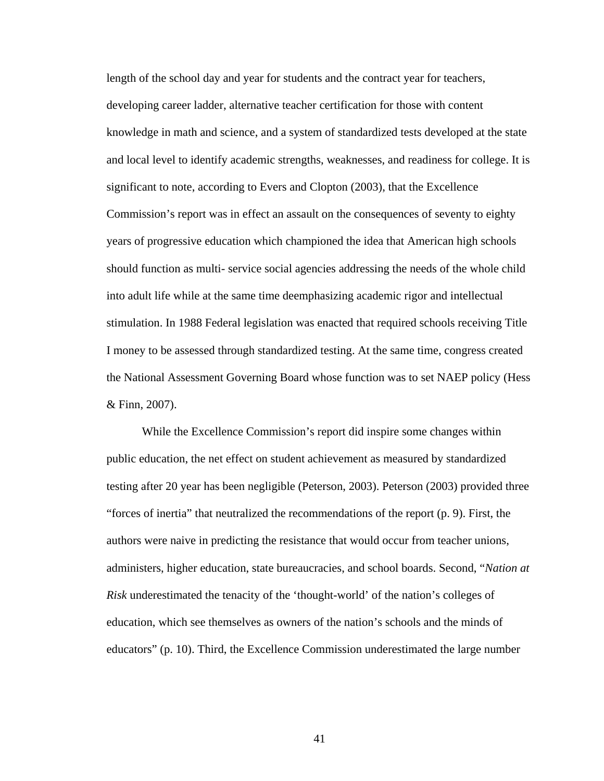length of the school day and year for students and the contract year for teachers, developing career ladder, alternative teacher certification for those with content knowledge in math and science, and a system of standardized tests developed at the state and local level to identify academic strengths, weaknesses, and readiness for college. It is significant to note, according to Evers and Clopton (2003), that the Excellence Commission's report was in effect an assault on the consequences of seventy to eighty years of progressive education which championed the idea that American high schools should function as multi- service social agencies addressing the needs of the whole child into adult life while at the same time deemphasizing academic rigor and intellectual stimulation. In 1988 Federal legislation was enacted that required schools receiving Title I money to be assessed through standardized testing. At the same time, congress created the National Assessment Governing Board whose function was to set NAEP policy (Hess & Finn, 2007).

 While the Excellence Commission's report did inspire some changes within public education, the net effect on student achievement as measured by standardized testing after 20 year has been negligible (Peterson, 2003). Peterson (2003) provided three "forces of inertia" that neutralized the recommendations of the report (p. 9). First, the authors were naive in predicting the resistance that would occur from teacher unions, administers, higher education, state bureaucracies, and school boards. Second, "*Nation at Risk* underestimated the tenacity of the 'thought-world' of the nation's colleges of education, which see themselves as owners of the nation's schools and the minds of educators" (p. 10). Third, the Excellence Commission underestimated the large number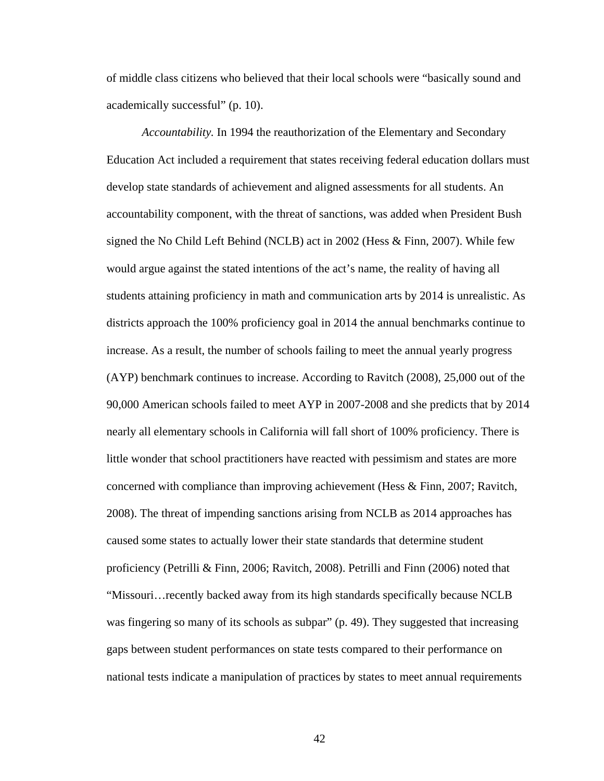of middle class citizens who believed that their local schools were "basically sound and academically successful" (p. 10).

 *Accountability.* In 1994 the reauthorization of the Elementary and Secondary Education Act included a requirement that states receiving federal education dollars must develop state standards of achievement and aligned assessments for all students. An accountability component, with the threat of sanctions, was added when President Bush signed the No Child Left Behind (NCLB) act in 2002 (Hess & Finn, 2007). While few would argue against the stated intentions of the act's name, the reality of having all students attaining proficiency in math and communication arts by 2014 is unrealistic. As districts approach the 100% proficiency goal in 2014 the annual benchmarks continue to increase. As a result, the number of schools failing to meet the annual yearly progress (AYP) benchmark continues to increase. According to Ravitch (2008), 25,000 out of the 90,000 American schools failed to meet AYP in 2007-2008 and she predicts that by 2014 nearly all elementary schools in California will fall short of 100% proficiency. There is little wonder that school practitioners have reacted with pessimism and states are more concerned with compliance than improving achievement (Hess & Finn, 2007; Ravitch, 2008). The threat of impending sanctions arising from NCLB as 2014 approaches has caused some states to actually lower their state standards that determine student proficiency (Petrilli & Finn, 2006; Ravitch, 2008). Petrilli and Finn (2006) noted that "Missouri…recently backed away from its high standards specifically because NCLB was fingering so many of its schools as subpar" (p. 49). They suggested that increasing gaps between student performances on state tests compared to their performance on national tests indicate a manipulation of practices by states to meet annual requirements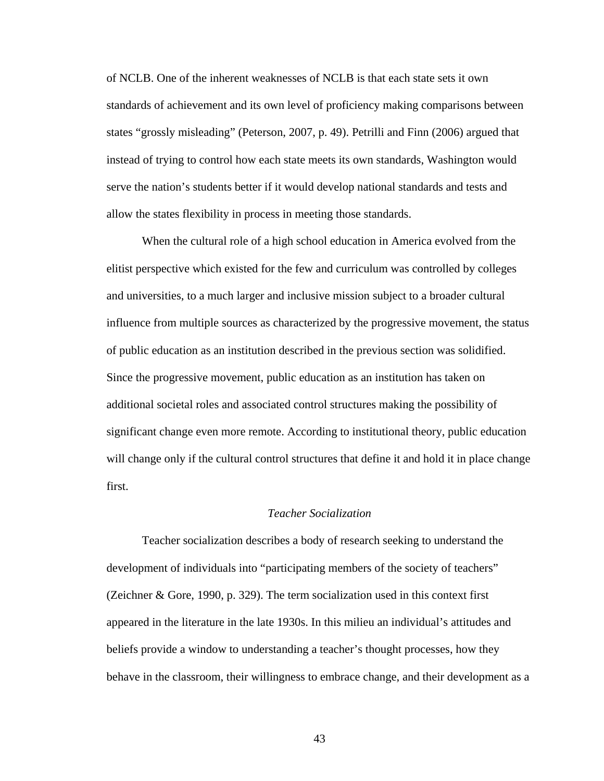of NCLB. One of the inherent weaknesses of NCLB is that each state sets it own standards of achievement and its own level of proficiency making comparisons between states "grossly misleading" (Peterson, 2007, p. 49). Petrilli and Finn (2006) argued that instead of trying to control how each state meets its own standards, Washington would serve the nation's students better if it would develop national standards and tests and allow the states flexibility in process in meeting those standards.

When the cultural role of a high school education in America evolved from the elitist perspective which existed for the few and curriculum was controlled by colleges and universities, to a much larger and inclusive mission subject to a broader cultural influence from multiple sources as characterized by the progressive movement, the status of public education as an institution described in the previous section was solidified. Since the progressive movement, public education as an institution has taken on additional societal roles and associated control structures making the possibility of significant change even more remote. According to institutional theory, public education will change only if the cultural control structures that define it and hold it in place change first.

# *Teacher Socialization*

 Teacher socialization describes a body of research seeking to understand the development of individuals into "participating members of the society of teachers" (Zeichner & Gore, 1990, p. 329). The term socialization used in this context first appeared in the literature in the late 1930s. In this milieu an individual's attitudes and beliefs provide a window to understanding a teacher's thought processes, how they behave in the classroom, their willingness to embrace change, and their development as a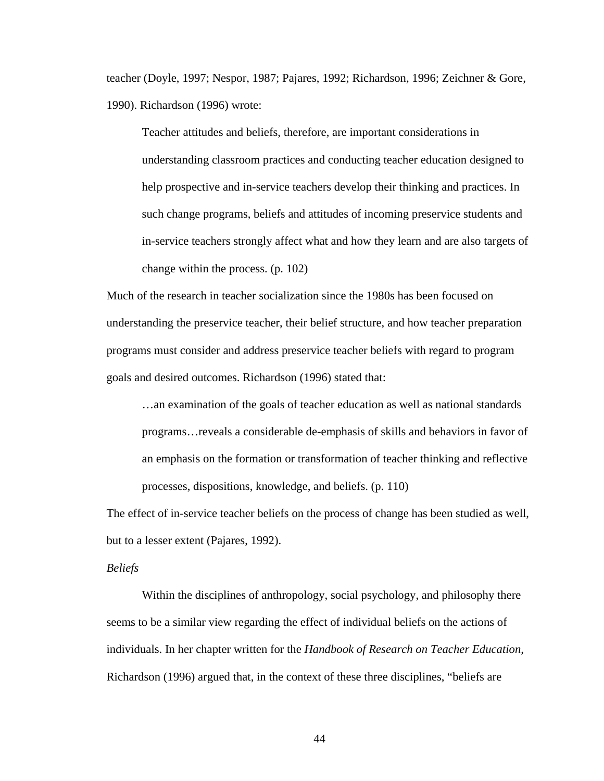teacher (Doyle, 1997; Nespor, 1987; Pajares, 1992; Richardson, 1996; Zeichner & Gore, 1990). Richardson (1996) wrote:

Teacher attitudes and beliefs, therefore, are important considerations in understanding classroom practices and conducting teacher education designed to help prospective and in-service teachers develop their thinking and practices. In such change programs, beliefs and attitudes of incoming preservice students and in-service teachers strongly affect what and how they learn and are also targets of change within the process. (p. 102)

Much of the research in teacher socialization since the 1980s has been focused on understanding the preservice teacher, their belief structure, and how teacher preparation programs must consider and address preservice teacher beliefs with regard to program goals and desired outcomes. Richardson (1996) stated that:

…an examination of the goals of teacher education as well as national standards programs…reveals a considerable de-emphasis of skills and behaviors in favor of an emphasis on the formation or transformation of teacher thinking and reflective processes, dispositions, knowledge, and beliefs. (p. 110)

The effect of in-service teacher beliefs on the process of change has been studied as well, but to a lesser extent (Pajares, 1992).

#### *Beliefs*

Within the disciplines of anthropology, social psychology, and philosophy there seems to be a similar view regarding the effect of individual beliefs on the actions of individuals. In her chapter written for the *Handbook of Research on Teacher Education,*  Richardson (1996) argued that, in the context of these three disciplines, "beliefs are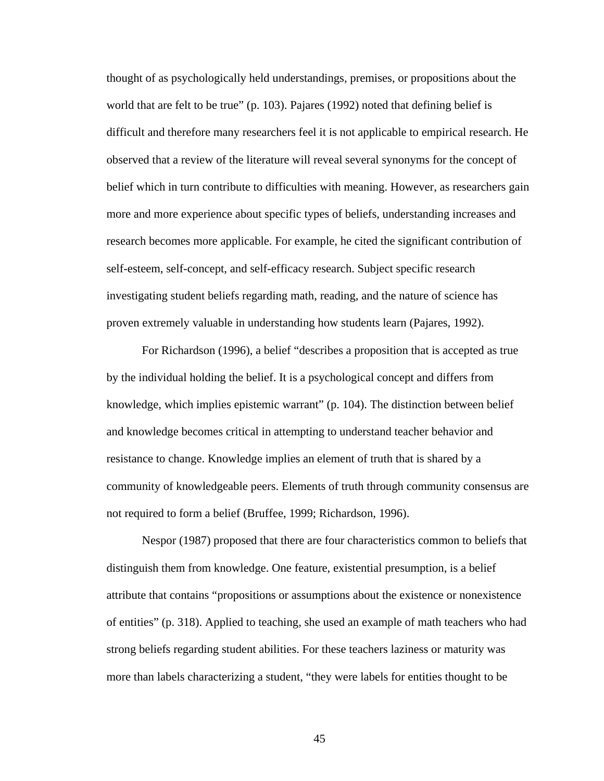thought of as psychologically held understandings, premises, or propositions about the world that are felt to be true" (p. 103). Pajares (1992) noted that defining belief is difficult and therefore many researchers feel it is not applicable to empirical research. He observed that a review of the literature will reveal several synonyms for the concept of belief which in turn contribute to difficulties with meaning. However, as researchers gain more and more experience about specific types of beliefs, understanding increases and research becomes more applicable. For example, he cited the significant contribution of self-esteem, self-concept, and self-efficacy research. Subject specific research investigating student beliefs regarding math, reading, and the nature of science has proven extremely valuable in understanding how students learn (Pajares, 1992).

For Richardson (1996), a belief "describes a proposition that is accepted as true by the individual holding the belief. It is a psychological concept and differs from knowledge, which implies epistemic warrant" (p. 104). The distinction between belief and knowledge becomes critical in attempting to understand teacher behavior and resistance to change. Knowledge implies an element of truth that is shared by a community of knowledgeable peers. Elements of truth through community consensus are not required to form a belief (Bruffee, 1999; Richardson, 1996).

Nespor (1987) proposed that there are four characteristics common to beliefs that distinguish them from knowledge. One feature, existential presumption, is a belief attribute that contains "propositions or assumptions about the existence or nonexistence of entities" (p. 318). Applied to teaching, she used an example of math teachers who had strong beliefs regarding student abilities. For these teachers laziness or maturity was more than labels characterizing a student, "they were labels for entities thought to be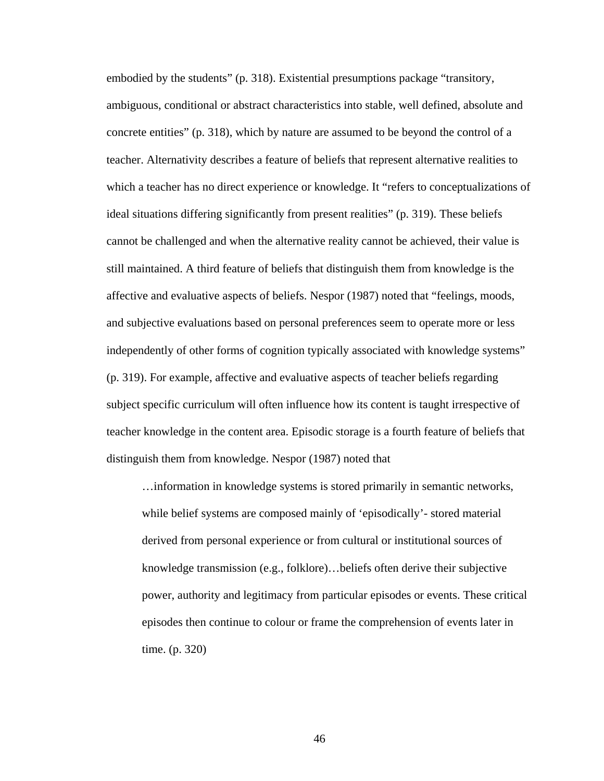embodied by the students" (p. 318). Existential presumptions package "transitory, ambiguous, conditional or abstract characteristics into stable, well defined, absolute and concrete entities" (p. 318), which by nature are assumed to be beyond the control of a teacher. Alternativity describes a feature of beliefs that represent alternative realities to which a teacher has no direct experience or knowledge. It "refers to conceptualizations of ideal situations differing significantly from present realities" (p. 319). These beliefs cannot be challenged and when the alternative reality cannot be achieved, their value is still maintained. A third feature of beliefs that distinguish them from knowledge is the affective and evaluative aspects of beliefs. Nespor (1987) noted that "feelings, moods, and subjective evaluations based on personal preferences seem to operate more or less independently of other forms of cognition typically associated with knowledge systems" (p. 319). For example, affective and evaluative aspects of teacher beliefs regarding subject specific curriculum will often influence how its content is taught irrespective of teacher knowledge in the content area. Episodic storage is a fourth feature of beliefs that distinguish them from knowledge. Nespor (1987) noted that

…information in knowledge systems is stored primarily in semantic networks, while belief systems are composed mainly of 'episodically'- stored material derived from personal experience or from cultural or institutional sources of knowledge transmission (e.g., folklore)…beliefs often derive their subjective power, authority and legitimacy from particular episodes or events. These critical episodes then continue to colour or frame the comprehension of events later in time. (p. 320)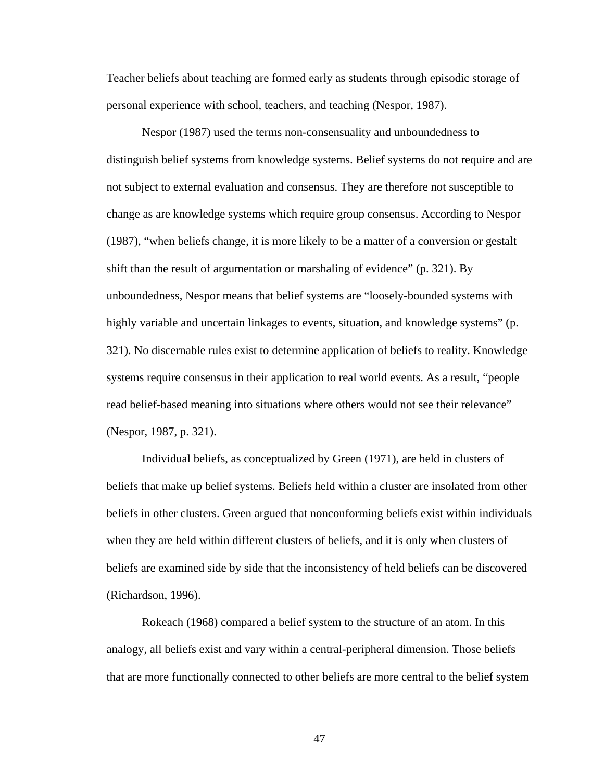Teacher beliefs about teaching are formed early as students through episodic storage of personal experience with school, teachers, and teaching (Nespor, 1987).

 Nespor (1987) used the terms non-consensuality and unboundedness to distinguish belief systems from knowledge systems. Belief systems do not require and are not subject to external evaluation and consensus. They are therefore not susceptible to change as are knowledge systems which require group consensus. According to Nespor (1987), "when beliefs change, it is more likely to be a matter of a conversion or gestalt shift than the result of argumentation or marshaling of evidence" (p. 321). By unboundedness, Nespor means that belief systems are "loosely-bounded systems with highly variable and uncertain linkages to events, situation, and knowledge systems" (p. 321). No discernable rules exist to determine application of beliefs to reality. Knowledge systems require consensus in their application to real world events. As a result, "people read belief-based meaning into situations where others would not see their relevance" (Nespor, 1987, p. 321).

Individual beliefs, as conceptualized by Green (1971), are held in clusters of beliefs that make up belief systems. Beliefs held within a cluster are insolated from other beliefs in other clusters. Green argued that nonconforming beliefs exist within individuals when they are held within different clusters of beliefs, and it is only when clusters of beliefs are examined side by side that the inconsistency of held beliefs can be discovered (Richardson, 1996).

Rokeach (1968) compared a belief system to the structure of an atom. In this analogy, all beliefs exist and vary within a central-peripheral dimension. Those beliefs that are more functionally connected to other beliefs are more central to the belief system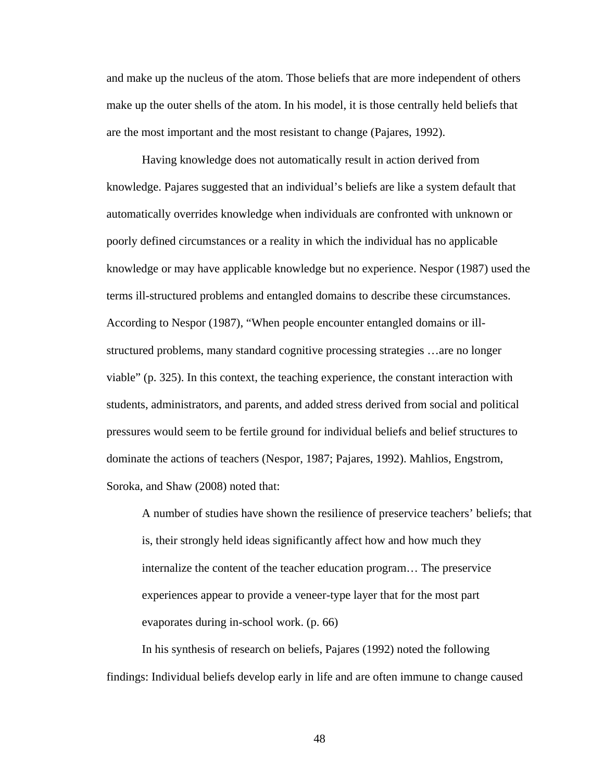and make up the nucleus of the atom. Those beliefs that are more independent of others make up the outer shells of the atom. In his model, it is those centrally held beliefs that are the most important and the most resistant to change (Pajares, 1992).

Having knowledge does not automatically result in action derived from knowledge. Pajares suggested that an individual's beliefs are like a system default that automatically overrides knowledge when individuals are confronted with unknown or poorly defined circumstances or a reality in which the individual has no applicable knowledge or may have applicable knowledge but no experience. Nespor (1987) used the terms ill-structured problems and entangled domains to describe these circumstances. According to Nespor (1987), "When people encounter entangled domains or illstructured problems, many standard cognitive processing strategies …are no longer viable" (p. 325). In this context, the teaching experience, the constant interaction with students, administrators, and parents, and added stress derived from social and political pressures would seem to be fertile ground for individual beliefs and belief structures to dominate the actions of teachers (Nespor, 1987; Pajares, 1992). Mahlios, Engstrom, Soroka, and Shaw (2008) noted that:

A number of studies have shown the resilience of preservice teachers' beliefs; that is, their strongly held ideas significantly affect how and how much they internalize the content of the teacher education program… The preservice experiences appear to provide a veneer-type layer that for the most part evaporates during in-school work. (p. 66)

In his synthesis of research on beliefs, Pajares (1992) noted the following findings: Individual beliefs develop early in life and are often immune to change caused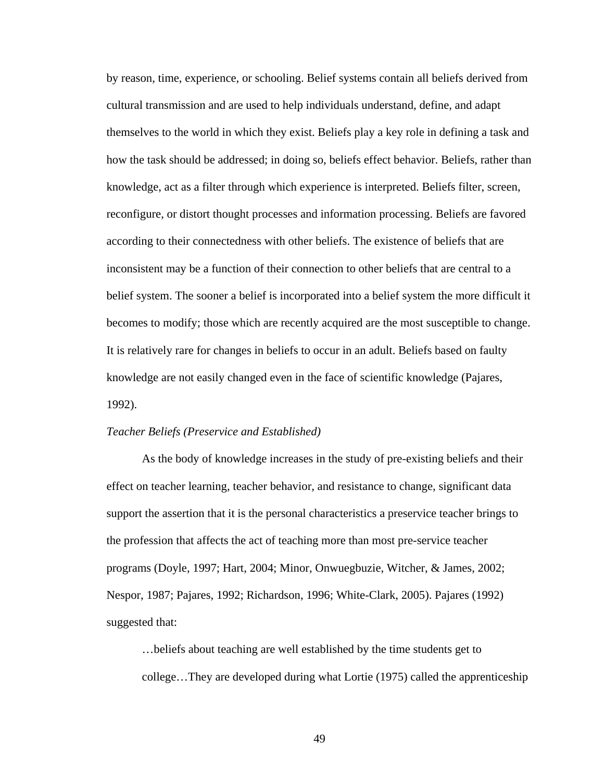by reason, time, experience, or schooling. Belief systems contain all beliefs derived from cultural transmission and are used to help individuals understand, define, and adapt themselves to the world in which they exist. Beliefs play a key role in defining a task and how the task should be addressed; in doing so, beliefs effect behavior. Beliefs, rather than knowledge, act as a filter through which experience is interpreted. Beliefs filter, screen, reconfigure, or distort thought processes and information processing. Beliefs are favored according to their connectedness with other beliefs. The existence of beliefs that are inconsistent may be a function of their connection to other beliefs that are central to a belief system. The sooner a belief is incorporated into a belief system the more difficult it becomes to modify; those which are recently acquired are the most susceptible to change. It is relatively rare for changes in beliefs to occur in an adult. Beliefs based on faulty knowledge are not easily changed even in the face of scientific knowledge (Pajares, 1992).

### *Teacher Beliefs (Preservice and Established)*

As the body of knowledge increases in the study of pre-existing beliefs and their effect on teacher learning, teacher behavior, and resistance to change, significant data support the assertion that it is the personal characteristics a preservice teacher brings to the profession that affects the act of teaching more than most pre-service teacher programs (Doyle, 1997; Hart, 2004; Minor, Onwuegbuzie, Witcher, & James, 2002; Nespor, 1987; Pajares, 1992; Richardson, 1996; White-Clark, 2005). Pajares (1992) suggested that:

…beliefs about teaching are well established by the time students get to college…They are developed during what Lortie (1975) called the apprenticeship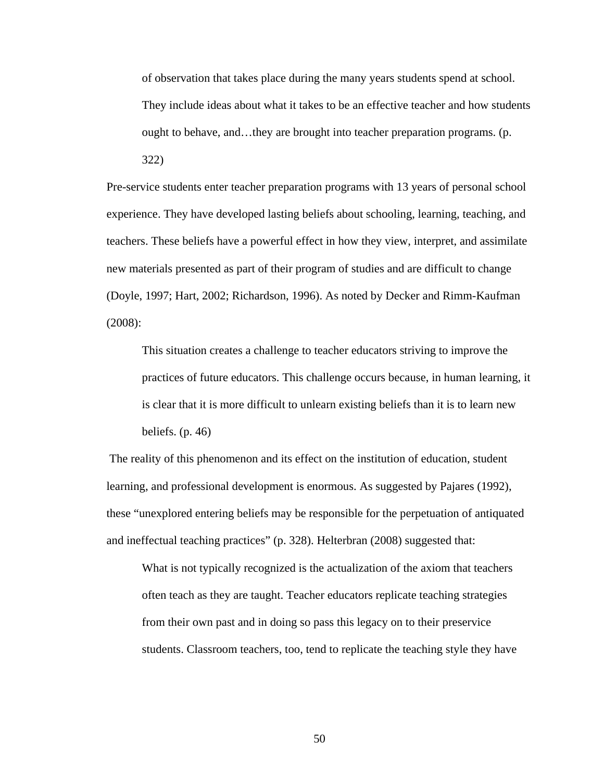of observation that takes place during the many years students spend at school. They include ideas about what it takes to be an effective teacher and how students ought to behave, and…they are brought into teacher preparation programs. (p. 322)

Pre-service students enter teacher preparation programs with 13 years of personal school experience. They have developed lasting beliefs about schooling, learning, teaching, and teachers. These beliefs have a powerful effect in how they view, interpret, and assimilate new materials presented as part of their program of studies and are difficult to change (Doyle, 1997; Hart, 2002; Richardson, 1996). As noted by Decker and Rimm-Kaufman (2008):

This situation creates a challenge to teacher educators striving to improve the practices of future educators. This challenge occurs because, in human learning, it is clear that it is more difficult to unlearn existing beliefs than it is to learn new beliefs. (p. 46)

 The reality of this phenomenon and its effect on the institution of education, student learning, and professional development is enormous. As suggested by Pajares (1992), these "unexplored entering beliefs may be responsible for the perpetuation of antiquated and ineffectual teaching practices" (p. 328). Helterbran (2008) suggested that:

What is not typically recognized is the actualization of the axiom that teachers often teach as they are taught. Teacher educators replicate teaching strategies from their own past and in doing so pass this legacy on to their preservice students. Classroom teachers, too, tend to replicate the teaching style they have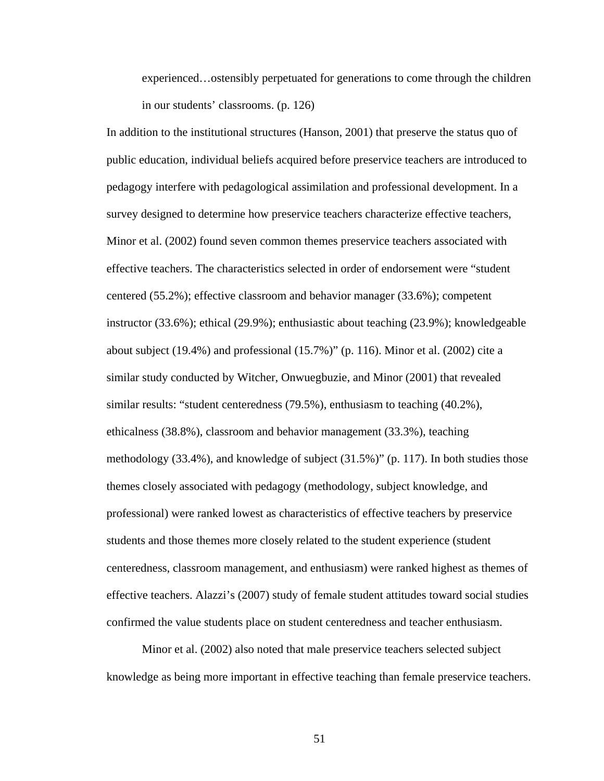experienced…ostensibly perpetuated for generations to come through the children in our students' classrooms. (p. 126)

In addition to the institutional structures (Hanson, 2001) that preserve the status quo of public education, individual beliefs acquired before preservice teachers are introduced to pedagogy interfere with pedagological assimilation and professional development. In a survey designed to determine how preservice teachers characterize effective teachers, Minor et al. (2002) found seven common themes preservice teachers associated with effective teachers. The characteristics selected in order of endorsement were "student centered (55.2%); effective classroom and behavior manager (33.6%); competent instructor (33.6%); ethical (29.9%); enthusiastic about teaching (23.9%); knowledgeable about subject (19.4%) and professional (15.7%)" (p. 116). Minor et al. (2002) cite a similar study conducted by Witcher, Onwuegbuzie, and Minor (2001) that revealed similar results: "student centeredness (79.5%), enthusiasm to teaching (40.2%), ethicalness (38.8%), classroom and behavior management (33.3%), teaching methodology (33.4%), and knowledge of subject (31.5%)" (p. 117). In both studies those themes closely associated with pedagogy (methodology, subject knowledge, and professional) were ranked lowest as characteristics of effective teachers by preservice students and those themes more closely related to the student experience (student centeredness, classroom management, and enthusiasm) were ranked highest as themes of effective teachers. Alazzi's (2007) study of female student attitudes toward social studies confirmed the value students place on student centeredness and teacher enthusiasm.

 Minor et al. (2002) also noted that male preservice teachers selected subject knowledge as being more important in effective teaching than female preservice teachers.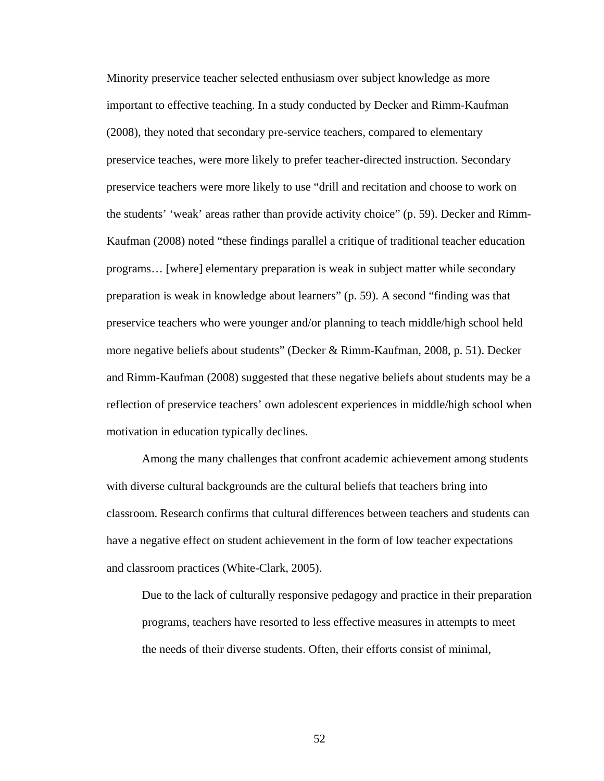Minority preservice teacher selected enthusiasm over subject knowledge as more important to effective teaching. In a study conducted by Decker and Rimm-Kaufman (2008), they noted that secondary pre-service teachers, compared to elementary preservice teaches, were more likely to prefer teacher-directed instruction. Secondary preservice teachers were more likely to use "drill and recitation and choose to work on the students' 'weak' areas rather than provide activity choice" (p. 59). Decker and Rimm-Kaufman (2008) noted "these findings parallel a critique of traditional teacher education programs… [where] elementary preparation is weak in subject matter while secondary preparation is weak in knowledge about learners" (p. 59). A second "finding was that preservice teachers who were younger and/or planning to teach middle/high school held more negative beliefs about students" (Decker & Rimm-Kaufman, 2008, p. 51). Decker and Rimm-Kaufman (2008) suggested that these negative beliefs about students may be a reflection of preservice teachers' own adolescent experiences in middle/high school when motivation in education typically declines.

Among the many challenges that confront academic achievement among students with diverse cultural backgrounds are the cultural beliefs that teachers bring into classroom. Research confirms that cultural differences between teachers and students can have a negative effect on student achievement in the form of low teacher expectations and classroom practices (White-Clark, 2005).

Due to the lack of culturally responsive pedagogy and practice in their preparation programs, teachers have resorted to less effective measures in attempts to meet the needs of their diverse students. Often, their efforts consist of minimal,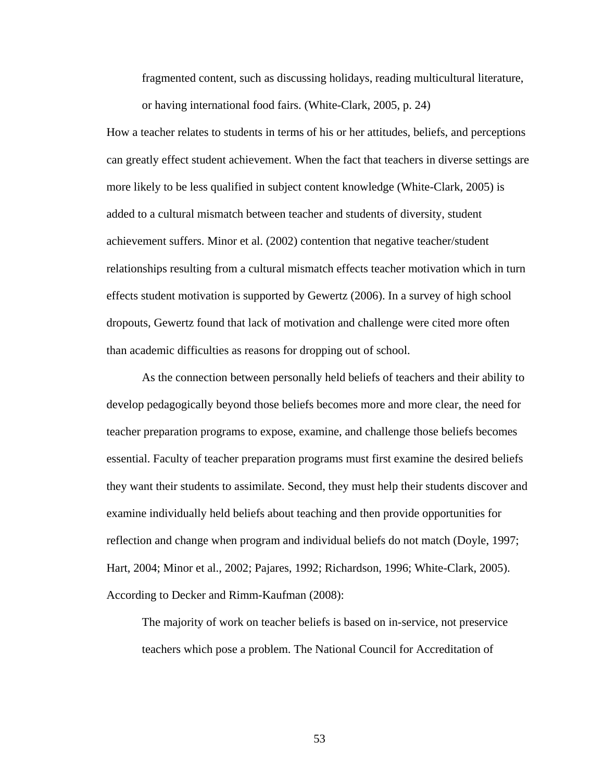fragmented content, such as discussing holidays, reading multicultural literature,

or having international food fairs. (White-Clark, 2005, p. 24)

How a teacher relates to students in terms of his or her attitudes, beliefs, and perceptions can greatly effect student achievement. When the fact that teachers in diverse settings are more likely to be less qualified in subject content knowledge (White-Clark, 2005) is added to a cultural mismatch between teacher and students of diversity, student achievement suffers. Minor et al. (2002) contention that negative teacher/student relationships resulting from a cultural mismatch effects teacher motivation which in turn effects student motivation is supported by Gewertz (2006). In a survey of high school dropouts, Gewertz found that lack of motivation and challenge were cited more often than academic difficulties as reasons for dropping out of school.

As the connection between personally held beliefs of teachers and their ability to develop pedagogically beyond those beliefs becomes more and more clear, the need for teacher preparation programs to expose, examine, and challenge those beliefs becomes essential. Faculty of teacher preparation programs must first examine the desired beliefs they want their students to assimilate. Second, they must help their students discover and examine individually held beliefs about teaching and then provide opportunities for reflection and change when program and individual beliefs do not match (Doyle, 1997; Hart, 2004; Minor et al., 2002; Pajares, 1992; Richardson, 1996; White-Clark, 2005). According to Decker and Rimm-Kaufman (2008):

The majority of work on teacher beliefs is based on in-service, not preservice teachers which pose a problem. The National Council for Accreditation of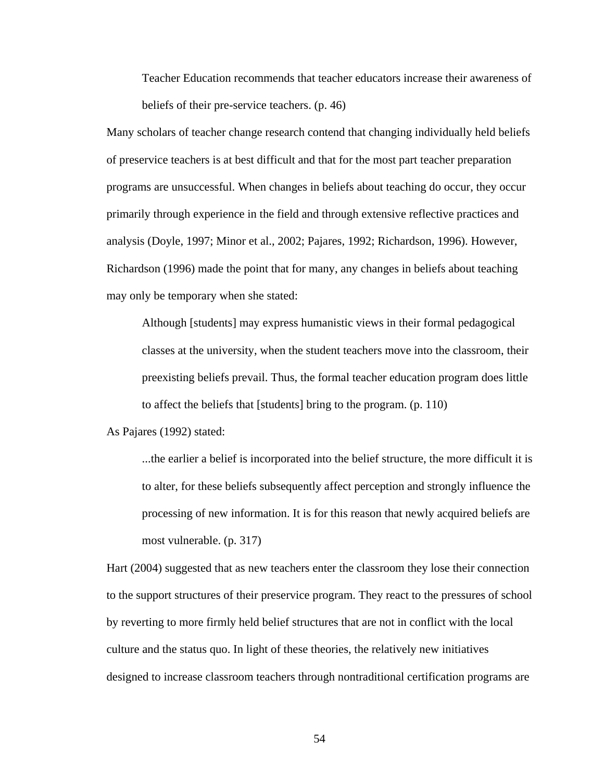Teacher Education recommends that teacher educators increase their awareness of beliefs of their pre-service teachers. (p. 46)

Many scholars of teacher change research contend that changing individually held beliefs of preservice teachers is at best difficult and that for the most part teacher preparation programs are unsuccessful. When changes in beliefs about teaching do occur, they occur primarily through experience in the field and through extensive reflective practices and analysis (Doyle, 1997; Minor et al., 2002; Pajares, 1992; Richardson, 1996). However, Richardson (1996) made the point that for many, any changes in beliefs about teaching may only be temporary when she stated:

Although [students] may express humanistic views in their formal pedagogical classes at the university, when the student teachers move into the classroom, their preexisting beliefs prevail. Thus, the formal teacher education program does little to affect the beliefs that [students] bring to the program. (p. 110)

As Pajares (1992) stated:

...the earlier a belief is incorporated into the belief structure, the more difficult it is to alter, for these beliefs subsequently affect perception and strongly influence the processing of new information. It is for this reason that newly acquired beliefs are most vulnerable. (p. 317)

Hart (2004) suggested that as new teachers enter the classroom they lose their connection to the support structures of their preservice program. They react to the pressures of school by reverting to more firmly held belief structures that are not in conflict with the local culture and the status quo. In light of these theories, the relatively new initiatives designed to increase classroom teachers through nontraditional certification programs are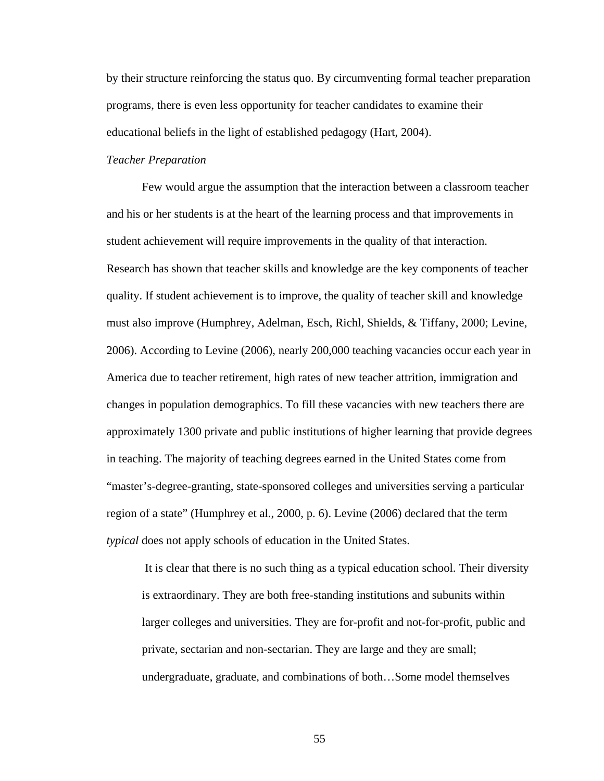by their structure reinforcing the status quo. By circumventing formal teacher preparation programs, there is even less opportunity for teacher candidates to examine their educational beliefs in the light of established pedagogy (Hart, 2004).

# *Teacher Preparation*

Few would argue the assumption that the interaction between a classroom teacher and his or her students is at the heart of the learning process and that improvements in student achievement will require improvements in the quality of that interaction. Research has shown that teacher skills and knowledge are the key components of teacher quality. If student achievement is to improve, the quality of teacher skill and knowledge must also improve (Humphrey, Adelman, Esch, Richl, Shields, & Tiffany, 2000; Levine, 2006). According to Levine (2006), nearly 200,000 teaching vacancies occur each year in America due to teacher retirement, high rates of new teacher attrition, immigration and changes in population demographics. To fill these vacancies with new teachers there are approximately 1300 private and public institutions of higher learning that provide degrees in teaching. The majority of teaching degrees earned in the United States come from "master's-degree-granting, state-sponsored colleges and universities serving a particular region of a state" (Humphrey et al., 2000, p. 6). Levine (2006) declared that the term *typical* does not apply schools of education in the United States.

It is clear that there is no such thing as a typical education school. Their diversity is extraordinary. They are both free-standing institutions and subunits within larger colleges and universities. They are for-profit and not-for-profit, public and private, sectarian and non-sectarian. They are large and they are small; undergraduate, graduate, and combinations of both…Some model themselves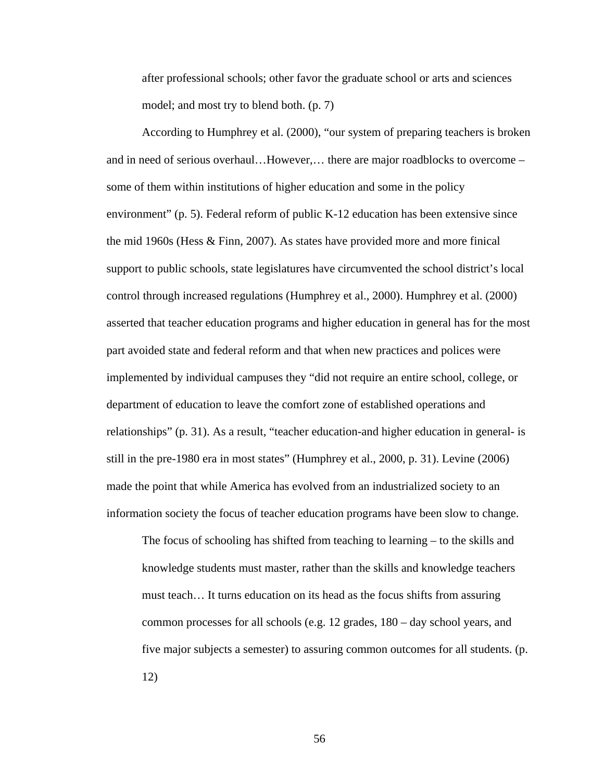after professional schools; other favor the graduate school or arts and sciences model; and most try to blend both. (p. 7)

According to Humphrey et al. (2000), "our system of preparing teachers is broken and in need of serious overhaul…However,… there are major roadblocks to overcome – some of them within institutions of higher education and some in the policy environment" (p. 5). Federal reform of public K-12 education has been extensive since the mid 1960s (Hess & Finn, 2007). As states have provided more and more finical support to public schools, state legislatures have circumvented the school district's local control through increased regulations (Humphrey et al., 2000). Humphrey et al. (2000) asserted that teacher education programs and higher education in general has for the most part avoided state and federal reform and that when new practices and polices were implemented by individual campuses they "did not require an entire school, college, or department of education to leave the comfort zone of established operations and relationships" (p. 31). As a result, "teacher education-and higher education in general- is still in the pre-1980 era in most states" (Humphrey et al., 2000, p. 31). Levine (2006) made the point that while America has evolved from an industrialized society to an information society the focus of teacher education programs have been slow to change.

The focus of schooling has shifted from teaching to learning  $-$  to the skills and knowledge students must master, rather than the skills and knowledge teachers must teach… It turns education on its head as the focus shifts from assuring common processes for all schools (e.g. 12 grades, 180 – day school years, and five major subjects a semester) to assuring common outcomes for all students. (p. 12)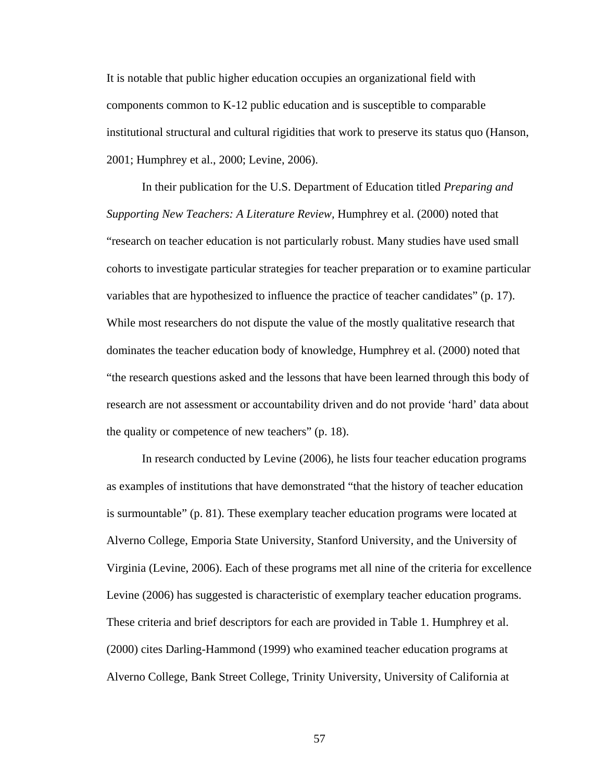It is notable that public higher education occupies an organizational field with components common to K-12 public education and is susceptible to comparable institutional structural and cultural rigidities that work to preserve its status quo (Hanson, 2001; Humphrey et al., 2000; Levine, 2006).

In their publication for the U.S. Department of Education titled *Preparing and Supporting New Teachers: A Literature Review,* Humphrey et al. (2000) noted that "research on teacher education is not particularly robust. Many studies have used small cohorts to investigate particular strategies for teacher preparation or to examine particular variables that are hypothesized to influence the practice of teacher candidates" (p. 17). While most researchers do not dispute the value of the mostly qualitative research that dominates the teacher education body of knowledge, Humphrey et al. (2000) noted that "the research questions asked and the lessons that have been learned through this body of research are not assessment or accountability driven and do not provide 'hard' data about the quality or competence of new teachers" (p. 18).

 In research conducted by Levine (2006), he lists four teacher education programs as examples of institutions that have demonstrated "that the history of teacher education is surmountable" (p. 81). These exemplary teacher education programs were located at Alverno College, Emporia State University, Stanford University, and the University of Virginia (Levine, 2006). Each of these programs met all nine of the criteria for excellence Levine (2006) has suggested is characteristic of exemplary teacher education programs. These criteria and brief descriptors for each are provided in Table 1. Humphrey et al. (2000) cites Darling-Hammond (1999) who examined teacher education programs at Alverno College, Bank Street College, Trinity University, University of California at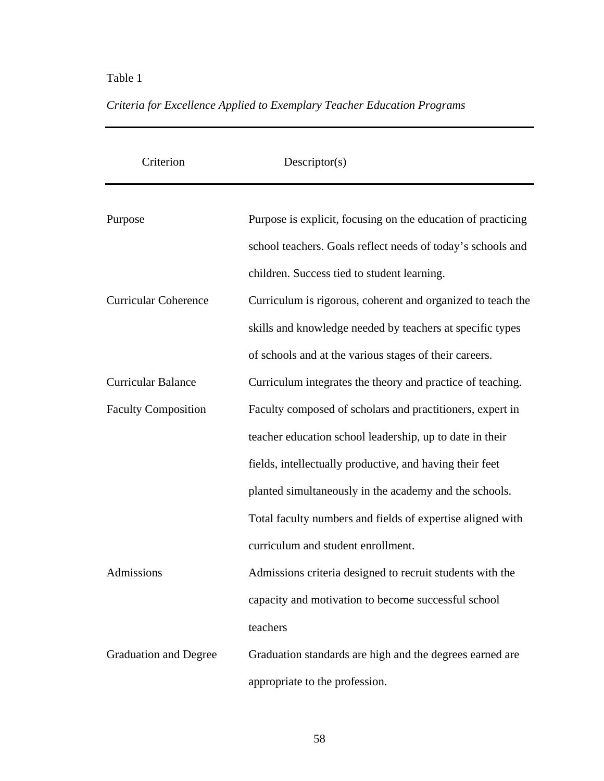## Table 1

| Criterion                    | Descriptor(s)                                                |
|------------------------------|--------------------------------------------------------------|
|                              |                                                              |
| Purpose                      | Purpose is explicit, focusing on the education of practicing |
|                              | school teachers. Goals reflect needs of today's schools and  |
|                              | children. Success tied to student learning.                  |
| <b>Curricular Coherence</b>  | Curriculum is rigorous, coherent and organized to teach the  |
|                              | skills and knowledge needed by teachers at specific types    |
|                              | of schools and at the various stages of their careers.       |
| <b>Curricular Balance</b>    | Curriculum integrates the theory and practice of teaching.   |
| <b>Faculty Composition</b>   | Faculty composed of scholars and practitioners, expert in    |
|                              | teacher education school leadership, up to date in their     |
|                              | fields, intellectually productive, and having their feet     |
|                              | planted simultaneously in the academy and the schools.       |
|                              | Total faculty numbers and fields of expertise aligned with   |
|                              | curriculum and student enrollment.                           |
| Admissions                   | Admissions criteria designed to recruit students with the    |
|                              | capacity and motivation to become successful school          |
|                              | teachers                                                     |
| <b>Graduation and Degree</b> | Graduation standards are high and the degrees earned are     |
|                              | appropriate to the profession.                               |

# *Criteria for Excellence Applied to Exemplary Teacher Education Programs*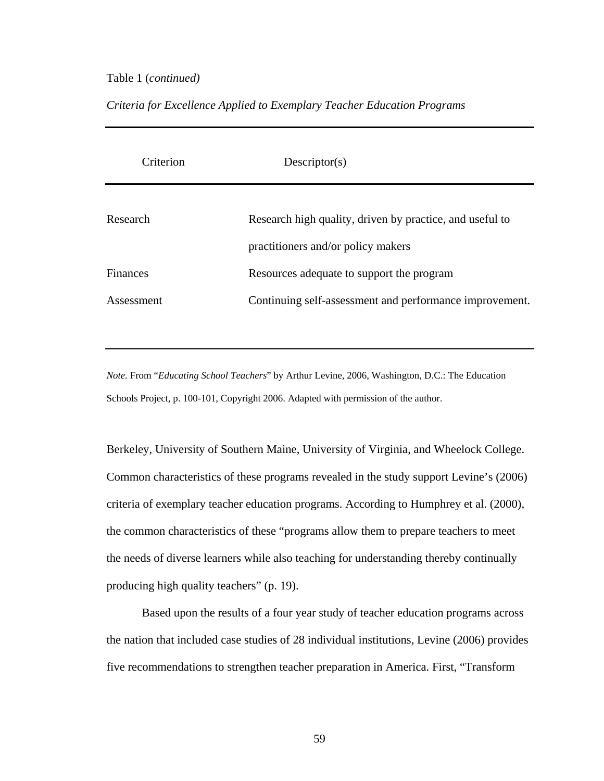## Table 1 (*continued)*

## *Criteria for Excellence Applied to Exemplary Teacher Education Programs*

| Criterion  | Descriptor(s)                                            |
|------------|----------------------------------------------------------|
| Research   | Research high quality, driven by practice, and useful to |
|            | practitioners and/or policy makers                       |
| Finances   | Resources adequate to support the program                |
| Assessment | Continuing self-assessment and performance improvement.  |

*Note.* From "*Educating School Teachers*" by Arthur Levine, 2006, Washington, D.C.: The Education Schools Project, p. 100-101, Copyright 2006. Adapted with permission of the author.

Berkeley, University of Southern Maine, University of Virginia, and Wheelock College. Common characteristics of these programs revealed in the study support Levine's (2006) criteria of exemplary teacher education programs. According to Humphrey et al. (2000), the common characteristics of these "programs allow them to prepare teachers to meet the needs of diverse learners while also teaching for understanding thereby continually producing high quality teachers" (p. 19).

 Based upon the results of a four year study of teacher education programs across the nation that included case studies of 28 individual institutions, Levine (2006) provides five recommendations to strengthen teacher preparation in America. First, "Transform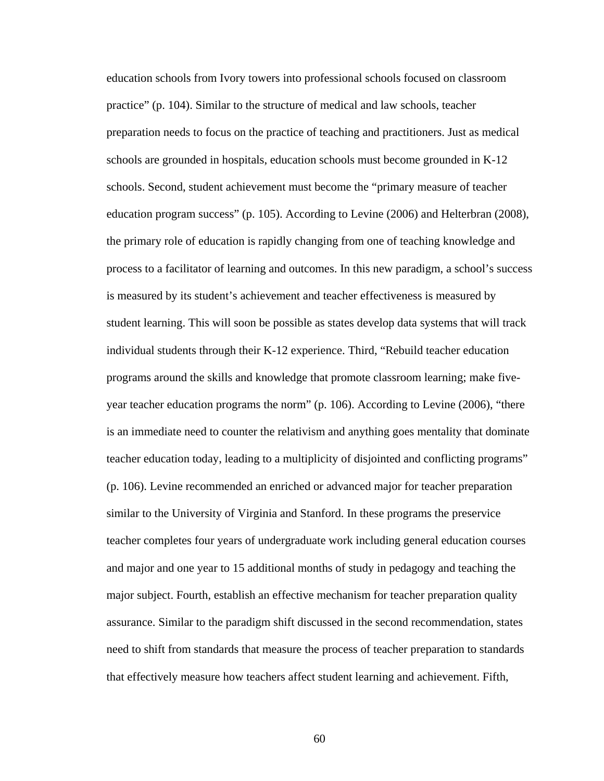education schools from Ivory towers into professional schools focused on classroom practice" (p. 104). Similar to the structure of medical and law schools, teacher preparation needs to focus on the practice of teaching and practitioners. Just as medical schools are grounded in hospitals, education schools must become grounded in K-12 schools. Second, student achievement must become the "primary measure of teacher education program success" (p. 105). According to Levine (2006) and Helterbran (2008), the primary role of education is rapidly changing from one of teaching knowledge and process to a facilitator of learning and outcomes. In this new paradigm, a school's success is measured by its student's achievement and teacher effectiveness is measured by student learning. This will soon be possible as states develop data systems that will track individual students through their K-12 experience. Third, "Rebuild teacher education programs around the skills and knowledge that promote classroom learning; make fiveyear teacher education programs the norm" (p. 106). According to Levine (2006), "there is an immediate need to counter the relativism and anything goes mentality that dominate teacher education today, leading to a multiplicity of disjointed and conflicting programs" (p. 106). Levine recommended an enriched or advanced major for teacher preparation similar to the University of Virginia and Stanford. In these programs the preservice teacher completes four years of undergraduate work including general education courses and major and one year to 15 additional months of study in pedagogy and teaching the major subject. Fourth, establish an effective mechanism for teacher preparation quality assurance. Similar to the paradigm shift discussed in the second recommendation, states need to shift from standards that measure the process of teacher preparation to standards that effectively measure how teachers affect student learning and achievement. Fifth,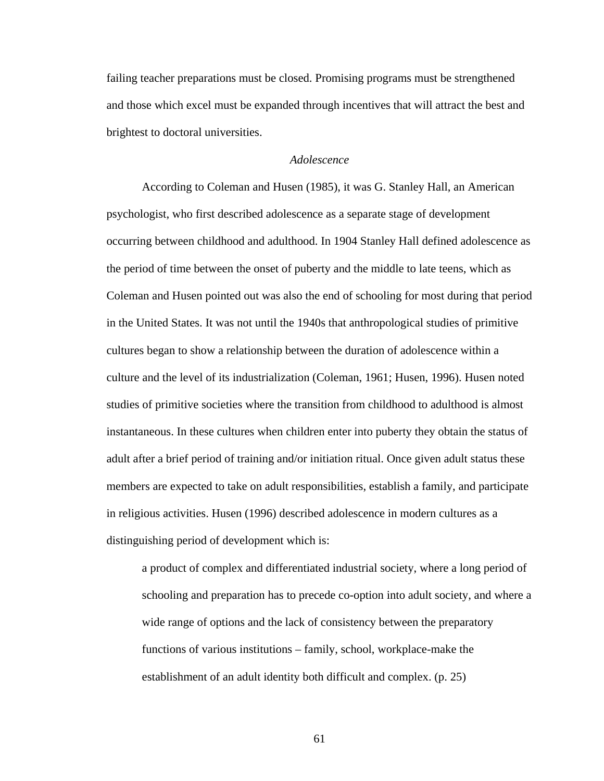failing teacher preparations must be closed. Promising programs must be strengthened and those which excel must be expanded through incentives that will attract the best and brightest to doctoral universities.

## *Adolescence*

 According to Coleman and Husen (1985), it was G. Stanley Hall, an American psychologist, who first described adolescence as a separate stage of development occurring between childhood and adulthood. In 1904 Stanley Hall defined adolescence as the period of time between the onset of puberty and the middle to late teens, which as Coleman and Husen pointed out was also the end of schooling for most during that period in the United States. It was not until the 1940s that anthropological studies of primitive cultures began to show a relationship between the duration of adolescence within a culture and the level of its industrialization (Coleman, 1961; Husen, 1996). Husen noted studies of primitive societies where the transition from childhood to adulthood is almost instantaneous. In these cultures when children enter into puberty they obtain the status of adult after a brief period of training and/or initiation ritual. Once given adult status these members are expected to take on adult responsibilities, establish a family, and participate in religious activities. Husen (1996) described adolescence in modern cultures as a distinguishing period of development which is:

a product of complex and differentiated industrial society, where a long period of schooling and preparation has to precede co-option into adult society, and where a wide range of options and the lack of consistency between the preparatory functions of various institutions – family, school, workplace-make the establishment of an adult identity both difficult and complex. (p. 25)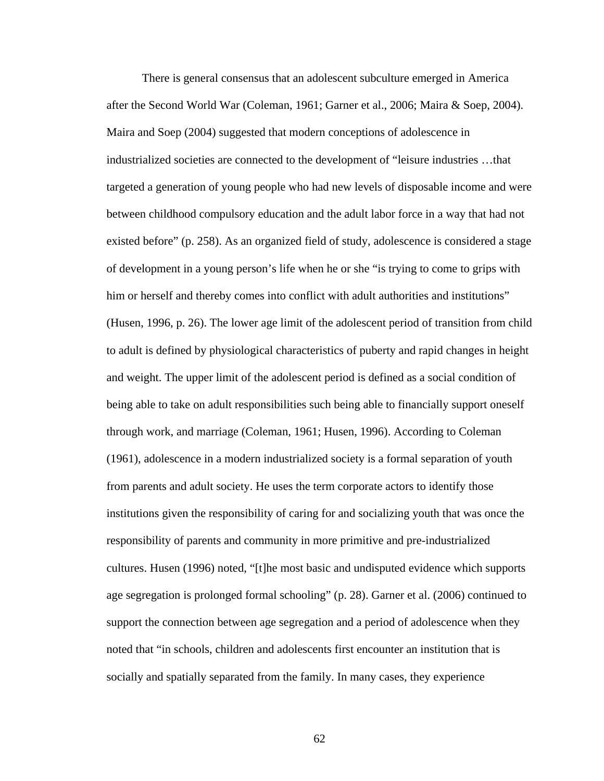There is general consensus that an adolescent subculture emerged in America after the Second World War (Coleman, 1961; Garner et al., 2006; Maira & Soep, 2004). Maira and Soep (2004) suggested that modern conceptions of adolescence in industrialized societies are connected to the development of "leisure industries …that targeted a generation of young people who had new levels of disposable income and were between childhood compulsory education and the adult labor force in a way that had not existed before" (p. 258). As an organized field of study, adolescence is considered a stage of development in a young person's life when he or she "is trying to come to grips with him or herself and thereby comes into conflict with adult authorities and institutions" (Husen, 1996, p. 26). The lower age limit of the adolescent period of transition from child to adult is defined by physiological characteristics of puberty and rapid changes in height and weight. The upper limit of the adolescent period is defined as a social condition of being able to take on adult responsibilities such being able to financially support oneself through work, and marriage (Coleman, 1961; Husen, 1996). According to Coleman (1961), adolescence in a modern industrialized society is a formal separation of youth from parents and adult society. He uses the term corporate actors to identify those institutions given the responsibility of caring for and socializing youth that was once the responsibility of parents and community in more primitive and pre-industrialized cultures. Husen (1996) noted, "[t]he most basic and undisputed evidence which supports age segregation is prolonged formal schooling" (p. 28). Garner et al. (2006) continued to support the connection between age segregation and a period of adolescence when they noted that "in schools, children and adolescents first encounter an institution that is socially and spatially separated from the family. In many cases, they experience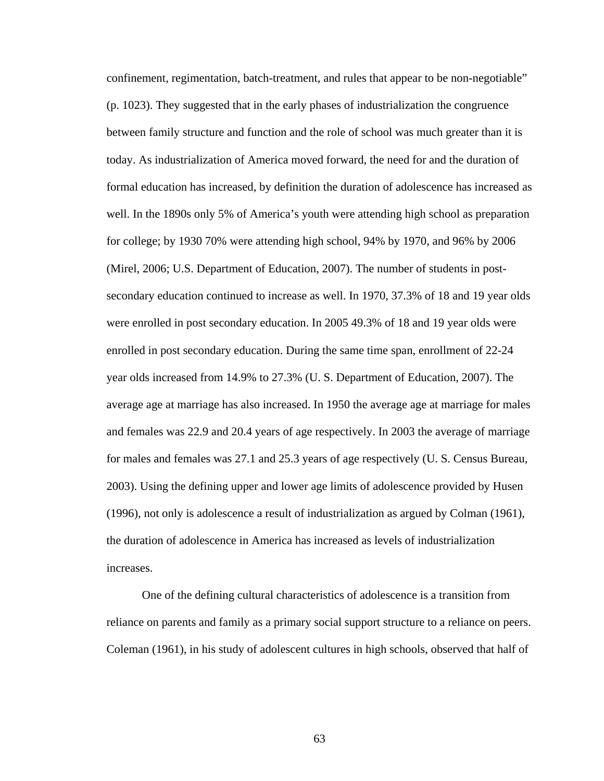confinement, regimentation, batch-treatment, and rules that appear to be non-negotiable" (p. 1023). They suggested that in the early phases of industrialization the congruence between family structure and function and the role of school was much greater than it is today. As industrialization of America moved forward, the need for and the duration of formal education has increased, by definition the duration of adolescence has increased as well. In the 1890s only 5% of America's youth were attending high school as preparation for college; by 1930 70% were attending high school, 94% by 1970, and 96% by 2006 (Mirel, 2006; U.S. Department of Education, 2007). The number of students in postsecondary education continued to increase as well. In 1970, 37.3% of 18 and 19 year olds were enrolled in post secondary education. In 2005 49.3% of 18 and 19 year olds were enrolled in post secondary education. During the same time span, enrollment of 22-24 year olds increased from 14.9% to 27.3% (U. S. Department of Education, 2007). The average age at marriage has also increased. In 1950 the average age at marriage for males and females was 22.9 and 20.4 years of age respectively. In 2003 the average of marriage for males and females was 27.1 and 25.3 years of age respectively (U. S. Census Bureau, 2003). Using the defining upper and lower age limits of adolescence provided by Husen (1996), not only is adolescence a result of industrialization as argued by Colman (1961), the duration of adolescence in America has increased as levels of industrialization increases.

 One of the defining cultural characteristics of adolescence is a transition from reliance on parents and family as a primary social support structure to a reliance on peers. Coleman (1961), in his study of adolescent cultures in high schools, observed that half of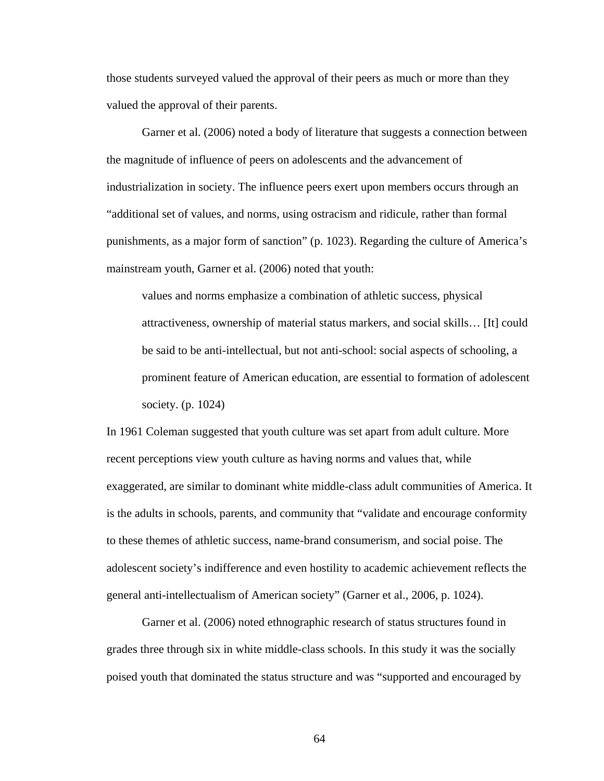those students surveyed valued the approval of their peers as much or more than they valued the approval of their parents.

Garner et al. (2006) noted a body of literature that suggests a connection between the magnitude of influence of peers on adolescents and the advancement of industrialization in society. The influence peers exert upon members occurs through an "additional set of values, and norms, using ostracism and ridicule, rather than formal punishments, as a major form of sanction" (p. 1023). Regarding the culture of America's mainstream youth, Garner et al. (2006) noted that youth:

values and norms emphasize a combination of athletic success, physical attractiveness, ownership of material status markers, and social skills… [It] could be said to be anti-intellectual, but not anti-school: social aspects of schooling, a prominent feature of American education, are essential to formation of adolescent society. (p. 1024)

In 1961 Coleman suggested that youth culture was set apart from adult culture. More recent perceptions view youth culture as having norms and values that, while exaggerated, are similar to dominant white middle-class adult communities of America. It is the adults in schools, parents, and community that "validate and encourage conformity to these themes of athletic success, name-brand consumerism, and social poise. The adolescent society's indifference and even hostility to academic achievement reflects the general anti-intellectualism of American society" (Garner et al., 2006, p. 1024).

 Garner et al. (2006) noted ethnographic research of status structures found in grades three through six in white middle-class schools. In this study it was the socially poised youth that dominated the status structure and was "supported and encouraged by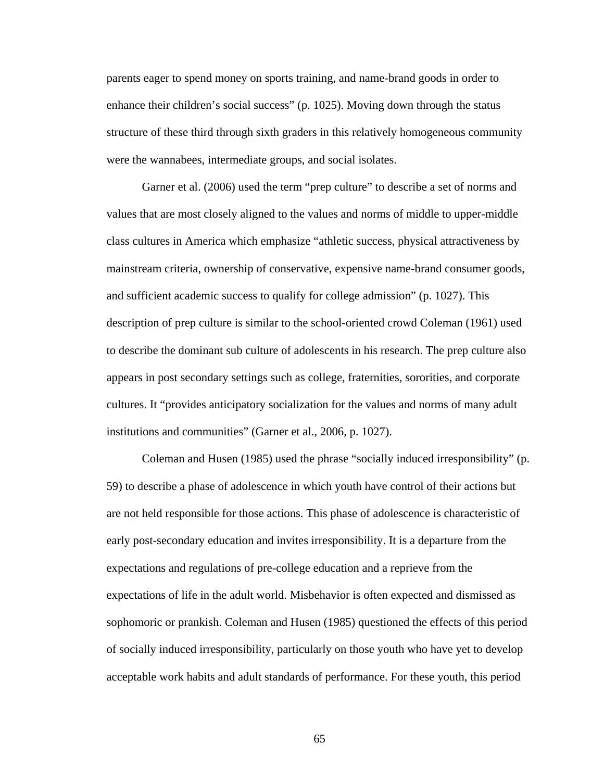parents eager to spend money on sports training, and name-brand goods in order to enhance their children's social success" (p. 1025). Moving down through the status structure of these third through sixth graders in this relatively homogeneous community were the wannabees, intermediate groups, and social isolates.

 Garner et al. (2006) used the term "prep culture" to describe a set of norms and values that are most closely aligned to the values and norms of middle to upper-middle class cultures in America which emphasize "athletic success, physical attractiveness by mainstream criteria, ownership of conservative, expensive name-brand consumer goods, and sufficient academic success to qualify for college admission" (p. 1027). This description of prep culture is similar to the school-oriented crowd Coleman (1961) used to describe the dominant sub culture of adolescents in his research. The prep culture also appears in post secondary settings such as college, fraternities, sororities, and corporate cultures. It "provides anticipatory socialization for the values and norms of many adult institutions and communities" (Garner et al., 2006, p. 1027).

 Coleman and Husen (1985) used the phrase "socially induced irresponsibility" (p. 59) to describe a phase of adolescence in which youth have control of their actions but are not held responsible for those actions. This phase of adolescence is characteristic of early post-secondary education and invites irresponsibility. It is a departure from the expectations and regulations of pre-college education and a reprieve from the expectations of life in the adult world. Misbehavior is often expected and dismissed as sophomoric or prankish. Coleman and Husen (1985) questioned the effects of this period of socially induced irresponsibility, particularly on those youth who have yet to develop acceptable work habits and adult standards of performance. For these youth, this period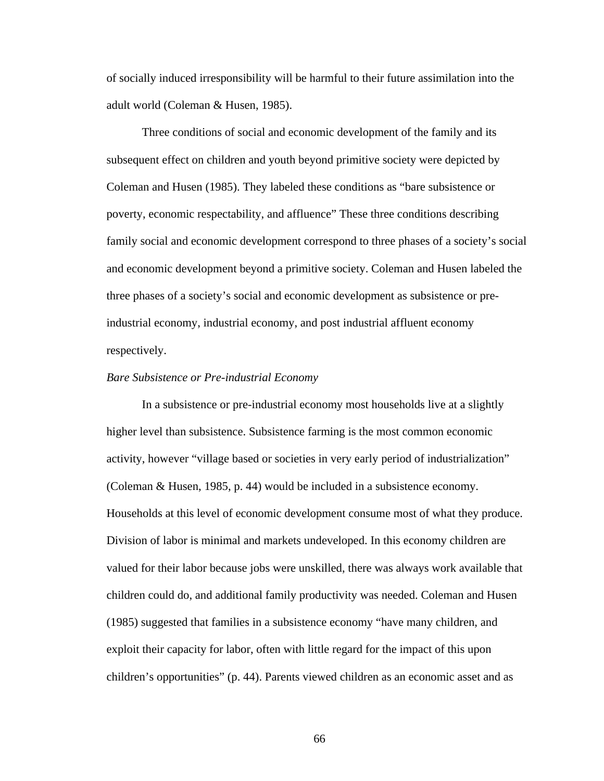of socially induced irresponsibility will be harmful to their future assimilation into the adult world (Coleman & Husen, 1985).

Three conditions of social and economic development of the family and its subsequent effect on children and youth beyond primitive society were depicted by Coleman and Husen (1985). They labeled these conditions as "bare subsistence or poverty, economic respectability, and affluence" These three conditions describing family social and economic development correspond to three phases of a society's social and economic development beyond a primitive society. Coleman and Husen labeled the three phases of a society's social and economic development as subsistence or preindustrial economy, industrial economy, and post industrial affluent economy respectively.

#### *Bare Subsistence or Pre-industrial Economy*

In a subsistence or pre-industrial economy most households live at a slightly higher level than subsistence. Subsistence farming is the most common economic activity, however "village based or societies in very early period of industrialization" (Coleman & Husen, 1985, p. 44) would be included in a subsistence economy. Households at this level of economic development consume most of what they produce. Division of labor is minimal and markets undeveloped. In this economy children are valued for their labor because jobs were unskilled, there was always work available that children could do, and additional family productivity was needed. Coleman and Husen (1985) suggested that families in a subsistence economy "have many children, and exploit their capacity for labor, often with little regard for the impact of this upon children's opportunities" (p. 44). Parents viewed children as an economic asset and as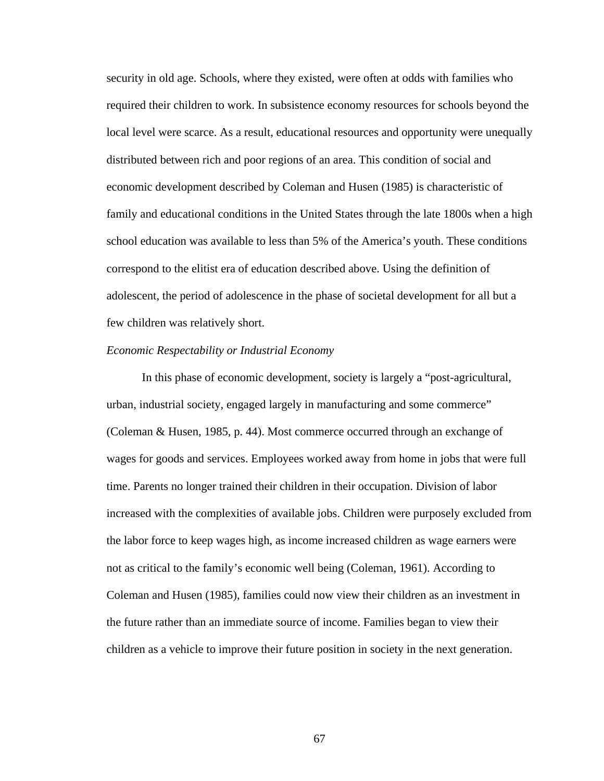security in old age. Schools, where they existed, were often at odds with families who required their children to work. In subsistence economy resources for schools beyond the local level were scarce. As a result, educational resources and opportunity were unequally distributed between rich and poor regions of an area. This condition of social and economic development described by Coleman and Husen (1985) is characteristic of family and educational conditions in the United States through the late 1800s when a high school education was available to less than 5% of the America's youth. These conditions correspond to the elitist era of education described above. Using the definition of adolescent, the period of adolescence in the phase of societal development for all but a few children was relatively short.

## *Economic Respectability or Industrial Economy*

In this phase of economic development, society is largely a "post-agricultural, urban, industrial society, engaged largely in manufacturing and some commerce" (Coleman & Husen, 1985, p. 44). Most commerce occurred through an exchange of wages for goods and services. Employees worked away from home in jobs that were full time. Parents no longer trained their children in their occupation. Division of labor increased with the complexities of available jobs. Children were purposely excluded from the labor force to keep wages high, as income increased children as wage earners were not as critical to the family's economic well being (Coleman, 1961). According to Coleman and Husen (1985), families could now view their children as an investment in the future rather than an immediate source of income. Families began to view their children as a vehicle to improve their future position in society in the next generation.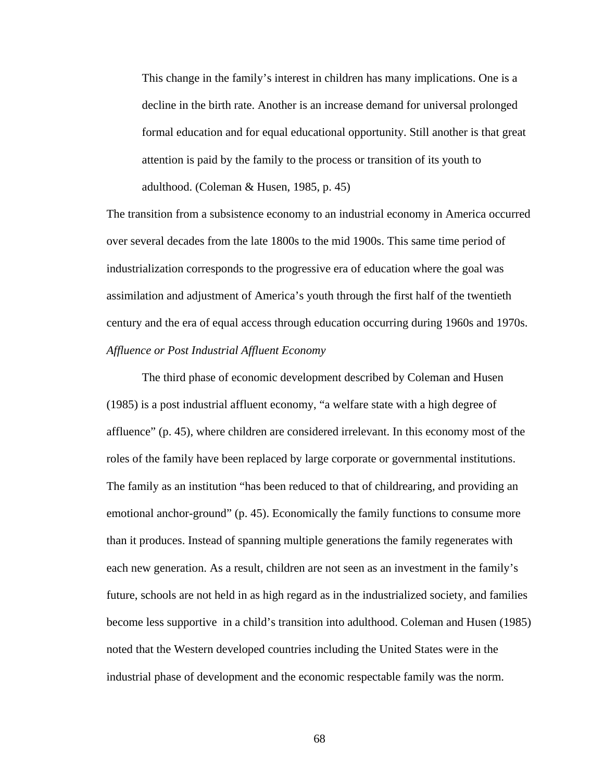This change in the family's interest in children has many implications. One is a decline in the birth rate. Another is an increase demand for universal prolonged formal education and for equal educational opportunity. Still another is that great attention is paid by the family to the process or transition of its youth to adulthood. (Coleman & Husen, 1985, p. 45)

The transition from a subsistence economy to an industrial economy in America occurred over several decades from the late 1800s to the mid 1900s. This same time period of industrialization corresponds to the progressive era of education where the goal was assimilation and adjustment of America's youth through the first half of the twentieth century and the era of equal access through education occurring during 1960s and 1970s. *Affluence or Post Industrial Affluent Economy* 

The third phase of economic development described by Coleman and Husen (1985) is a post industrial affluent economy, "a welfare state with a high degree of affluence" (p. 45), where children are considered irrelevant. In this economy most of the roles of the family have been replaced by large corporate or governmental institutions. The family as an institution "has been reduced to that of childrearing, and providing an emotional anchor-ground" (p. 45). Economically the family functions to consume more than it produces. Instead of spanning multiple generations the family regenerates with each new generation. As a result, children are not seen as an investment in the family's future, schools are not held in as high regard as in the industrialized society, and families become less supportive in a child's transition into adulthood. Coleman and Husen (1985) noted that the Western developed countries including the United States were in the industrial phase of development and the economic respectable family was the norm.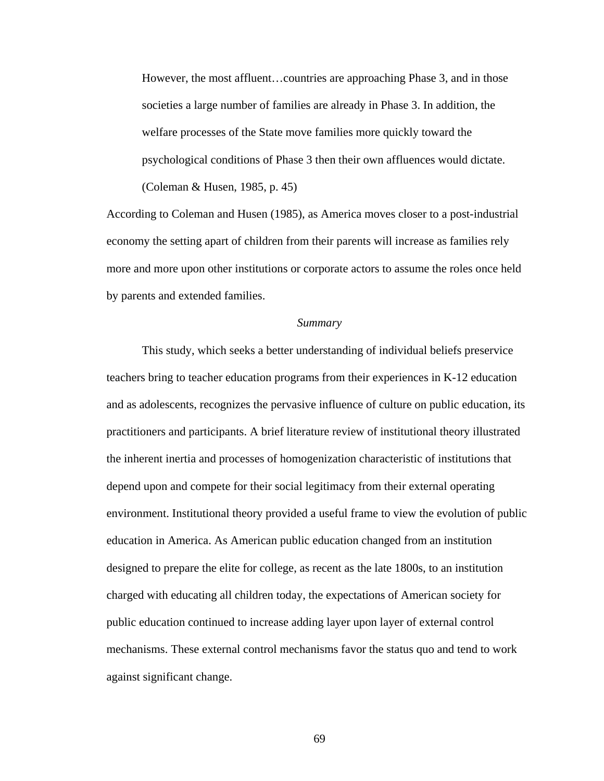However, the most affluent…countries are approaching Phase 3, and in those societies a large number of families are already in Phase 3. In addition, the welfare processes of the State move families more quickly toward the psychological conditions of Phase 3 then their own affluences would dictate. (Coleman & Husen, 1985, p. 45)

According to Coleman and Husen (1985), as America moves closer to a post-industrial economy the setting apart of children from their parents will increase as families rely more and more upon other institutions or corporate actors to assume the roles once held by parents and extended families.

#### *Summary*

 This study, which seeks a better understanding of individual beliefs preservice teachers bring to teacher education programs from their experiences in K-12 education and as adolescents, recognizes the pervasive influence of culture on public education, its practitioners and participants. A brief literature review of institutional theory illustrated the inherent inertia and processes of homogenization characteristic of institutions that depend upon and compete for their social legitimacy from their external operating environment. Institutional theory provided a useful frame to view the evolution of public education in America. As American public education changed from an institution designed to prepare the elite for college, as recent as the late 1800s, to an institution charged with educating all children today, the expectations of American society for public education continued to increase adding layer upon layer of external control mechanisms. These external control mechanisms favor the status quo and tend to work against significant change.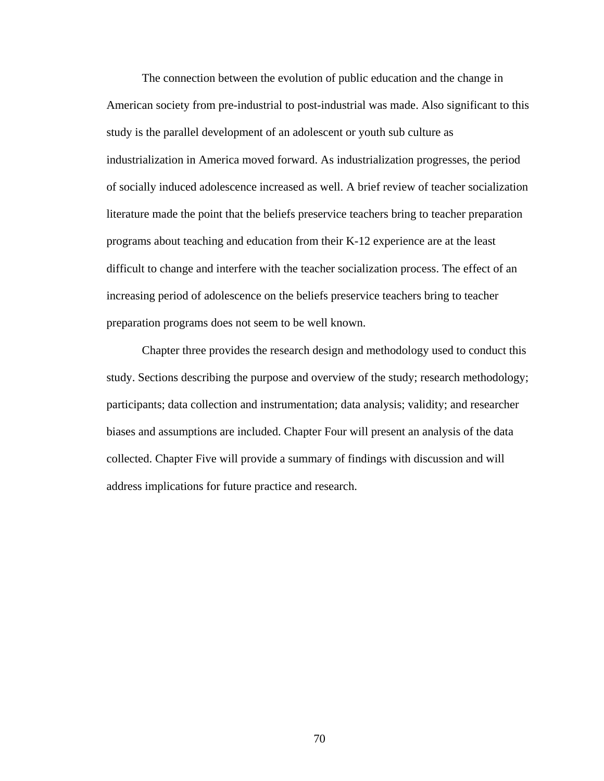The connection between the evolution of public education and the change in American society from pre-industrial to post-industrial was made. Also significant to this study is the parallel development of an adolescent or youth sub culture as industrialization in America moved forward. As industrialization progresses, the period of socially induced adolescence increased as well. A brief review of teacher socialization literature made the point that the beliefs preservice teachers bring to teacher preparation programs about teaching and education from their K-12 experience are at the least difficult to change and interfere with the teacher socialization process. The effect of an increasing period of adolescence on the beliefs preservice teachers bring to teacher preparation programs does not seem to be well known.

Chapter three provides the research design and methodology used to conduct this study. Sections describing the purpose and overview of the study; research methodology; participants; data collection and instrumentation; data analysis; validity; and researcher biases and assumptions are included. Chapter Four will present an analysis of the data collected. Chapter Five will provide a summary of findings with discussion and will address implications for future practice and research.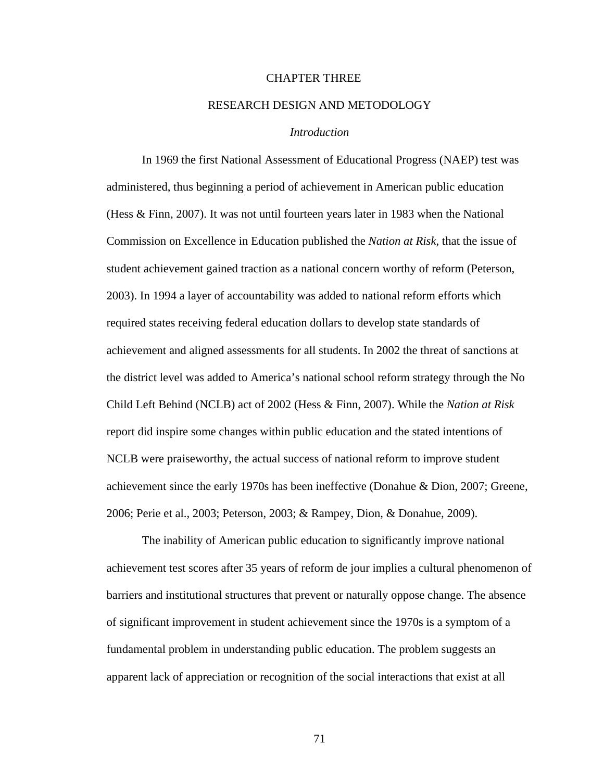## CHAPTER THREE

## RESEARCH DESIGN AND METODOLOGY

## *Introduction*

 In 1969 the first National Assessment of Educational Progress (NAEP) test was administered, thus beginning a period of achievement in American public education (Hess & Finn, 2007). It was not until fourteen years later in 1983 when the National Commission on Excellence in Education published the *Nation at Risk,* that the issue of student achievement gained traction as a national concern worthy of reform (Peterson, 2003). In 1994 a layer of accountability was added to national reform efforts which required states receiving federal education dollars to develop state standards of achievement and aligned assessments for all students. In 2002 the threat of sanctions at the district level was added to America's national school reform strategy through the No Child Left Behind (NCLB) act of 2002 (Hess & Finn, 2007). While the *Nation at Risk*  report did inspire some changes within public education and the stated intentions of NCLB were praiseworthy, the actual success of national reform to improve student achievement since the early 1970s has been ineffective (Donahue & Dion, 2007; Greene, 2006; Perie et al., 2003; Peterson, 2003; & Rampey, Dion, & Donahue, 2009).

 The inability of American public education to significantly improve national achievement test scores after 35 years of reform de jour implies a cultural phenomenon of barriers and institutional structures that prevent or naturally oppose change. The absence of significant improvement in student achievement since the 1970s is a symptom of a fundamental problem in understanding public education. The problem suggests an apparent lack of appreciation or recognition of the social interactions that exist at all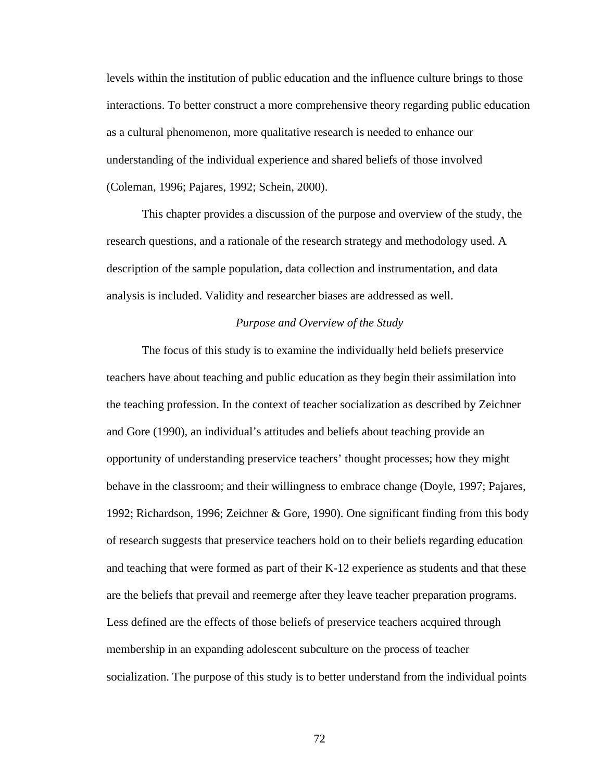levels within the institution of public education and the influence culture brings to those interactions. To better construct a more comprehensive theory regarding public education as a cultural phenomenon, more qualitative research is needed to enhance our understanding of the individual experience and shared beliefs of those involved (Coleman, 1996; Pajares, 1992; Schein, 2000).

 This chapter provides a discussion of the purpose and overview of the study, the research questions, and a rationale of the research strategy and methodology used. A description of the sample population, data collection and instrumentation, and data analysis is included. Validity and researcher biases are addressed as well.

#### *Purpose and Overview of the Study*

 The focus of this study is to examine the individually held beliefs preservice teachers have about teaching and public education as they begin their assimilation into the teaching profession. In the context of teacher socialization as described by Zeichner and Gore (1990), an individual's attitudes and beliefs about teaching provide an opportunity of understanding preservice teachers' thought processes; how they might behave in the classroom; and their willingness to embrace change (Doyle, 1997; Pajares, 1992; Richardson, 1996; Zeichner & Gore, 1990). One significant finding from this body of research suggests that preservice teachers hold on to their beliefs regarding education and teaching that were formed as part of their K-12 experience as students and that these are the beliefs that prevail and reemerge after they leave teacher preparation programs. Less defined are the effects of those beliefs of preservice teachers acquired through membership in an expanding adolescent subculture on the process of teacher socialization. The purpose of this study is to better understand from the individual points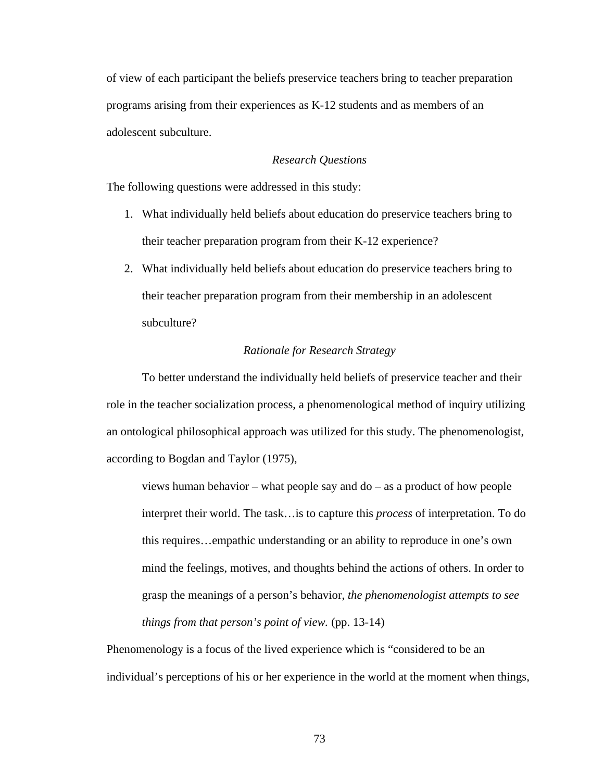of view of each participant the beliefs preservice teachers bring to teacher preparation programs arising from their experiences as K-12 students and as members of an adolescent subculture.

## *Research Questions*

The following questions were addressed in this study:

- 1. What individually held beliefs about education do preservice teachers bring to their teacher preparation program from their K-12 experience?
- 2. What individually held beliefs about education do preservice teachers bring to their teacher preparation program from their membership in an adolescent subculture?

#### *Rationale for Research Strategy*

To better understand the individually held beliefs of preservice teacher and their role in the teacher socialization process, a phenomenological method of inquiry utilizing an ontological philosophical approach was utilized for this study. The phenomenologist, according to Bogdan and Taylor (1975),

views human behavior – what people say and do – as a product of how people interpret their world. The task…is to capture this *process* of interpretation. To do this requires…empathic understanding or an ability to reproduce in one's own mind the feelings, motives, and thoughts behind the actions of others. In order to grasp the meanings of a person's behavior, *the phenomenologist attempts to see things from that person's point of view.* (pp. 13-14)

Phenomenology is a focus of the lived experience which is "considered to be an individual's perceptions of his or her experience in the world at the moment when things,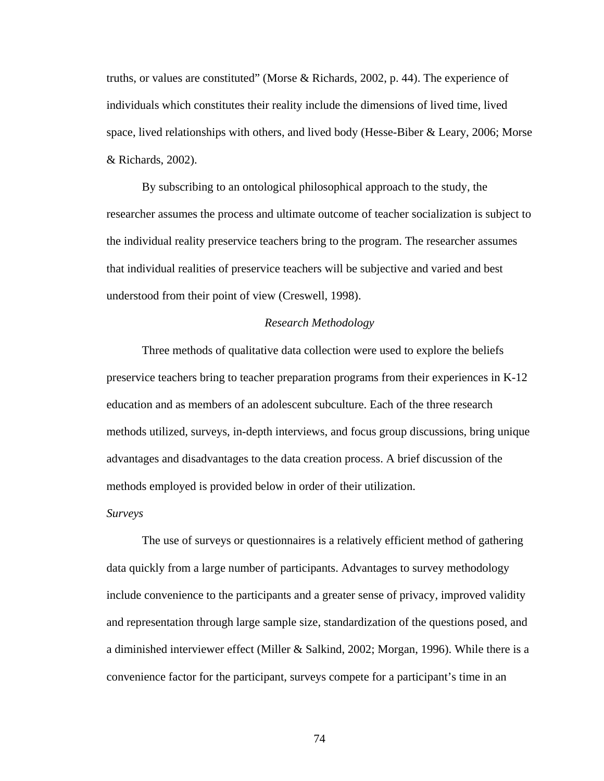truths, or values are constituted" (Morse & Richards, 2002, p. 44). The experience of individuals which constitutes their reality include the dimensions of lived time, lived space, lived relationships with others, and lived body (Hesse-Biber & Leary, 2006; Morse & Richards, 2002).

By subscribing to an ontological philosophical approach to the study, the researcher assumes the process and ultimate outcome of teacher socialization is subject to the individual reality preservice teachers bring to the program. The researcher assumes that individual realities of preservice teachers will be subjective and varied and best understood from their point of view (Creswell, 1998).

## *Research Methodology*

 Three methods of qualitative data collection were used to explore the beliefs preservice teachers bring to teacher preparation programs from their experiences in K-12 education and as members of an adolescent subculture. Each of the three research methods utilized, surveys, in-depth interviews, and focus group discussions, bring unique advantages and disadvantages to the data creation process. A brief discussion of the methods employed is provided below in order of their utilization.

#### *Surveys*

 The use of surveys or questionnaires is a relatively efficient method of gathering data quickly from a large number of participants. Advantages to survey methodology include convenience to the participants and a greater sense of privacy, improved validity and representation through large sample size, standardization of the questions posed, and a diminished interviewer effect (Miller & Salkind, 2002; Morgan, 1996). While there is a convenience factor for the participant, surveys compete for a participant's time in an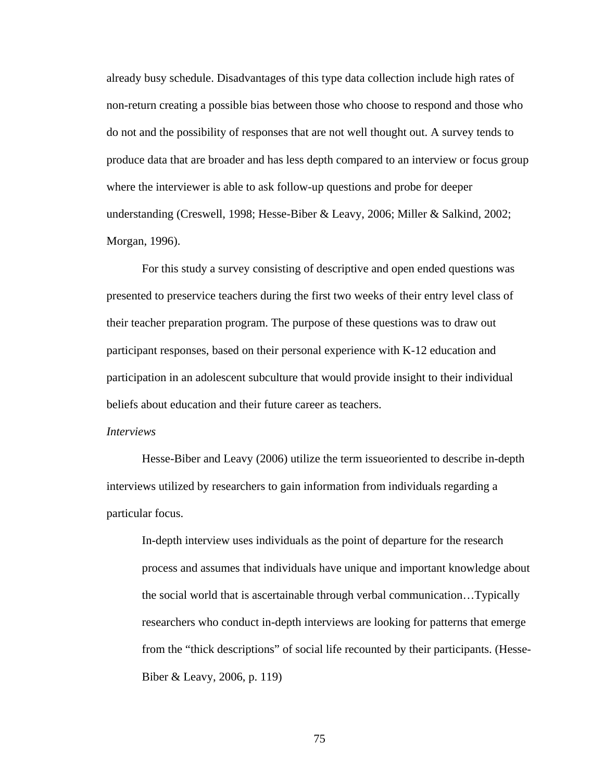already busy schedule. Disadvantages of this type data collection include high rates of non-return creating a possible bias between those who choose to respond and those who do not and the possibility of responses that are not well thought out. A survey tends to produce data that are broader and has less depth compared to an interview or focus group where the interviewer is able to ask follow-up questions and probe for deeper understanding (Creswell, 1998; Hesse-Biber & Leavy, 2006; Miller & Salkind, 2002; Morgan, 1996).

 For this study a survey consisting of descriptive and open ended questions was presented to preservice teachers during the first two weeks of their entry level class of their teacher preparation program. The purpose of these questions was to draw out participant responses, based on their personal experience with K-12 education and participation in an adolescent subculture that would provide insight to their individual beliefs about education and their future career as teachers.

#### *Interviews*

 Hesse-Biber and Leavy (2006) utilize the term issueoriented to describe in-depth interviews utilized by researchers to gain information from individuals regarding a particular focus.

In-depth interview uses individuals as the point of departure for the research process and assumes that individuals have unique and important knowledge about the social world that is ascertainable through verbal communication…Typically researchers who conduct in-depth interviews are looking for patterns that emerge from the "thick descriptions" of social life recounted by their participants. (Hesse-Biber & Leavy, 2006, p. 119)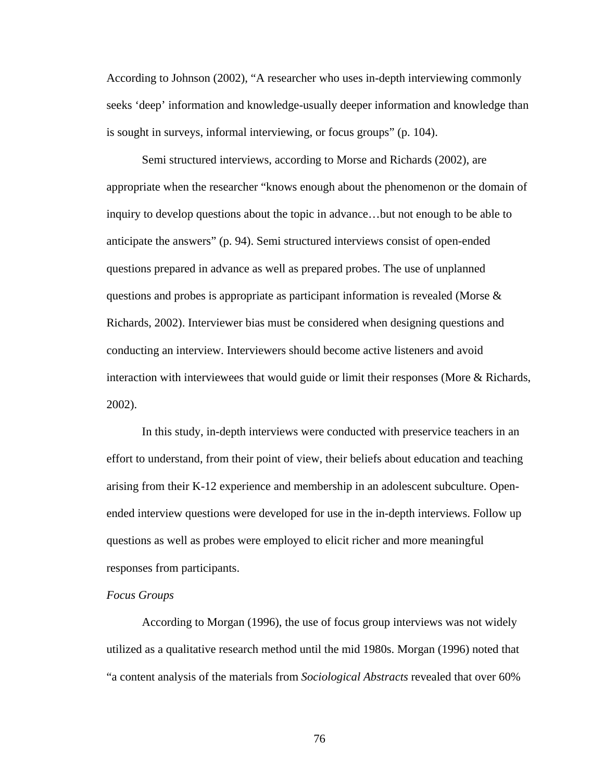According to Johnson (2002), "A researcher who uses in-depth interviewing commonly seeks 'deep' information and knowledge-usually deeper information and knowledge than is sought in surveys, informal interviewing, or focus groups" (p. 104).

Semi structured interviews, according to Morse and Richards (2002), are appropriate when the researcher "knows enough about the phenomenon or the domain of inquiry to develop questions about the topic in advance…but not enough to be able to anticipate the answers" (p. 94). Semi structured interviews consist of open-ended questions prepared in advance as well as prepared probes. The use of unplanned questions and probes is appropriate as participant information is revealed (Morse & Richards, 2002). Interviewer bias must be considered when designing questions and conducting an interview. Interviewers should become active listeners and avoid interaction with interviewees that would guide or limit their responses (More & Richards, 2002).

 In this study, in-depth interviews were conducted with preservice teachers in an effort to understand, from their point of view, their beliefs about education and teaching arising from their K-12 experience and membership in an adolescent subculture. Openended interview questions were developed for use in the in-depth interviews. Follow up questions as well as probes were employed to elicit richer and more meaningful responses from participants.

## *Focus Groups*

According to Morgan (1996), the use of focus group interviews was not widely utilized as a qualitative research method until the mid 1980s. Morgan (1996) noted that "a content analysis of the materials from *Sociological Abstracts* revealed that over 60%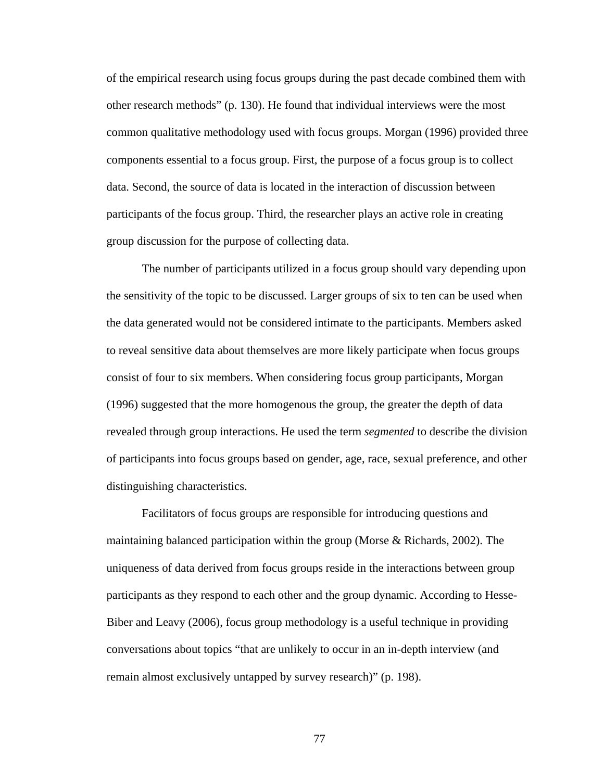of the empirical research using focus groups during the past decade combined them with other research methods" (p. 130). He found that individual interviews were the most common qualitative methodology used with focus groups. Morgan (1996) provided three components essential to a focus group. First, the purpose of a focus group is to collect data. Second, the source of data is located in the interaction of discussion between participants of the focus group. Third, the researcher plays an active role in creating group discussion for the purpose of collecting data.

The number of participants utilized in a focus group should vary depending upon the sensitivity of the topic to be discussed. Larger groups of six to ten can be used when the data generated would not be considered intimate to the participants. Members asked to reveal sensitive data about themselves are more likely participate when focus groups consist of four to six members. When considering focus group participants, Morgan (1996) suggested that the more homogenous the group, the greater the depth of data revealed through group interactions. He used the term *segmented* to describe the division of participants into focus groups based on gender, age, race, sexual preference, and other distinguishing characteristics.

Facilitators of focus groups are responsible for introducing questions and maintaining balanced participation within the group (Morse & Richards, 2002). The uniqueness of data derived from focus groups reside in the interactions between group participants as they respond to each other and the group dynamic. According to Hesse-Biber and Leavy (2006), focus group methodology is a useful technique in providing conversations about topics "that are unlikely to occur in an in-depth interview (and remain almost exclusively untapped by survey research)" (p. 198).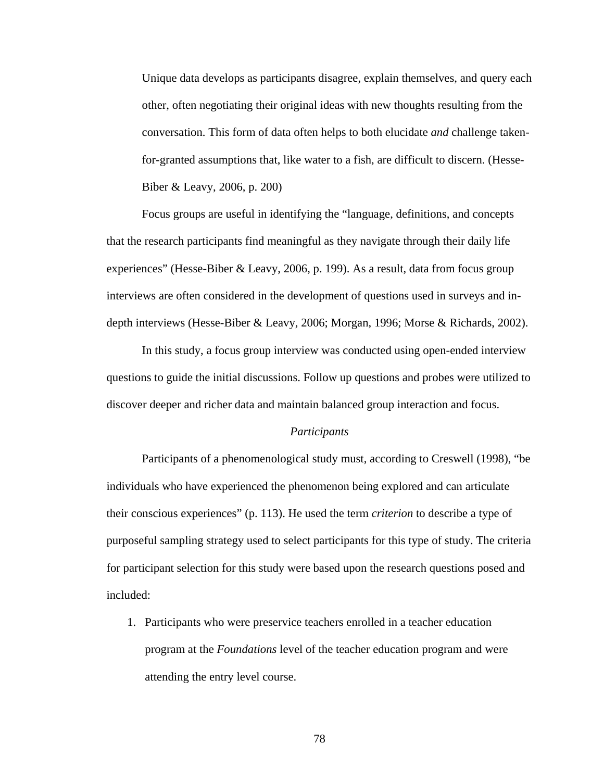Unique data develops as participants disagree, explain themselves, and query each other, often negotiating their original ideas with new thoughts resulting from the conversation. This form of data often helps to both elucidate *and* challenge takenfor-granted assumptions that, like water to a fish, are difficult to discern. (Hesse-Biber & Leavy, 2006, p. 200)

Focus groups are useful in identifying the "language, definitions, and concepts that the research participants find meaningful as they navigate through their daily life experiences" (Hesse-Biber & Leavy, 2006, p. 199). As a result, data from focus group interviews are often considered in the development of questions used in surveys and indepth interviews (Hesse-Biber & Leavy, 2006; Morgan, 1996; Morse & Richards, 2002).

In this study, a focus group interview was conducted using open-ended interview questions to guide the initial discussions. Follow up questions and probes were utilized to discover deeper and richer data and maintain balanced group interaction and focus.

#### *Participants*

 Participants of a phenomenological study must, according to Creswell (1998), "be individuals who have experienced the phenomenon being explored and can articulate their conscious experiences" (p. 113). He used the term *criterion* to describe a type of purposeful sampling strategy used to select participants for this type of study. The criteria for participant selection for this study were based upon the research questions posed and included:

1. Participants who were preservice teachers enrolled in a teacher education program at the *Foundations* level of the teacher education program and were attending the entry level course.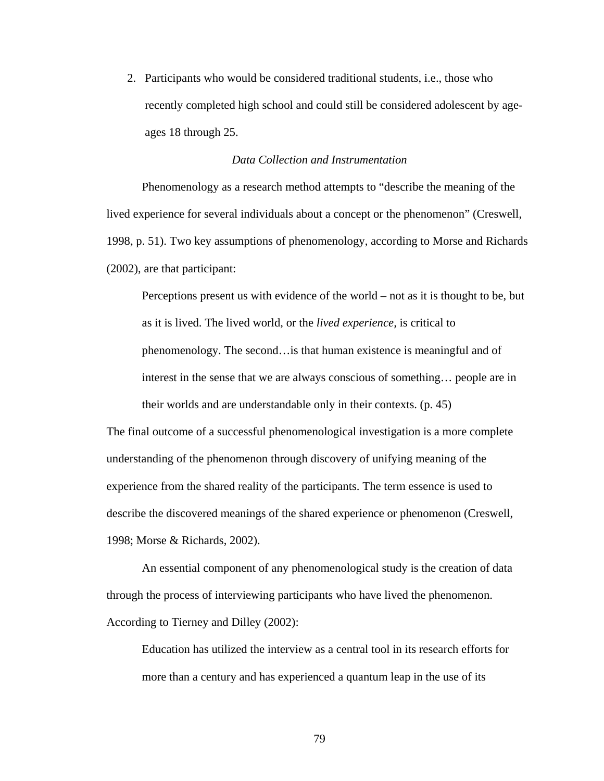2. Participants who would be considered traditional students, i.e., those who recently completed high school and could still be considered adolescent by ageages 18 through 25.

## *Data Collection and Instrumentation*

 Phenomenology as a research method attempts to "describe the meaning of the lived experience for several individuals about a concept or the phenomenon" (Creswell, 1998, p. 51). Two key assumptions of phenomenology, according to Morse and Richards (2002), are that participant:

Perceptions present us with evidence of the world – not as it is thought to be, but as it is lived. The lived world, or the *lived experience,* is critical to phenomenology. The second…is that human existence is meaningful and of interest in the sense that we are always conscious of something… people are in their worlds and are understandable only in their contexts. (p. 45)

The final outcome of a successful phenomenological investigation is a more complete understanding of the phenomenon through discovery of unifying meaning of the experience from the shared reality of the participants. The term essence is used to describe the discovered meanings of the shared experience or phenomenon (Creswell, 1998; Morse & Richards, 2002).

 An essential component of any phenomenological study is the creation of data through the process of interviewing participants who have lived the phenomenon. According to Tierney and Dilley (2002):

Education has utilized the interview as a central tool in its research efforts for more than a century and has experienced a quantum leap in the use of its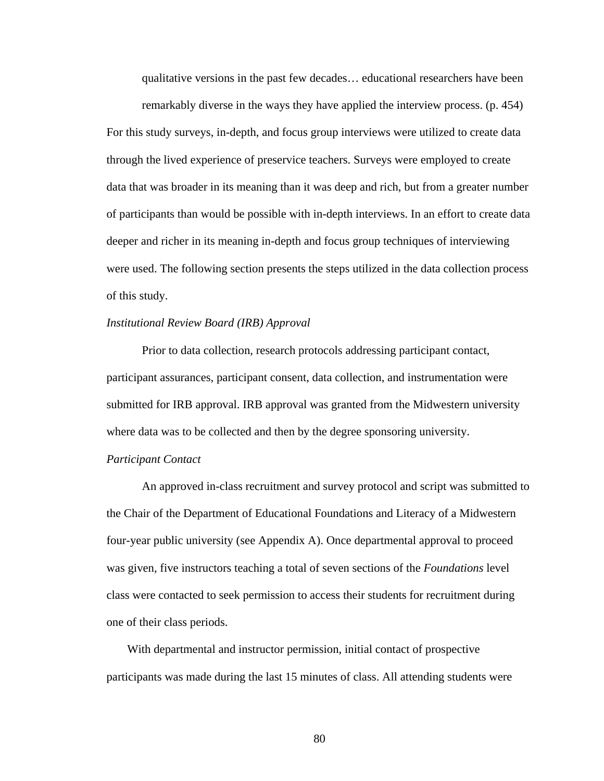qualitative versions in the past few decades… educational researchers have been

remarkably diverse in the ways they have applied the interview process. (p. 454) For this study surveys, in-depth, and focus group interviews were utilized to create data through the lived experience of preservice teachers. Surveys were employed to create data that was broader in its meaning than it was deep and rich, but from a greater number of participants than would be possible with in-depth interviews. In an effort to create data deeper and richer in its meaning in-depth and focus group techniques of interviewing were used. The following section presents the steps utilized in the data collection process of this study.

## *Institutional Review Board (IRB) Approval*

 Prior to data collection, research protocols addressing participant contact, participant assurances, participant consent, data collection, and instrumentation were submitted for IRB approval. IRB approval was granted from the Midwestern university where data was to be collected and then by the degree sponsoring university.

#### *Participant Contact*

 An approved in-class recruitment and survey protocol and script was submitted to the Chair of the Department of Educational Foundations and Literacy of a Midwestern four-year public university (see Appendix A). Once departmental approval to proceed was given, five instructors teaching a total of seven sections of the *Foundations* level class were contacted to seek permission to access their students for recruitment during one of their class periods.

With departmental and instructor permission, initial contact of prospective participants was made during the last 15 minutes of class. All attending students were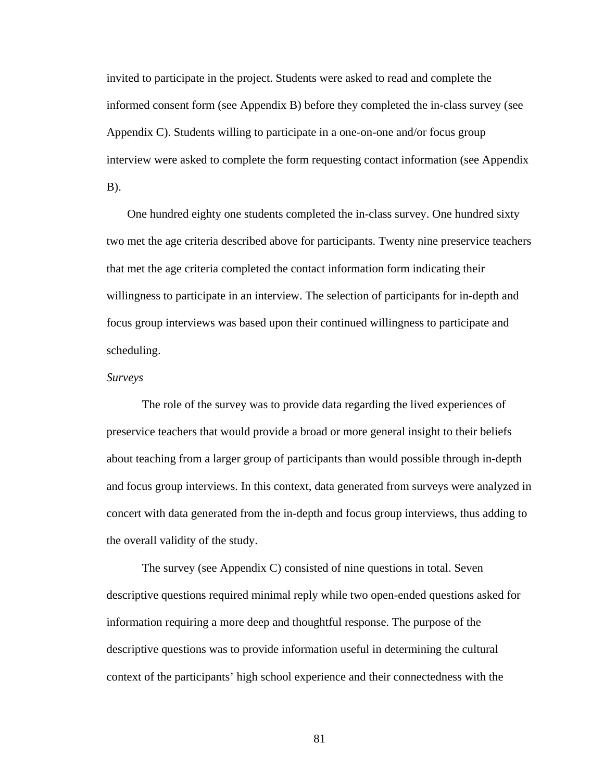invited to participate in the project. Students were asked to read and complete the informed consent form (see Appendix B) before they completed the in-class survey (see Appendix C). Students willing to participate in a one-on-one and/or focus group interview were asked to complete the form requesting contact information (see Appendix  $B$ ).

One hundred eighty one students completed the in-class survey. One hundred sixty two met the age criteria described above for participants. Twenty nine preservice teachers that met the age criteria completed the contact information form indicating their willingness to participate in an interview. The selection of participants for in-depth and focus group interviews was based upon their continued willingness to participate and scheduling.

## *Surveys*

The role of the survey was to provide data regarding the lived experiences of preservice teachers that would provide a broad or more general insight to their beliefs about teaching from a larger group of participants than would possible through in-depth and focus group interviews. In this context, data generated from surveys were analyzed in concert with data generated from the in-depth and focus group interviews, thus adding to the overall validity of the study.

 The survey (see Appendix C) consisted of nine questions in total. Seven descriptive questions required minimal reply while two open-ended questions asked for information requiring a more deep and thoughtful response. The purpose of the descriptive questions was to provide information useful in determining the cultural context of the participants' high school experience and their connectedness with the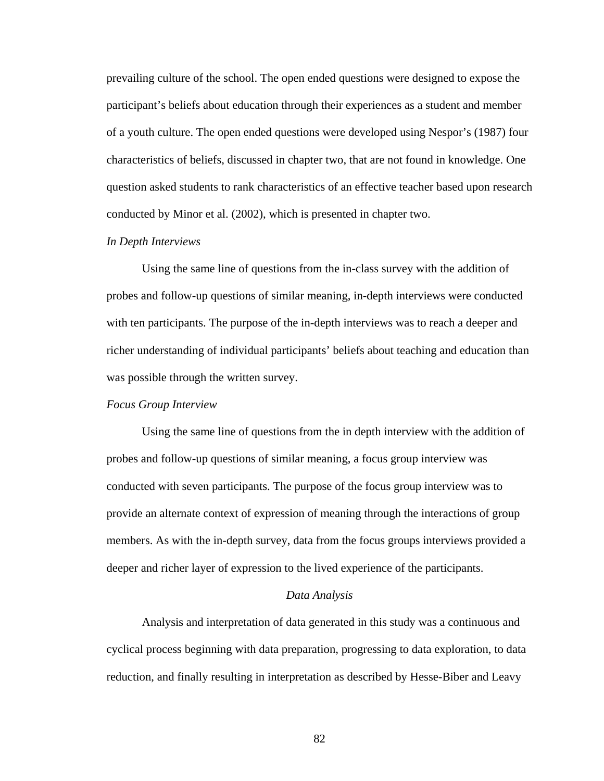prevailing culture of the school. The open ended questions were designed to expose the participant's beliefs about education through their experiences as a student and member of a youth culture. The open ended questions were developed using Nespor's (1987) four characteristics of beliefs, discussed in chapter two, that are not found in knowledge. One question asked students to rank characteristics of an effective teacher based upon research conducted by Minor et al. (2002), which is presented in chapter two.

## *In Depth Interviews*

 Using the same line of questions from the in-class survey with the addition of probes and follow-up questions of similar meaning, in-depth interviews were conducted with ten participants. The purpose of the in-depth interviews was to reach a deeper and richer understanding of individual participants' beliefs about teaching and education than was possible through the written survey.

#### *Focus Group Interview*

 Using the same line of questions from the in depth interview with the addition of probes and follow-up questions of similar meaning, a focus group interview was conducted with seven participants. The purpose of the focus group interview was to provide an alternate context of expression of meaning through the interactions of group members. As with the in-depth survey, data from the focus groups interviews provided a deeper and richer layer of expression to the lived experience of the participants.

#### *Data Analysis*

 Analysis and interpretation of data generated in this study was a continuous and cyclical process beginning with data preparation, progressing to data exploration, to data reduction, and finally resulting in interpretation as described by Hesse-Biber and Leavy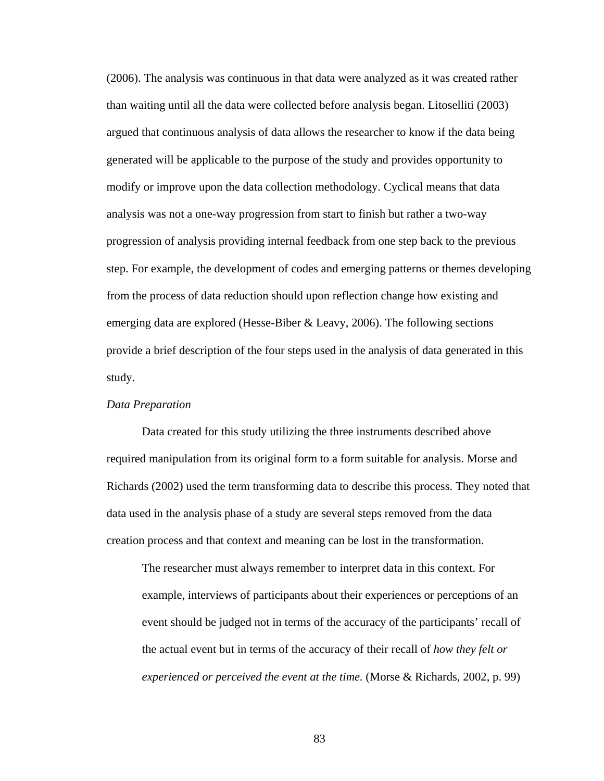(2006). The analysis was continuous in that data were analyzed as it was created rather than waiting until all the data were collected before analysis began. Litoselliti (2003) argued that continuous analysis of data allows the researcher to know if the data being generated will be applicable to the purpose of the study and provides opportunity to modify or improve upon the data collection methodology. Cyclical means that data analysis was not a one-way progression from start to finish but rather a two-way progression of analysis providing internal feedback from one step back to the previous step. For example, the development of codes and emerging patterns or themes developing from the process of data reduction should upon reflection change how existing and emerging data are explored (Hesse-Biber  $\&$  Leavy, 2006). The following sections provide a brief description of the four steps used in the analysis of data generated in this study.

## *Data Preparation*

 Data created for this study utilizing the three instruments described above required manipulation from its original form to a form suitable for analysis. Morse and Richards (2002) used the term transforming data to describe this process. They noted that data used in the analysis phase of a study are several steps removed from the data creation process and that context and meaning can be lost in the transformation.

The researcher must always remember to interpret data in this context. For example, interviews of participants about their experiences or perceptions of an event should be judged not in terms of the accuracy of the participants' recall of the actual event but in terms of the accuracy of their recall of *how they felt or experienced or perceived the event at the time.* (Morse & Richards, 2002, p. 99)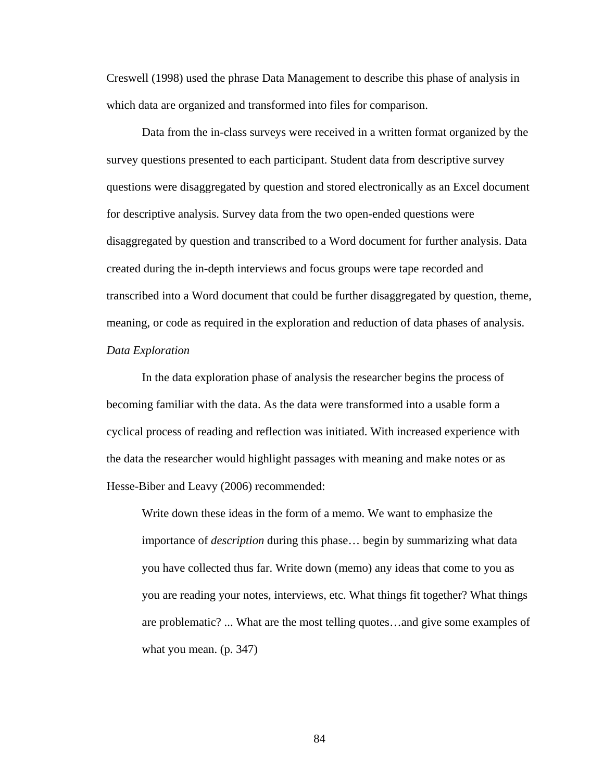Creswell (1998) used the phrase Data Management to describe this phase of analysis in which data are organized and transformed into files for comparison.

Data from the in-class surveys were received in a written format organized by the survey questions presented to each participant. Student data from descriptive survey questions were disaggregated by question and stored electronically as an Excel document for descriptive analysis. Survey data from the two open-ended questions were disaggregated by question and transcribed to a Word document for further analysis. Data created during the in-depth interviews and focus groups were tape recorded and transcribed into a Word document that could be further disaggregated by question, theme, meaning, or code as required in the exploration and reduction of data phases of analysis. *Data Exploration* 

 In the data exploration phase of analysis the researcher begins the process of becoming familiar with the data. As the data were transformed into a usable form a cyclical process of reading and reflection was initiated. With increased experience with the data the researcher would highlight passages with meaning and make notes or as Hesse-Biber and Leavy (2006) recommended:

Write down these ideas in the form of a memo. We want to emphasize the importance of *description* during this phase… begin by summarizing what data you have collected thus far. Write down (memo) any ideas that come to you as you are reading your notes, interviews, etc. What things fit together? What things are problematic? ... What are the most telling quotes…and give some examples of what you mean. (p. 347)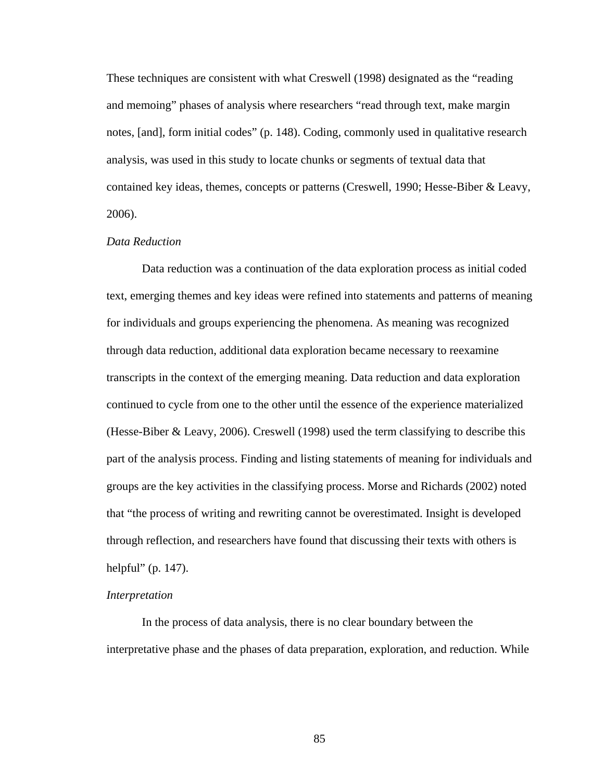These techniques are consistent with what Creswell (1998) designated as the "reading and memoing" phases of analysis where researchers "read through text, make margin notes, [and], form initial codes" (p. 148). Coding, commonly used in qualitative research analysis, was used in this study to locate chunks or segments of textual data that contained key ideas, themes, concepts or patterns (Creswell, 1990; Hesse-Biber & Leavy, 2006).

## *Data Reduction*

 Data reduction was a continuation of the data exploration process as initial coded text, emerging themes and key ideas were refined into statements and patterns of meaning for individuals and groups experiencing the phenomena. As meaning was recognized through data reduction, additional data exploration became necessary to reexamine transcripts in the context of the emerging meaning. Data reduction and data exploration continued to cycle from one to the other until the essence of the experience materialized (Hesse-Biber & Leavy, 2006). Creswell (1998) used the term classifying to describe this part of the analysis process. Finding and listing statements of meaning for individuals and groups are the key activities in the classifying process. Morse and Richards (2002) noted that "the process of writing and rewriting cannot be overestimated. Insight is developed through reflection, and researchers have found that discussing their texts with others is helpful" (p. 147).

#### *Interpretation*

 In the process of data analysis, there is no clear boundary between the interpretative phase and the phases of data preparation, exploration, and reduction. While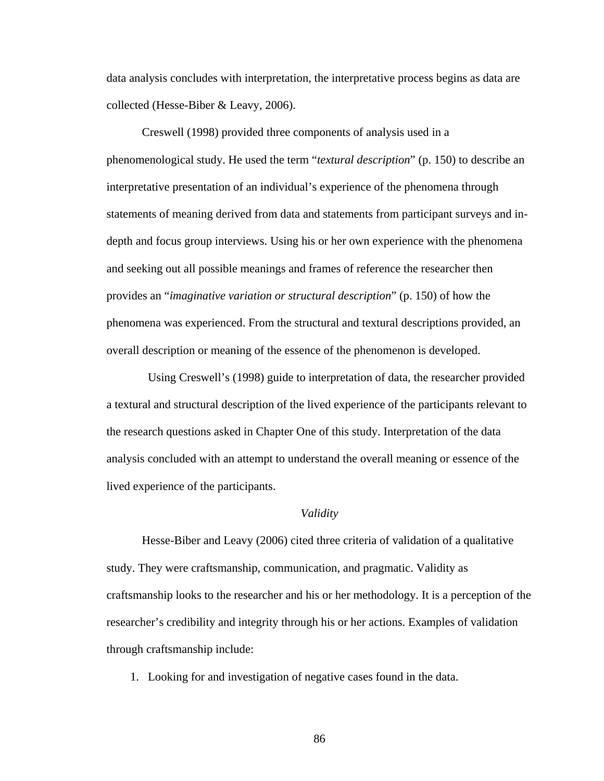data analysis concludes with interpretation, the interpretative process begins as data are collected (Hesse-Biber & Leavy, 2006).

Creswell (1998) provided three components of analysis used in a phenomenological study. He used the term "*textural description*" (p. 150) to describe an interpretative presentation of an individual's experience of the phenomena through statements of meaning derived from data and statements from participant surveys and indepth and focus group interviews. Using his or her own experience with the phenomena and seeking out all possible meanings and frames of reference the researcher then provides an "*imaginative variation or structural description*" (p. 150) of how the phenomena was experienced. From the structural and textural descriptions provided, an overall description or meaning of the essence of the phenomenon is developed.

 Using Creswell's (1998) guide to interpretation of data, the researcher provided a textural and structural description of the lived experience of the participants relevant to the research questions asked in Chapter One of this study. Interpretation of the data analysis concluded with an attempt to understand the overall meaning or essence of the lived experience of the participants.

#### *Validity*

 Hesse-Biber and Leavy (2006) cited three criteria of validation of a qualitative study. They were craftsmanship, communication, and pragmatic. Validity as craftsmanship looks to the researcher and his or her methodology. It is a perception of the researcher's credibility and integrity through his or her actions. Examples of validation through craftsmanship include:

1. Looking for and investigation of negative cases found in the data.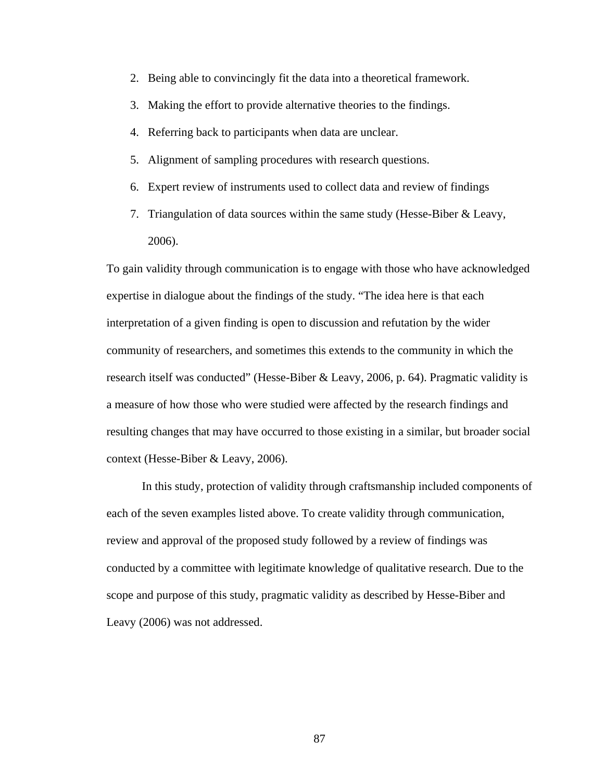- 2. Being able to convincingly fit the data into a theoretical framework.
- 3. Making the effort to provide alternative theories to the findings.
- 4. Referring back to participants when data are unclear.
- 5. Alignment of sampling procedures with research questions.
- 6. Expert review of instruments used to collect data and review of findings
- 7. Triangulation of data sources within the same study (Hesse-Biber & Leavy, 2006).

To gain validity through communication is to engage with those who have acknowledged expertise in dialogue about the findings of the study. "The idea here is that each interpretation of a given finding is open to discussion and refutation by the wider community of researchers, and sometimes this extends to the community in which the research itself was conducted" (Hesse-Biber & Leavy, 2006, p. 64). Pragmatic validity is a measure of how those who were studied were affected by the research findings and resulting changes that may have occurred to those existing in a similar, but broader social context (Hesse-Biber & Leavy, 2006).

 In this study, protection of validity through craftsmanship included components of each of the seven examples listed above. To create validity through communication, review and approval of the proposed study followed by a review of findings was conducted by a committee with legitimate knowledge of qualitative research. Due to the scope and purpose of this study, pragmatic validity as described by Hesse-Biber and Leavy (2006) was not addressed.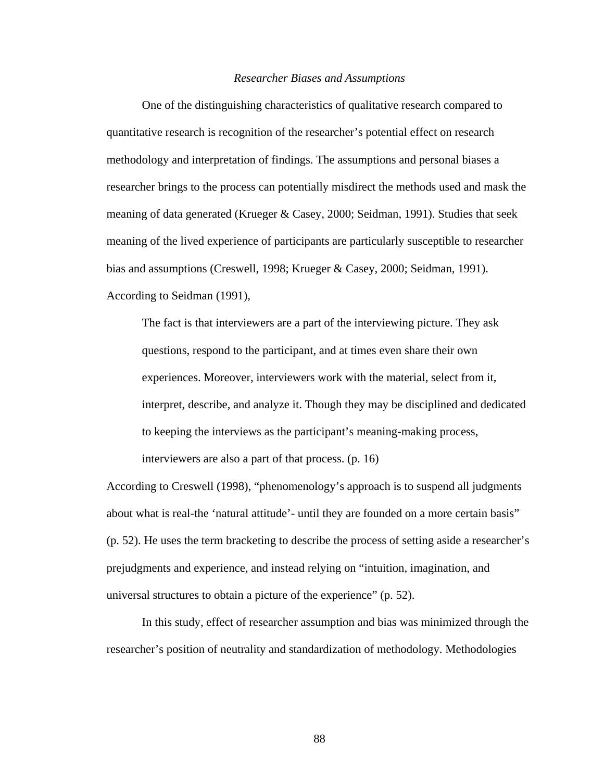#### *Researcher Biases and Assumptions*

 One of the distinguishing characteristics of qualitative research compared to quantitative research is recognition of the researcher's potential effect on research methodology and interpretation of findings. The assumptions and personal biases a researcher brings to the process can potentially misdirect the methods used and mask the meaning of data generated (Krueger & Casey, 2000; Seidman, 1991). Studies that seek meaning of the lived experience of participants are particularly susceptible to researcher bias and assumptions (Creswell, 1998; Krueger & Casey, 2000; Seidman, 1991). According to Seidman (1991),

The fact is that interviewers are a part of the interviewing picture. They ask questions, respond to the participant, and at times even share their own experiences. Moreover, interviewers work with the material, select from it, interpret, describe, and analyze it. Though they may be disciplined and dedicated to keeping the interviews as the participant's meaning-making process, interviewers are also a part of that process. (p. 16)

According to Creswell (1998), "phenomenology's approach is to suspend all judgments about what is real-the 'natural attitude'- until they are founded on a more certain basis" (p. 52). He uses the term bracketing to describe the process of setting aside a researcher's prejudgments and experience, and instead relying on "intuition, imagination, and universal structures to obtain a picture of the experience" (p. 52).

 In this study, effect of researcher assumption and bias was minimized through the researcher's position of neutrality and standardization of methodology. Methodologies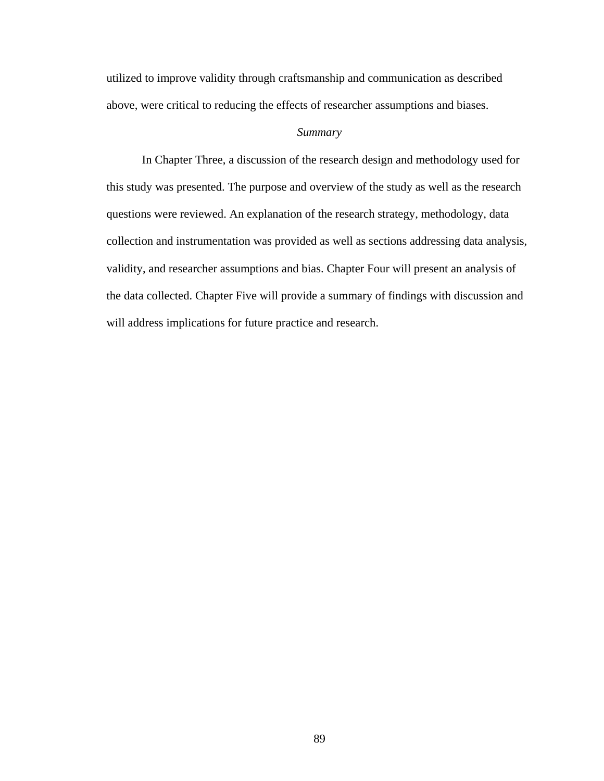utilized to improve validity through craftsmanship and communication as described above, were critical to reducing the effects of researcher assumptions and biases.

## *Summary*

 In Chapter Three, a discussion of the research design and methodology used for this study was presented. The purpose and overview of the study as well as the research questions were reviewed. An explanation of the research strategy, methodology, data collection and instrumentation was provided as well as sections addressing data analysis, validity, and researcher assumptions and bias. Chapter Four will present an analysis of the data collected. Chapter Five will provide a summary of findings with discussion and will address implications for future practice and research.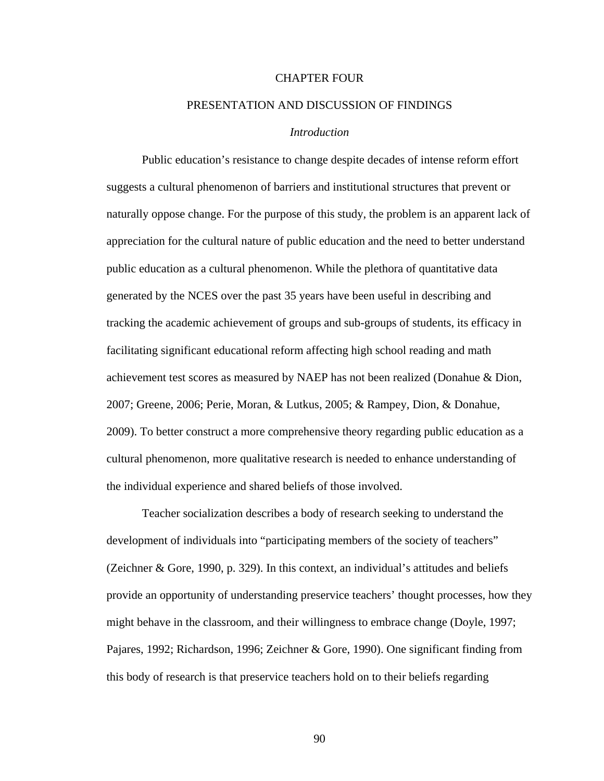## CHAPTER FOUR

## PRESENTATION AND DISCUSSION OF FINDINGS

## *Introduction*

Public education's resistance to change despite decades of intense reform effort suggests a cultural phenomenon of barriers and institutional structures that prevent or naturally oppose change. For the purpose of this study, the problem is an apparent lack of appreciation for the cultural nature of public education and the need to better understand public education as a cultural phenomenon. While the plethora of quantitative data generated by the NCES over the past 35 years have been useful in describing and tracking the academic achievement of groups and sub-groups of students, its efficacy in facilitating significant educational reform affecting high school reading and math achievement test scores as measured by NAEP has not been realized (Donahue & Dion, 2007; Greene, 2006; Perie, Moran, & Lutkus, 2005; & Rampey, Dion, & Donahue, 2009). To better construct a more comprehensive theory regarding public education as a cultural phenomenon, more qualitative research is needed to enhance understanding of the individual experience and shared beliefs of those involved.

 Teacher socialization describes a body of research seeking to understand the development of individuals into "participating members of the society of teachers" (Zeichner & Gore, 1990, p. 329). In this context, an individual's attitudes and beliefs provide an opportunity of understanding preservice teachers' thought processes, how they might behave in the classroom, and their willingness to embrace change (Doyle, 1997; Pajares, 1992; Richardson, 1996; Zeichner & Gore, 1990). One significant finding from this body of research is that preservice teachers hold on to their beliefs regarding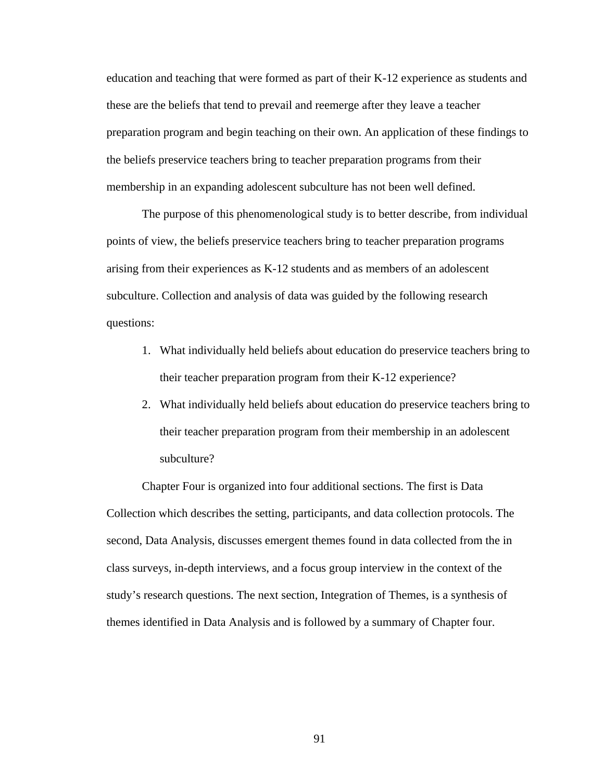education and teaching that were formed as part of their K-12 experience as students and these are the beliefs that tend to prevail and reemerge after they leave a teacher preparation program and begin teaching on their own. An application of these findings to the beliefs preservice teachers bring to teacher preparation programs from their membership in an expanding adolescent subculture has not been well defined.

 The purpose of this phenomenological study is to better describe, from individual points of view, the beliefs preservice teachers bring to teacher preparation programs arising from their experiences as K-12 students and as members of an adolescent subculture. Collection and analysis of data was guided by the following research questions:

- 1. What individually held beliefs about education do preservice teachers bring to their teacher preparation program from their K-12 experience?
- 2. What individually held beliefs about education do preservice teachers bring to their teacher preparation program from their membership in an adolescent subculture?

Chapter Four is organized into four additional sections. The first is Data Collection which describes the setting, participants, and data collection protocols. The second, Data Analysis, discusses emergent themes found in data collected from the in class surveys, in-depth interviews, and a focus group interview in the context of the study's research questions. The next section, Integration of Themes, is a synthesis of themes identified in Data Analysis and is followed by a summary of Chapter four.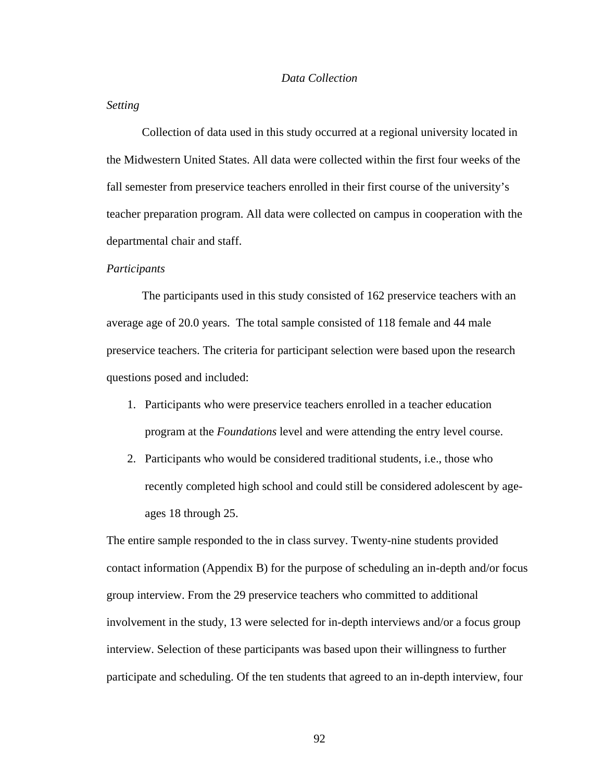## *Data Collection*

#### *Setting*

 Collection of data used in this study occurred at a regional university located in the Midwestern United States. All data were collected within the first four weeks of the fall semester from preservice teachers enrolled in their first course of the university's teacher preparation program. All data were collected on campus in cooperation with the departmental chair and staff.

#### *Participants*

 The participants used in this study consisted of 162 preservice teachers with an average age of 20.0 years. The total sample consisted of 118 female and 44 male preservice teachers. The criteria for participant selection were based upon the research questions posed and included:

- 1. Participants who were preservice teachers enrolled in a teacher education program at the *Foundations* level and were attending the entry level course.
- 2. Participants who would be considered traditional students, i.e., those who recently completed high school and could still be considered adolescent by ageages 18 through 25.

The entire sample responded to the in class survey. Twenty-nine students provided contact information (Appendix B) for the purpose of scheduling an in-depth and/or focus group interview. From the 29 preservice teachers who committed to additional involvement in the study, 13 were selected for in-depth interviews and/or a focus group interview. Selection of these participants was based upon their willingness to further participate and scheduling. Of the ten students that agreed to an in-depth interview, four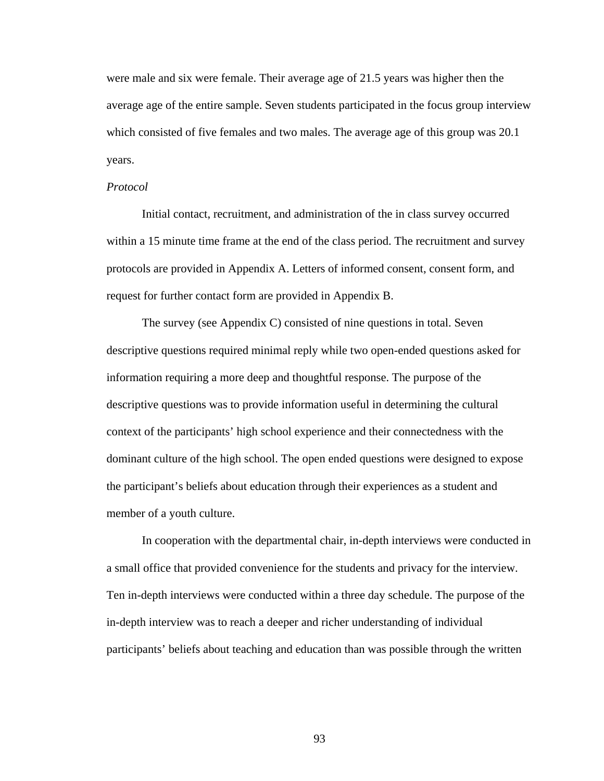were male and six were female. Their average age of 21.5 years was higher then the average age of the entire sample. Seven students participated in the focus group interview which consisted of five females and two males. The average age of this group was 20.1 years.

#### *Protocol*

 Initial contact, recruitment, and administration of the in class survey occurred within a 15 minute time frame at the end of the class period. The recruitment and survey protocols are provided in Appendix A. Letters of informed consent, consent form, and request for further contact form are provided in Appendix B.

The survey (see Appendix C) consisted of nine questions in total. Seven descriptive questions required minimal reply while two open-ended questions asked for information requiring a more deep and thoughtful response. The purpose of the descriptive questions was to provide information useful in determining the cultural context of the participants' high school experience and their connectedness with the dominant culture of the high school. The open ended questions were designed to expose the participant's beliefs about education through their experiences as a student and member of a youth culture.

In cooperation with the departmental chair, in-depth interviews were conducted in a small office that provided convenience for the students and privacy for the interview. Ten in-depth interviews were conducted within a three day schedule. The purpose of the in-depth interview was to reach a deeper and richer understanding of individual participants' beliefs about teaching and education than was possible through the written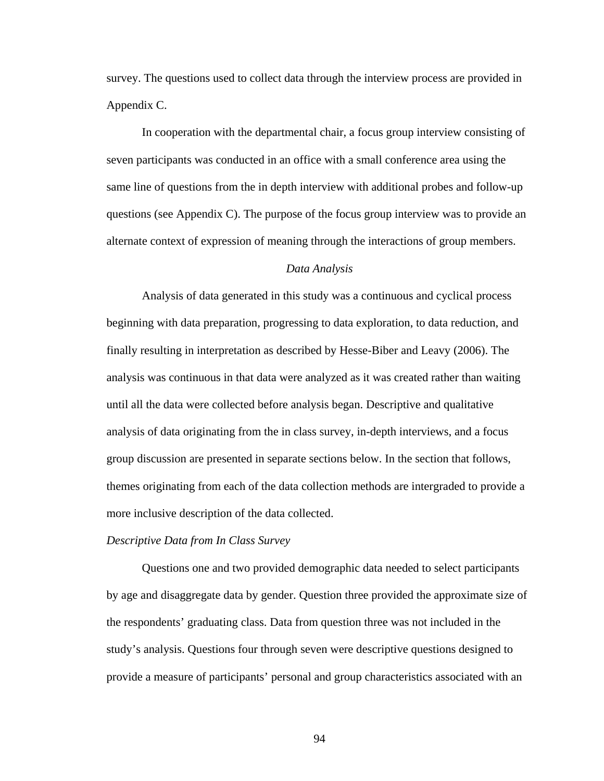survey. The questions used to collect data through the interview process are provided in Appendix C.

In cooperation with the departmental chair, a focus group interview consisting of seven participants was conducted in an office with a small conference area using the same line of questions from the in depth interview with additional probes and follow-up questions (see Appendix C). The purpose of the focus group interview was to provide an alternate context of expression of meaning through the interactions of group members.

## *Data Analysis*

Analysis of data generated in this study was a continuous and cyclical process beginning with data preparation, progressing to data exploration, to data reduction, and finally resulting in interpretation as described by Hesse-Biber and Leavy (2006). The analysis was continuous in that data were analyzed as it was created rather than waiting until all the data were collected before analysis began. Descriptive and qualitative analysis of data originating from the in class survey, in-depth interviews, and a focus group discussion are presented in separate sections below. In the section that follows, themes originating from each of the data collection methods are intergraded to provide a more inclusive description of the data collected.

#### *Descriptive Data from In Class Survey*

 Questions one and two provided demographic data needed to select participants by age and disaggregate data by gender. Question three provided the approximate size of the respondents' graduating class. Data from question three was not included in the study's analysis. Questions four through seven were descriptive questions designed to provide a measure of participants' personal and group characteristics associated with an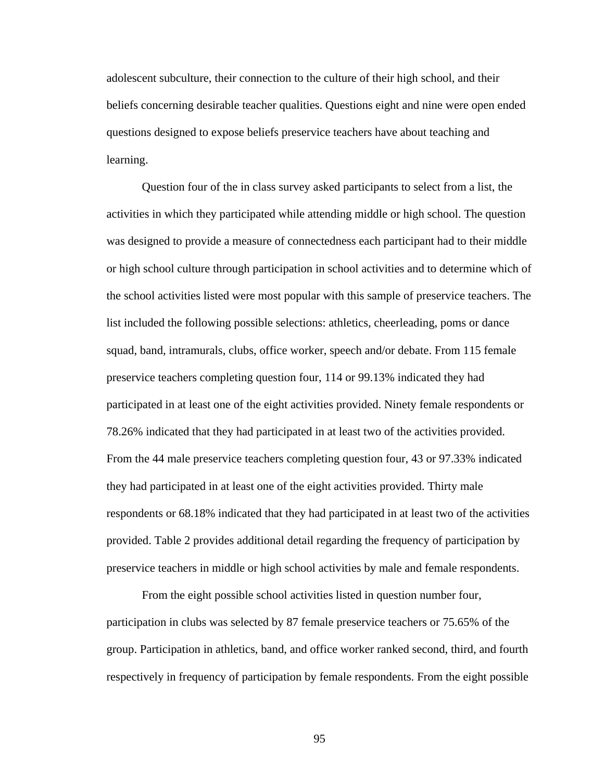adolescent subculture, their connection to the culture of their high school, and their beliefs concerning desirable teacher qualities. Questions eight and nine were open ended questions designed to expose beliefs preservice teachers have about teaching and learning.

Question four of the in class survey asked participants to select from a list, the activities in which they participated while attending middle or high school. The question was designed to provide a measure of connectedness each participant had to their middle or high school culture through participation in school activities and to determine which of the school activities listed were most popular with this sample of preservice teachers. The list included the following possible selections: athletics, cheerleading, poms or dance squad, band, intramurals, clubs, office worker, speech and/or debate. From 115 female preservice teachers completing question four, 114 or 99.13% indicated they had participated in at least one of the eight activities provided. Ninety female respondents or 78.26% indicated that they had participated in at least two of the activities provided. From the 44 male preservice teachers completing question four, 43 or 97.33% indicated they had participated in at least one of the eight activities provided. Thirty male respondents or 68.18% indicated that they had participated in at least two of the activities provided. Table 2 provides additional detail regarding the frequency of participation by preservice teachers in middle or high school activities by male and female respondents.

From the eight possible school activities listed in question number four, participation in clubs was selected by 87 female preservice teachers or 75.65% of the group. Participation in athletics, band, and office worker ranked second, third, and fourth respectively in frequency of participation by female respondents. From the eight possible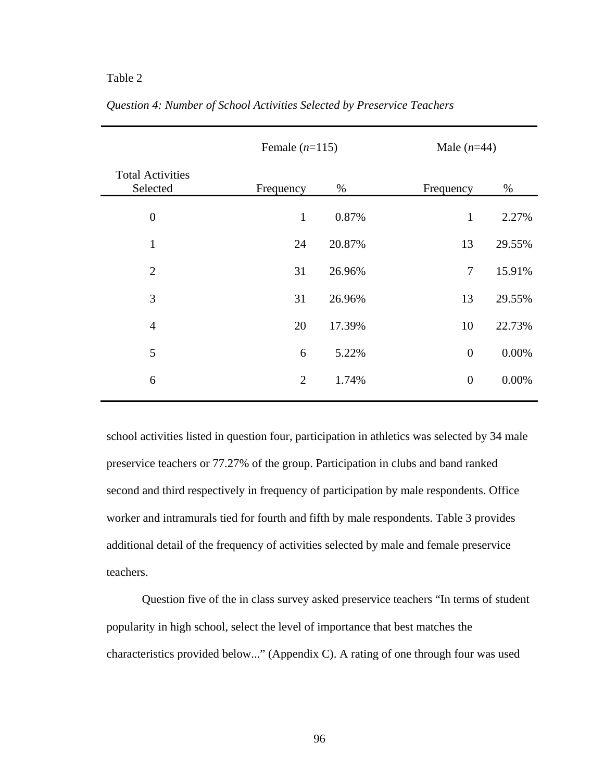|                                     | Female $(n=115)$ |        |                | Male $(n=44)$ |  |
|-------------------------------------|------------------|--------|----------------|---------------|--|
| <b>Total Activities</b><br>Selected | Frequency        | %      | Frequency      | $\%$          |  |
| $\boldsymbol{0}$                    | $\mathbf{1}$     | 0.87%  | $\mathbf{1}$   | 2.27%         |  |
| $\mathbf{1}$                        | 24               | 20.87% | 13             | 29.55%        |  |
| $\overline{2}$                      | 31               | 26.96% | $\overline{7}$ | 15.91%        |  |
| 3                                   | 31               | 26.96% | 13             | 29.55%        |  |
| $\overline{4}$                      | 20               | 17.39% | 10             | 22.73%        |  |
| 5                                   | 6                | 5.22%  | $\overline{0}$ | 0.00%         |  |
| 6                                   | $\overline{2}$   | 1.74%  | $\overline{0}$ | 0.00%         |  |
|                                     |                  |        |                |               |  |

*Question 4: Number of School Activities Selected by Preservice Teachers* 

school activities listed in question four, participation in athletics was selected by 34 male preservice teachers or 77.27% of the group. Participation in clubs and band ranked second and third respectively in frequency of participation by male respondents. Office worker and intramurals tied for fourth and fifth by male respondents. Table 3 provides additional detail of the frequency of activities selected by male and female preservice teachers.

Question five of the in class survey asked preservice teachers "In terms of student popularity in high school, select the level of importance that best matches the characteristics provided below..." (Appendix C). A rating of one through four was used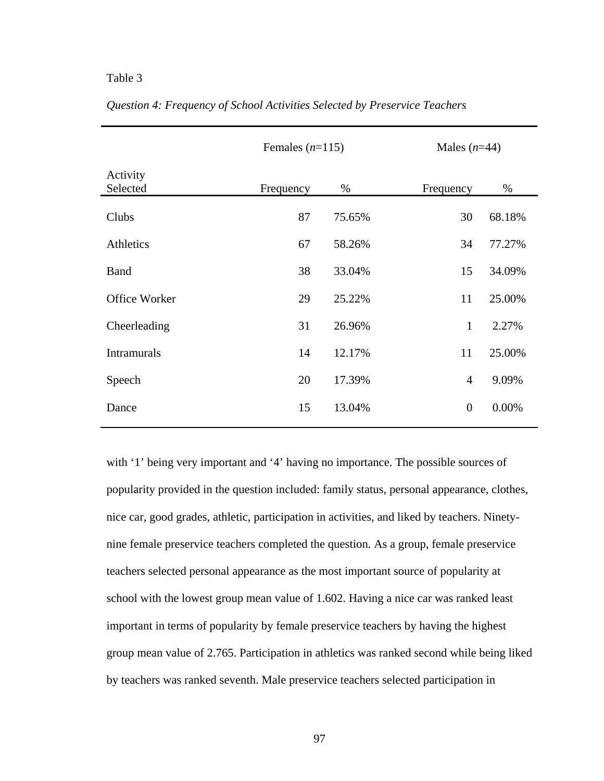|                      | Females $(n=115)$ |        | Males $(n=44)$ |        |
|----------------------|-------------------|--------|----------------|--------|
| Activity<br>Selected | Frequency         | $\%$   | Frequency      | $\%$   |
| Clubs                | 87                | 75.65% | 30             | 68.18% |
| Athletics            | 67                | 58.26% | 34             | 77.27% |
| <b>Band</b>          | 38                | 33.04% | 15             | 34.09% |
| Office Worker        | 29                | 25.22% | 11             | 25.00% |
| Cheerleading         | 31                | 26.96% | $\mathbf{1}$   | 2.27%  |
| <b>Intramurals</b>   | 14                | 12.17% | 11             | 25.00% |
| Speech               | 20                | 17.39% | $\overline{4}$ | 9.09%  |
| Dance                | 15                | 13.04% | $\overline{0}$ | 0.00%  |

*Question 4: Frequency of School Activities Selected by Preservice Teachers* 

with '1' being very important and '4' having no importance. The possible sources of popularity provided in the question included: family status, personal appearance, clothes, nice car, good grades, athletic, participation in activities, and liked by teachers. Ninetynine female preservice teachers completed the question. As a group, female preservice teachers selected personal appearance as the most important source of popularity at school with the lowest group mean value of 1.602. Having a nice car was ranked least important in terms of popularity by female preservice teachers by having the highest group mean value of 2.765. Participation in athletics was ranked second while being liked by teachers was ranked seventh. Male preservice teachers selected participation in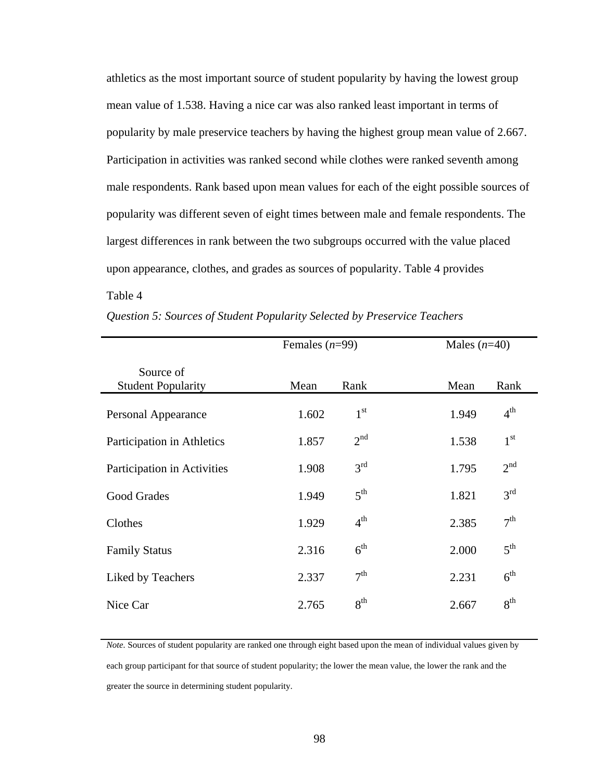athletics as the most important source of student popularity by having the lowest group mean value of 1.538. Having a nice car was also ranked least important in terms of popularity by male preservice teachers by having the highest group mean value of 2.667. Participation in activities was ranked second while clothes were ranked seventh among male respondents. Rank based upon mean values for each of the eight possible sources of popularity was different seven of eight times between male and female respondents. The largest differences in rank between the two subgroups occurred with the value placed upon appearance, clothes, and grades as sources of popularity. Table 4 provides Table 4

|                                        | Females $(n=99)$ |                 | Males $(n=40)$ |                 |
|----------------------------------------|------------------|-----------------|----------------|-----------------|
| Source of<br><b>Student Popularity</b> | Mean             | Rank            | Mean           | Rank            |
| Personal Appearance                    | 1.602            | 1 <sup>st</sup> | 1.949          | $4^{\text{th}}$ |
| Participation in Athletics             | 1.857            | 2 <sup>nd</sup> | 1.538          | $1^{\rm st}$    |
| Participation in Activities            | 1.908            | 3 <sup>rd</sup> | 1.795          | 2 <sup>nd</sup> |
| Good Grades                            | 1.949            | 5 <sup>th</sup> | 1.821          | 3 <sup>rd</sup> |
| Clothes                                | 1.929            | 4 <sup>th</sup> | 2.385          | 7 <sup>th</sup> |
| <b>Family Status</b>                   | 2.316            | 6 <sup>th</sup> | 2.000          | 5 <sup>th</sup> |
| Liked by Teachers                      | 2.337            | 7 <sup>th</sup> | 2.231          | 6 <sup>th</sup> |
| Nice Car                               | 2.765            | 8 <sup>th</sup> | 2.667          | 8 <sup>th</sup> |

*Question 5: Sources of Student Popularity Selected by Preservice Teachers* 

*Note.* Sources of student popularity are ranked one through eight based upon the mean of individual values given by each group participant for that source of student popularity; the lower the mean value, the lower the rank and the greater the source in determining student popularity.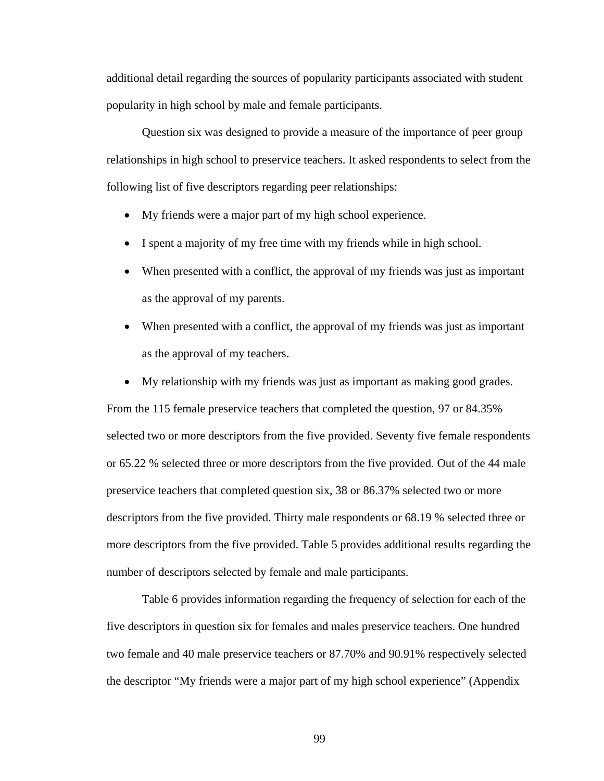additional detail regarding the sources of popularity participants associated with student popularity in high school by male and female participants.

Question six was designed to provide a measure of the importance of peer group relationships in high school to preservice teachers. It asked respondents to select from the following list of five descriptors regarding peer relationships:

- My friends were a major part of my high school experience.
- I spent a majority of my free time with my friends while in high school.
- When presented with a conflict, the approval of my friends was just as important as the approval of my parents.
- When presented with a conflict, the approval of my friends was just as important as the approval of my teachers.
- My relationship with my friends was just as important as making good grades.

From the 115 female preservice teachers that completed the question, 97 or 84.35% selected two or more descriptors from the five provided. Seventy five female respondents or 65.22 % selected three or more descriptors from the five provided. Out of the 44 male preservice teachers that completed question six, 38 or 86.37% selected two or more descriptors from the five provided. Thirty male respondents or 68.19 % selected three or more descriptors from the five provided. Table 5 provides additional results regarding the number of descriptors selected by female and male participants.

Table 6 provides information regarding the frequency of selection for each of the five descriptors in question six for females and males preservice teachers. One hundred two female and 40 male preservice teachers or 87.70% and 90.91% respectively selected the descriptor "My friends were a major part of my high school experience" (Appendix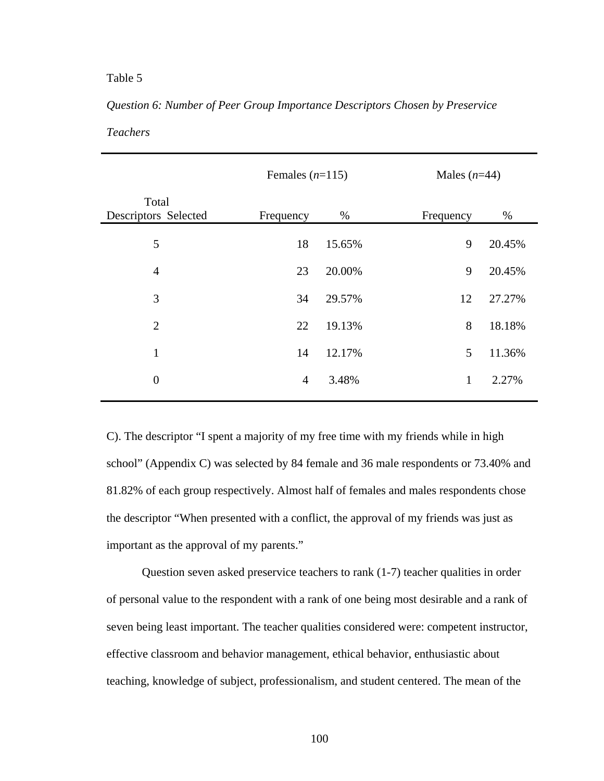# *Question 6: Number of Peer Group Importance Descriptors Chosen by Preservice*

*Teachers* 

|                               |                | Females $(n=115)$ |           | Males $(n=44)$ |  |
|-------------------------------|----------------|-------------------|-----------|----------------|--|
| Total<br>Descriptors Selected | Frequency      | $\%$              | Frequency | %              |  |
| 5                             | 18             | 15.65%            | 9         | 20.45%         |  |
| $\overline{4}$                | 23             | 20.00%            | 9         | 20.45%         |  |
| 3                             | 34             | 29.57%            | 12        | 27.27%         |  |
| 2                             | 22             | 19.13%            | 8         | 18.18%         |  |
| $\mathbf{1}$                  | 14             | 12.17%            | 5         | 11.36%         |  |
| $\boldsymbol{0}$              | $\overline{4}$ | 3.48%             | 1         | 2.27%          |  |
|                               |                |                   |           |                |  |

C). The descriptor "I spent a majority of my free time with my friends while in high school" (Appendix C) was selected by 84 female and 36 male respondents or 73.40% and 81.82% of each group respectively. Almost half of females and males respondents chose the descriptor "When presented with a conflict, the approval of my friends was just as important as the approval of my parents."

Question seven asked preservice teachers to rank (1-7) teacher qualities in order of personal value to the respondent with a rank of one being most desirable and a rank of seven being least important. The teacher qualities considered were: competent instructor, effective classroom and behavior management, ethical behavior, enthusiastic about teaching, knowledge of subject, professionalism, and student centered. The mean of the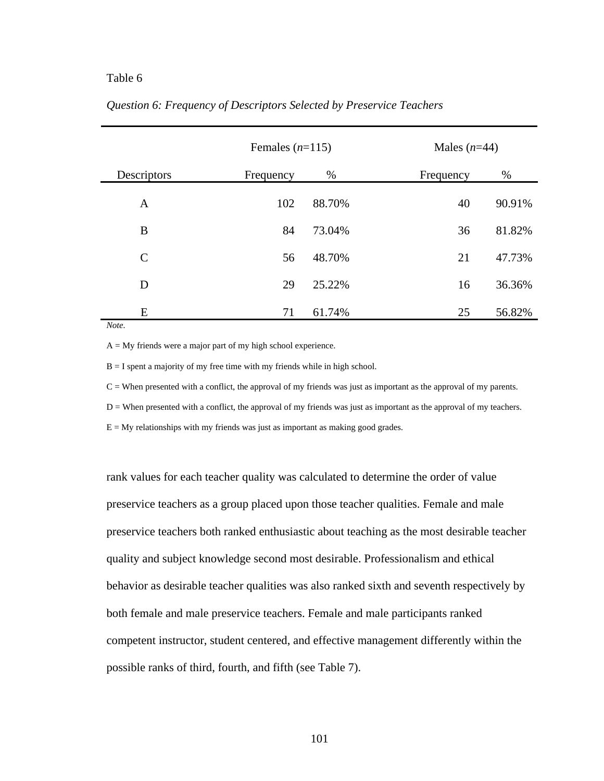|               |           | Females $(n=115)$ |           | Males $(n=44)$ |  |
|---------------|-----------|-------------------|-----------|----------------|--|
| Descriptors   | Frequency | %                 | Frequency | $\%$           |  |
| A             | 102       | 88.70%            | 40        | 90.91%         |  |
| B             | 84        | 73.04%            | 36        | 81.82%         |  |
| $\mathcal{C}$ | 56        | 48.70%            | 21        | 47.73%         |  |
| D             | 29        | 25.22%            | 16        | 36.36%         |  |
| E             | 71        | 61.74%            | 25        | 56.82%         |  |

# *Question 6: Frequency of Descriptors Selected by Preservice Teachers*

*Note.*

 $A = My$  friends were a major part of my high school experience.

 $B = I$  spent a majority of my free time with my friends while in high school.

 $C =$  When presented with a conflict, the approval of my friends was just as important as the approval of my parents.

D = When presented with a conflict, the approval of my friends was just as important as the approval of my teachers.

 $E = My$  relationships with my friends was just as important as making good grades.

rank values for each teacher quality was calculated to determine the order of value preservice teachers as a group placed upon those teacher qualities. Female and male preservice teachers both ranked enthusiastic about teaching as the most desirable teacher quality and subject knowledge second most desirable. Professionalism and ethical behavior as desirable teacher qualities was also ranked sixth and seventh respectively by both female and male preservice teachers. Female and male participants ranked competent instructor, student centered, and effective management differently within the possible ranks of third, fourth, and fifth (see Table 7).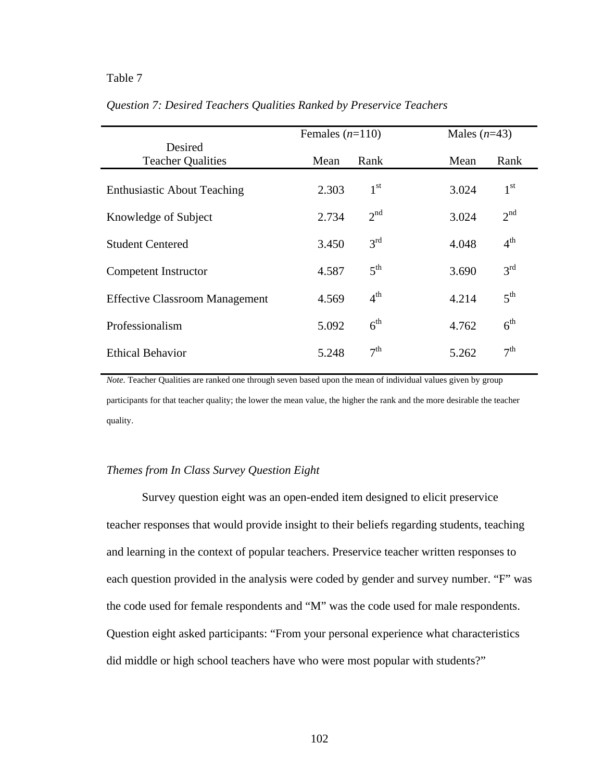|                                       | Females $(n=110)$ |                 | Males $(n=43)$ |                 |
|---------------------------------------|-------------------|-----------------|----------------|-----------------|
| Desired<br><b>Teacher Qualities</b>   | Mean              | Rank            | Mean           | Rank            |
|                                       |                   |                 |                |                 |
| <b>Enthusiastic About Teaching</b>    | 2.303             | 1 <sup>st</sup> | 3.024          | 1 <sup>st</sup> |
| Knowledge of Subject                  | 2.734             | 2 <sup>nd</sup> | 3.024          | 2 <sup>nd</sup> |
| <b>Student Centered</b>               | 3.450             | 3 <sup>rd</sup> | 4.048          | 4 <sup>th</sup> |
| Competent Instructor                  | 4.587             | $5^{\text{th}}$ | 3.690          | 3 <sup>rd</sup> |
| <b>Effective Classroom Management</b> | 4.569             | 4 <sup>th</sup> | 4.214          | 5 <sup>th</sup> |
| Professionalism                       | 5.092             | 6 <sup>th</sup> | 4.762          | 6 <sup>th</sup> |
| <b>Ethical Behavior</b>               | 5.248             | 7 <sup>th</sup> | 5.262          | 7 <sup>th</sup> |

*Question 7: Desired Teachers Qualities Ranked by Preservice Teachers*

*Note.* Teacher Qualities are ranked one through seven based upon the mean of individual values given by group participants for that teacher quality; the lower the mean value, the higher the rank and the more desirable the teacher quality.

## *Themes from In Class Survey Question Eight*

Survey question eight was an open-ended item designed to elicit preservice teacher responses that would provide insight to their beliefs regarding students, teaching and learning in the context of popular teachers. Preservice teacher written responses to each question provided in the analysis were coded by gender and survey number. "F" was the code used for female respondents and "M" was the code used for male respondents. Question eight asked participants: "From your personal experience what characteristics did middle or high school teachers have who were most popular with students?"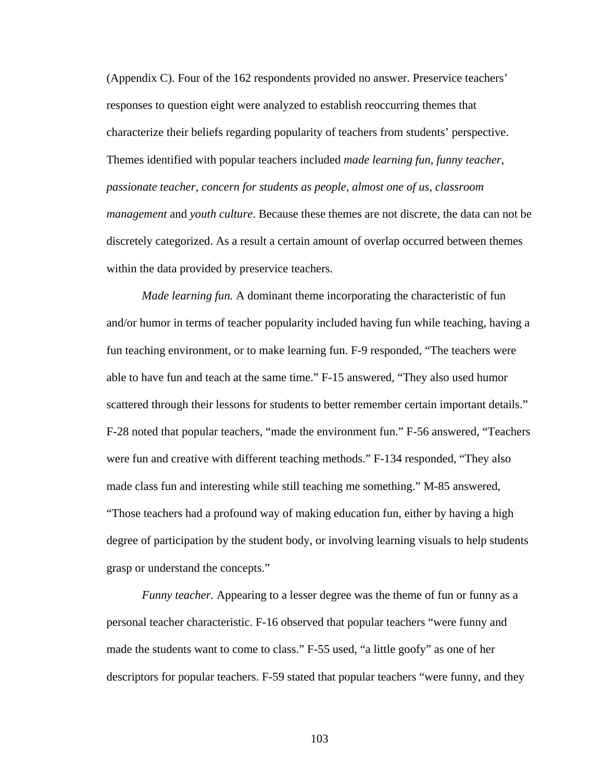(Appendix C). Four of the 162 respondents provided no answer. Preservice teachers' responses to question eight were analyzed to establish reoccurring themes that characterize their beliefs regarding popularity of teachers from students' perspective. Themes identified with popular teachers included *made learning fun*, *funny teacher, passionate teacher*, *concern for students as people*, *almost one of us*, *classroom management* and *youth culture*. Because these themes are not discrete, the data can not be discretely categorized. As a result a certain amount of overlap occurred between themes within the data provided by preservice teachers.

*Made learning fun.* A dominant theme incorporating the characteristic of fun and/or humor in terms of teacher popularity included having fun while teaching, having a fun teaching environment, or to make learning fun. F-9 responded, "The teachers were able to have fun and teach at the same time." F-15 answered, "They also used humor scattered through their lessons for students to better remember certain important details." F-28 noted that popular teachers, "made the environment fun." F-56 answered, "Teachers were fun and creative with different teaching methods." F-134 responded, "They also made class fun and interesting while still teaching me something." M-85 answered, "Those teachers had a profound way of making education fun, either by having a high degree of participation by the student body, or involving learning visuals to help students grasp or understand the concepts."

*Funny teacher.* Appearing to a lesser degree was the theme of fun or funny as a personal teacher characteristic. F-16 observed that popular teachers "were funny and made the students want to come to class." F-55 used, "a little goofy" as one of her descriptors for popular teachers. F-59 stated that popular teachers "were funny, and they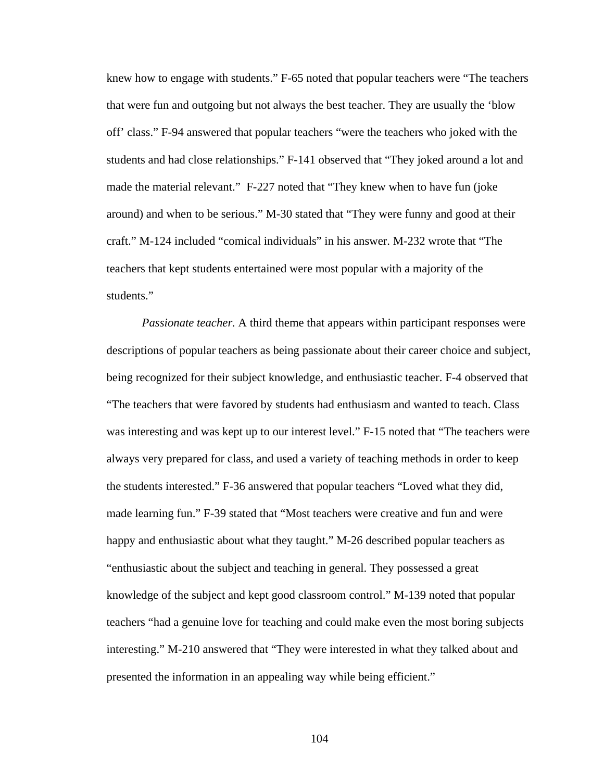knew how to engage with students." F-65 noted that popular teachers were "The teachers that were fun and outgoing but not always the best teacher. They are usually the 'blow off' class." F-94 answered that popular teachers "were the teachers who joked with the students and had close relationships." F-141 observed that "They joked around a lot and made the material relevant." F-227 noted that "They knew when to have fun (joke around) and when to be serious." M-30 stated that "They were funny and good at their craft." M-124 included "comical individuals" in his answer. M-232 wrote that "The teachers that kept students entertained were most popular with a majority of the students."

*Passionate teacher.* A third theme that appears within participant responses were descriptions of popular teachers as being passionate about their career choice and subject, being recognized for their subject knowledge, and enthusiastic teacher. F-4 observed that "The teachers that were favored by students had enthusiasm and wanted to teach. Class was interesting and was kept up to our interest level." F-15 noted that "The teachers were always very prepared for class, and used a variety of teaching methods in order to keep the students interested." F-36 answered that popular teachers "Loved what they did, made learning fun." F-39 stated that "Most teachers were creative and fun and were happy and enthusiastic about what they taught." M-26 described popular teachers as "enthusiastic about the subject and teaching in general. They possessed a great knowledge of the subject and kept good classroom control." M-139 noted that popular teachers "had a genuine love for teaching and could make even the most boring subjects interesting." M-210 answered that "They were interested in what they talked about and presented the information in an appealing way while being efficient."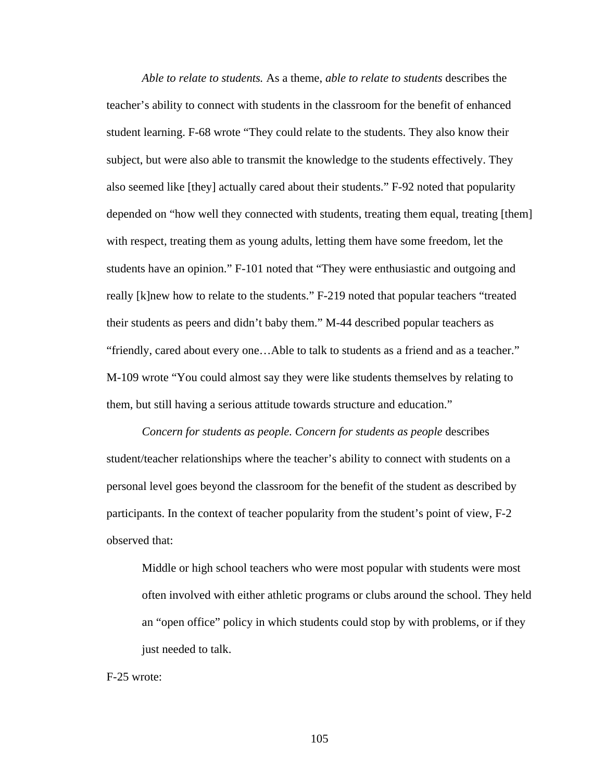*Able to relate to students.* As a theme, *able to relate to students* describes the teacher's ability to connect with students in the classroom for the benefit of enhanced student learning. F-68 wrote "They could relate to the students. They also know their subject, but were also able to transmit the knowledge to the students effectively. They also seemed like [they] actually cared about their students." F-92 noted that popularity depended on "how well they connected with students, treating them equal, treating [them] with respect, treating them as young adults, letting them have some freedom, let the students have an opinion." F-101 noted that "They were enthusiastic and outgoing and really [k]new how to relate to the students." F-219 noted that popular teachers "treated their students as peers and didn't baby them." M-44 described popular teachers as "friendly, cared about every one…Able to talk to students as a friend and as a teacher." M-109 wrote "You could almost say they were like students themselves by relating to them, but still having a serious attitude towards structure and education."

*Concern for students as people. Concern for students as people* describes student/teacher relationships where the teacher's ability to connect with students on a personal level goes beyond the classroom for the benefit of the student as described by participants. In the context of teacher popularity from the student's point of view, F-2 observed that:

Middle or high school teachers who were most popular with students were most often involved with either athletic programs or clubs around the school. They held an "open office" policy in which students could stop by with problems, or if they just needed to talk.

F-25 wrote: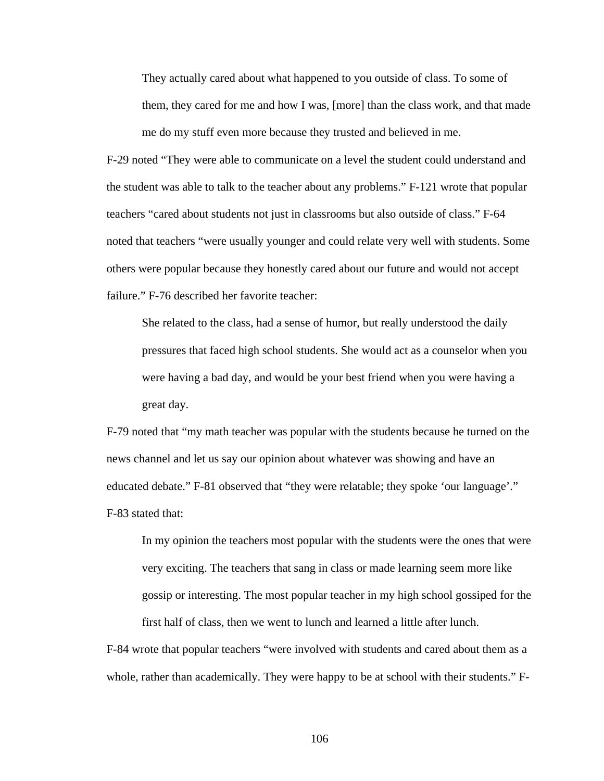They actually cared about what happened to you outside of class. To some of them, they cared for me and how I was, [more] than the class work, and that made me do my stuff even more because they trusted and believed in me.

F-29 noted "They were able to communicate on a level the student could understand and the student was able to talk to the teacher about any problems." F-121 wrote that popular teachers "cared about students not just in classrooms but also outside of class." F-64 noted that teachers "were usually younger and could relate very well with students. Some others were popular because they honestly cared about our future and would not accept failure." F-76 described her favorite teacher:

She related to the class, had a sense of humor, but really understood the daily pressures that faced high school students. She would act as a counselor when you were having a bad day, and would be your best friend when you were having a great day.

F-79 noted that "my math teacher was popular with the students because he turned on the news channel and let us say our opinion about whatever was showing and have an educated debate." F-81 observed that "they were relatable; they spoke 'our language'." F-83 stated that:

In my opinion the teachers most popular with the students were the ones that were very exciting. The teachers that sang in class or made learning seem more like gossip or interesting. The most popular teacher in my high school gossiped for the first half of class, then we went to lunch and learned a little after lunch.

F-84 wrote that popular teachers "were involved with students and cared about them as a whole, rather than academically. They were happy to be at school with their students." F-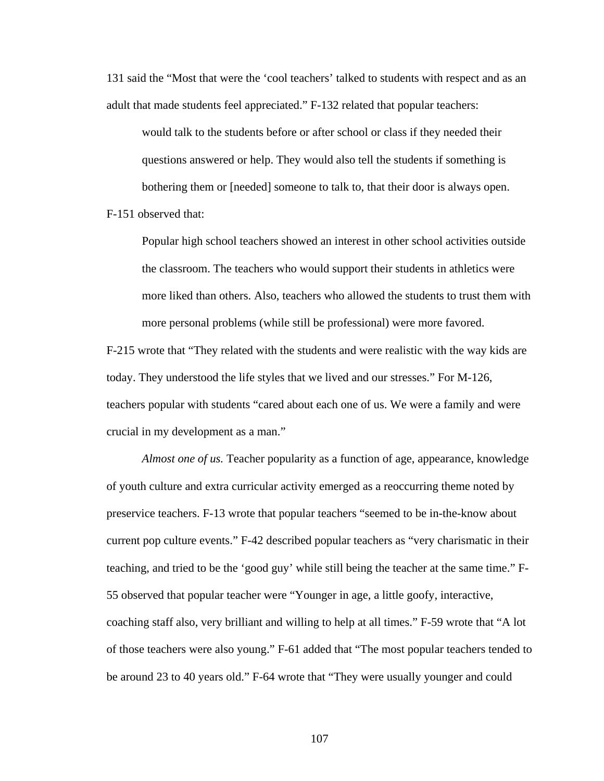131 said the "Most that were the 'cool teachers' talked to students with respect and as an adult that made students feel appreciated." F-132 related that popular teachers:

would talk to the students before or after school or class if they needed their questions answered or help. They would also tell the students if something is bothering them or [needed] someone to talk to, that their door is always open.

F-151 observed that:

Popular high school teachers showed an interest in other school activities outside the classroom. The teachers who would support their students in athletics were more liked than others. Also, teachers who allowed the students to trust them with more personal problems (while still be professional) were more favored.

F-215 wrote that "They related with the students and were realistic with the way kids are today. They understood the life styles that we lived and our stresses." For M-126, teachers popular with students "cared about each one of us. We were a family and were crucial in my development as a man."

*Almost one of us.* Teacher popularity as a function of age, appearance, knowledge of youth culture and extra curricular activity emerged as a reoccurring theme noted by preservice teachers. F-13 wrote that popular teachers "seemed to be in-the-know about current pop culture events." F-42 described popular teachers as "very charismatic in their teaching, and tried to be the 'good guy' while still being the teacher at the same time." F-55 observed that popular teacher were "Younger in age, a little goofy, interactive, coaching staff also, very brilliant and willing to help at all times." F-59 wrote that "A lot of those teachers were also young." F-61 added that "The most popular teachers tended to be around 23 to 40 years old." F-64 wrote that "They were usually younger and could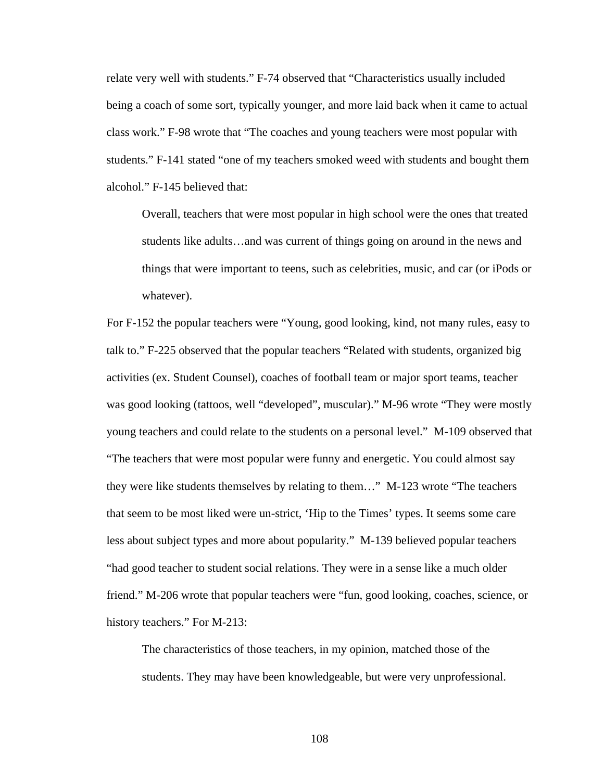relate very well with students." F-74 observed that "Characteristics usually included being a coach of some sort, typically younger, and more laid back when it came to actual class work." F-98 wrote that "The coaches and young teachers were most popular with students." F-141 stated "one of my teachers smoked weed with students and bought them alcohol." F-145 believed that:

Overall, teachers that were most popular in high school were the ones that treated students like adults…and was current of things going on around in the news and things that were important to teens, such as celebrities, music, and car (or iPods or whatever).

For F-152 the popular teachers were "Young, good looking, kind, not many rules, easy to talk to." F-225 observed that the popular teachers "Related with students, organized big activities (ex. Student Counsel), coaches of football team or major sport teams, teacher was good looking (tattoos, well "developed", muscular)." M-96 wrote "They were mostly young teachers and could relate to the students on a personal level." M-109 observed that "The teachers that were most popular were funny and energetic. You could almost say they were like students themselves by relating to them…" M-123 wrote "The teachers that seem to be most liked were un-strict, 'Hip to the Times' types. It seems some care less about subject types and more about popularity." M-139 believed popular teachers "had good teacher to student social relations. They were in a sense like a much older friend." M-206 wrote that popular teachers were "fun, good looking, coaches, science, or history teachers." For M-213:

The characteristics of those teachers, in my opinion, matched those of the students. They may have been knowledgeable, but were very unprofessional.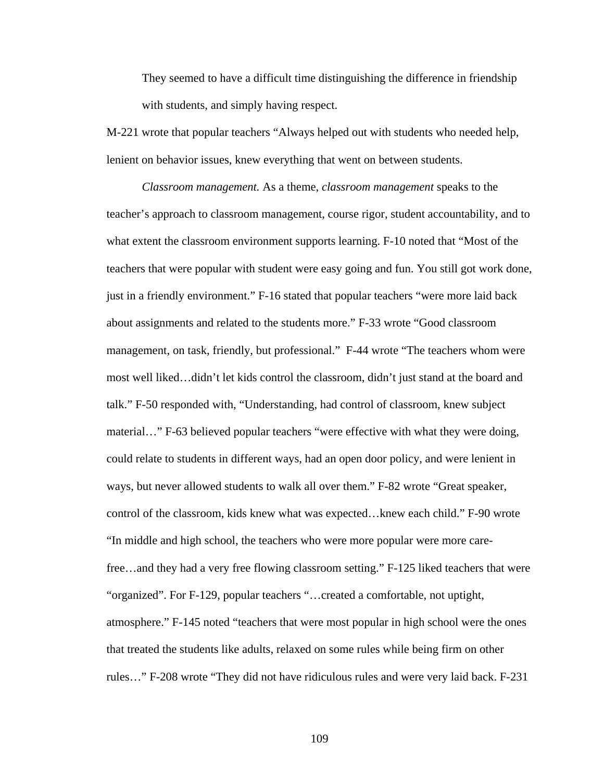They seemed to have a difficult time distinguishing the difference in friendship with students, and simply having respect.

M-221 wrote that popular teachers "Always helped out with students who needed help, lenient on behavior issues, knew everything that went on between students.

*Classroom management.* As a theme, *classroom management* speaks to the teacher's approach to classroom management, course rigor, student accountability, and to what extent the classroom environment supports learning. F-10 noted that "Most of the teachers that were popular with student were easy going and fun. You still got work done, just in a friendly environment." F-16 stated that popular teachers "were more laid back about assignments and related to the students more." F-33 wrote "Good classroom management, on task, friendly, but professional." F-44 wrote "The teachers whom were most well liked…didn't let kids control the classroom, didn't just stand at the board and talk." F-50 responded with, "Understanding, had control of classroom, knew subject material…" F-63 believed popular teachers "were effective with what they were doing, could relate to students in different ways, had an open door policy, and were lenient in ways, but never allowed students to walk all over them." F-82 wrote "Great speaker, control of the classroom, kids knew what was expected…knew each child." F-90 wrote "In middle and high school, the teachers who were more popular were more carefree…and they had a very free flowing classroom setting." F-125 liked teachers that were "organized". For F-129, popular teachers "…created a comfortable, not uptight, atmosphere." F-145 noted "teachers that were most popular in high school were the ones that treated the students like adults, relaxed on some rules while being firm on other rules…" F-208 wrote "They did not have ridiculous rules and were very laid back. F-231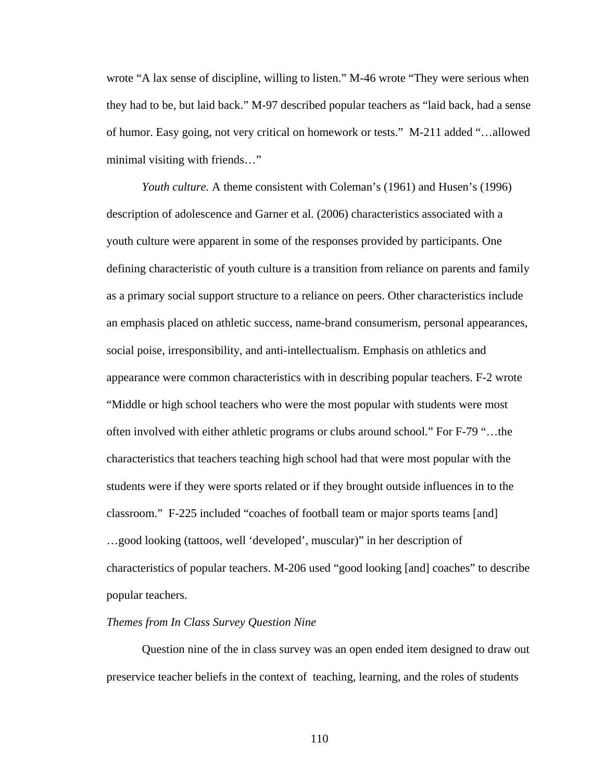wrote "A lax sense of discipline, willing to listen." M-46 wrote "They were serious when they had to be, but laid back." M-97 described popular teachers as "laid back, had a sense of humor. Easy going, not very critical on homework or tests." M-211 added "…allowed minimal visiting with friends…"

*Youth culture.* A theme consistent with Coleman's (1961) and Husen's (1996) description of adolescence and Garner et al. (2006) characteristics associated with a youth culture were apparent in some of the responses provided by participants. One defining characteristic of youth culture is a transition from reliance on parents and family as a primary social support structure to a reliance on peers. Other characteristics include an emphasis placed on athletic success, name-brand consumerism, personal appearances, social poise, irresponsibility, and anti-intellectualism. Emphasis on athletics and appearance were common characteristics with in describing popular teachers. F-2 wrote "Middle or high school teachers who were the most popular with students were most often involved with either athletic programs or clubs around school." For F-79 "…the characteristics that teachers teaching high school had that were most popular with the students were if they were sports related or if they brought outside influences in to the classroom." F-225 included "coaches of football team or major sports teams [and] …good looking (tattoos, well 'developed', muscular)" in her description of characteristics of popular teachers. M-206 used "good looking [and] coaches" to describe popular teachers.

## *Themes from In Class Survey Question Nine*

Question nine of the in class survey was an open ended item designed to draw out preservice teacher beliefs in the context of teaching, learning, and the roles of students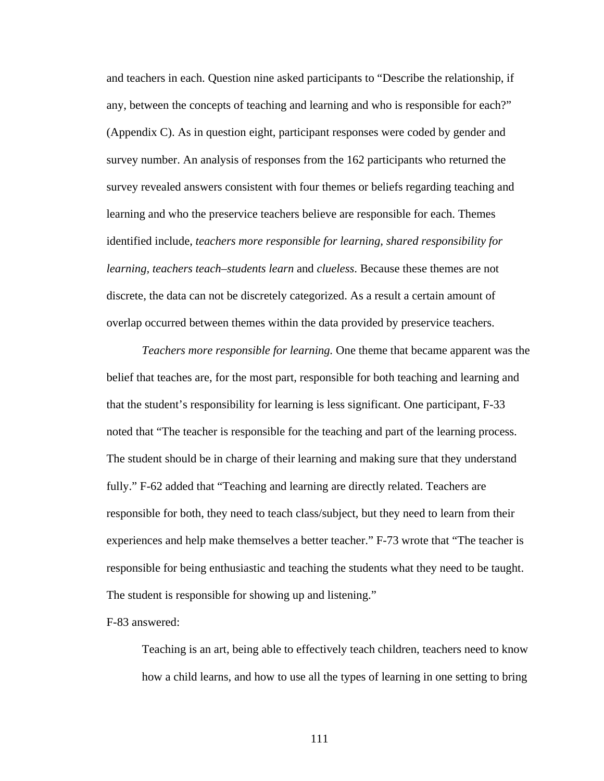and teachers in each. Question nine asked participants to "Describe the relationship, if any, between the concepts of teaching and learning and who is responsible for each?" (Appendix C). As in question eight, participant responses were coded by gender and survey number. An analysis of responses from the 162 participants who returned the survey revealed answers consistent with four themes or beliefs regarding teaching and learning and who the preservice teachers believe are responsible for each. Themes identified include, *teachers more responsible for learning, shared responsibility for learning, teachers teach–students learn* and *clueless*. Because these themes are not discrete, the data can not be discretely categorized. As a result a certain amount of overlap occurred between themes within the data provided by preservice teachers.

*Teachers more responsible for learning.* One theme that became apparent was the belief that teaches are, for the most part, responsible for both teaching and learning and that the student's responsibility for learning is less significant. One participant, F-33 noted that "The teacher is responsible for the teaching and part of the learning process. The student should be in charge of their learning and making sure that they understand fully." F-62 added that "Teaching and learning are directly related. Teachers are responsible for both, they need to teach class/subject, but they need to learn from their experiences and help make themselves a better teacher." F-73 wrote that "The teacher is responsible for being enthusiastic and teaching the students what they need to be taught. The student is responsible for showing up and listening."

## F-83 answered:

Teaching is an art, being able to effectively teach children, teachers need to know how a child learns, and how to use all the types of learning in one setting to bring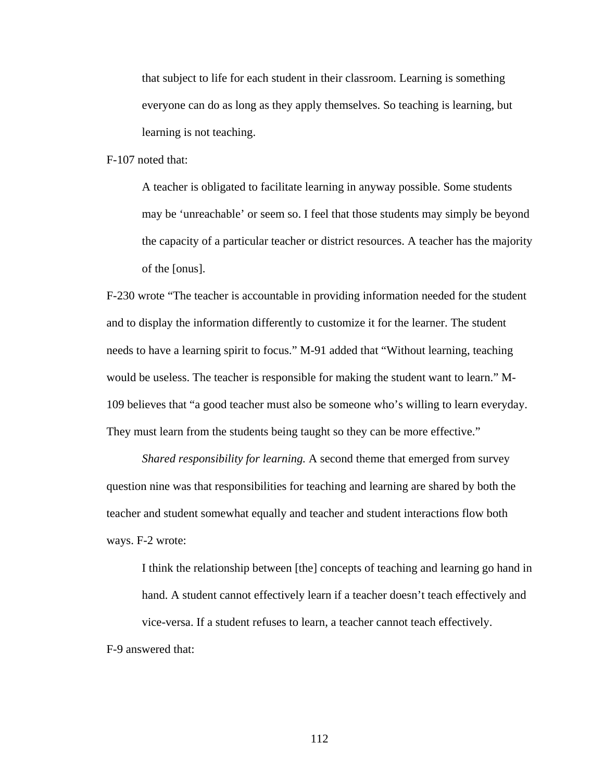that subject to life for each student in their classroom. Learning is something everyone can do as long as they apply themselves. So teaching is learning, but learning is not teaching.

F-107 noted that:

A teacher is obligated to facilitate learning in anyway possible. Some students may be 'unreachable' or seem so. I feel that those students may simply be beyond the capacity of a particular teacher or district resources. A teacher has the majority of the [onus].

F-230 wrote "The teacher is accountable in providing information needed for the student and to display the information differently to customize it for the learner. The student needs to have a learning spirit to focus." M-91 added that "Without learning, teaching would be useless. The teacher is responsible for making the student want to learn." M-109 believes that "a good teacher must also be someone who's willing to learn everyday. They must learn from the students being taught so they can be more effective."

*Shared responsibility for learning.* A second theme that emerged from survey question nine was that responsibilities for teaching and learning are shared by both the teacher and student somewhat equally and teacher and student interactions flow both ways. F-2 wrote:

I think the relationship between [the] concepts of teaching and learning go hand in hand. A student cannot effectively learn if a teacher doesn't teach effectively and vice-versa. If a student refuses to learn, a teacher cannot teach effectively. F-9 answered that: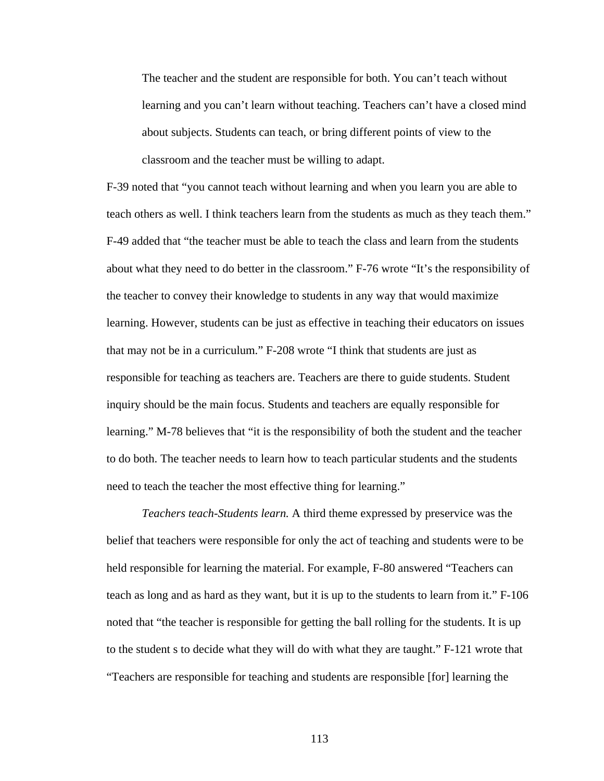The teacher and the student are responsible for both. You can't teach without learning and you can't learn without teaching. Teachers can't have a closed mind about subjects. Students can teach, or bring different points of view to the classroom and the teacher must be willing to adapt.

F-39 noted that "you cannot teach without learning and when you learn you are able to teach others as well. I think teachers learn from the students as much as they teach them." F-49 added that "the teacher must be able to teach the class and learn from the students about what they need to do better in the classroom." F-76 wrote "It's the responsibility of the teacher to convey their knowledge to students in any way that would maximize learning. However, students can be just as effective in teaching their educators on issues that may not be in a curriculum." F-208 wrote "I think that students are just as responsible for teaching as teachers are. Teachers are there to guide students. Student inquiry should be the main focus. Students and teachers are equally responsible for learning." M-78 believes that "it is the responsibility of both the student and the teacher to do both. The teacher needs to learn how to teach particular students and the students need to teach the teacher the most effective thing for learning."

*Teachers teach-Students learn.* A third theme expressed by preservice was the belief that teachers were responsible for only the act of teaching and students were to be held responsible for learning the material. For example, F-80 answered "Teachers can teach as long and as hard as they want, but it is up to the students to learn from it." F-106 noted that "the teacher is responsible for getting the ball rolling for the students. It is up to the student s to decide what they will do with what they are taught." F-121 wrote that "Teachers are responsible for teaching and students are responsible [for] learning the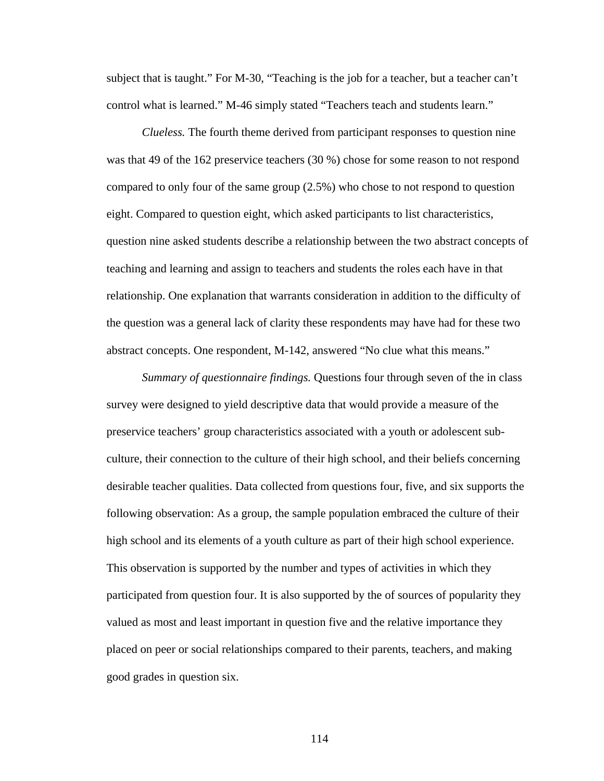subject that is taught." For M-30, "Teaching is the job for a teacher, but a teacher can't control what is learned." M-46 simply stated "Teachers teach and students learn."

*Clueless.* The fourth theme derived from participant responses to question nine was that 49 of the 162 preservice teachers (30 %) chose for some reason to not respond compared to only four of the same group (2.5%) who chose to not respond to question eight. Compared to question eight, which asked participants to list characteristics, question nine asked students describe a relationship between the two abstract concepts of teaching and learning and assign to teachers and students the roles each have in that relationship. One explanation that warrants consideration in addition to the difficulty of the question was a general lack of clarity these respondents may have had for these two abstract concepts. One respondent, M-142, answered "No clue what this means."

*Summary of questionnaire findings.* Questions four through seven of the in class survey were designed to yield descriptive data that would provide a measure of the preservice teachers' group characteristics associated with a youth or adolescent subculture, their connection to the culture of their high school, and their beliefs concerning desirable teacher qualities. Data collected from questions four, five, and six supports the following observation: As a group, the sample population embraced the culture of their high school and its elements of a youth culture as part of their high school experience. This observation is supported by the number and types of activities in which they participated from question four. It is also supported by the of sources of popularity they valued as most and least important in question five and the relative importance they placed on peer or social relationships compared to their parents, teachers, and making good grades in question six.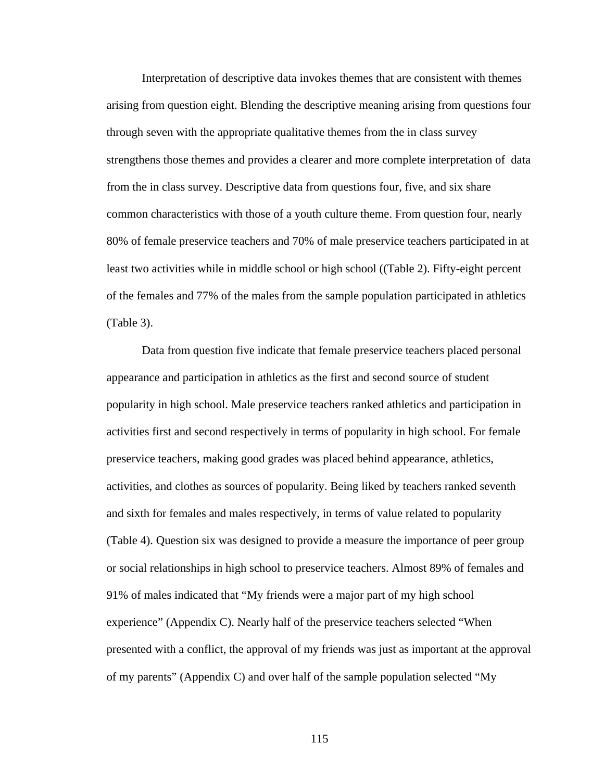Interpretation of descriptive data invokes themes that are consistent with themes arising from question eight. Blending the descriptive meaning arising from questions four through seven with the appropriate qualitative themes from the in class survey strengthens those themes and provides a clearer and more complete interpretation of data from the in class survey. Descriptive data from questions four, five, and six share common characteristics with those of a youth culture theme. From question four, nearly 80% of female preservice teachers and 70% of male preservice teachers participated in at least two activities while in middle school or high school ((Table 2). Fifty-eight percent of the females and 77% of the males from the sample population participated in athletics (Table 3).

Data from question five indicate that female preservice teachers placed personal appearance and participation in athletics as the first and second source of student popularity in high school. Male preservice teachers ranked athletics and participation in activities first and second respectively in terms of popularity in high school. For female preservice teachers, making good grades was placed behind appearance, athletics, activities, and clothes as sources of popularity. Being liked by teachers ranked seventh and sixth for females and males respectively, in terms of value related to popularity (Table 4). Question six was designed to provide a measure the importance of peer group or social relationships in high school to preservice teachers. Almost 89% of females and 91% of males indicated that "My friends were a major part of my high school experience" (Appendix C). Nearly half of the preservice teachers selected "When presented with a conflict, the approval of my friends was just as important at the approval of my parents" (Appendix C) and over half of the sample population selected "My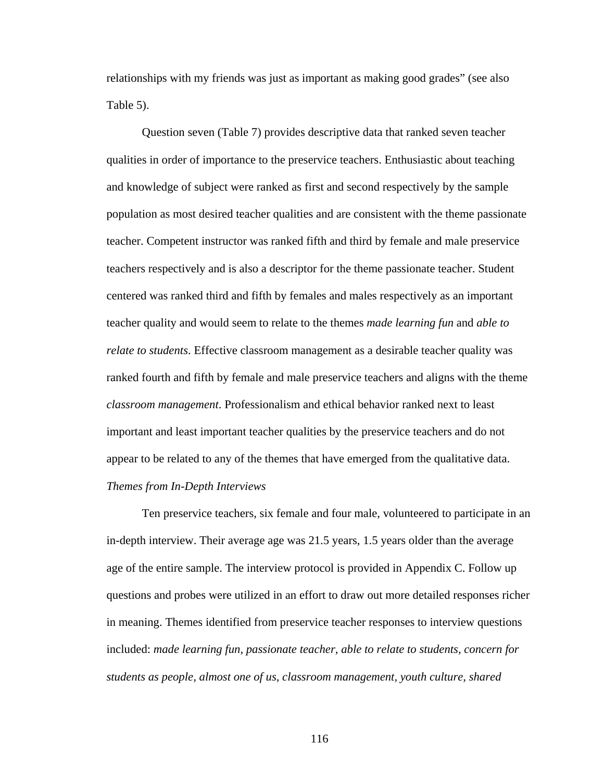relationships with my friends was just as important as making good grades" (see also Table 5).

 Question seven (Table 7) provides descriptive data that ranked seven teacher qualities in order of importance to the preservice teachers. Enthusiastic about teaching and knowledge of subject were ranked as first and second respectively by the sample population as most desired teacher qualities and are consistent with the theme passionate teacher. Competent instructor was ranked fifth and third by female and male preservice teachers respectively and is also a descriptor for the theme passionate teacher. Student centered was ranked third and fifth by females and males respectively as an important teacher quality and would seem to relate to the themes *made learning fun* and *able to relate to students*. Effective classroom management as a desirable teacher quality was ranked fourth and fifth by female and male preservice teachers and aligns with the theme *classroom management*. Professionalism and ethical behavior ranked next to least important and least important teacher qualities by the preservice teachers and do not appear to be related to any of the themes that have emerged from the qualitative data. *Themes from In-Depth Interviews* 

 Ten preservice teachers, six female and four male, volunteered to participate in an in-depth interview. Their average age was 21.5 years, 1.5 years older than the average age of the entire sample. The interview protocol is provided in Appendix C. Follow up questions and probes were utilized in an effort to draw out more detailed responses richer in meaning. Themes identified from preservice teacher responses to interview questions included: *made learning fun, passionate teacher, able to relate to students, concern for students as people, almost one of us, classroom management, youth culture, shared*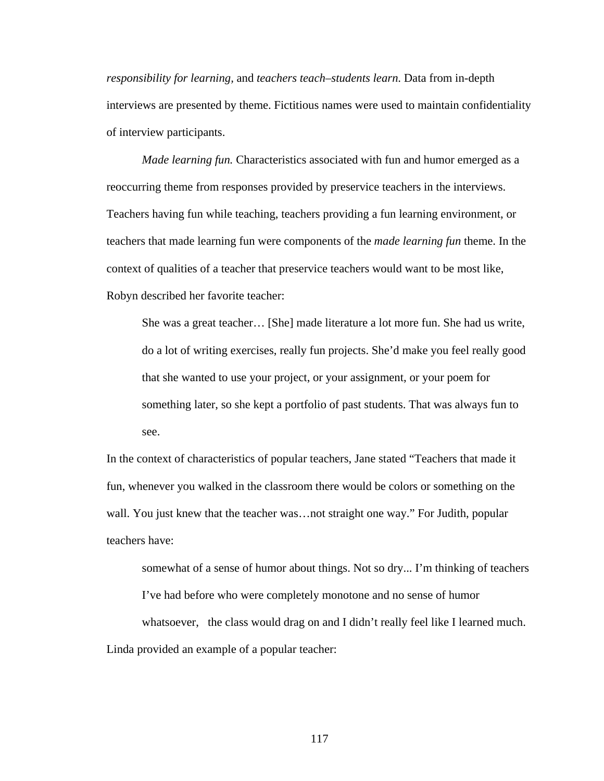*responsibility for learning,* and *teachers teach–students learn*. Data from in-depth interviews are presented by theme. Fictitious names were used to maintain confidentiality of interview participants.

*Made learning fun.* Characteristics associated with fun and humor emerged as a reoccurring theme from responses provided by preservice teachers in the interviews. Teachers having fun while teaching, teachers providing a fun learning environment, or teachers that made learning fun were components of the *made learning fun* theme. In the context of qualities of a teacher that preservice teachers would want to be most like, Robyn described her favorite teacher:

She was a great teacher… [She] made literature a lot more fun. She had us write, do a lot of writing exercises, really fun projects. She'd make you feel really good that she wanted to use your project, or your assignment, or your poem for something later, so she kept a portfolio of past students. That was always fun to see.

In the context of characteristics of popular teachers, Jane stated "Teachers that made it fun, whenever you walked in the classroom there would be colors or something on the wall. You just knew that the teacher was... not straight one way." For Judith, popular teachers have:

somewhat of a sense of humor about things. Not so dry... I'm thinking of teachers I've had before who were completely monotone and no sense of humor whatsoever, the class would drag on and I didn't really feel like I learned much. Linda provided an example of a popular teacher: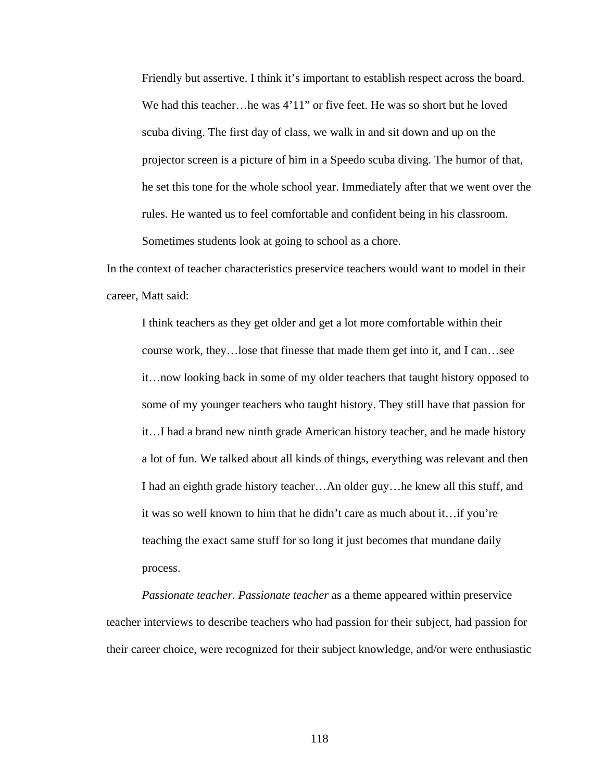Friendly but assertive. I think it's important to establish respect across the board. We had this teacher...he was  $4'11''$  or five feet. He was so short but he loved scuba diving. The first day of class, we walk in and sit down and up on the projector screen is a picture of him in a Speedo scuba diving. The humor of that, he set this tone for the whole school year. Immediately after that we went over the rules. He wanted us to feel comfortable and confident being in his classroom. Sometimes students look at going to school as a chore.

In the context of teacher characteristics preservice teachers would want to model in their career, Matt said:

I think teachers as they get older and get a lot more comfortable within their course work, they…lose that finesse that made them get into it, and I can…see it…now looking back in some of my older teachers that taught history opposed to some of my younger teachers who taught history. They still have that passion for it…I had a brand new ninth grade American history teacher, and he made history a lot of fun. We talked about all kinds of things, everything was relevant and then I had an eighth grade history teacher…An older guy…he knew all this stuff, and it was so well known to him that he didn't care as much about it…if you're teaching the exact same stuff for so long it just becomes that mundane daily process.

*Passionate teacher. Passionate teacher* as a theme appeared within preservice teacher interviews to describe teachers who had passion for their subject, had passion for their career choice, were recognized for their subject knowledge, and/or were enthusiastic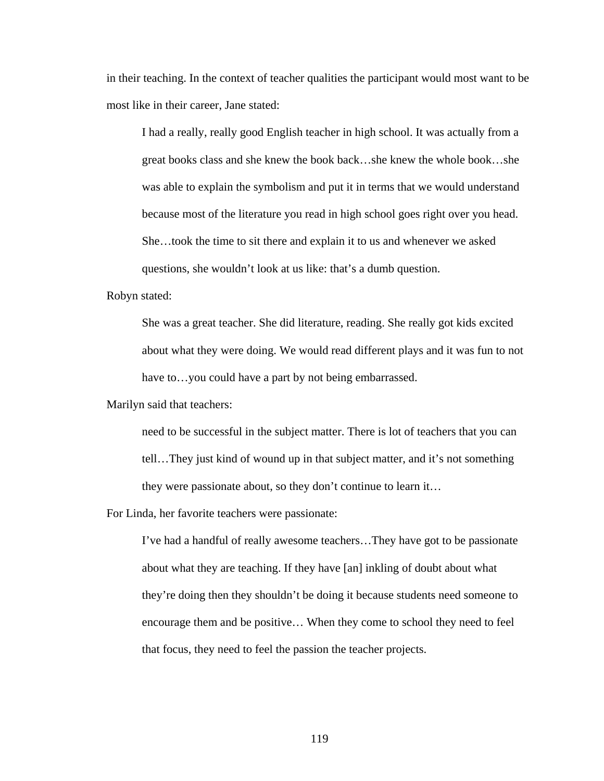in their teaching. In the context of teacher qualities the participant would most want to be most like in their career, Jane stated:

I had a really, really good English teacher in high school. It was actually from a great books class and she knew the book back…she knew the whole book…she was able to explain the symbolism and put it in terms that we would understand because most of the literature you read in high school goes right over you head. She…took the time to sit there and explain it to us and whenever we asked questions, she wouldn't look at us like: that's a dumb question.

Robyn stated:

She was a great teacher. She did literature, reading. She really got kids excited about what they were doing. We would read different plays and it was fun to not have to...you could have a part by not being embarrassed.

Marilyn said that teachers:

need to be successful in the subject matter. There is lot of teachers that you can tell…They just kind of wound up in that subject matter, and it's not something they were passionate about, so they don't continue to learn it…

For Linda, her favorite teachers were passionate:

I've had a handful of really awesome teachers…They have got to be passionate about what they are teaching. If they have [an] inkling of doubt about what they're doing then they shouldn't be doing it because students need someone to encourage them and be positive… When they come to school they need to feel that focus, they need to feel the passion the teacher projects.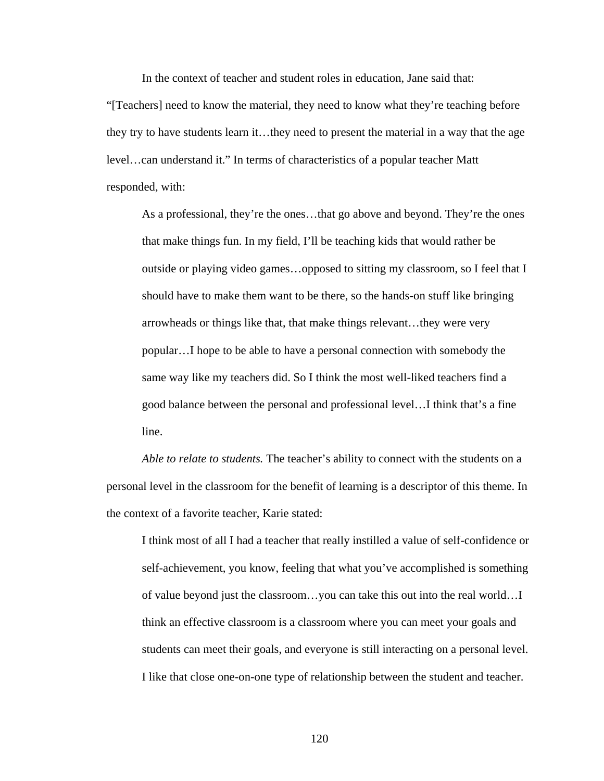In the context of teacher and student roles in education, Jane said that:

"[Teachers] need to know the material, they need to know what they're teaching before they try to have students learn it…they need to present the material in a way that the age level…can understand it." In terms of characteristics of a popular teacher Matt responded, with:

As a professional, they're the ones…that go above and beyond. They're the ones that make things fun. In my field, I'll be teaching kids that would rather be outside or playing video games…opposed to sitting my classroom, so I feel that I should have to make them want to be there, so the hands-on stuff like bringing arrowheads or things like that, that make things relevant…they were very popular…I hope to be able to have a personal connection with somebody the same way like my teachers did. So I think the most well-liked teachers find a good balance between the personal and professional level…I think that's a fine line.

*Able to relate to students.* The teacher's ability to connect with the students on a personal level in the classroom for the benefit of learning is a descriptor of this theme. In the context of a favorite teacher, Karie stated:

I think most of all I had a teacher that really instilled a value of self-confidence or self-achievement, you know, feeling that what you've accomplished is something of value beyond just the classroom…you can take this out into the real world…I think an effective classroom is a classroom where you can meet your goals and students can meet their goals, and everyone is still interacting on a personal level. I like that close one-on-one type of relationship between the student and teacher.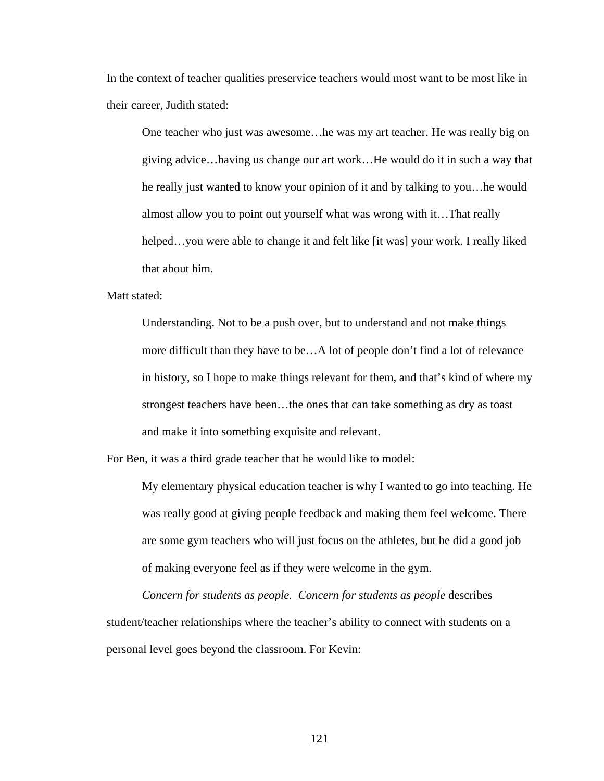In the context of teacher qualities preservice teachers would most want to be most like in their career, Judith stated:

One teacher who just was awesome…he was my art teacher. He was really big on giving advice…having us change our art work…He would do it in such a way that he really just wanted to know your opinion of it and by talking to you…he would almost allow you to point out yourself what was wrong with it…That really helped…you were able to change it and felt like [it was] your work. I really liked that about him.

Matt stated:

Understanding. Not to be a push over, but to understand and not make things more difficult than they have to be…A lot of people don't find a lot of relevance in history, so I hope to make things relevant for them, and that's kind of where my strongest teachers have been…the ones that can take something as dry as toast and make it into something exquisite and relevant.

For Ben, it was a third grade teacher that he would like to model:

My elementary physical education teacher is why I wanted to go into teaching. He was really good at giving people feedback and making them feel welcome. There are some gym teachers who will just focus on the athletes, but he did a good job of making everyone feel as if they were welcome in the gym.

*Concern for students as people. Concern for students as people* describes student/teacher relationships where the teacher's ability to connect with students on a personal level goes beyond the classroom. For Kevin: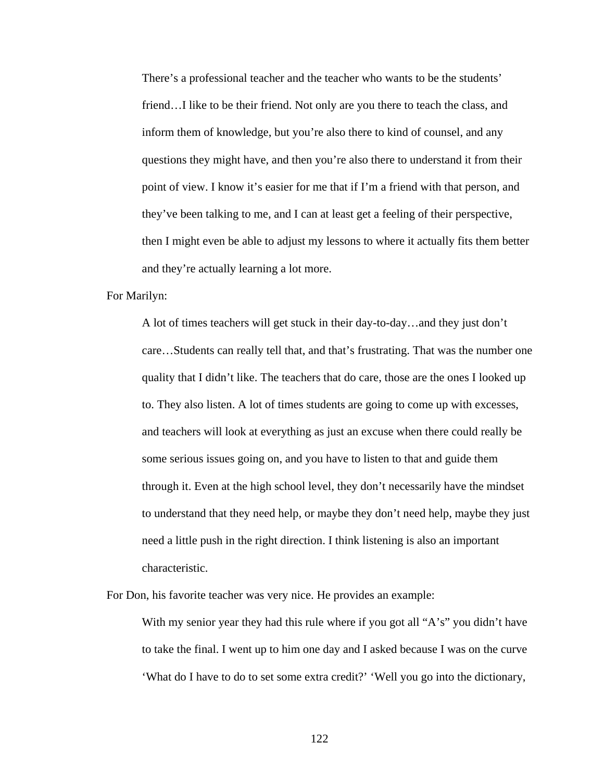There's a professional teacher and the teacher who wants to be the students' friend…I like to be their friend. Not only are you there to teach the class, and inform them of knowledge, but you're also there to kind of counsel, and any questions they might have, and then you're also there to understand it from their point of view. I know it's easier for me that if I'm a friend with that person, and they've been talking to me, and I can at least get a feeling of their perspective, then I might even be able to adjust my lessons to where it actually fits them better and they're actually learning a lot more.

For Marilyn:

A lot of times teachers will get stuck in their day-to-day…and they just don't care…Students can really tell that, and that's frustrating. That was the number one quality that I didn't like. The teachers that do care, those are the ones I looked up to. They also listen. A lot of times students are going to come up with excesses, and teachers will look at everything as just an excuse when there could really be some serious issues going on, and you have to listen to that and guide them through it. Even at the high school level, they don't necessarily have the mindset to understand that they need help, or maybe they don't need help, maybe they just need a little push in the right direction. I think listening is also an important characteristic.

For Don, his favorite teacher was very nice. He provides an example:

With my senior year they had this rule where if you got all "A's" you didn't have to take the final. I went up to him one day and I asked because I was on the curve 'What do I have to do to set some extra credit?' 'Well you go into the dictionary,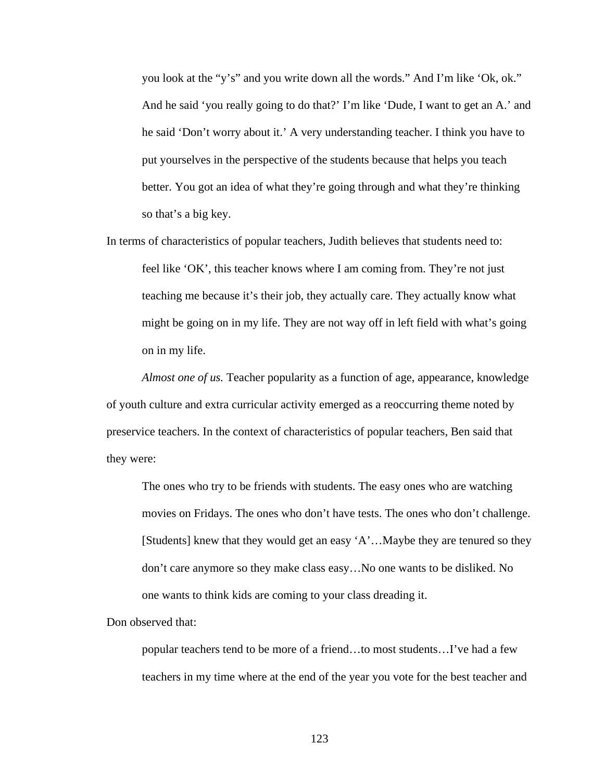you look at the "y's" and you write down all the words." And I'm like 'Ok, ok." And he said 'you really going to do that?' I'm like 'Dude, I want to get an A.' and he said 'Don't worry about it.' A very understanding teacher. I think you have to put yourselves in the perspective of the students because that helps you teach better. You got an idea of what they're going through and what they're thinking so that's a big key.

In terms of characteristics of popular teachers, Judith believes that students need to: feel like 'OK', this teacher knows where I am coming from. They're not just teaching me because it's their job, they actually care. They actually know what might be going on in my life. They are not way off in left field with what's going on in my life.

*Almost one of us.* Teacher popularity as a function of age, appearance, knowledge of youth culture and extra curricular activity emerged as a reoccurring theme noted by preservice teachers. In the context of characteristics of popular teachers, Ben said that they were:

The ones who try to be friends with students. The easy ones who are watching movies on Fridays. The ones who don't have tests. The ones who don't challenge. [Students] knew that they would get an easy 'A'…Maybe they are tenured so they don't care anymore so they make class easy…No one wants to be disliked. No one wants to think kids are coming to your class dreading it.

Don observed that:

popular teachers tend to be more of a friend…to most students…I've had a few teachers in my time where at the end of the year you vote for the best teacher and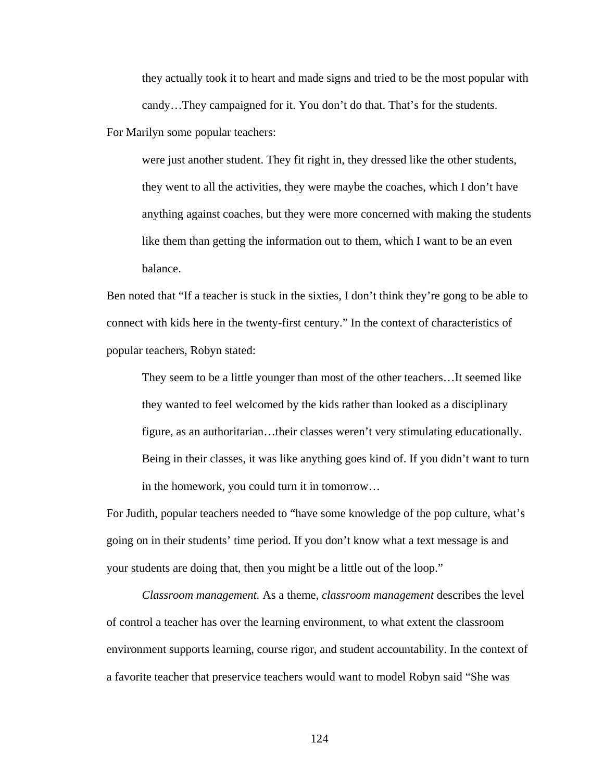they actually took it to heart and made signs and tried to be the most popular with candy…They campaigned for it. You don't do that. That's for the students.

For Marilyn some popular teachers:

were just another student. They fit right in, they dressed like the other students, they went to all the activities, they were maybe the coaches, which I don't have anything against coaches, but they were more concerned with making the students like them than getting the information out to them, which I want to be an even balance.

Ben noted that "If a teacher is stuck in the sixties, I don't think they're gong to be able to connect with kids here in the twenty-first century." In the context of characteristics of popular teachers, Robyn stated:

They seem to be a little younger than most of the other teachers…It seemed like they wanted to feel welcomed by the kids rather than looked as a disciplinary figure, as an authoritarian…their classes weren't very stimulating educationally. Being in their classes, it was like anything goes kind of. If you didn't want to turn in the homework, you could turn it in tomorrow…

For Judith, popular teachers needed to "have some knowledge of the pop culture, what's going on in their students' time period. If you don't know what a text message is and your students are doing that, then you might be a little out of the loop."

 *Classroom management.* As a theme, *classroom management* describes the level of control a teacher has over the learning environment, to what extent the classroom environment supports learning, course rigor, and student accountability. In the context of a favorite teacher that preservice teachers would want to model Robyn said "She was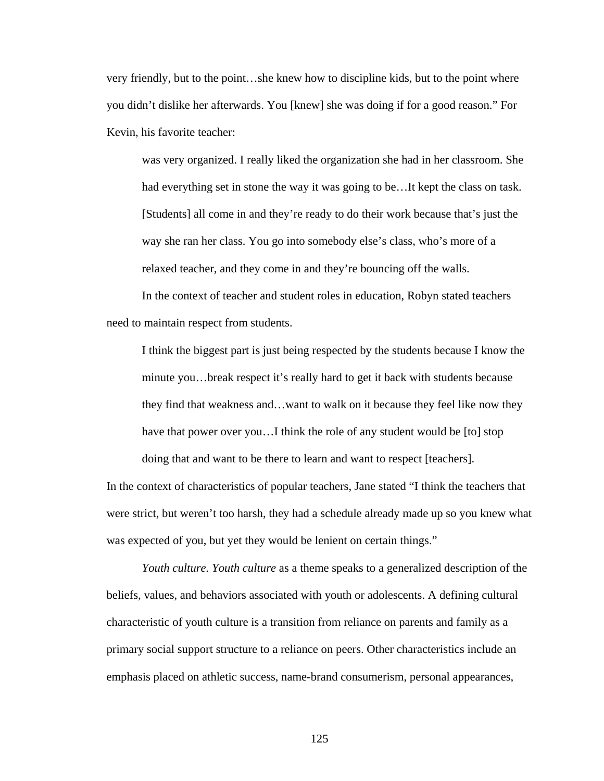very friendly, but to the point…she knew how to discipline kids, but to the point where you didn't dislike her afterwards. You [knew] she was doing if for a good reason." For Kevin, his favorite teacher:

was very organized. I really liked the organization she had in her classroom. She had everything set in stone the way it was going to be...It kept the class on task. [Students] all come in and they're ready to do their work because that's just the way she ran her class. You go into somebody else's class, who's more of a relaxed teacher, and they come in and they're bouncing off the walls.

In the context of teacher and student roles in education, Robyn stated teachers need to maintain respect from students.

I think the biggest part is just being respected by the students because I know the minute you…break respect it's really hard to get it back with students because they find that weakness and…want to walk on it because they feel like now they have that power over you…I think the role of any student would be [to] stop doing that and want to be there to learn and want to respect [teachers].

In the context of characteristics of popular teachers, Jane stated "I think the teachers that were strict, but weren't too harsh, they had a schedule already made up so you knew what was expected of you, but yet they would be lenient on certain things."

*Youth culture. Youth culture* as a theme speaks to a generalized description of the beliefs, values, and behaviors associated with youth or adolescents. A defining cultural characteristic of youth culture is a transition from reliance on parents and family as a primary social support structure to a reliance on peers. Other characteristics include an emphasis placed on athletic success, name-brand consumerism, personal appearances,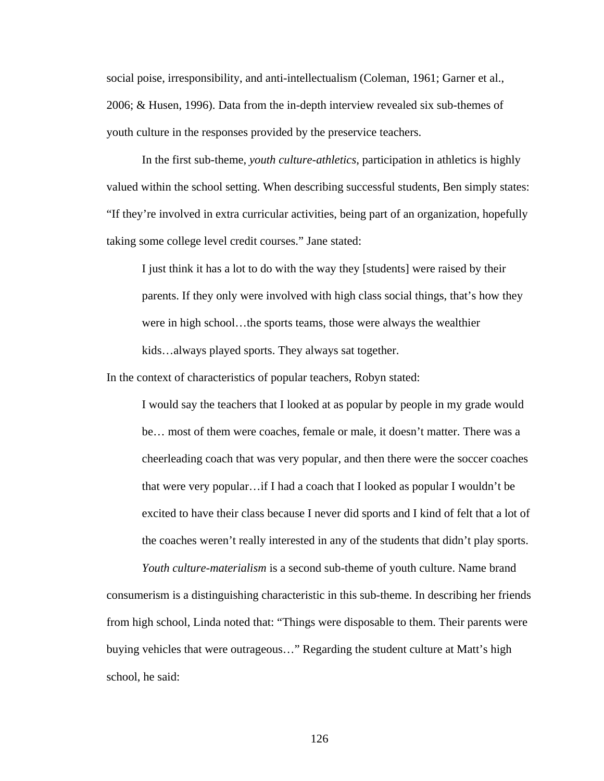social poise, irresponsibility, and anti-intellectualism (Coleman, 1961; Garner et al., 2006; & Husen, 1996). Data from the in-depth interview revealed six sub-themes of youth culture in the responses provided by the preservice teachers.

In the first sub-theme, *youth culture-athletics*, participation in athletics is highly valued within the school setting. When describing successful students, Ben simply states: "If they're involved in extra curricular activities, being part of an organization, hopefully taking some college level credit courses." Jane stated:

I just think it has a lot to do with the way they [students] were raised by their parents. If they only were involved with high class social things, that's how they were in high school…the sports teams, those were always the wealthier kids…always played sports. They always sat together.

In the context of characteristics of popular teachers, Robyn stated:

I would say the teachers that I looked at as popular by people in my grade would be… most of them were coaches, female or male, it doesn't matter. There was a cheerleading coach that was very popular, and then there were the soccer coaches that were very popular…if I had a coach that I looked as popular I wouldn't be excited to have their class because I never did sports and I kind of felt that a lot of the coaches weren't really interested in any of the students that didn't play sports.

*Youth culture-materialism* is a second sub-theme of youth culture. Name brand consumerism is a distinguishing characteristic in this sub-theme. In describing her friends from high school, Linda noted that: "Things were disposable to them. Their parents were buying vehicles that were outrageous…" Regarding the student culture at Matt's high school, he said: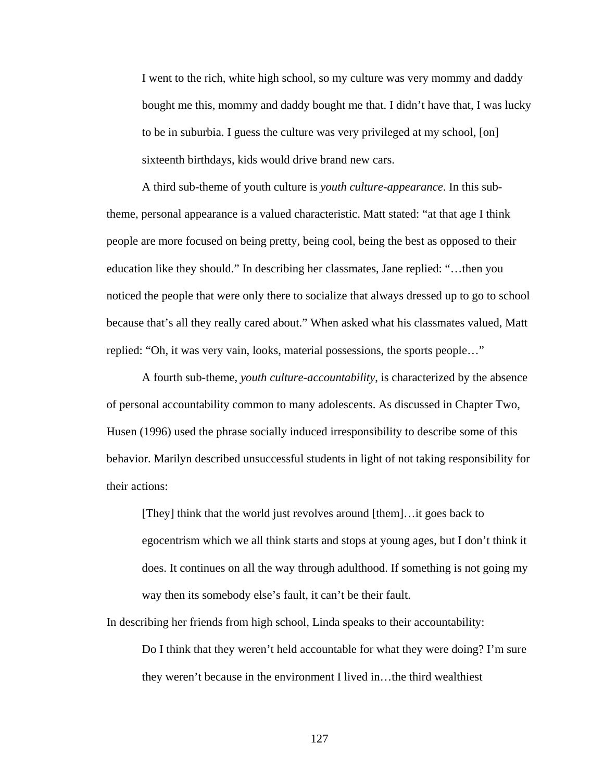I went to the rich, white high school, so my culture was very mommy and daddy bought me this, mommy and daddy bought me that. I didn't have that, I was lucky to be in suburbia. I guess the culture was very privileged at my school, [on] sixteenth birthdays, kids would drive brand new cars.

A third sub-theme of youth culture is *youth culture-appearance*. In this subtheme, personal appearance is a valued characteristic. Matt stated: "at that age I think people are more focused on being pretty, being cool, being the best as opposed to their education like they should." In describing her classmates, Jane replied: "…then you noticed the people that were only there to socialize that always dressed up to go to school because that's all they really cared about." When asked what his classmates valued, Matt replied: "Oh, it was very vain, looks, material possessions, the sports people…"

A fourth sub-theme, *youth culture-accountability*, is characterized by the absence of personal accountability common to many adolescents. As discussed in Chapter Two, Husen (1996) used the phrase socially induced irresponsibility to describe some of this behavior. Marilyn described unsuccessful students in light of not taking responsibility for their actions:

[They] think that the world just revolves around [them]…it goes back to egocentrism which we all think starts and stops at young ages, but I don't think it does. It continues on all the way through adulthood. If something is not going my way then its somebody else's fault, it can't be their fault.

In describing her friends from high school, Linda speaks to their accountability:

Do I think that they weren't held accountable for what they were doing? I'm sure they weren't because in the environment I lived in…the third wealthiest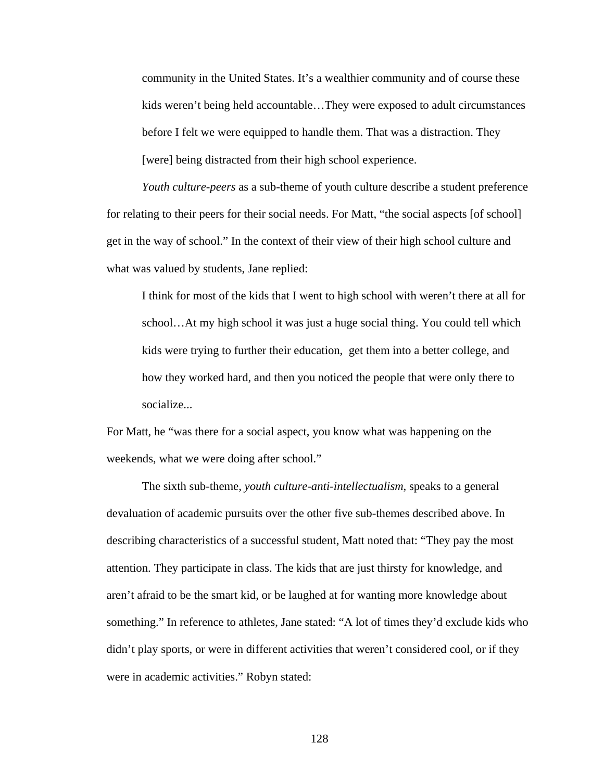community in the United States. It's a wealthier community and of course these kids weren't being held accountable…They were exposed to adult circumstances before I felt we were equipped to handle them. That was a distraction. They [were] being distracted from their high school experience.

*Youth culture-peers* as a sub-theme of youth culture describe a student preference for relating to their peers for their social needs. For Matt, "the social aspects [of school] get in the way of school." In the context of their view of their high school culture and what was valued by students, Jane replied:

I think for most of the kids that I went to high school with weren't there at all for school…At my high school it was just a huge social thing. You could tell which kids were trying to further their education, get them into a better college, and how they worked hard, and then you noticed the people that were only there to socialize...

For Matt, he "was there for a social aspect, you know what was happening on the weekends, what we were doing after school."

The sixth sub-theme, *youth culture-anti-intellectualism*, speaks to a general devaluation of academic pursuits over the other five sub-themes described above. In describing characteristics of a successful student, Matt noted that: "They pay the most attention. They participate in class. The kids that are just thirsty for knowledge, and aren't afraid to be the smart kid, or be laughed at for wanting more knowledge about something." In reference to athletes, Jane stated: "A lot of times they'd exclude kids who didn't play sports, or were in different activities that weren't considered cool, or if they were in academic activities." Robyn stated: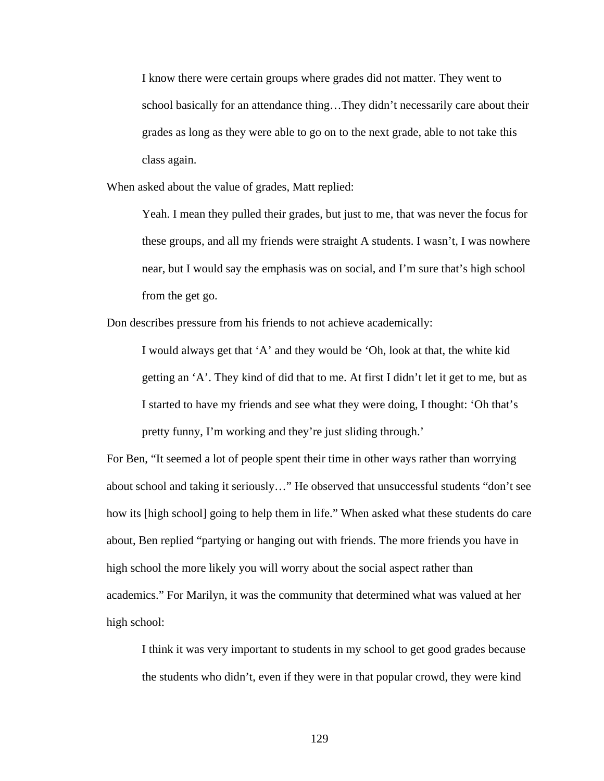I know there were certain groups where grades did not matter. They went to school basically for an attendance thing…They didn't necessarily care about their grades as long as they were able to go on to the next grade, able to not take this class again.

When asked about the value of grades, Matt replied:

Yeah. I mean they pulled their grades, but just to me, that was never the focus for these groups, and all my friends were straight A students. I wasn't, I was nowhere near, but I would say the emphasis was on social, and I'm sure that's high school from the get go.

Don describes pressure from his friends to not achieve academically:

I would always get that 'A' and they would be 'Oh, look at that, the white kid getting an 'A'. They kind of did that to me. At first I didn't let it get to me, but as I started to have my friends and see what they were doing, I thought: 'Oh that's pretty funny, I'm working and they're just sliding through.'

For Ben, "It seemed a lot of people spent their time in other ways rather than worrying about school and taking it seriously…" He observed that unsuccessful students "don't see how its [high school] going to help them in life." When asked what these students do care about, Ben replied "partying or hanging out with friends. The more friends you have in high school the more likely you will worry about the social aspect rather than academics." For Marilyn, it was the community that determined what was valued at her high school:

I think it was very important to students in my school to get good grades because the students who didn't, even if they were in that popular crowd, they were kind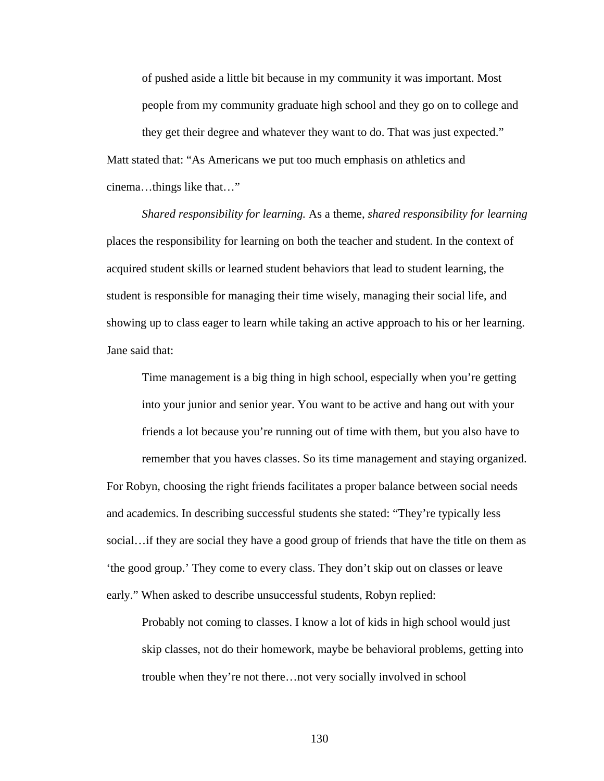of pushed aside a little bit because in my community it was important. Most people from my community graduate high school and they go on to college and they get their degree and whatever they want to do. That was just expected." Matt stated that: "As Americans we put too much emphasis on athletics and

cinema…things like that…"

*Shared responsibility for learning.* As a theme, *shared responsibility for learning* places the responsibility for learning on both the teacher and student. In the context of acquired student skills or learned student behaviors that lead to student learning, the student is responsible for managing their time wisely, managing their social life, and showing up to class eager to learn while taking an active approach to his or her learning. Jane said that:

Time management is a big thing in high school, especially when you're getting into your junior and senior year. You want to be active and hang out with your friends a lot because you're running out of time with them, but you also have to remember that you haves classes. So its time management and staying organized.

For Robyn, choosing the right friends facilitates a proper balance between social needs and academics. In describing successful students she stated: "They're typically less social…if they are social they have a good group of friends that have the title on them as 'the good group.' They come to every class. They don't skip out on classes or leave early." When asked to describe unsuccessful students, Robyn replied:

Probably not coming to classes. I know a lot of kids in high school would just skip classes, not do their homework, maybe be behavioral problems, getting into trouble when they're not there…not very socially involved in school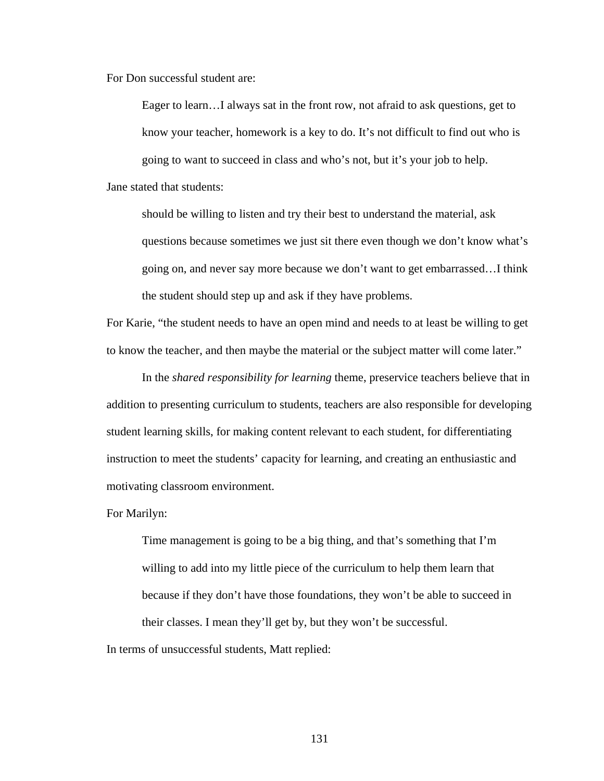For Don successful student are:

Eager to learn…I always sat in the front row, not afraid to ask questions, get to know your teacher, homework is a key to do. It's not difficult to find out who is going to want to succeed in class and who's not, but it's your job to help. Jane stated that students:

should be willing to listen and try their best to understand the material, ask questions because sometimes we just sit there even though we don't know what's going on, and never say more because we don't want to get embarrassed…I think the student should step up and ask if they have problems.

For Karie, "the student needs to have an open mind and needs to at least be willing to get to know the teacher, and then maybe the material or the subject matter will come later."

 In the *shared responsibility for learning* theme, preservice teachers believe that in addition to presenting curriculum to students, teachers are also responsible for developing student learning skills, for making content relevant to each student, for differentiating instruction to meet the students' capacity for learning, and creating an enthusiastic and motivating classroom environment.

For Marilyn:

Time management is going to be a big thing, and that's something that I'm willing to add into my little piece of the curriculum to help them learn that because if they don't have those foundations, they won't be able to succeed in their classes. I mean they'll get by, but they won't be successful.

In terms of unsuccessful students, Matt replied: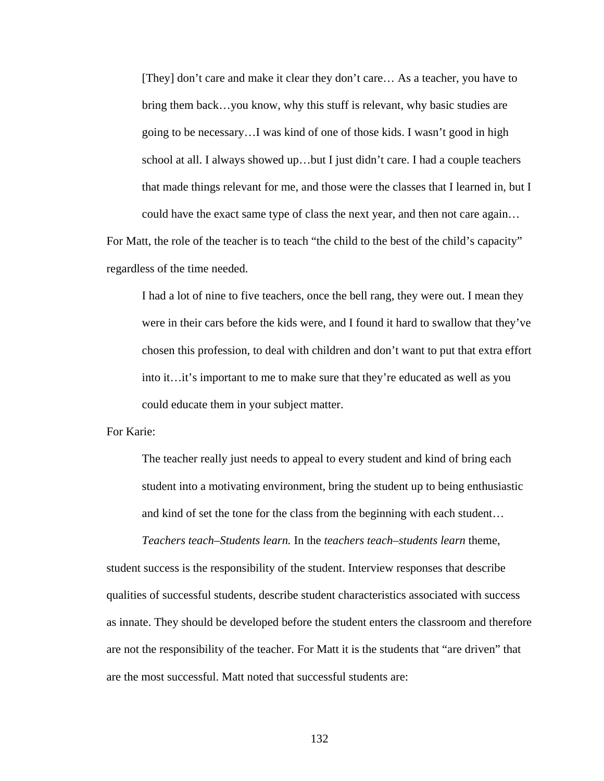[They] don't care and make it clear they don't care… As a teacher, you have to bring them back…you know, why this stuff is relevant, why basic studies are going to be necessary…I was kind of one of those kids. I wasn't good in high school at all. I always showed up…but I just didn't care. I had a couple teachers that made things relevant for me, and those were the classes that I learned in, but I could have the exact same type of class the next year, and then not care again…

For Matt, the role of the teacher is to teach "the child to the best of the child's capacity" regardless of the time needed.

I had a lot of nine to five teachers, once the bell rang, they were out. I mean they were in their cars before the kids were, and I found it hard to swallow that they've chosen this profession, to deal with children and don't want to put that extra effort into it…it's important to me to make sure that they're educated as well as you could educate them in your subject matter.

For Karie:

The teacher really just needs to appeal to every student and kind of bring each student into a motivating environment, bring the student up to being enthusiastic and kind of set the tone for the class from the beginning with each student…

*Teachers teach–Students learn.* In the *teachers teach–students learn* theme,

student success is the responsibility of the student. Interview responses that describe qualities of successful students, describe student characteristics associated with success as innate. They should be developed before the student enters the classroom and therefore are not the responsibility of the teacher. For Matt it is the students that "are driven" that are the most successful. Matt noted that successful students are: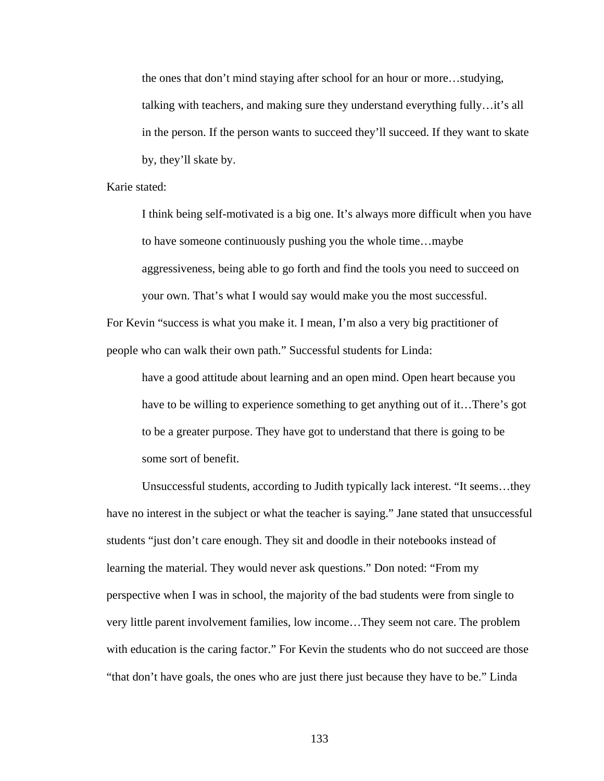the ones that don't mind staying after school for an hour or more…studying, talking with teachers, and making sure they understand everything fully…it's all in the person. If the person wants to succeed they'll succeed. If they want to skate by, they'll skate by.

Karie stated:

I think being self-motivated is a big one. It's always more difficult when you have to have someone continuously pushing you the whole time…maybe aggressiveness, being able to go forth and find the tools you need to succeed on your own. That's what I would say would make you the most successful.

For Kevin "success is what you make it. I mean, I'm also a very big practitioner of people who can walk their own path." Successful students for Linda:

have a good attitude about learning and an open mind. Open heart because you have to be willing to experience something to get anything out of it…There's got to be a greater purpose. They have got to understand that there is going to be some sort of benefit.

Unsuccessful students, according to Judith typically lack interest. "It seems…they have no interest in the subject or what the teacher is saying." Jane stated that unsuccessful students "just don't care enough. They sit and doodle in their notebooks instead of learning the material. They would never ask questions." Don noted: "From my perspective when I was in school, the majority of the bad students were from single to very little parent involvement families, low income…They seem not care. The problem with education is the caring factor." For Kevin the students who do not succeed are those "that don't have goals, the ones who are just there just because they have to be." Linda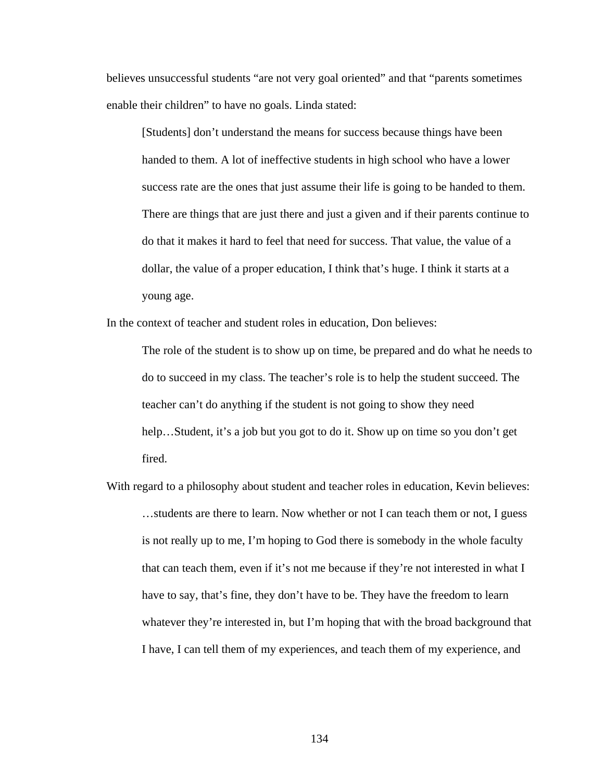believes unsuccessful students "are not very goal oriented" and that "parents sometimes enable their children" to have no goals. Linda stated:

[Students] don't understand the means for success because things have been handed to them. A lot of ineffective students in high school who have a lower success rate are the ones that just assume their life is going to be handed to them. There are things that are just there and just a given and if their parents continue to do that it makes it hard to feel that need for success. That value, the value of a dollar, the value of a proper education, I think that's huge. I think it starts at a young age.

In the context of teacher and student roles in education, Don believes:

The role of the student is to show up on time, be prepared and do what he needs to do to succeed in my class. The teacher's role is to help the student succeed. The teacher can't do anything if the student is not going to show they need help…Student, it's a job but you got to do it. Show up on time so you don't get fired.

With regard to a philosophy about student and teacher roles in education, Kevin believes: …students are there to learn. Now whether or not I can teach them or not, I guess is not really up to me, I'm hoping to God there is somebody in the whole faculty that can teach them, even if it's not me because if they're not interested in what I have to say, that's fine, they don't have to be. They have the freedom to learn whatever they're interested in, but I'm hoping that with the broad background that I have, I can tell them of my experiences, and teach them of my experience, and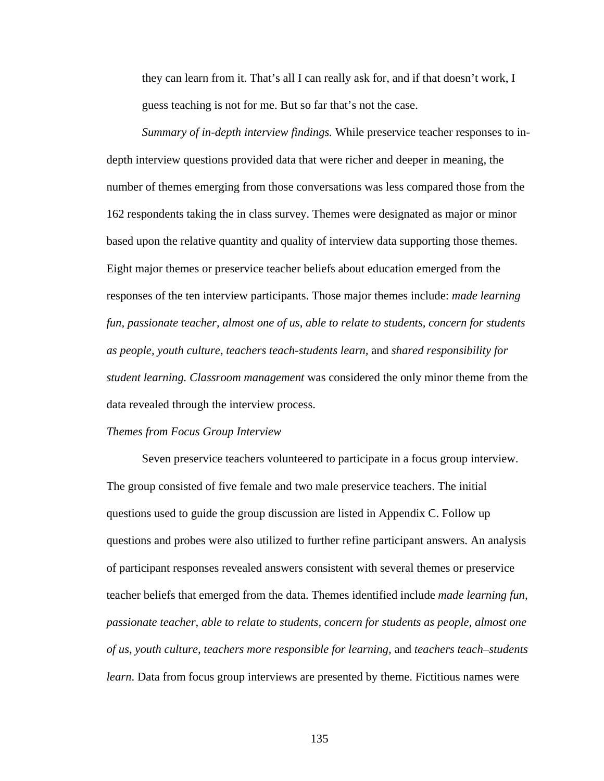they can learn from it. That's all I can really ask for, and if that doesn't work, I guess teaching is not for me. But so far that's not the case.

*Summary of in-depth interview findings.* While preservice teacher responses to indepth interview questions provided data that were richer and deeper in meaning, the number of themes emerging from those conversations was less compared those from the 162 respondents taking the in class survey. Themes were designated as major or minor based upon the relative quantity and quality of interview data supporting those themes. Eight major themes or preservice teacher beliefs about education emerged from the responses of the ten interview participants. Those major themes include: *made learning fun, passionate teacher, almost one of us, able to relate to students, concern for students as people, youth culture, teachers teach-students learn,* and *shared responsibility for student learning. Classroom management* was considered the only minor theme from the data revealed through the interview process.

#### *Themes from Focus Group Interview*

 Seven preservice teachers volunteered to participate in a focus group interview. The group consisted of five female and two male preservice teachers. The initial questions used to guide the group discussion are listed in Appendix C. Follow up questions and probes were also utilized to further refine participant answers. An analysis of participant responses revealed answers consistent with several themes or preservice teacher beliefs that emerged from the data. Themes identified include *made learning fun, passionate teacher, able to relate to students, concern for students as people, almost one of us, youth culture, teachers more responsible for learning,* and *teachers teach–students learn*. Data from focus group interviews are presented by theme. Fictitious names were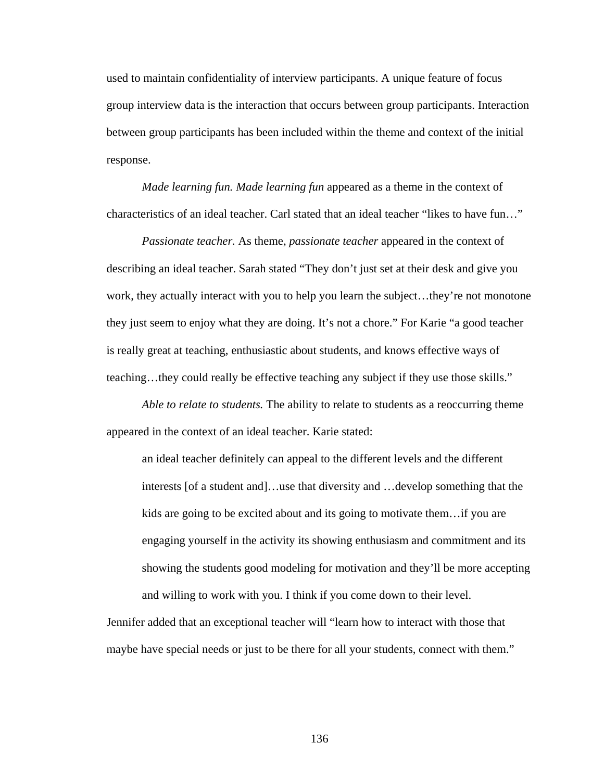used to maintain confidentiality of interview participants. A unique feature of focus group interview data is the interaction that occurs between group participants. Interaction between group participants has been included within the theme and context of the initial response.

*Made learning fun. Made learning fun* appeared as a theme in the context of characteristics of an ideal teacher. Carl stated that an ideal teacher "likes to have fun…"

*Passionate teacher.* As theme, *passionate teacher* appeared in the context of describing an ideal teacher. Sarah stated "They don't just set at their desk and give you work, they actually interact with you to help you learn the subject…they're not monotone they just seem to enjoy what they are doing. It's not a chore." For Karie "a good teacher is really great at teaching, enthusiastic about students, and knows effective ways of teaching…they could really be effective teaching any subject if they use those skills."

*Able to relate to students.* The ability to relate to students as a reoccurring theme appeared in the context of an ideal teacher. Karie stated:

an ideal teacher definitely can appeal to the different levels and the different interests [of a student and]…use that diversity and …develop something that the kids are going to be excited about and its going to motivate them…if you are engaging yourself in the activity its showing enthusiasm and commitment and its showing the students good modeling for motivation and they'll be more accepting and willing to work with you. I think if you come down to their level.

Jennifer added that an exceptional teacher will "learn how to interact with those that maybe have special needs or just to be there for all your students, connect with them."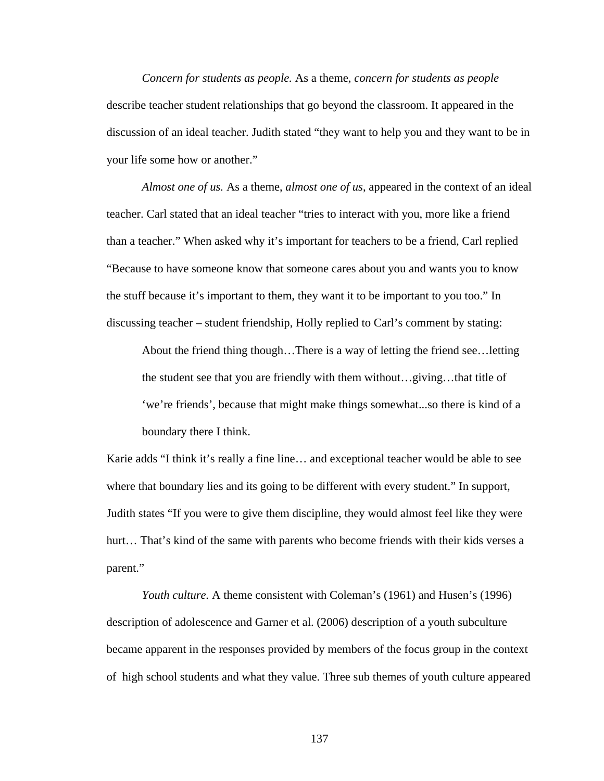*Concern for students as people.* As a theme, *concern for students as people* describe teacher student relationships that go beyond the classroom. It appeared in the discussion of an ideal teacher. Judith stated "they want to help you and they want to be in your life some how or another."

*Almost one of us.* As a theme, *almost one of us*, appeared in the context of an ideal teacher. Carl stated that an ideal teacher "tries to interact with you, more like a friend than a teacher." When asked why it's important for teachers to be a friend, Carl replied "Because to have someone know that someone cares about you and wants you to know the stuff because it's important to them, they want it to be important to you too." In discussing teacher – student friendship, Holly replied to Carl's comment by stating:

About the friend thing though…There is a way of letting the friend see…letting the student see that you are friendly with them without…giving…that title of 'we're friends', because that might make things somewhat...so there is kind of a boundary there I think.

Karie adds "I think it's really a fine line… and exceptional teacher would be able to see where that boundary lies and its going to be different with every student." In support, Judith states "If you were to give them discipline, they would almost feel like they were hurt... That's kind of the same with parents who become friends with their kids verses a parent."

*Youth culture.* A theme consistent with Coleman's (1961) and Husen's (1996) description of adolescence and Garner et al. (2006) description of a youth subculture became apparent in the responses provided by members of the focus group in the context of high school students and what they value. Three sub themes of youth culture appeared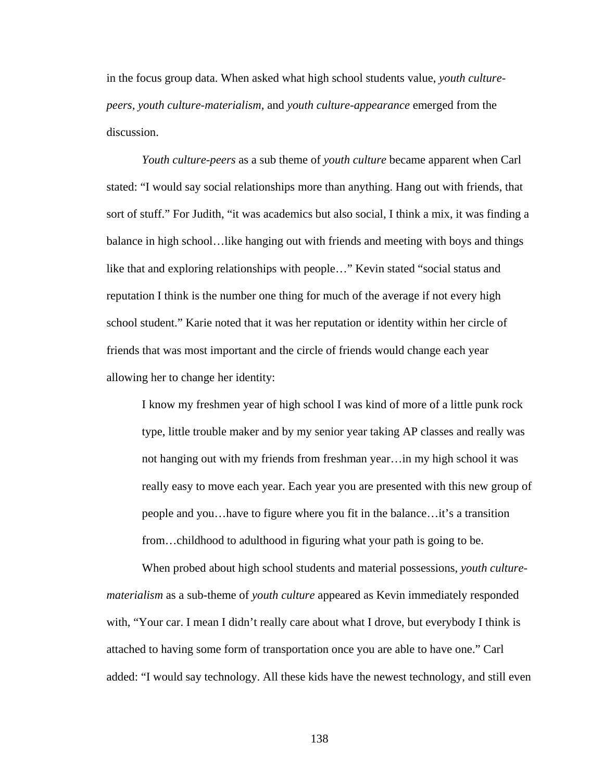in the focus group data. When asked what high school students value, *youth culturepeers, youth culture-materialism,* and *youth culture-appearance* emerged from the discussion.

*Youth culture-peers* as a sub theme of *youth culture* became apparent when Carl stated: "I would say social relationships more than anything. Hang out with friends, that sort of stuff." For Judith, "it was academics but also social, I think a mix, it was finding a balance in high school…like hanging out with friends and meeting with boys and things like that and exploring relationships with people…" Kevin stated "social status and reputation I think is the number one thing for much of the average if not every high school student." Karie noted that it was her reputation or identity within her circle of friends that was most important and the circle of friends would change each year allowing her to change her identity:

I know my freshmen year of high school I was kind of more of a little punk rock type, little trouble maker and by my senior year taking AP classes and really was not hanging out with my friends from freshman year…in my high school it was really easy to move each year. Each year you are presented with this new group of people and you…have to figure where you fit in the balance…it's a transition from…childhood to adulthood in figuring what your path is going to be.

When probed about high school students and material possessions, *youth culturematerialism* as a sub-theme of *youth culture* appeared as Kevin immediately responded with, "Your car. I mean I didn't really care about what I drove, but everybody I think is attached to having some form of transportation once you are able to have one." Carl added: "I would say technology. All these kids have the newest technology, and still even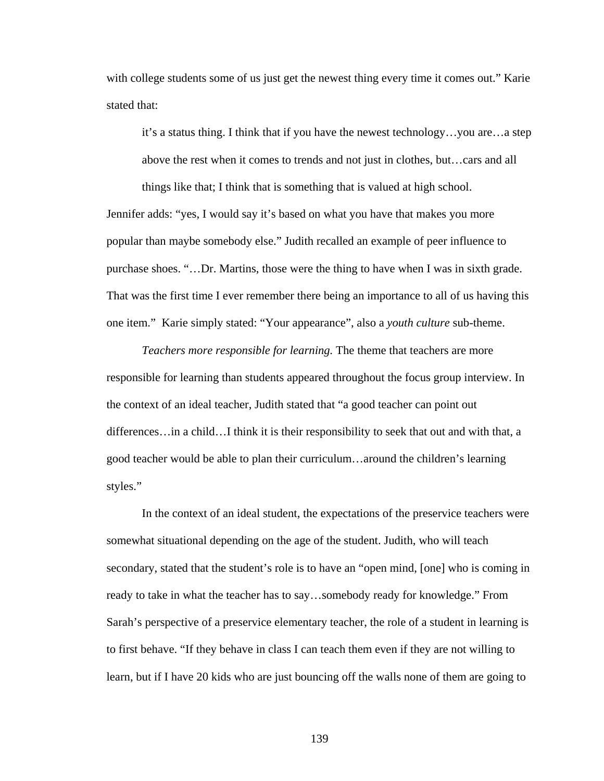with college students some of us just get the newest thing every time it comes out." Karie stated that:

it's a status thing. I think that if you have the newest technology…you are…a step

above the rest when it comes to trends and not just in clothes, but…cars and all

things like that; I think that is something that is valued at high school.

Jennifer adds: "yes, I would say it's based on what you have that makes you more popular than maybe somebody else." Judith recalled an example of peer influence to purchase shoes. "…Dr. Martins, those were the thing to have when I was in sixth grade. That was the first time I ever remember there being an importance to all of us having this one item." Karie simply stated: "Your appearance", also a *youth culture* sub-theme.

*Teachers more responsible for learning.* The theme that teachers are more responsible for learning than students appeared throughout the focus group interview. In the context of an ideal teacher, Judith stated that "a good teacher can point out differences…in a child…I think it is their responsibility to seek that out and with that, a good teacher would be able to plan their curriculum…around the children's learning styles."

In the context of an ideal student, the expectations of the preservice teachers were somewhat situational depending on the age of the student. Judith, who will teach secondary, stated that the student's role is to have an "open mind, [one] who is coming in ready to take in what the teacher has to say…somebody ready for knowledge." From Sarah's perspective of a preservice elementary teacher, the role of a student in learning is to first behave. "If they behave in class I can teach them even if they are not willing to learn, but if I have 20 kids who are just bouncing off the walls none of them are going to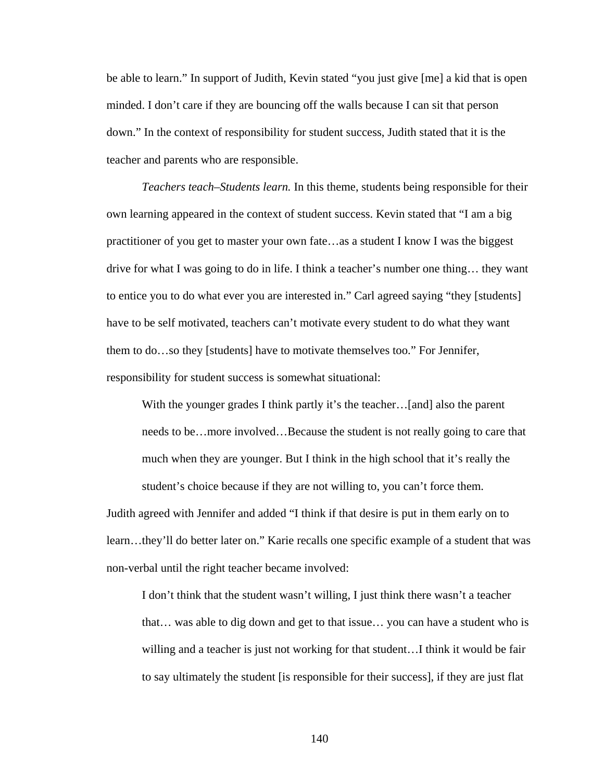be able to learn." In support of Judith, Kevin stated "you just give [me] a kid that is open minded. I don't care if they are bouncing off the walls because I can sit that person down." In the context of responsibility for student success, Judith stated that it is the teacher and parents who are responsible.

*Teachers teach–Students learn.* In this theme, students being responsible for their own learning appeared in the context of student success. Kevin stated that "I am a big practitioner of you get to master your own fate…as a student I know I was the biggest drive for what I was going to do in life. I think a teacher's number one thing… they want to entice you to do what ever you are interested in." Carl agreed saying "they [students] have to be self motivated, teachers can't motivate every student to do what they want them to do…so they [students] have to motivate themselves too." For Jennifer, responsibility for student success is somewhat situational:

With the younger grades I think partly it's the teacher...[and] also the parent needs to be…more involved…Because the student is not really going to care that much when they are younger. But I think in the high school that it's really the student's choice because if they are not willing to, you can't force them.

Judith agreed with Jennifer and added "I think if that desire is put in them early on to learn…they'll do better later on." Karie recalls one specific example of a student that was non-verbal until the right teacher became involved:

I don't think that the student wasn't willing, I just think there wasn't a teacher that… was able to dig down and get to that issue… you can have a student who is willing and a teacher is just not working for that student…I think it would be fair to say ultimately the student [is responsible for their success], if they are just flat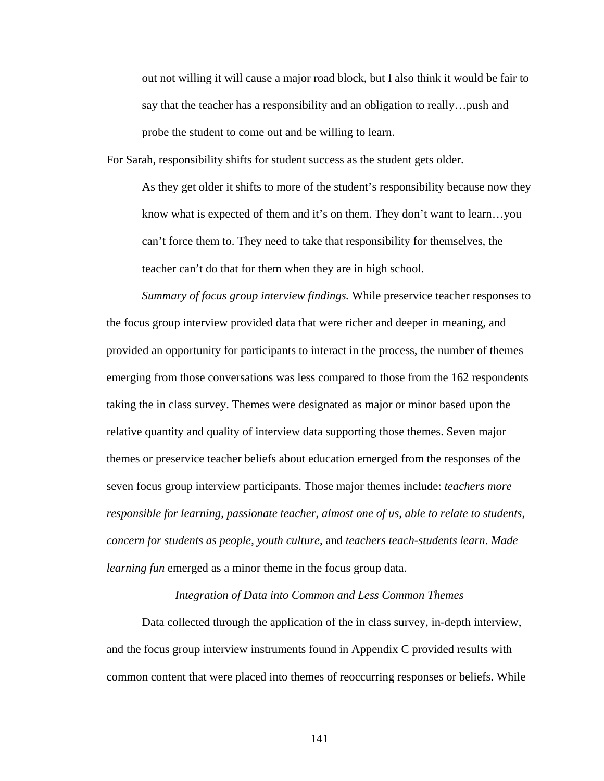out not willing it will cause a major road block, but I also think it would be fair to say that the teacher has a responsibility and an obligation to really…push and probe the student to come out and be willing to learn.

For Sarah, responsibility shifts for student success as the student gets older.

As they get older it shifts to more of the student's responsibility because now they know what is expected of them and it's on them. They don't want to learn…you can't force them to. They need to take that responsibility for themselves, the teacher can't do that for them when they are in high school.

*Summary of focus group interview findings.* While preservice teacher responses to the focus group interview provided data that were richer and deeper in meaning, and provided an opportunity for participants to interact in the process, the number of themes emerging from those conversations was less compared to those from the 162 respondents taking the in class survey. Themes were designated as major or minor based upon the relative quantity and quality of interview data supporting those themes. Seven major themes or preservice teacher beliefs about education emerged from the responses of the seven focus group interview participants. Those major themes include: *teachers more responsible for learning*, *passionate teacher*, *almost one of us*, *able to relate to students*, *concern for students as people*, *youth culture*, and *teachers teach-students learn*. *Made learning fun* emerged as a minor theme in the focus group data.

### *Integration of Data into Common and Less Common Themes*

 Data collected through the application of the in class survey, in-depth interview, and the focus group interview instruments found in Appendix C provided results with common content that were placed into themes of reoccurring responses or beliefs. While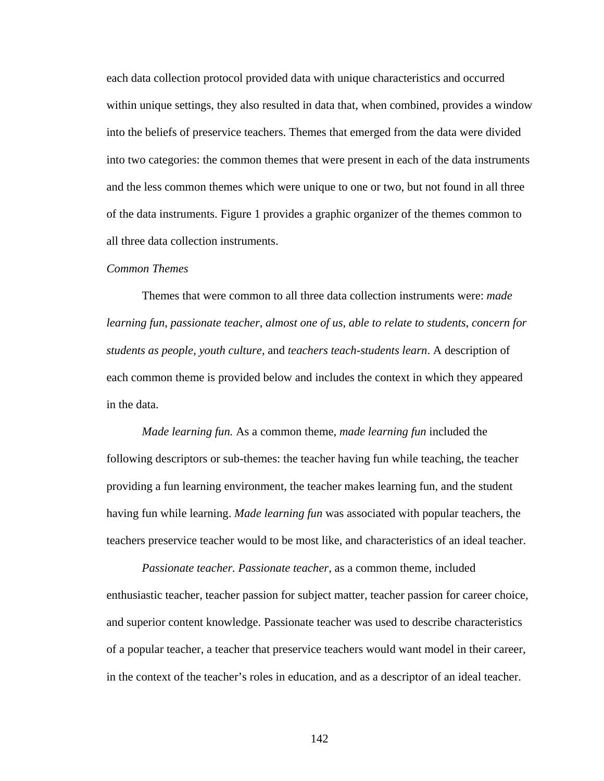each data collection protocol provided data with unique characteristics and occurred within unique settings, they also resulted in data that, when combined, provides a window into the beliefs of preservice teachers. Themes that emerged from the data were divided into two categories: the common themes that were present in each of the data instruments and the less common themes which were unique to one or two, but not found in all three of the data instruments. Figure 1 provides a graphic organizer of the themes common to all three data collection instruments.

### *Common Themes*

 Themes that were common to all three data collection instruments were: *made learning fun*, *passionate teacher*, *almost one of us*, *able to relate to students*, *concern for students as people*, *youth culture*, and *teachers teach-students learn*. A description of each common theme is provided below and includes the context in which they appeared in the data.

*Made learning fun.* As a common theme, *made learning fun* included the following descriptors or sub-themes: the teacher having fun while teaching, the teacher providing a fun learning environment, the teacher makes learning fun, and the student having fun while learning. *Made learning fun* was associated with popular teachers, the teachers preservice teacher would to be most like, and characteristics of an ideal teacher.

*Passionate teacher. Passionate teacher*, as a common theme, included enthusiastic teacher, teacher passion for subject matter, teacher passion for career choice, and superior content knowledge. Passionate teacher was used to describe characteristics of a popular teacher, a teacher that preservice teachers would want model in their career, in the context of the teacher's roles in education, and as a descriptor of an ideal teacher.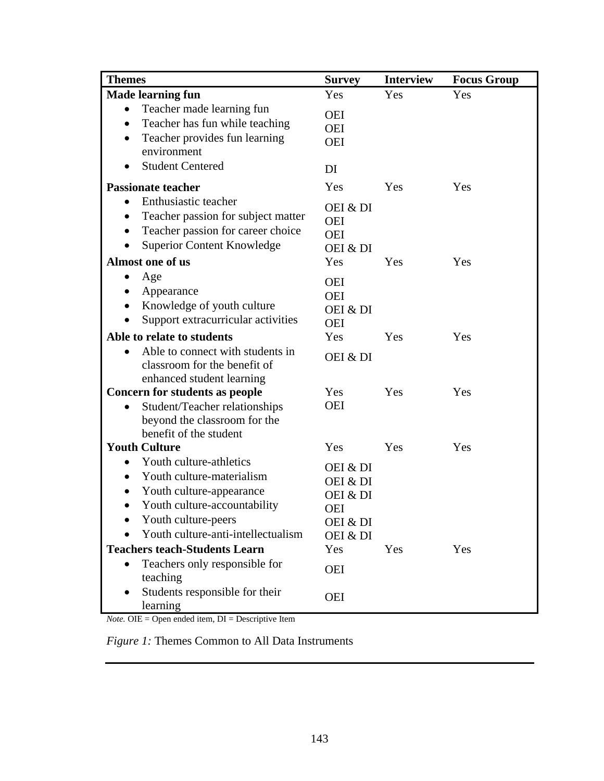| <b>Themes</b>                                                                                                                                                                                                        | <b>Survey</b>                                                   | <b>Interview</b> | <b>Focus Group</b> |
|----------------------------------------------------------------------------------------------------------------------------------------------------------------------------------------------------------------------|-----------------------------------------------------------------|------------------|--------------------|
| <b>Made learning fun</b>                                                                                                                                                                                             | Yes                                                             | Yes              | Yes                |
| Teacher made learning fun<br>$\bullet$<br>Teacher has fun while teaching<br>$\bullet$<br>Teacher provides fun learning<br>$\bullet$<br>environment                                                                   | <b>OEI</b><br><b>OEI</b><br><b>OEI</b>                          |                  |                    |
| <b>Student Centered</b>                                                                                                                                                                                              | DI                                                              |                  |                    |
| <b>Passionate teacher</b>                                                                                                                                                                                            | Yes                                                             | Yes              | Yes                |
| Enthusiastic teacher<br>$\bullet$<br>Teacher passion for subject matter<br>$\bullet$<br>Teacher passion for career choice<br>$\bullet$<br><b>Superior Content Knowledge</b>                                          | OEI & DI<br><b>OEI</b><br><b>OEI</b><br>OEI & DI                |                  |                    |
| Almost one of us                                                                                                                                                                                                     | Yes                                                             | Yes              | Yes                |
| Age<br>Appearance<br>Knowledge of youth culture<br>$\bullet$<br>Support extracurricular activities                                                                                                                   | <b>OEI</b><br><b>OEI</b><br>OEI & DI<br><b>OEI</b>              |                  |                    |
| Able to relate to students                                                                                                                                                                                           | Yes                                                             | Yes              | Yes                |
| Able to connect with students in<br>$\bullet$<br>classroom for the benefit of<br>enhanced student learning                                                                                                           | OEI & DI                                                        |                  |                    |
| Concern for students as people                                                                                                                                                                                       | Yes                                                             | Yes              | Yes                |
| Student/Teacher relationships<br>beyond the classroom for the<br>benefit of the student                                                                                                                              | <b>OEI</b>                                                      |                  |                    |
| <b>Youth Culture</b>                                                                                                                                                                                                 | Yes                                                             | Yes              | Yes                |
| Youth culture-athletics<br>$\bullet$<br>Youth culture-materialism<br>$\bullet$<br>Youth culture-appearance<br>Youth culture-accountability<br>$\bullet$<br>Youth culture-peers<br>Youth culture-anti-intellectualism | OEI & DI<br>OEI & DI<br>OEI & DI<br>OEI<br>OEI & DI<br>OEI & DI |                  |                    |
| <b>Teachers teach-Students Learn</b>                                                                                                                                                                                 | Yes                                                             | Yes              | Yes                |
| Teachers only responsible for<br>$\bullet$<br>teaching                                                                                                                                                               | <b>OEI</b>                                                      |                  |                    |
| Students responsible for their<br>learning                                                                                                                                                                           | <b>OEI</b>                                                      |                  |                    |

*Note.* OIE = Open ended item, DI = Descriptive Item

*Figure 1:* Themes Common to All Data Instruments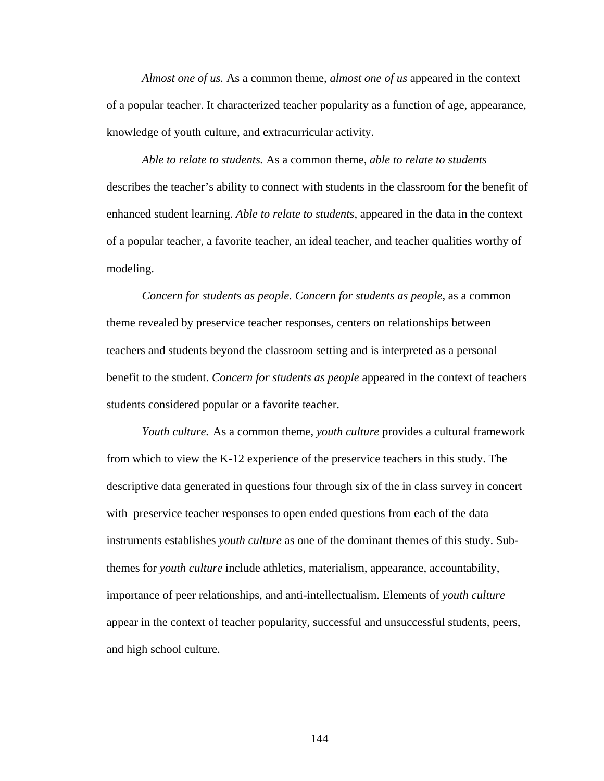*Almost one of us.* As a common theme, *almost one of us* appeared in the context of a popular teacher. It characterized teacher popularity as a function of age, appearance, knowledge of youth culture, and extracurricular activity.

*Able to relate to students.* As a common theme, *able to relate to students* describes the teacher's ability to connect with students in the classroom for the benefit of enhanced student learning. *Able to relate to students*, appeared in the data in the context of a popular teacher, a favorite teacher, an ideal teacher, and teacher qualities worthy of modeling.

*Concern for students as people. Concern for students as people*, as a common theme revealed by preservice teacher responses, centers on relationships between teachers and students beyond the classroom setting and is interpreted as a personal benefit to the student. *Concern for students as people* appeared in the context of teachers students considered popular or a favorite teacher.

*Youth culture.* As a common theme, *youth culture* provides a cultural framework from which to view the K-12 experience of the preservice teachers in this study. The descriptive data generated in questions four through six of the in class survey in concert with preservice teacher responses to open ended questions from each of the data instruments establishes *youth culture* as one of the dominant themes of this study. Subthemes for *youth culture* include athletics, materialism, appearance, accountability, importance of peer relationships, and anti-intellectualism. Elements of *youth culture* appear in the context of teacher popularity, successful and unsuccessful students, peers, and high school culture.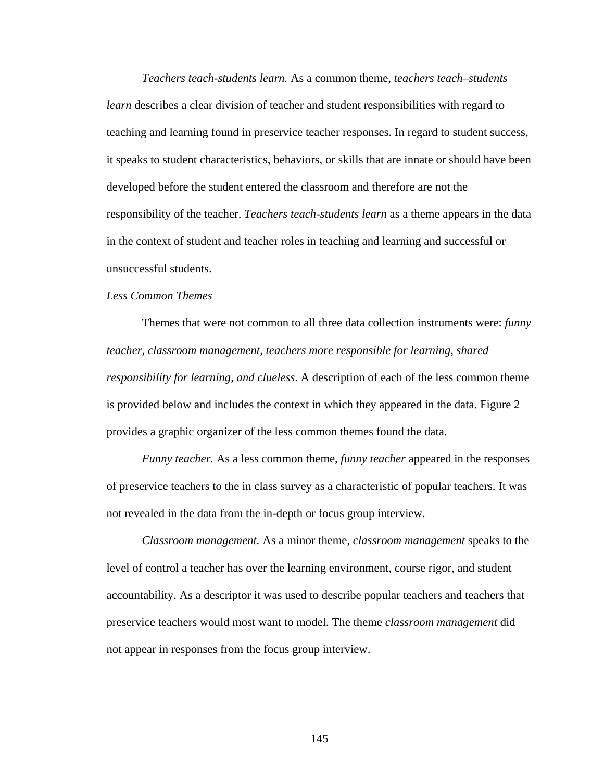*Teachers teach-students learn.* As a common theme, *teachers teach–students learn* describes a clear division of teacher and student responsibilities with regard to teaching and learning found in preservice teacher responses. In regard to student success, it speaks to student characteristics, behaviors, or skills that are innate or should have been developed before the student entered the classroom and therefore are not the responsibility of the teacher. *Teachers teach-students learn* as a theme appears in the data in the context of student and teacher roles in teaching and learning and successful or unsuccessful students.

# *Less Common Themes*

Themes that were not common to all three data collection instruments were: *funny teacher, classroom management, teachers more responsible for learning, shared responsibility for learning, and clueless*. A description of each of the less common theme is provided below and includes the context in which they appeared in the data. Figure 2 provides a graphic organizer of the less common themes found the data.

*Funny teacher.* As a less common theme, *funny teacher* appeared in the responses of preservice teachers to the in class survey as a characteristic of popular teachers. It was not revealed in the data from the in-depth or focus group interview.

*Classroom management.* As a minor theme, *classroom management* speaks to the level of control a teacher has over the learning environment, course rigor, and student accountability. As a descriptor it was used to describe popular teachers and teachers that preservice teachers would most want to model. The theme *classroom management* did not appear in responses from the focus group interview.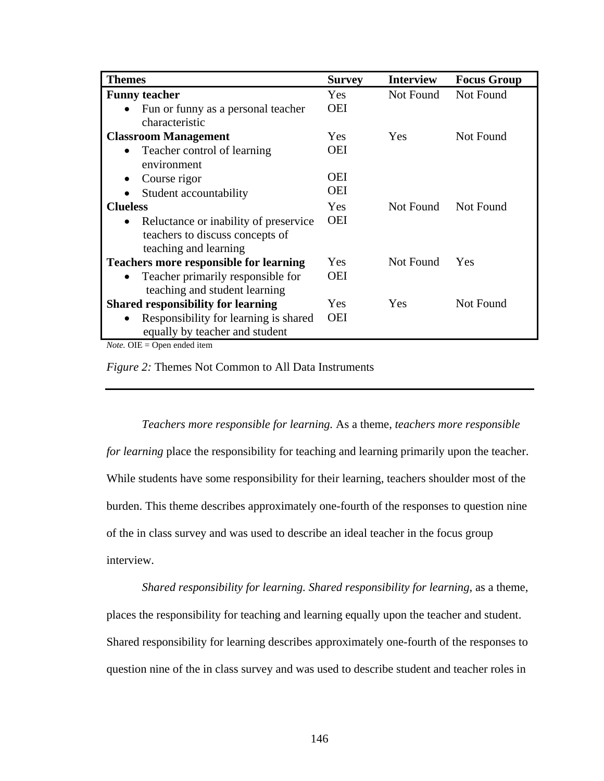| <b>Themes</b>                                      | <b>Survey</b> | <b>Interview</b> | <b>Focus Group</b> |
|----------------------------------------------------|---------------|------------------|--------------------|
| <b>Funny teacher</b>                               | Yes.          | Not Found        | Not Found          |
| Fun or funny as a personal teacher<br>$\bullet$    | <b>OEI</b>    |                  |                    |
| characteristic                                     |               |                  |                    |
| <b>Classroom Management</b>                        | <b>Yes</b>    | Yes              | Not Found          |
| Teacher control of learning<br>$\bullet$           | <b>OEI</b>    |                  |                    |
| environment                                        |               |                  |                    |
| Course rigor<br>$\bullet$                          | OEI           |                  |                    |
| Student accountability                             | <b>OEI</b>    |                  |                    |
| <b>Clueless</b>                                    | <b>Yes</b>    | Not Found        | Not Found          |
| Reluctance or inability of preservice<br>$\bullet$ | <b>OEI</b>    |                  |                    |
| teachers to discuss concepts of                    |               |                  |                    |
| teaching and learning                              |               |                  |                    |
| <b>Teachers more responsible for learning</b>      | <b>Yes</b>    | Not Found        | <b>Yes</b>         |
| Teacher primarily responsible for                  | <b>OEI</b>    |                  |                    |
| teaching and student learning                      |               |                  |                    |
| <b>Shared responsibility for learning</b>          | <b>Yes</b>    | Yes              | Not Found          |
| Responsibility for learning is shared<br>$\bullet$ | <b>OEI</b>    |                  |                    |
| equally by teacher and student                     |               |                  |                    |

*Note.* OIE = Open ended item

*Figure 2:* Themes Not Common to All Data Instruments

#### *Teachers more responsible for learning.* As a theme, *teachers more responsible*

*for learning* place the responsibility for teaching and learning primarily upon the teacher. While students have some responsibility for their learning, teachers shoulder most of the burden. This theme describes approximately one-fourth of the responses to question nine of the in class survey and was used to describe an ideal teacher in the focus group interview.

*Shared responsibility for learning. Shared responsibility for learning*, as a theme, places the responsibility for teaching and learning equally upon the teacher and student. Shared responsibility for learning describes approximately one-fourth of the responses to question nine of the in class survey and was used to describe student and teacher roles in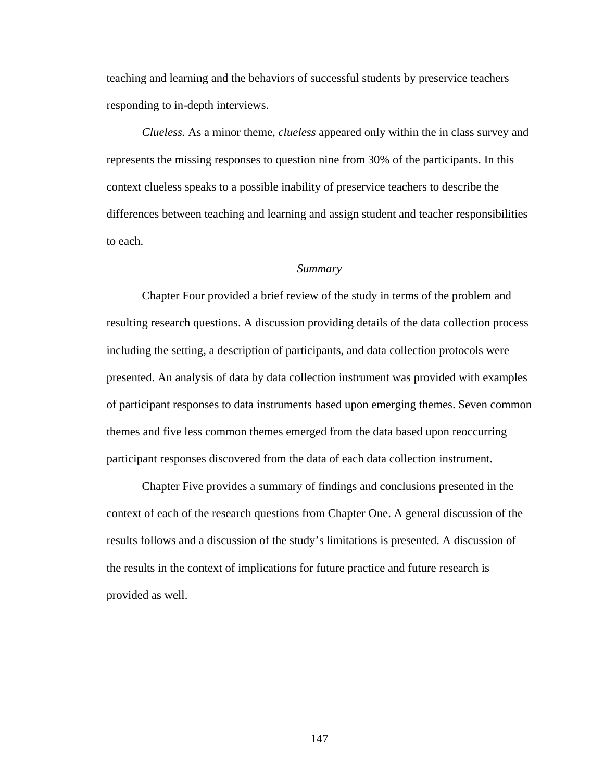teaching and learning and the behaviors of successful students by preservice teachers responding to in-depth interviews.

*Clueless.* As a minor theme, *clueless* appeared only within the in class survey and represents the missing responses to question nine from 30% of the participants. In this context clueless speaks to a possible inability of preservice teachers to describe the differences between teaching and learning and assign student and teacher responsibilities to each.

#### *Summary*

 Chapter Four provided a brief review of the study in terms of the problem and resulting research questions. A discussion providing details of the data collection process including the setting, a description of participants, and data collection protocols were presented. An analysis of data by data collection instrument was provided with examples of participant responses to data instruments based upon emerging themes. Seven common themes and five less common themes emerged from the data based upon reoccurring participant responses discovered from the data of each data collection instrument.

 Chapter Five provides a summary of findings and conclusions presented in the context of each of the research questions from Chapter One. A general discussion of the results follows and a discussion of the study's limitations is presented. A discussion of the results in the context of implications for future practice and future research is provided as well.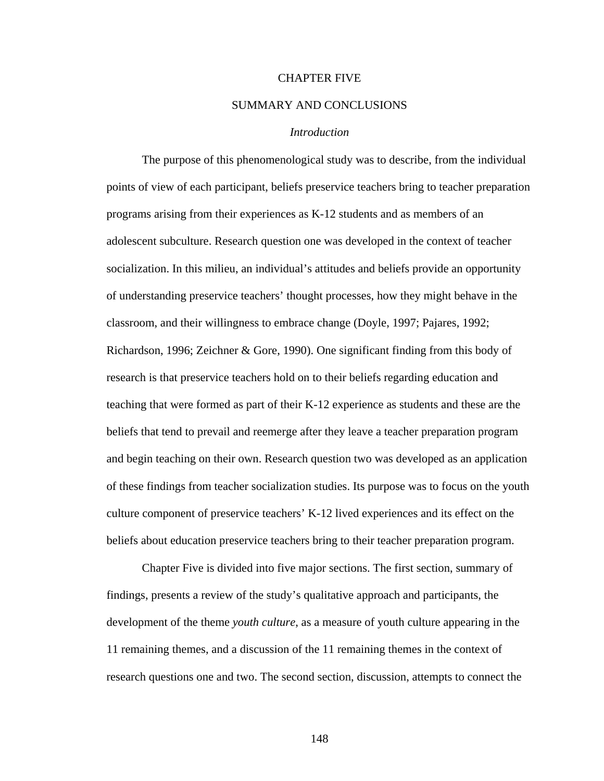### CHAPTER FIVE

# SUMMARY AND CONCLUSIONS

## *Introduction*

The purpose of this phenomenological study was to describe, from the individual points of view of each participant, beliefs preservice teachers bring to teacher preparation programs arising from their experiences as K-12 students and as members of an adolescent subculture. Research question one was developed in the context of teacher socialization. In this milieu, an individual's attitudes and beliefs provide an opportunity of understanding preservice teachers' thought processes, how they might behave in the classroom, and their willingness to embrace change (Doyle, 1997; Pajares, 1992; Richardson, 1996; Zeichner & Gore, 1990). One significant finding from this body of research is that preservice teachers hold on to their beliefs regarding education and teaching that were formed as part of their K-12 experience as students and these are the beliefs that tend to prevail and reemerge after they leave a teacher preparation program and begin teaching on their own. Research question two was developed as an application of these findings from teacher socialization studies. Its purpose was to focus on the youth culture component of preservice teachers' K-12 lived experiences and its effect on the beliefs about education preservice teachers bring to their teacher preparation program.

Chapter Five is divided into five major sections. The first section, summary of findings, presents a review of the study's qualitative approach and participants, the development of the theme *youth culture*, as a measure of youth culture appearing in the 11 remaining themes, and a discussion of the 11 remaining themes in the context of research questions one and two. The second section, discussion, attempts to connect the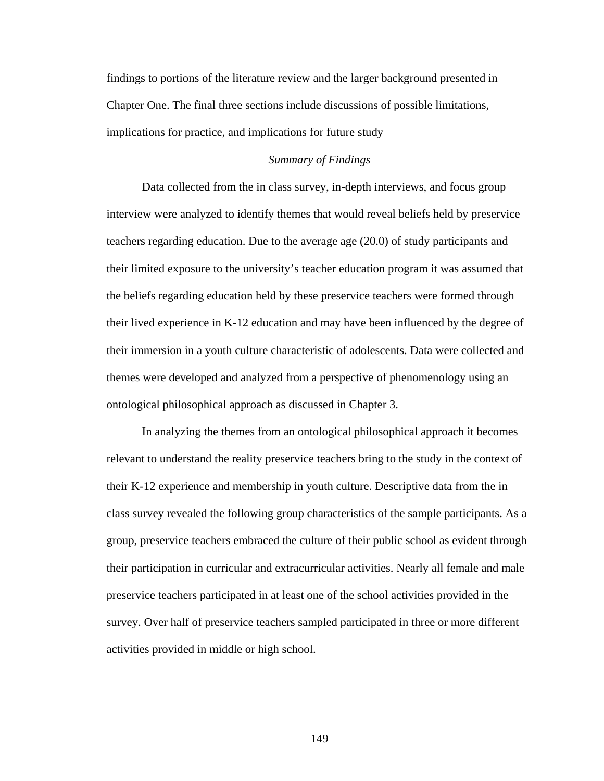findings to portions of the literature review and the larger background presented in Chapter One. The final three sections include discussions of possible limitations, implications for practice, and implications for future study

# *Summary of Findings*

 Data collected from the in class survey, in-depth interviews, and focus group interview were analyzed to identify themes that would reveal beliefs held by preservice teachers regarding education. Due to the average age (20.0) of study participants and their limited exposure to the university's teacher education program it was assumed that the beliefs regarding education held by these preservice teachers were formed through their lived experience in K-12 education and may have been influenced by the degree of their immersion in a youth culture characteristic of adolescents. Data were collected and themes were developed and analyzed from a perspective of phenomenology using an ontological philosophical approach as discussed in Chapter 3.

 In analyzing the themes from an ontological philosophical approach it becomes relevant to understand the reality preservice teachers bring to the study in the context of their K-12 experience and membership in youth culture. Descriptive data from the in class survey revealed the following group characteristics of the sample participants. As a group, preservice teachers embraced the culture of their public school as evident through their participation in curricular and extracurricular activities. Nearly all female and male preservice teachers participated in at least one of the school activities provided in the survey. Over half of preservice teachers sampled participated in three or more different activities provided in middle or high school.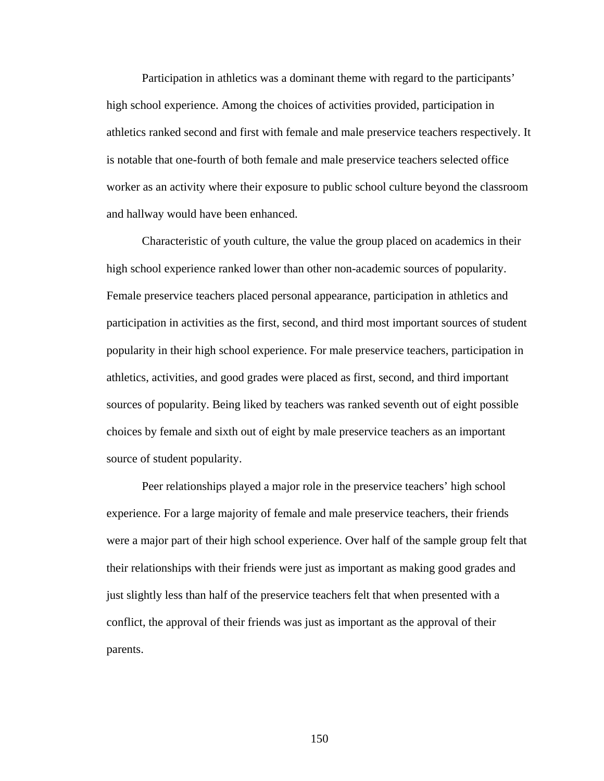Participation in athletics was a dominant theme with regard to the participants' high school experience. Among the choices of activities provided, participation in athletics ranked second and first with female and male preservice teachers respectively. It is notable that one-fourth of both female and male preservice teachers selected office worker as an activity where their exposure to public school culture beyond the classroom and hallway would have been enhanced.

Characteristic of youth culture, the value the group placed on academics in their high school experience ranked lower than other non-academic sources of popularity. Female preservice teachers placed personal appearance, participation in athletics and participation in activities as the first, second, and third most important sources of student popularity in their high school experience. For male preservice teachers, participation in athletics, activities, and good grades were placed as first, second, and third important sources of popularity. Being liked by teachers was ranked seventh out of eight possible choices by female and sixth out of eight by male preservice teachers as an important source of student popularity.

Peer relationships played a major role in the preservice teachers' high school experience. For a large majority of female and male preservice teachers, their friends were a major part of their high school experience. Over half of the sample group felt that their relationships with their friends were just as important as making good grades and just slightly less than half of the preservice teachers felt that when presented with a conflict, the approval of their friends was just as important as the approval of their parents.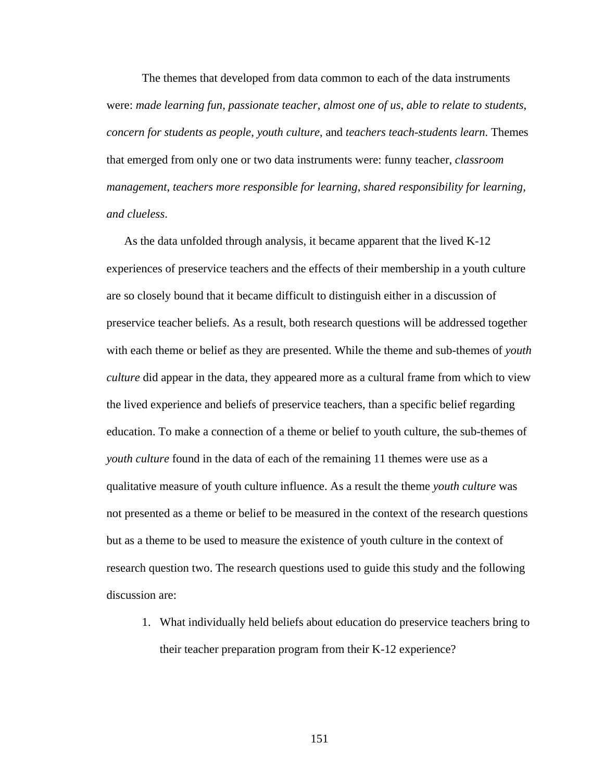The themes that developed from data common to each of the data instruments were: *made learning fun*, *passionate teacher*, *almost one of us*, *able to relate to students*, *concern for students as people*, *youth culture*, and *teachers teach-students learn*. Themes that emerged from only one or two data instruments were: funny teacher, *classroom management*, *teachers more responsible for learning*, *shared responsibility for learning, and clueless*.

As the data unfolded through analysis, it became apparent that the lived K-12 experiences of preservice teachers and the effects of their membership in a youth culture are so closely bound that it became difficult to distinguish either in a discussion of preservice teacher beliefs. As a result, both research questions will be addressed together with each theme or belief as they are presented. While the theme and sub-themes of *youth culture* did appear in the data, they appeared more as a cultural frame from which to view the lived experience and beliefs of preservice teachers, than a specific belief regarding education. To make a connection of a theme or belief to youth culture, the sub-themes of *youth culture* found in the data of each of the remaining 11 themes were use as a qualitative measure of youth culture influence. As a result the theme *youth culture* was not presented as a theme or belief to be measured in the context of the research questions but as a theme to be used to measure the existence of youth culture in the context of research question two. The research questions used to guide this study and the following discussion are:

1. What individually held beliefs about education do preservice teachers bring to their teacher preparation program from their K-12 experience?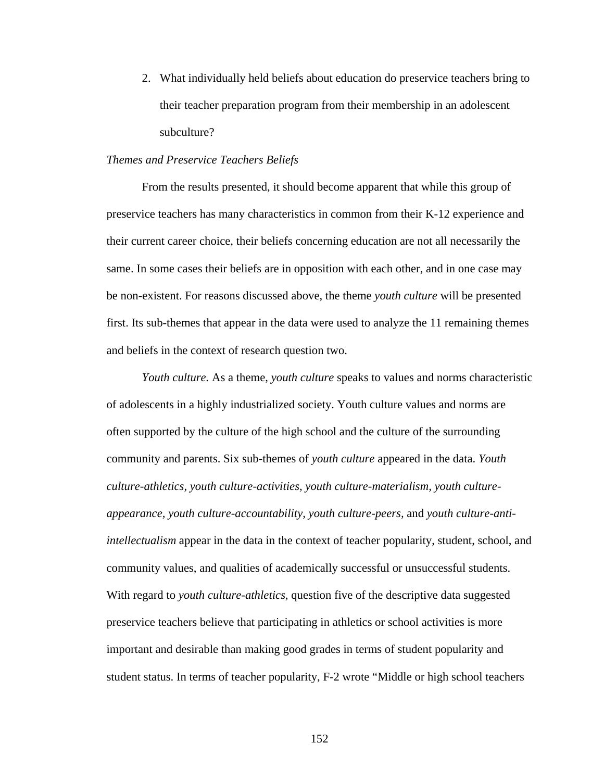2. What individually held beliefs about education do preservice teachers bring to their teacher preparation program from their membership in an adolescent subculture?

## *Themes and Preservice Teachers Beliefs*

From the results presented, it should become apparent that while this group of preservice teachers has many characteristics in common from their K-12 experience and their current career choice, their beliefs concerning education are not all necessarily the same. In some cases their beliefs are in opposition with each other, and in one case may be non-existent. For reasons discussed above, the theme *youth culture* will be presented first. Its sub-themes that appear in the data were used to analyze the 11 remaining themes and beliefs in the context of research question two.

*Youth culture.* As a theme, *youth culture* speaks to values and norms characteristic of adolescents in a highly industrialized society. Youth culture values and norms are often supported by the culture of the high school and the culture of the surrounding community and parents. Six sub-themes of *youth culture* appeared in the data. *Youth culture-athletics, youth culture-activities, youth culture-materialism, youth cultureappearance, youth culture-accountability, youth culture-peers,* and *youth culture-antiintellectualism* appear in the data in the context of teacher popularity, student, school, and community values, and qualities of academically successful or unsuccessful students. With regard to *youth culture-athletics*, question five of the descriptive data suggested preservice teachers believe that participating in athletics or school activities is more important and desirable than making good grades in terms of student popularity and student status. In terms of teacher popularity, F-2 wrote "Middle or high school teachers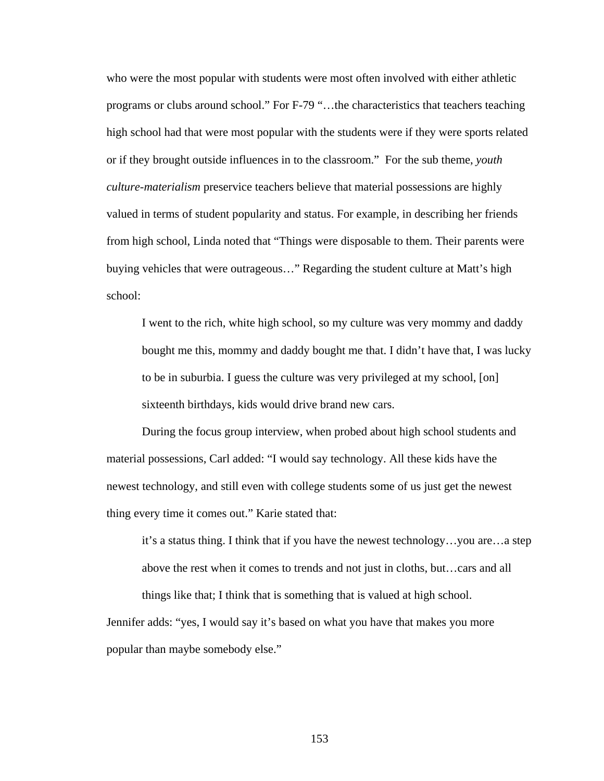who were the most popular with students were most often involved with either athletic programs or clubs around school." For F-79 "…the characteristics that teachers teaching high school had that were most popular with the students were if they were sports related or if they brought outside influences in to the classroom." For the sub theme, *youth culture-materialism* preservice teachers believe that material possessions are highly valued in terms of student popularity and status. For example, in describing her friends from high school, Linda noted that "Things were disposable to them. Their parents were buying vehicles that were outrageous…" Regarding the student culture at Matt's high school:

I went to the rich, white high school, so my culture was very mommy and daddy bought me this, mommy and daddy bought me that. I didn't have that, I was lucky to be in suburbia. I guess the culture was very privileged at my school, [on] sixteenth birthdays, kids would drive brand new cars.

During the focus group interview, when probed about high school students and material possessions, Carl added: "I would say technology. All these kids have the newest technology, and still even with college students some of us just get the newest thing every time it comes out." Karie stated that:

it's a status thing. I think that if you have the newest technology…you are…a step above the rest when it comes to trends and not just in cloths, but…cars and all things like that; I think that is something that is valued at high school.

Jennifer adds: "yes, I would say it's based on what you have that makes you more popular than maybe somebody else."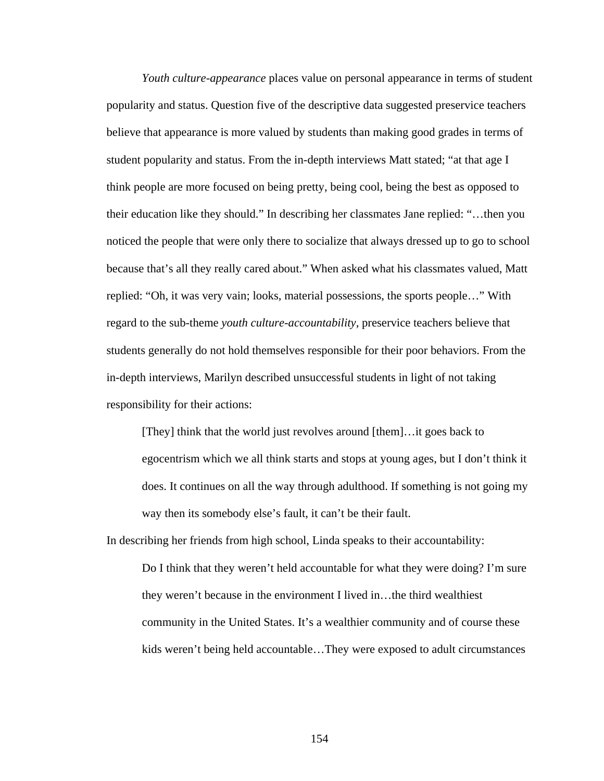*Youth culture-appearance* places value on personal appearance in terms of student popularity and status. Question five of the descriptive data suggested preservice teachers believe that appearance is more valued by students than making good grades in terms of student popularity and status. From the in-depth interviews Matt stated; "at that age I think people are more focused on being pretty, being cool, being the best as opposed to their education like they should." In describing her classmates Jane replied: "…then you noticed the people that were only there to socialize that always dressed up to go to school because that's all they really cared about." When asked what his classmates valued, Matt replied: "Oh, it was very vain; looks, material possessions, the sports people…" With regard to the sub-theme *youth culture-accountability*, preservice teachers believe that students generally do not hold themselves responsible for their poor behaviors. From the in-depth interviews, Marilyn described unsuccessful students in light of not taking responsibility for their actions:

[They] think that the world just revolves around [them]…it goes back to egocentrism which we all think starts and stops at young ages, but I don't think it does. It continues on all the way through adulthood. If something is not going my way then its somebody else's fault, it can't be their fault.

In describing her friends from high school, Linda speaks to their accountability:

Do I think that they weren't held accountable for what they were doing? I'm sure they weren't because in the environment I lived in…the third wealthiest community in the United States. It's a wealthier community and of course these kids weren't being held accountable…They were exposed to adult circumstances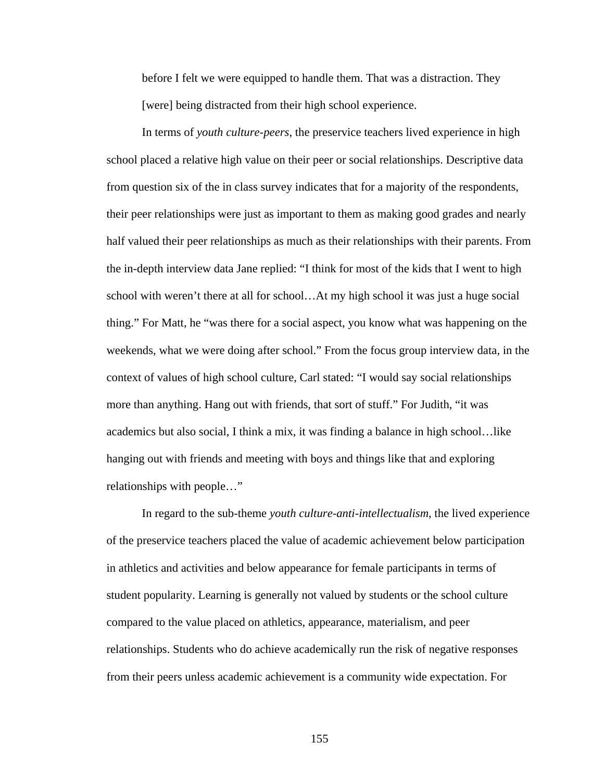before I felt we were equipped to handle them. That was a distraction. They [were] being distracted from their high school experience.

In terms of *youth culture-peers*, the preservice teachers lived experience in high school placed a relative high value on their peer or social relationships. Descriptive data from question six of the in class survey indicates that for a majority of the respondents, their peer relationships were just as important to them as making good grades and nearly half valued their peer relationships as much as their relationships with their parents. From the in-depth interview data Jane replied: "I think for most of the kids that I went to high school with weren't there at all for school…At my high school it was just a huge social thing." For Matt, he "was there for a social aspect, you know what was happening on the weekends, what we were doing after school." From the focus group interview data, in the context of values of high school culture, Carl stated: "I would say social relationships more than anything. Hang out with friends, that sort of stuff." For Judith, "it was academics but also social, I think a mix, it was finding a balance in high school…like hanging out with friends and meeting with boys and things like that and exploring relationships with people…"

In regard to the sub-theme *youth culture-anti-intellectualism*, the lived experience of the preservice teachers placed the value of academic achievement below participation in athletics and activities and below appearance for female participants in terms of student popularity. Learning is generally not valued by students or the school culture compared to the value placed on athletics, appearance, materialism, and peer relationships. Students who do achieve academically run the risk of negative responses from their peers unless academic achievement is a community wide expectation. For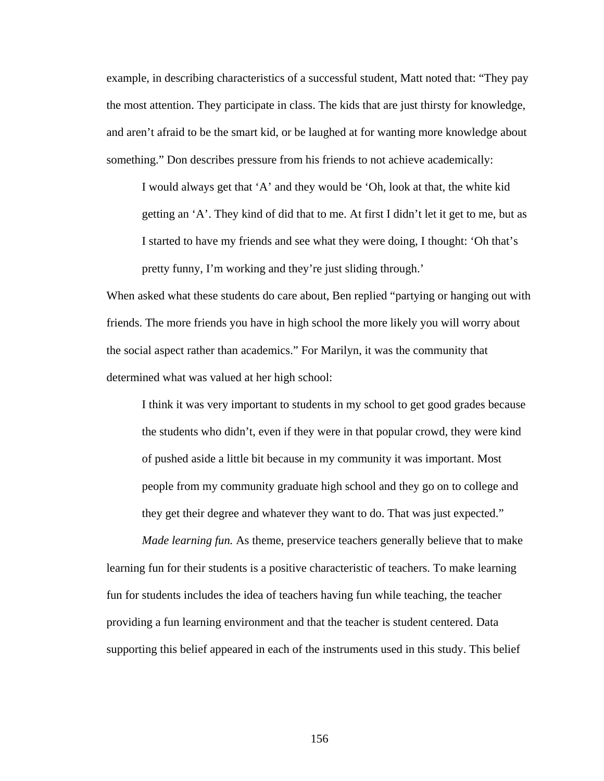example, in describing characteristics of a successful student, Matt noted that: "They pay the most attention. They participate in class. The kids that are just thirsty for knowledge, and aren't afraid to be the smart kid, or be laughed at for wanting more knowledge about something." Don describes pressure from his friends to not achieve academically:

I would always get that 'A' and they would be 'Oh, look at that, the white kid getting an 'A'. They kind of did that to me. At first I didn't let it get to me, but as I started to have my friends and see what they were doing, I thought: 'Oh that's pretty funny, I'm working and they're just sliding through.'

When asked what these students do care about, Ben replied "partying or hanging out with friends. The more friends you have in high school the more likely you will worry about the social aspect rather than academics." For Marilyn, it was the community that determined what was valued at her high school:

I think it was very important to students in my school to get good grades because the students who didn't, even if they were in that popular crowd, they were kind of pushed aside a little bit because in my community it was important. Most people from my community graduate high school and they go on to college and they get their degree and whatever they want to do. That was just expected."

*Made learning fun.* As theme, preservice teachers generally believe that to make learning fun for their students is a positive characteristic of teachers. To make learning fun for students includes the idea of teachers having fun while teaching, the teacher providing a fun learning environment and that the teacher is student centered. Data supporting this belief appeared in each of the instruments used in this study. This belief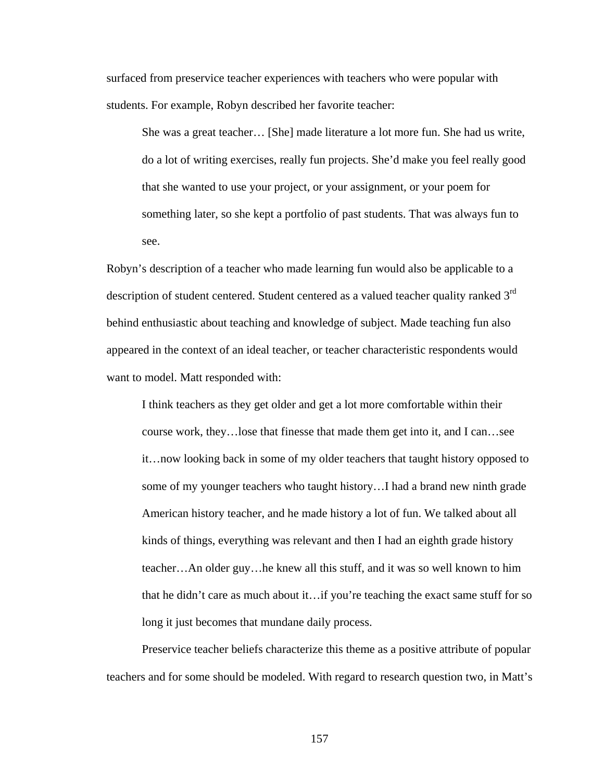surfaced from preservice teacher experiences with teachers who were popular with students. For example, Robyn described her favorite teacher:

She was a great teacher… [She] made literature a lot more fun. She had us write, do a lot of writing exercises, really fun projects. She'd make you feel really good that she wanted to use your project, or your assignment, or your poem for something later, so she kept a portfolio of past students. That was always fun to see.

Robyn's description of a teacher who made learning fun would also be applicable to a description of student centered. Student centered as a valued teacher quality ranked 3<sup>rd</sup> behind enthusiastic about teaching and knowledge of subject. Made teaching fun also appeared in the context of an ideal teacher, or teacher characteristic respondents would want to model. Matt responded with:

I think teachers as they get older and get a lot more comfortable within their course work, they…lose that finesse that made them get into it, and I can…see it…now looking back in some of my older teachers that taught history opposed to some of my younger teachers who taught history…I had a brand new ninth grade American history teacher, and he made history a lot of fun. We talked about all kinds of things, everything was relevant and then I had an eighth grade history teacher…An older guy…he knew all this stuff, and it was so well known to him that he didn't care as much about it…if you're teaching the exact same stuff for so long it just becomes that mundane daily process.

Preservice teacher beliefs characterize this theme as a positive attribute of popular teachers and for some should be modeled. With regard to research question two, in Matt's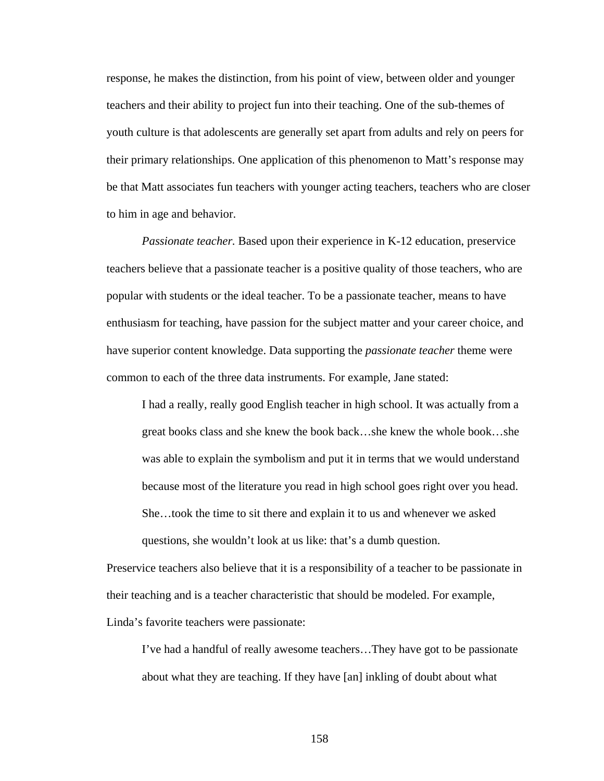response, he makes the distinction, from his point of view, between older and younger teachers and their ability to project fun into their teaching. One of the sub-themes of youth culture is that adolescents are generally set apart from adults and rely on peers for their primary relationships. One application of this phenomenon to Matt's response may be that Matt associates fun teachers with younger acting teachers, teachers who are closer to him in age and behavior.

*Passionate teacher.* Based upon their experience in K-12 education, preservice teachers believe that a passionate teacher is a positive quality of those teachers, who are popular with students or the ideal teacher. To be a passionate teacher, means to have enthusiasm for teaching, have passion for the subject matter and your career choice, and have superior content knowledge. Data supporting the *passionate teacher* theme were common to each of the three data instruments. For example, Jane stated:

I had a really, really good English teacher in high school. It was actually from a great books class and she knew the book back…she knew the whole book…she was able to explain the symbolism and put it in terms that we would understand because most of the literature you read in high school goes right over you head. She…took the time to sit there and explain it to us and whenever we asked questions, she wouldn't look at us like: that's a dumb question.

Preservice teachers also believe that it is a responsibility of a teacher to be passionate in their teaching and is a teacher characteristic that should be modeled. For example, Linda's favorite teachers were passionate:

I've had a handful of really awesome teachers…They have got to be passionate about what they are teaching. If they have [an] inkling of doubt about what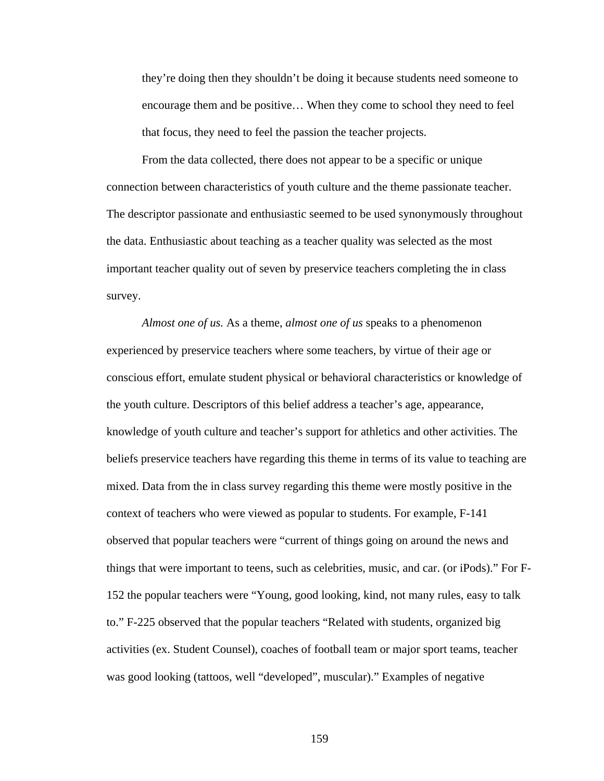they're doing then they shouldn't be doing it because students need someone to encourage them and be positive… When they come to school they need to feel that focus, they need to feel the passion the teacher projects.

From the data collected, there does not appear to be a specific or unique connection between characteristics of youth culture and the theme passionate teacher. The descriptor passionate and enthusiastic seemed to be used synonymously throughout the data. Enthusiastic about teaching as a teacher quality was selected as the most important teacher quality out of seven by preservice teachers completing the in class survey.

*Almost one of us.* As a theme, *almost one of us* speaks to a phenomenon experienced by preservice teachers where some teachers, by virtue of their age or conscious effort, emulate student physical or behavioral characteristics or knowledge of the youth culture. Descriptors of this belief address a teacher's age, appearance, knowledge of youth culture and teacher's support for athletics and other activities. The beliefs preservice teachers have regarding this theme in terms of its value to teaching are mixed. Data from the in class survey regarding this theme were mostly positive in the context of teachers who were viewed as popular to students. For example, F-141 observed that popular teachers were "current of things going on around the news and things that were important to teens, such as celebrities, music, and car. (or iPods)." For F-152 the popular teachers were "Young, good looking, kind, not many rules, easy to talk to." F-225 observed that the popular teachers "Related with students, organized big activities (ex. Student Counsel), coaches of football team or major sport teams, teacher was good looking (tattoos, well "developed", muscular)." Examples of negative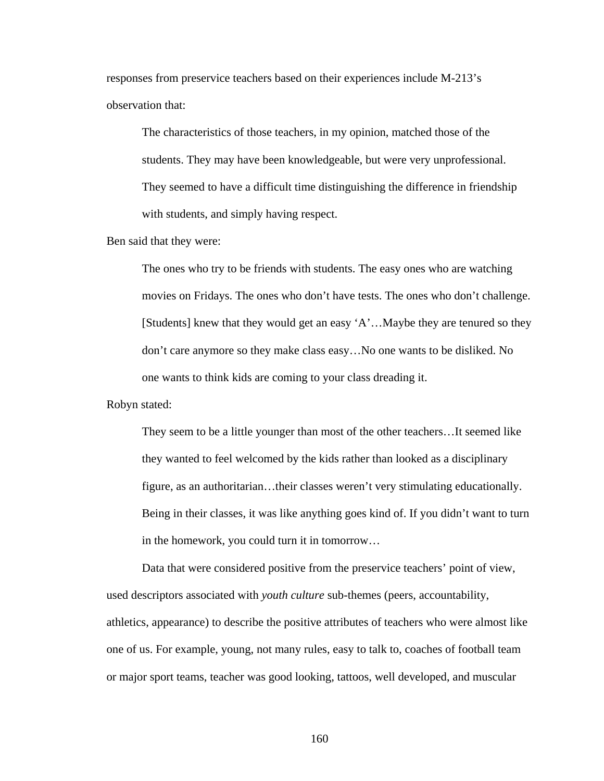responses from preservice teachers based on their experiences include M-213's observation that:

The characteristics of those teachers, in my opinion, matched those of the students. They may have been knowledgeable, but were very unprofessional. They seemed to have a difficult time distinguishing the difference in friendship with students, and simply having respect.

Ben said that they were:

The ones who try to be friends with students. The easy ones who are watching movies on Fridays. The ones who don't have tests. The ones who don't challenge. [Students] knew that they would get an easy 'A'…Maybe they are tenured so they don't care anymore so they make class easy…No one wants to be disliked. No one wants to think kids are coming to your class dreading it.

Robyn stated:

They seem to be a little younger than most of the other teachers…It seemed like they wanted to feel welcomed by the kids rather than looked as a disciplinary figure, as an authoritarian…their classes weren't very stimulating educationally. Being in their classes, it was like anything goes kind of. If you didn't want to turn in the homework, you could turn it in tomorrow…

Data that were considered positive from the preservice teachers' point of view, used descriptors associated with *youth culture* sub-themes (peers, accountability, athletics, appearance) to describe the positive attributes of teachers who were almost like one of us. For example, young, not many rules, easy to talk to, coaches of football team or major sport teams, teacher was good looking, tattoos, well developed, and muscular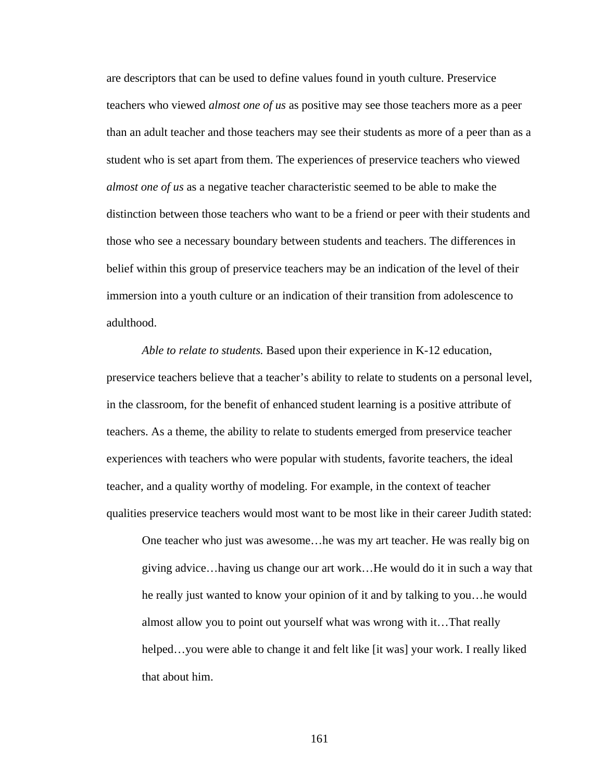are descriptors that can be used to define values found in youth culture. Preservice teachers who viewed *almost one of us* as positive may see those teachers more as a peer than an adult teacher and those teachers may see their students as more of a peer than as a student who is set apart from them. The experiences of preservice teachers who viewed *almost one of us* as a negative teacher characteristic seemed to be able to make the distinction between those teachers who want to be a friend or peer with their students and those who see a necessary boundary between students and teachers. The differences in belief within this group of preservice teachers may be an indication of the level of their immersion into a youth culture or an indication of their transition from adolescence to adulthood.

 *Able to relate to students.* Based upon their experience in K-12 education, preservice teachers believe that a teacher's ability to relate to students on a personal level, in the classroom, for the benefit of enhanced student learning is a positive attribute of teachers. As a theme, the ability to relate to students emerged from preservice teacher experiences with teachers who were popular with students, favorite teachers, the ideal teacher, and a quality worthy of modeling. For example, in the context of teacher qualities preservice teachers would most want to be most like in their career Judith stated:

One teacher who just was awesome…he was my art teacher. He was really big on giving advice…having us change our art work…He would do it in such a way that he really just wanted to know your opinion of it and by talking to you…he would almost allow you to point out yourself what was wrong with it…That really helped…you were able to change it and felt like [it was] your work. I really liked that about him.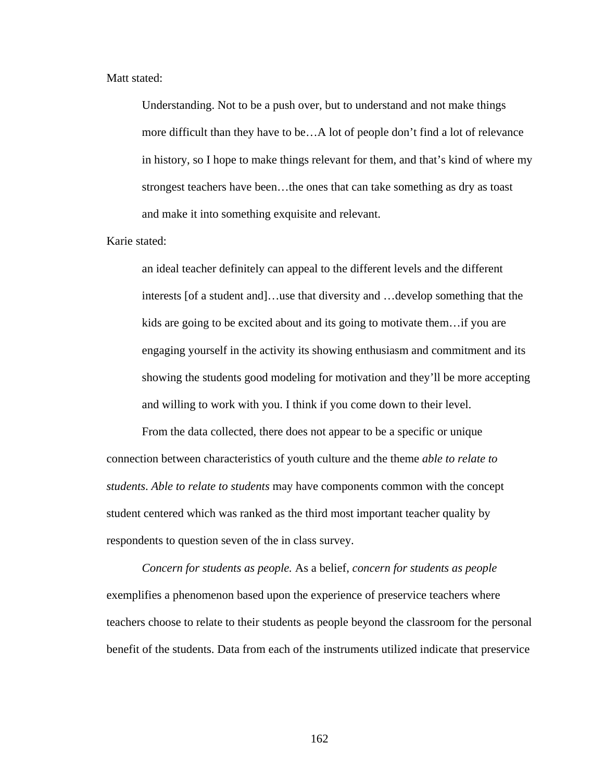## Matt stated:

Understanding. Not to be a push over, but to understand and not make things more difficult than they have to be…A lot of people don't find a lot of relevance in history, so I hope to make things relevant for them, and that's kind of where my strongest teachers have been…the ones that can take something as dry as toast and make it into something exquisite and relevant.

### Karie stated:

an ideal teacher definitely can appeal to the different levels and the different interests [of a student and]…use that diversity and …develop something that the kids are going to be excited about and its going to motivate them…if you are engaging yourself in the activity its showing enthusiasm and commitment and its showing the students good modeling for motivation and they'll be more accepting and willing to work with you. I think if you come down to their level.

From the data collected, there does not appear to be a specific or unique connection between characteristics of youth culture and the theme *able to relate to students*. *Able to relate to students* may have components common with the concept student centered which was ranked as the third most important teacher quality by respondents to question seven of the in class survey.

 *Concern for students as people.* As a belief, *concern for students as people* exemplifies a phenomenon based upon the experience of preservice teachers where teachers choose to relate to their students as people beyond the classroom for the personal benefit of the students. Data from each of the instruments utilized indicate that preservice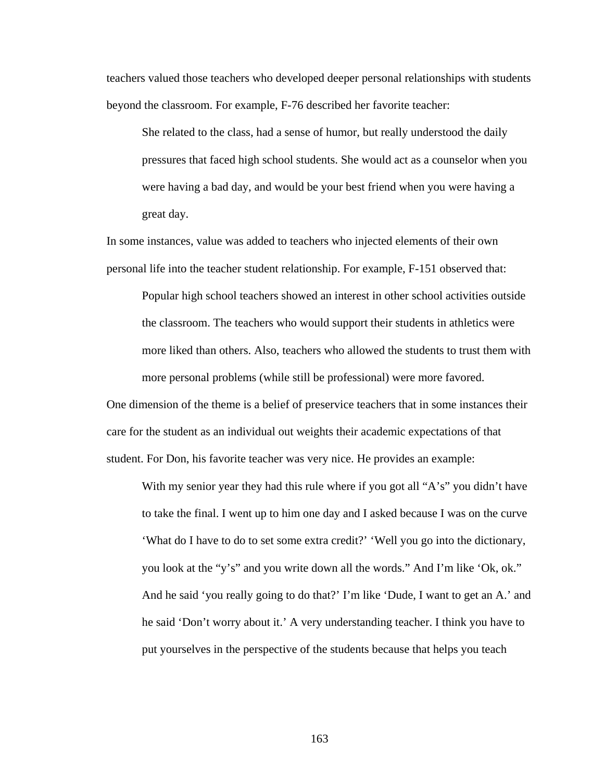teachers valued those teachers who developed deeper personal relationships with students beyond the classroom. For example, F-76 described her favorite teacher:

She related to the class, had a sense of humor, but really understood the daily pressures that faced high school students. She would act as a counselor when you were having a bad day, and would be your best friend when you were having a great day.

In some instances, value was added to teachers who injected elements of their own personal life into the teacher student relationship. For example, F-151 observed that:

Popular high school teachers showed an interest in other school activities outside the classroom. The teachers who would support their students in athletics were more liked than others. Also, teachers who allowed the students to trust them with more personal problems (while still be professional) were more favored.

One dimension of the theme is a belief of preservice teachers that in some instances their care for the student as an individual out weights their academic expectations of that student. For Don, his favorite teacher was very nice. He provides an example:

With my senior year they had this rule where if you got all "A's" you didn't have to take the final. I went up to him one day and I asked because I was on the curve 'What do I have to do to set some extra credit?' 'Well you go into the dictionary, you look at the "y's" and you write down all the words." And I'm like 'Ok, ok." And he said 'you really going to do that?' I'm like 'Dude, I want to get an A.' and he said 'Don't worry about it.' A very understanding teacher. I think you have to put yourselves in the perspective of the students because that helps you teach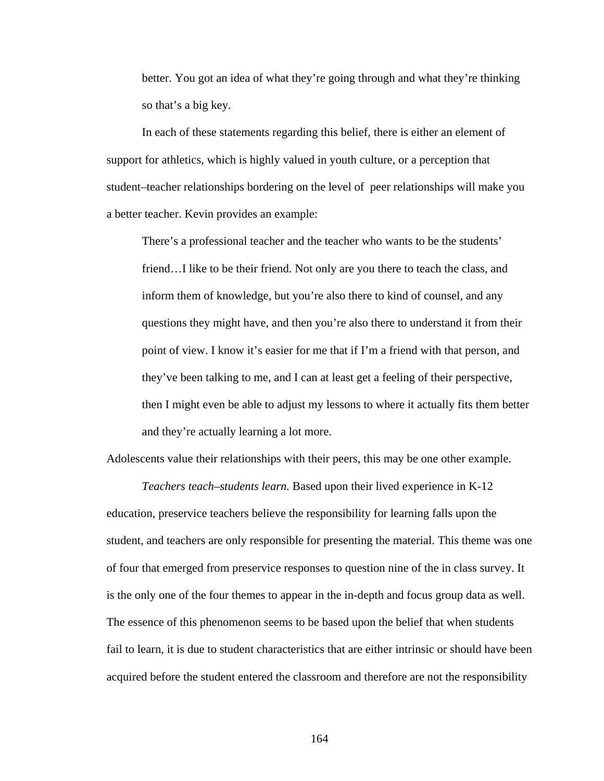better. You got an idea of what they're going through and what they're thinking so that's a big key.

In each of these statements regarding this belief, there is either an element of support for athletics, which is highly valued in youth culture, or a perception that student–teacher relationships bordering on the level of peer relationships will make you a better teacher. Kevin provides an example:

There's a professional teacher and the teacher who wants to be the students' friend…I like to be their friend. Not only are you there to teach the class, and inform them of knowledge, but you're also there to kind of counsel, and any questions they might have, and then you're also there to understand it from their point of view. I know it's easier for me that if I'm a friend with that person, and they've been talking to me, and I can at least get a feeling of their perspective, then I might even be able to adjust my lessons to where it actually fits them better and they're actually learning a lot more.

Adolescents value their relationships with their peers, this may be one other example.

*Teachers teach–students learn.* Based upon their lived experience in K-12 education, preservice teachers believe the responsibility for learning falls upon the student, and teachers are only responsible for presenting the material. This theme was one of four that emerged from preservice responses to question nine of the in class survey. It is the only one of the four themes to appear in the in-depth and focus group data as well. The essence of this phenomenon seems to be based upon the belief that when students fail to learn, it is due to student characteristics that are either intrinsic or should have been acquired before the student entered the classroom and therefore are not the responsibility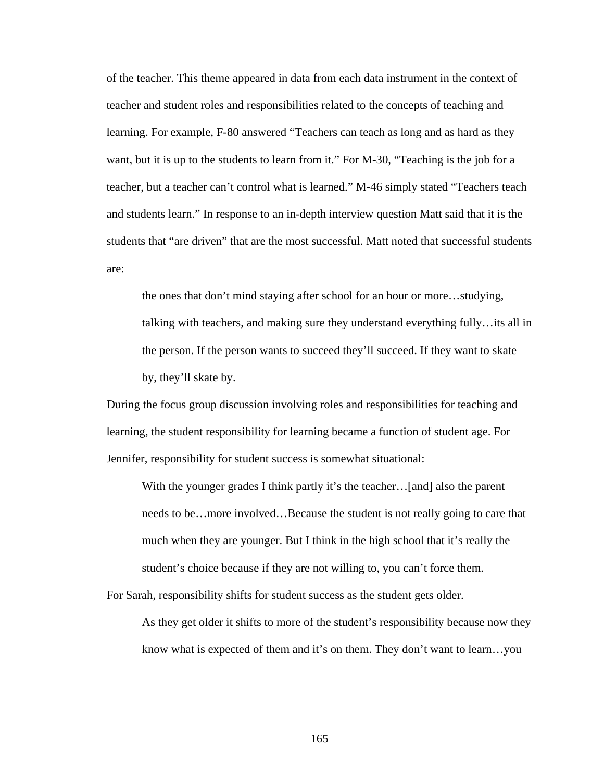of the teacher. This theme appeared in data from each data instrument in the context of teacher and student roles and responsibilities related to the concepts of teaching and learning. For example, F-80 answered "Teachers can teach as long and as hard as they want, but it is up to the students to learn from it." For M-30, "Teaching is the job for a teacher, but a teacher can't control what is learned." M-46 simply stated "Teachers teach and students learn." In response to an in-depth interview question Matt said that it is the students that "are driven" that are the most successful. Matt noted that successful students are:

the ones that don't mind staying after school for an hour or more…studying, talking with teachers, and making sure they understand everything fully…its all in the person. If the person wants to succeed they'll succeed. If they want to skate by, they'll skate by.

During the focus group discussion involving roles and responsibilities for teaching and learning, the student responsibility for learning became a function of student age. For Jennifer, responsibility for student success is somewhat situational:

With the younger grades I think partly it's the teacher...[and] also the parent needs to be…more involved…Because the student is not really going to care that much when they are younger. But I think in the high school that it's really the student's choice because if they are not willing to, you can't force them.

For Sarah, responsibility shifts for student success as the student gets older.

As they get older it shifts to more of the student's responsibility because now they know what is expected of them and it's on them. They don't want to learn…you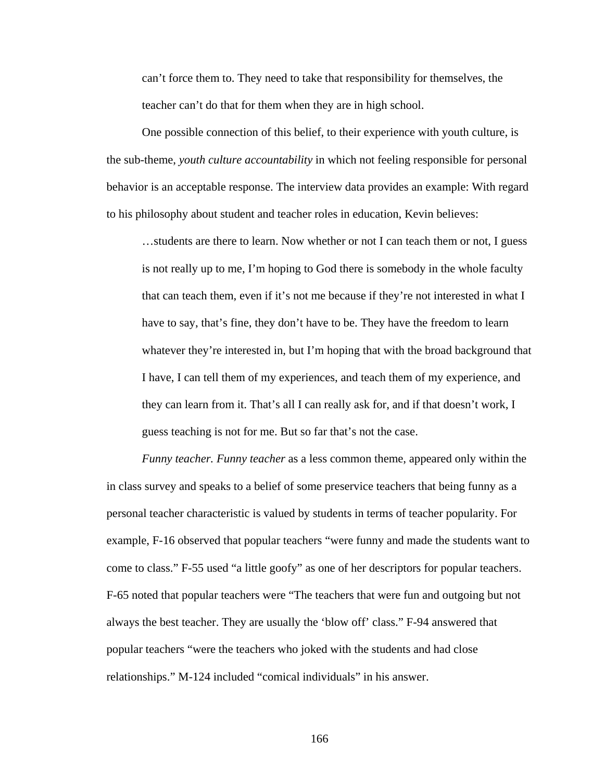can't force them to. They need to take that responsibility for themselves, the teacher can't do that for them when they are in high school.

 One possible connection of this belief, to their experience with youth culture, is the sub-theme, *youth culture accountability* in which not feeling responsible for personal behavior is an acceptable response. The interview data provides an example: With regard to his philosophy about student and teacher roles in education, Kevin believes:

…students are there to learn. Now whether or not I can teach them or not, I guess is not really up to me, I'm hoping to God there is somebody in the whole faculty that can teach them, even if it's not me because if they're not interested in what I have to say, that's fine, they don't have to be. They have the freedom to learn whatever they're interested in, but I'm hoping that with the broad background that I have, I can tell them of my experiences, and teach them of my experience, and they can learn from it. That's all I can really ask for, and if that doesn't work, I guess teaching is not for me. But so far that's not the case.

 *Funny teacher. Funny teacher* as a less common theme, appeared only within the in class survey and speaks to a belief of some preservice teachers that being funny as a personal teacher characteristic is valued by students in terms of teacher popularity. For example, F-16 observed that popular teachers "were funny and made the students want to come to class." F-55 used "a little goofy" as one of her descriptors for popular teachers. F-65 noted that popular teachers were "The teachers that were fun and outgoing but not always the best teacher. They are usually the 'blow off' class." F-94 answered that popular teachers "were the teachers who joked with the students and had close relationships." M-124 included "comical individuals" in his answer.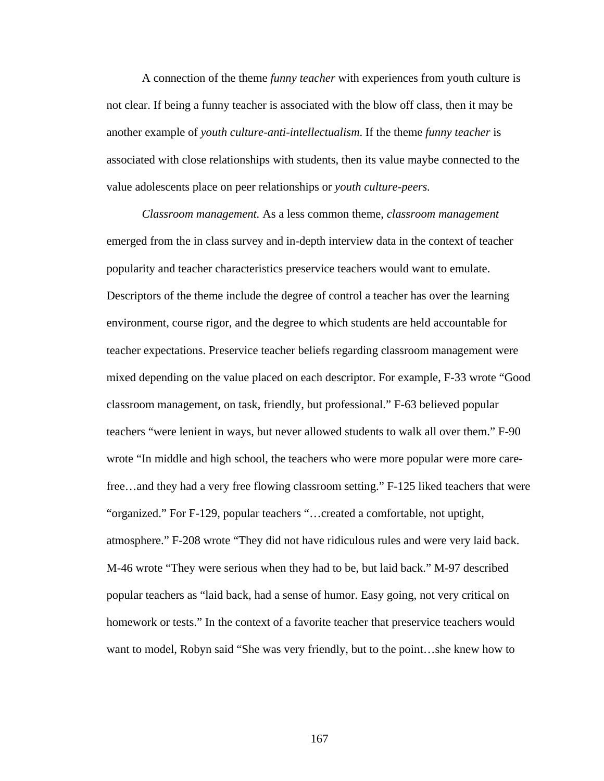A connection of the theme *funny teacher* with experiences from youth culture is not clear. If being a funny teacher is associated with the blow off class, then it may be another example of *youth culture-anti-intellectualism*. If the theme *funny teacher* is associated with close relationships with students, then its value maybe connected to the value adolescents place on peer relationships or *youth culture-peers.*

*Classroom management.* As a less common theme, *classroom management* emerged from the in class survey and in-depth interview data in the context of teacher popularity and teacher characteristics preservice teachers would want to emulate. Descriptors of the theme include the degree of control a teacher has over the learning environment, course rigor, and the degree to which students are held accountable for teacher expectations. Preservice teacher beliefs regarding classroom management were mixed depending on the value placed on each descriptor. For example, F-33 wrote "Good classroom management, on task, friendly, but professional." F-63 believed popular teachers "were lenient in ways, but never allowed students to walk all over them." F-90 wrote "In middle and high school, the teachers who were more popular were more carefree…and they had a very free flowing classroom setting." F-125 liked teachers that were "organized." For F-129, popular teachers "…created a comfortable, not uptight, atmosphere." F-208 wrote "They did not have ridiculous rules and were very laid back. M-46 wrote "They were serious when they had to be, but laid back." M-97 described popular teachers as "laid back, had a sense of humor. Easy going, not very critical on homework or tests." In the context of a favorite teacher that preservice teachers would want to model, Robyn said "She was very friendly, but to the point…she knew how to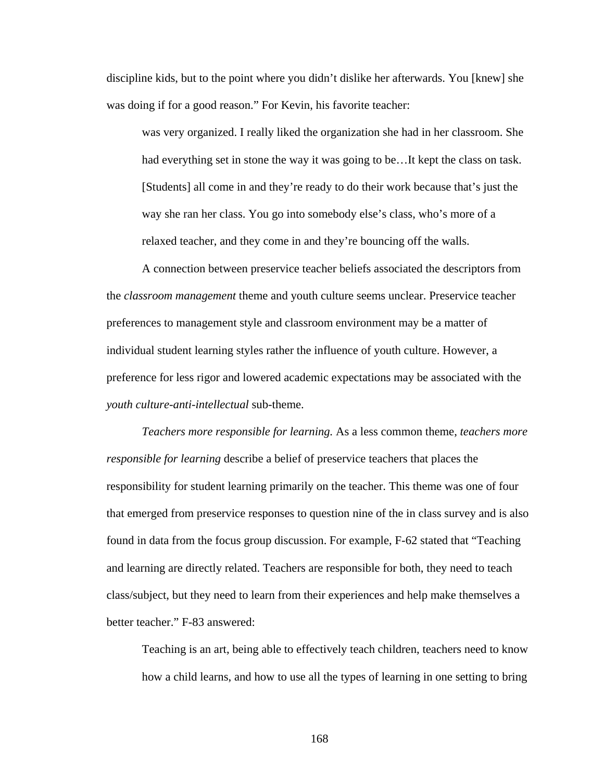discipline kids, but to the point where you didn't dislike her afterwards. You [knew] she was doing if for a good reason." For Kevin, his favorite teacher:

was very organized. I really liked the organization she had in her classroom. She had everything set in stone the way it was going to be...It kept the class on task. [Students] all come in and they're ready to do their work because that's just the way she ran her class. You go into somebody else's class, who's more of a relaxed teacher, and they come in and they're bouncing off the walls.

A connection between preservice teacher beliefs associated the descriptors from the *classroom management* theme and youth culture seems unclear. Preservice teacher preferences to management style and classroom environment may be a matter of individual student learning styles rather the influence of youth culture. However, a preference for less rigor and lowered academic expectations may be associated with the *youth culture-anti-intellectual* sub-theme.

*Teachers more responsible for learning.* As a less common theme, *teachers more responsible for learning* describe a belief of preservice teachers that places the responsibility for student learning primarily on the teacher. This theme was one of four that emerged from preservice responses to question nine of the in class survey and is also found in data from the focus group discussion. For example, F-62 stated that "Teaching and learning are directly related. Teachers are responsible for both, they need to teach class/subject, but they need to learn from their experiences and help make themselves a better teacher." F-83 answered:

Teaching is an art, being able to effectively teach children, teachers need to know how a child learns, and how to use all the types of learning in one setting to bring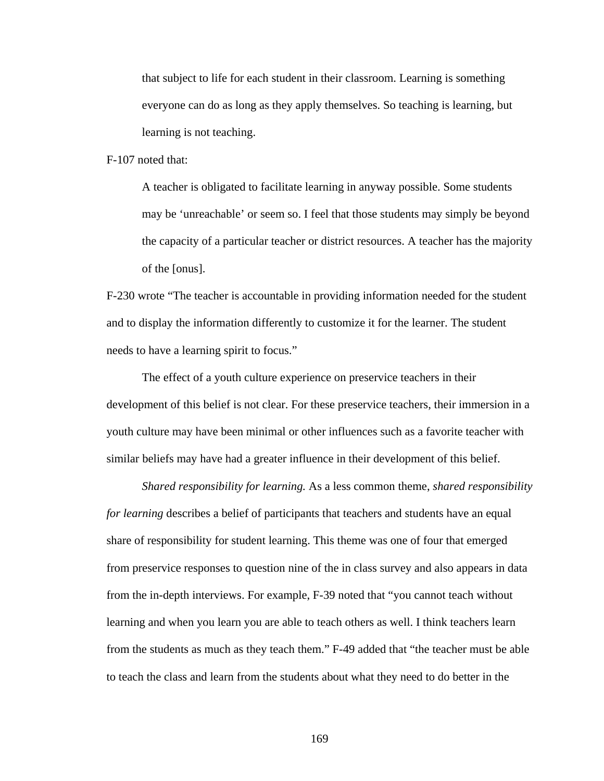that subject to life for each student in their classroom. Learning is something everyone can do as long as they apply themselves. So teaching is learning, but learning is not teaching.

F-107 noted that:

A teacher is obligated to facilitate learning in anyway possible. Some students may be 'unreachable' or seem so. I feel that those students may simply be beyond the capacity of a particular teacher or district resources. A teacher has the majority of the [onus].

F-230 wrote "The teacher is accountable in providing information needed for the student and to display the information differently to customize it for the learner. The student needs to have a learning spirit to focus."

 The effect of a youth culture experience on preservice teachers in their development of this belief is not clear. For these preservice teachers, their immersion in a youth culture may have been minimal or other influences such as a favorite teacher with similar beliefs may have had a greater influence in their development of this belief.

*Shared responsibility for learning.* As a less common theme, *shared responsibility for learning* describes a belief of participants that teachers and students have an equal share of responsibility for student learning. This theme was one of four that emerged from preservice responses to question nine of the in class survey and also appears in data from the in-depth interviews. For example, F-39 noted that "you cannot teach without learning and when you learn you are able to teach others as well. I think teachers learn from the students as much as they teach them." F-49 added that "the teacher must be able to teach the class and learn from the students about what they need to do better in the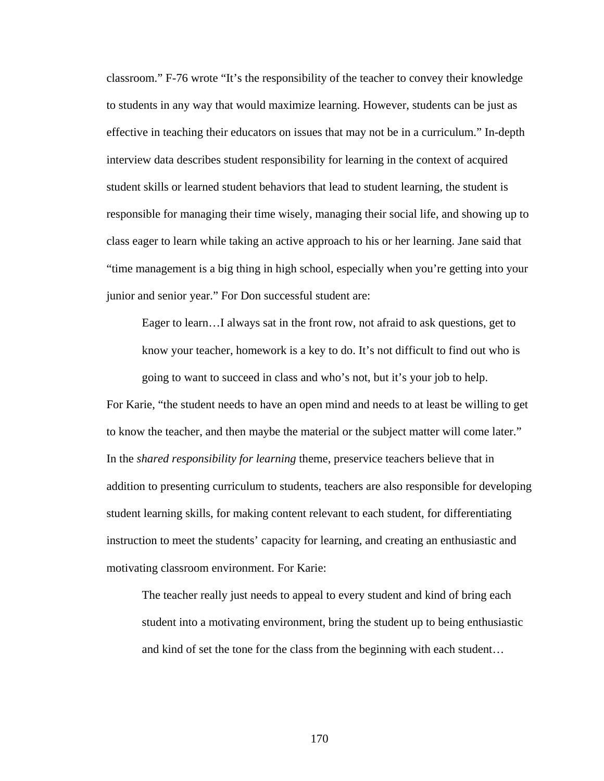classroom." F-76 wrote "It's the responsibility of the teacher to convey their knowledge to students in any way that would maximize learning. However, students can be just as effective in teaching their educators on issues that may not be in a curriculum." In-depth interview data describes student responsibility for learning in the context of acquired student skills or learned student behaviors that lead to student learning, the student is responsible for managing their time wisely, managing their social life, and showing up to class eager to learn while taking an active approach to his or her learning. Jane said that "time management is a big thing in high school, especially when you're getting into your junior and senior year." For Don successful student are:

Eager to learn…I always sat in the front row, not afraid to ask questions, get to know your teacher, homework is a key to do. It's not difficult to find out who is going to want to succeed in class and who's not, but it's your job to help.

For Karie, "the student needs to have an open mind and needs to at least be willing to get to know the teacher, and then maybe the material or the subject matter will come later." In the *shared responsibility for learning* theme, preservice teachers believe that in addition to presenting curriculum to students, teachers are also responsible for developing student learning skills, for making content relevant to each student, for differentiating instruction to meet the students' capacity for learning, and creating an enthusiastic and motivating classroom environment. For Karie:

The teacher really just needs to appeal to every student and kind of bring each student into a motivating environment, bring the student up to being enthusiastic and kind of set the tone for the class from the beginning with each student…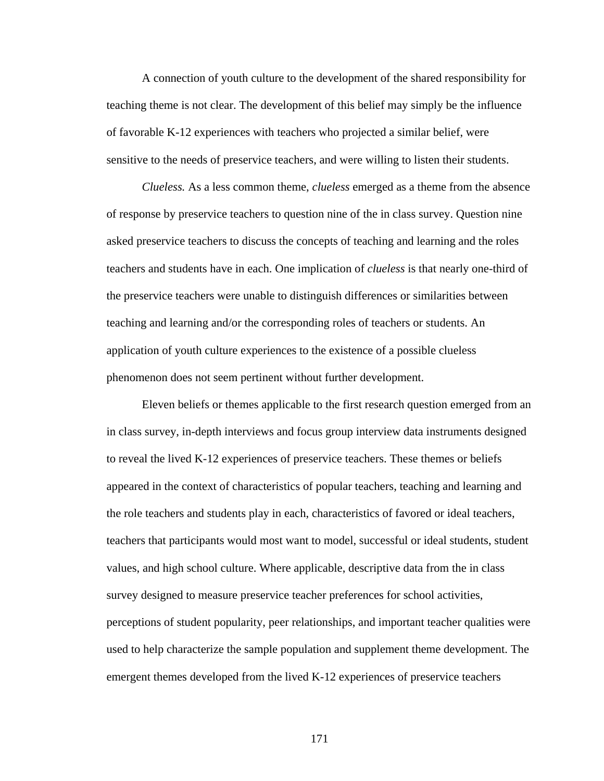A connection of youth culture to the development of the shared responsibility for teaching theme is not clear. The development of this belief may simply be the influence of favorable K-12 experiences with teachers who projected a similar belief, were sensitive to the needs of preservice teachers, and were willing to listen their students.

*Clueless.* As a less common theme, *clueless* emerged as a theme from the absence of response by preservice teachers to question nine of the in class survey. Question nine asked preservice teachers to discuss the concepts of teaching and learning and the roles teachers and students have in each. One implication of *clueless* is that nearly one-third of the preservice teachers were unable to distinguish differences or similarities between teaching and learning and/or the corresponding roles of teachers or students. An application of youth culture experiences to the existence of a possible clueless phenomenon does not seem pertinent without further development.

Eleven beliefs or themes applicable to the first research question emerged from an in class survey, in-depth interviews and focus group interview data instruments designed to reveal the lived K-12 experiences of preservice teachers. These themes or beliefs appeared in the context of characteristics of popular teachers, teaching and learning and the role teachers and students play in each, characteristics of favored or ideal teachers, teachers that participants would most want to model, successful or ideal students, student values, and high school culture. Where applicable, descriptive data from the in class survey designed to measure preservice teacher preferences for school activities, perceptions of student popularity, peer relationships, and important teacher qualities were used to help characterize the sample population and supplement theme development. The emergent themes developed from the lived K-12 experiences of preservice teachers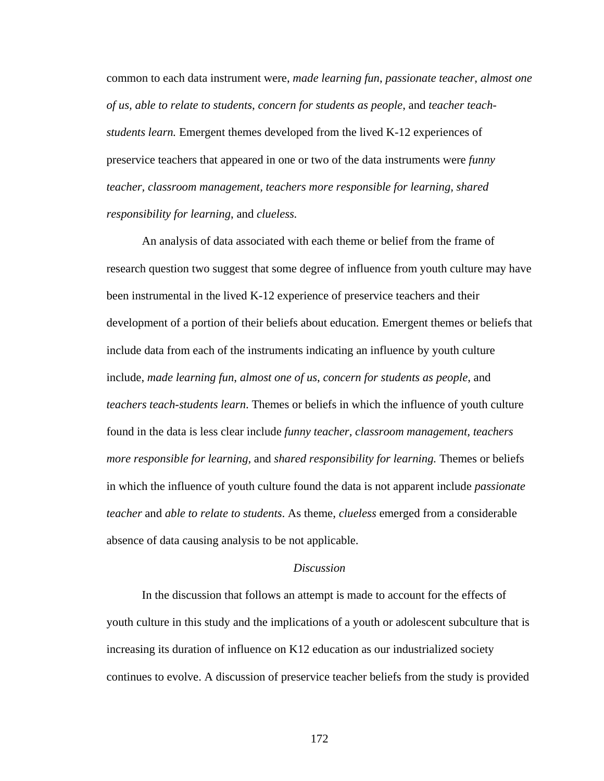common to each data instrument were, *made learning fun*, *passionate teacher*, *almost one of us, able to relate to students*, *concern for students as people*, and *teacher teachstudents learn.* Emergent themes developed from the lived K-12 experiences of preservice teachers that appeared in one or two of the data instruments were *funny teacher, classroom management, teachers more responsible for learning, shared responsibility for learning*, and *clueless.*

An analysis of data associated with each theme or belief from the frame of research question two suggest that some degree of influence from youth culture may have been instrumental in the lived K-12 experience of preservice teachers and their development of a portion of their beliefs about education. Emergent themes or beliefs that include data from each of the instruments indicating an influence by youth culture include, *made learning fun*, *almost one of us*, *concern for students as people*, and *teachers teach-students learn*. Themes or beliefs in which the influence of youth culture found in the data is less clear include *funny teacher, classroom management, teachers more responsible for learning,* and *shared responsibility for learning.* Themes or beliefs in which the influence of youth culture found the data is not apparent include *passionate teacher* and *able to relate to students*. As theme, *clueless* emerged from a considerable absence of data causing analysis to be not applicable.

### *Discussion*

 In the discussion that follows an attempt is made to account for the effects of youth culture in this study and the implications of a youth or adolescent subculture that is increasing its duration of influence on K12 education as our industrialized society continues to evolve. A discussion of preservice teacher beliefs from the study is provided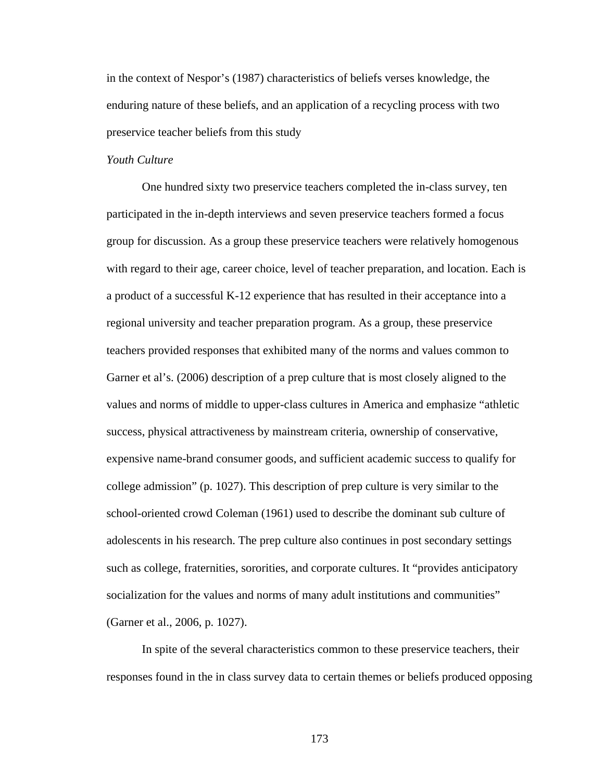in the context of Nespor's (1987) characteristics of beliefs verses knowledge, the enduring nature of these beliefs, and an application of a recycling process with two preservice teacher beliefs from this study

# *Youth Culture*

One hundred sixty two preservice teachers completed the in-class survey, ten participated in the in-depth interviews and seven preservice teachers formed a focus group for discussion. As a group these preservice teachers were relatively homogenous with regard to their age, career choice, level of teacher preparation, and location. Each is a product of a successful K-12 experience that has resulted in their acceptance into a regional university and teacher preparation program. As a group, these preservice teachers provided responses that exhibited many of the norms and values common to Garner et al's. (2006) description of a prep culture that is most closely aligned to the values and norms of middle to upper-class cultures in America and emphasize "athletic success, physical attractiveness by mainstream criteria, ownership of conservative, expensive name-brand consumer goods, and sufficient academic success to qualify for college admission" (p. 1027). This description of prep culture is very similar to the school-oriented crowd Coleman (1961) used to describe the dominant sub culture of adolescents in his research. The prep culture also continues in post secondary settings such as college, fraternities, sororities, and corporate cultures. It "provides anticipatory socialization for the values and norms of many adult institutions and communities" (Garner et al., 2006, p. 1027).

In spite of the several characteristics common to these preservice teachers, their responses found in the in class survey data to certain themes or beliefs produced opposing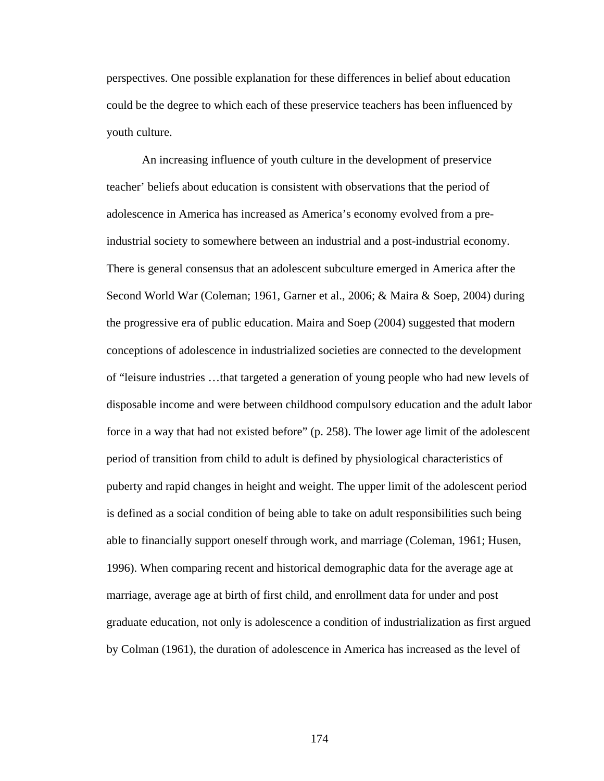perspectives. One possible explanation for these differences in belief about education could be the degree to which each of these preservice teachers has been influenced by youth culture.

An increasing influence of youth culture in the development of preservice teacher' beliefs about education is consistent with observations that the period of adolescence in America has increased as America's economy evolved from a preindustrial society to somewhere between an industrial and a post-industrial economy. There is general consensus that an adolescent subculture emerged in America after the Second World War (Coleman; 1961, Garner et al., 2006; & Maira & Soep, 2004) during the progressive era of public education. Maira and Soep (2004) suggested that modern conceptions of adolescence in industrialized societies are connected to the development of "leisure industries …that targeted a generation of young people who had new levels of disposable income and were between childhood compulsory education and the adult labor force in a way that had not existed before" (p. 258). The lower age limit of the adolescent period of transition from child to adult is defined by physiological characteristics of puberty and rapid changes in height and weight. The upper limit of the adolescent period is defined as a social condition of being able to take on adult responsibilities such being able to financially support oneself through work, and marriage (Coleman, 1961; Husen, 1996). When comparing recent and historical demographic data for the average age at marriage, average age at birth of first child, and enrollment data for under and post graduate education, not only is adolescence a condition of industrialization as first argued by Colman (1961), the duration of adolescence in America has increased as the level of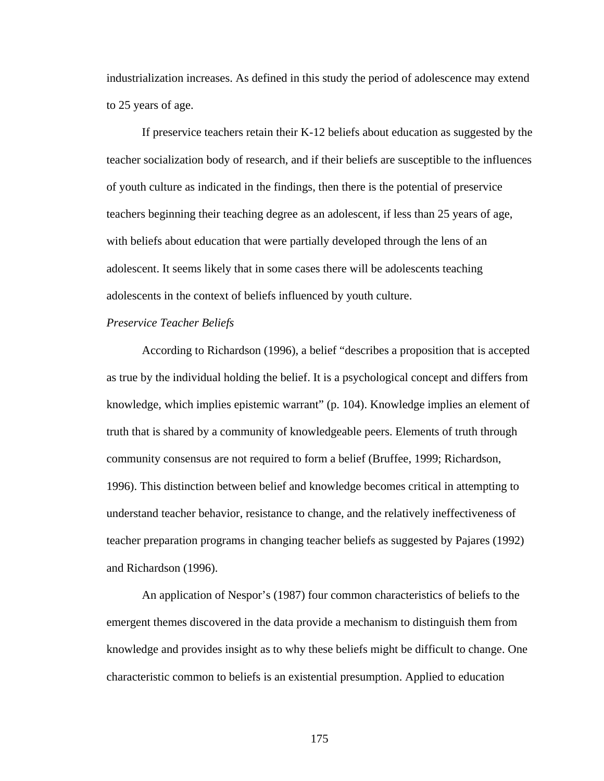industrialization increases. As defined in this study the period of adolescence may extend to 25 years of age.

If preservice teachers retain their K-12 beliefs about education as suggested by the teacher socialization body of research, and if their beliefs are susceptible to the influences of youth culture as indicated in the findings, then there is the potential of preservice teachers beginning their teaching degree as an adolescent, if less than 25 years of age, with beliefs about education that were partially developed through the lens of an adolescent. It seems likely that in some cases there will be adolescents teaching adolescents in the context of beliefs influenced by youth culture.

#### *Preservice Teacher Beliefs*

According to Richardson (1996), a belief "describes a proposition that is accepted as true by the individual holding the belief. It is a psychological concept and differs from knowledge, which implies epistemic warrant" (p. 104). Knowledge implies an element of truth that is shared by a community of knowledgeable peers. Elements of truth through community consensus are not required to form a belief (Bruffee, 1999; Richardson, 1996). This distinction between belief and knowledge becomes critical in attempting to understand teacher behavior, resistance to change, and the relatively ineffectiveness of teacher preparation programs in changing teacher beliefs as suggested by Pajares (1992) and Richardson (1996).

An application of Nespor's (1987) four common characteristics of beliefs to the emergent themes discovered in the data provide a mechanism to distinguish them from knowledge and provides insight as to why these beliefs might be difficult to change. One characteristic common to beliefs is an existential presumption. Applied to education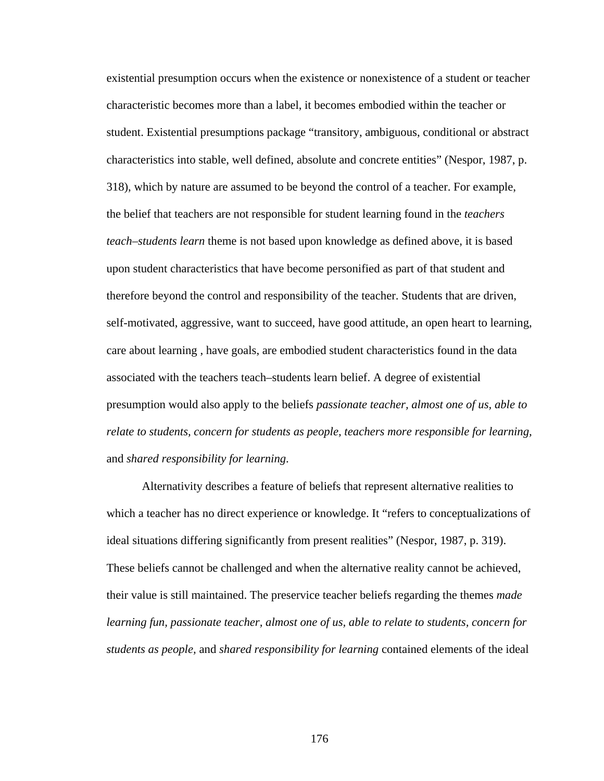existential presumption occurs when the existence or nonexistence of a student or teacher characteristic becomes more than a label, it becomes embodied within the teacher or student. Existential presumptions package "transitory, ambiguous, conditional or abstract characteristics into stable, well defined, absolute and concrete entities" (Nespor, 1987, p. 318), which by nature are assumed to be beyond the control of a teacher. For example, the belief that teachers are not responsible for student learning found in the *teachers teach–students learn* theme is not based upon knowledge as defined above, it is based upon student characteristics that have become personified as part of that student and therefore beyond the control and responsibility of the teacher. Students that are driven, self-motivated, aggressive, want to succeed, have good attitude, an open heart to learning, care about learning , have goals, are embodied student characteristics found in the data associated with the teachers teach–students learn belief. A degree of existential presumption would also apply to the beliefs *passionate teacher, almost one of us, able to relate to students, concern for students as people, teachers more responsible for learning,*  and *shared responsibility for learning*.

Alternativity describes a feature of beliefs that represent alternative realities to which a teacher has no direct experience or knowledge. It "refers to conceptualizations of ideal situations differing significantly from present realities" (Nespor, 1987, p. 319). These beliefs cannot be challenged and when the alternative reality cannot be achieved, their value is still maintained. The preservice teacher beliefs regarding the themes *made learning fun, passionate teacher, almost one of us, able to relate to students, concern for students as people,* and *shared responsibility for learning* contained elements of the ideal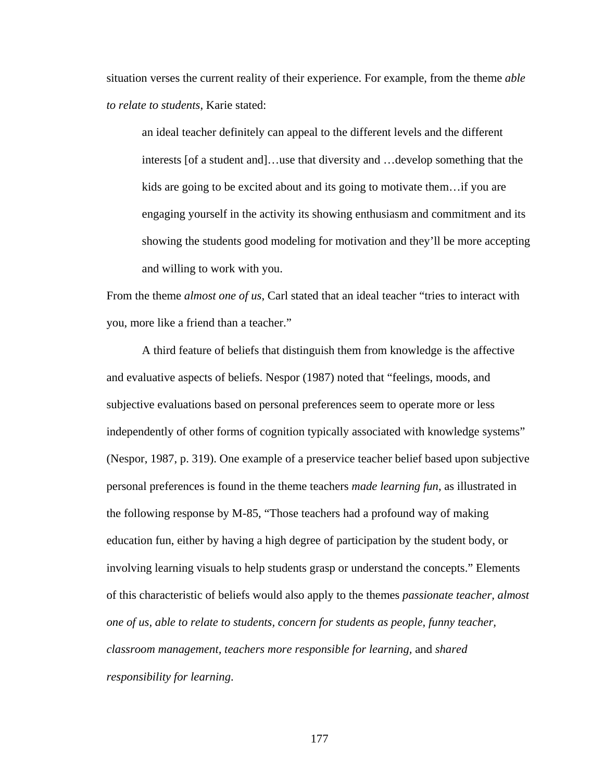situation verses the current reality of their experience. For example, from the theme *able to relate to students*, Karie stated:

an ideal teacher definitely can appeal to the different levels and the different interests [of a student and]…use that diversity and …develop something that the kids are going to be excited about and its going to motivate them…if you are engaging yourself in the activity its showing enthusiasm and commitment and its showing the students good modeling for motivation and they'll be more accepting and willing to work with you.

From the theme *almost one of us*, Carl stated that an ideal teacher "tries to interact with you, more like a friend than a teacher."

A third feature of beliefs that distinguish them from knowledge is the affective and evaluative aspects of beliefs. Nespor (1987) noted that "feelings, moods, and subjective evaluations based on personal preferences seem to operate more or less independently of other forms of cognition typically associated with knowledge systems" (Nespor, 1987, p. 319). One example of a preservice teacher belief based upon subjective personal preferences is found in the theme teachers *made learning fun*, as illustrated in the following response by M-85, "Those teachers had a profound way of making education fun, either by having a high degree of participation by the student body, or involving learning visuals to help students grasp or understand the concepts." Elements of this characteristic of beliefs would also apply to the themes *passionate teacher, almost one of us, able to relate to students, concern for students as people, funny teacher, classroom management, teachers more responsible for learning,* and *shared responsibility for learning*.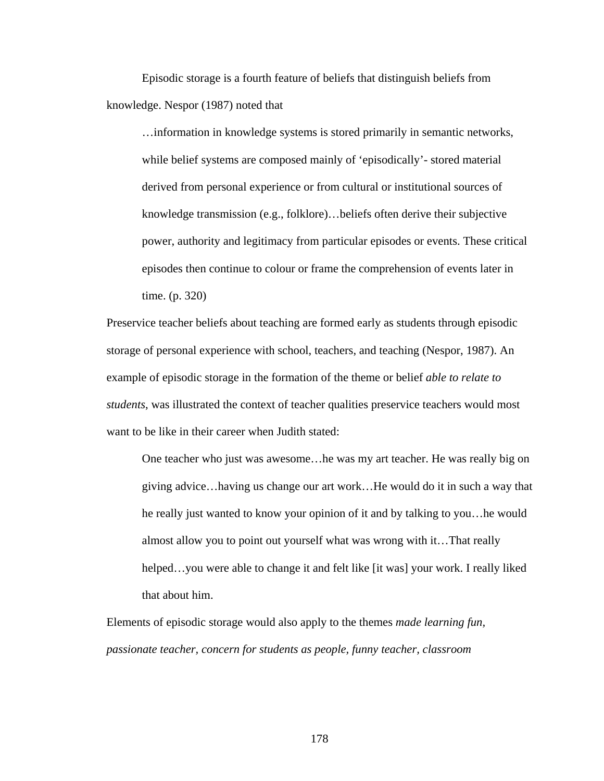Episodic storage is a fourth feature of beliefs that distinguish beliefs from knowledge. Nespor (1987) noted that

…information in knowledge systems is stored primarily in semantic networks, while belief systems are composed mainly of 'episodically'- stored material derived from personal experience or from cultural or institutional sources of knowledge transmission (e.g., folklore)…beliefs often derive their subjective power, authority and legitimacy from particular episodes or events. These critical episodes then continue to colour or frame the comprehension of events later in time. (p. 320)

Preservice teacher beliefs about teaching are formed early as students through episodic storage of personal experience with school, teachers, and teaching (Nespor, 1987). An example of episodic storage in the formation of the theme or belief *able to relate to students*, was illustrated the context of teacher qualities preservice teachers would most want to be like in their career when Judith stated:

One teacher who just was awesome…he was my art teacher. He was really big on giving advice…having us change our art work…He would do it in such a way that he really just wanted to know your opinion of it and by talking to you…he would almost allow you to point out yourself what was wrong with it…That really helped…you were able to change it and felt like [it was] your work. I really liked that about him.

Elements of episodic storage would also apply to the themes *made learning fun, passionate teacher, concern for students as people, funny teacher, classroom*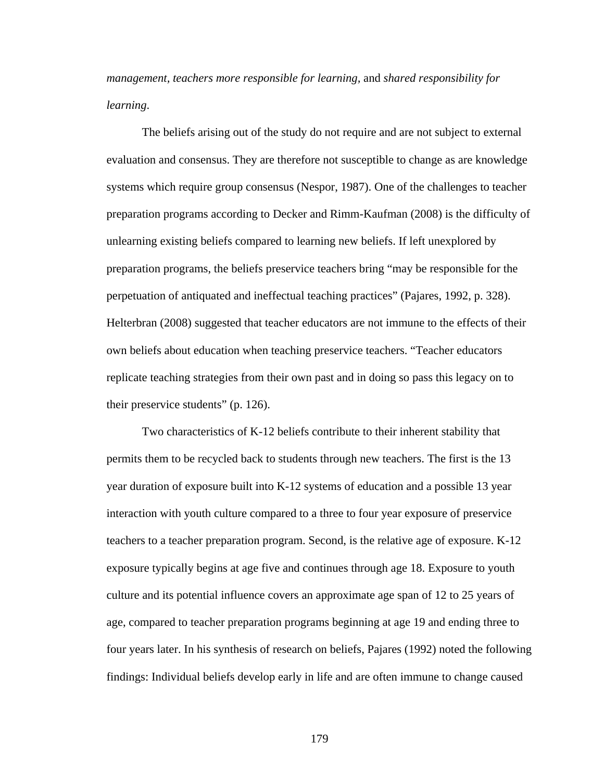*management, teachers more responsible for learning,* and *shared responsibility for learning*.

The beliefs arising out of the study do not require and are not subject to external evaluation and consensus. They are therefore not susceptible to change as are knowledge systems which require group consensus (Nespor, 1987). One of the challenges to teacher preparation programs according to Decker and Rimm-Kaufman (2008) is the difficulty of unlearning existing beliefs compared to learning new beliefs. If left unexplored by preparation programs, the beliefs preservice teachers bring "may be responsible for the perpetuation of antiquated and ineffectual teaching practices" (Pajares, 1992, p. 328). Helterbran (2008) suggested that teacher educators are not immune to the effects of their own beliefs about education when teaching preservice teachers. "Teacher educators replicate teaching strategies from their own past and in doing so pass this legacy on to their preservice students" (p. 126).

Two characteristics of K-12 beliefs contribute to their inherent stability that permits them to be recycled back to students through new teachers. The first is the 13 year duration of exposure built into K-12 systems of education and a possible 13 year interaction with youth culture compared to a three to four year exposure of preservice teachers to a teacher preparation program. Second, is the relative age of exposure. K-12 exposure typically begins at age five and continues through age 18. Exposure to youth culture and its potential influence covers an approximate age span of 12 to 25 years of age, compared to teacher preparation programs beginning at age 19 and ending three to four years later. In his synthesis of research on beliefs, Pajares (1992) noted the following findings: Individual beliefs develop early in life and are often immune to change caused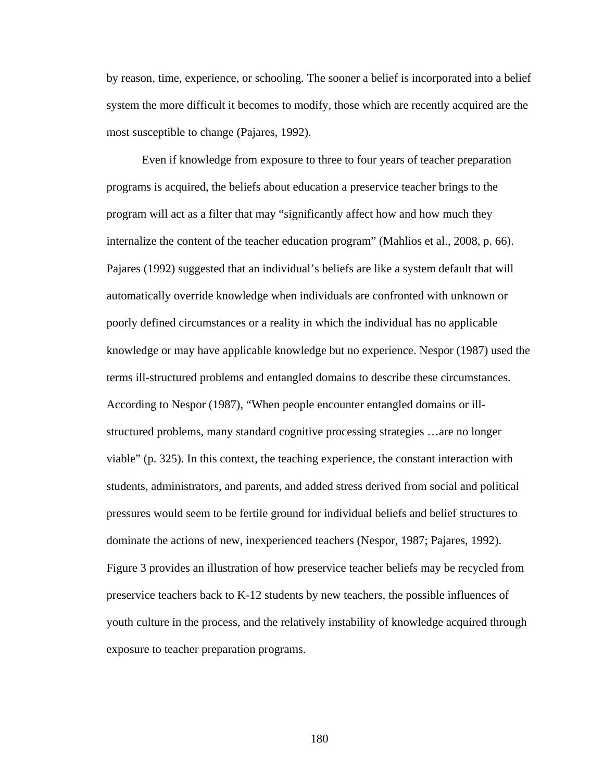by reason, time, experience, or schooling. The sooner a belief is incorporated into a belief system the more difficult it becomes to modify, those which are recently acquired are the most susceptible to change (Pajares, 1992).

Even if knowledge from exposure to three to four years of teacher preparation programs is acquired, the beliefs about education a preservice teacher brings to the program will act as a filter that may "significantly affect how and how much they internalize the content of the teacher education program" (Mahlios et al., 2008, p. 66). Pajares (1992) suggested that an individual's beliefs are like a system default that will automatically override knowledge when individuals are confronted with unknown or poorly defined circumstances or a reality in which the individual has no applicable knowledge or may have applicable knowledge but no experience. Nespor (1987) used the terms ill-structured problems and entangled domains to describe these circumstances. According to Nespor (1987), "When people encounter entangled domains or illstructured problems, many standard cognitive processing strategies …are no longer viable" (p. 325). In this context, the teaching experience, the constant interaction with students, administrators, and parents, and added stress derived from social and political pressures would seem to be fertile ground for individual beliefs and belief structures to dominate the actions of new, inexperienced teachers (Nespor, 1987; Pajares, 1992). Figure 3 provides an illustration of how preservice teacher beliefs may be recycled from preservice teachers back to K-12 students by new teachers, the possible influences of youth culture in the process, and the relatively instability of knowledge acquired through exposure to teacher preparation programs.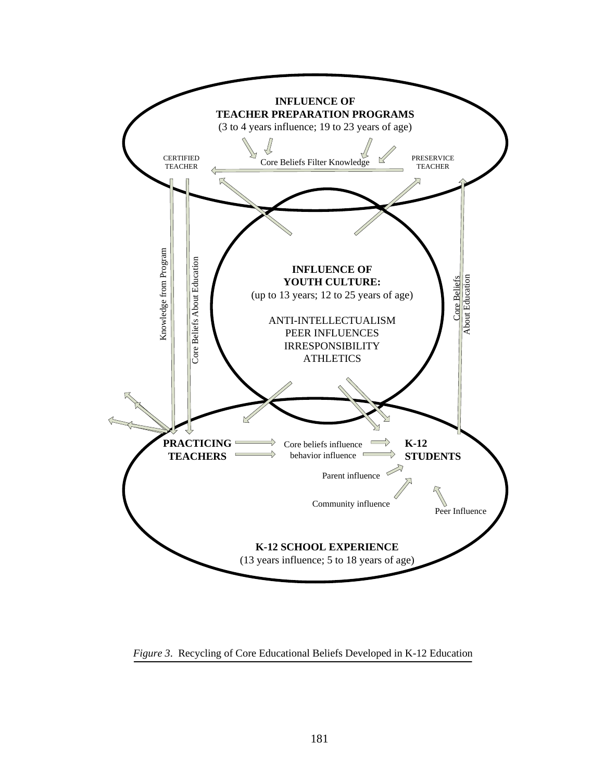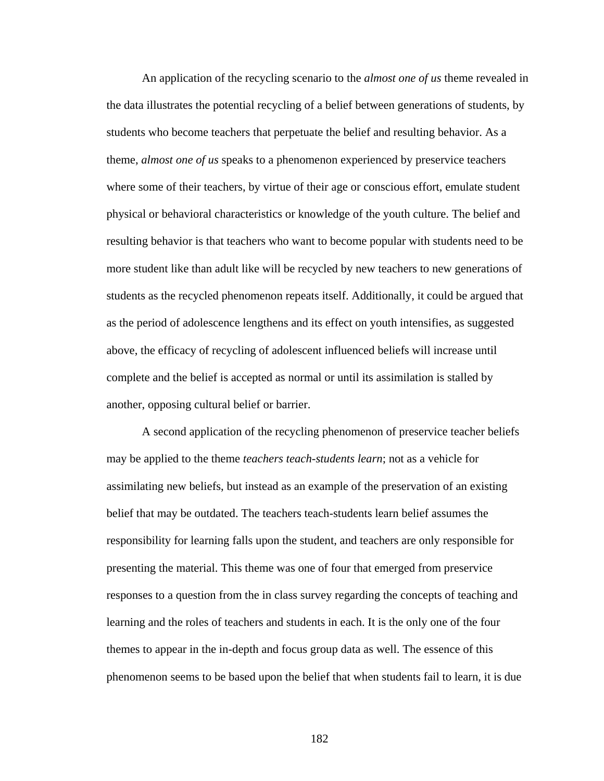An application of the recycling scenario to the *almost one of us* theme revealed in the data illustrates the potential recycling of a belief between generations of students, by students who become teachers that perpetuate the belief and resulting behavior. As a theme, *almost one of us* speaks to a phenomenon experienced by preservice teachers where some of their teachers, by virtue of their age or conscious effort, emulate student physical or behavioral characteristics or knowledge of the youth culture. The belief and resulting behavior is that teachers who want to become popular with students need to be more student like than adult like will be recycled by new teachers to new generations of students as the recycled phenomenon repeats itself. Additionally, it could be argued that as the period of adolescence lengthens and its effect on youth intensifies, as suggested above, the efficacy of recycling of adolescent influenced beliefs will increase until complete and the belief is accepted as normal or until its assimilation is stalled by another, opposing cultural belief or barrier.

A second application of the recycling phenomenon of preservice teacher beliefs may be applied to the theme *teachers teach-students learn*; not as a vehicle for assimilating new beliefs, but instead as an example of the preservation of an existing belief that may be outdated. The teachers teach-students learn belief assumes the responsibility for learning falls upon the student, and teachers are only responsible for presenting the material. This theme was one of four that emerged from preservice responses to a question from the in class survey regarding the concepts of teaching and learning and the roles of teachers and students in each. It is the only one of the four themes to appear in the in-depth and focus group data as well. The essence of this phenomenon seems to be based upon the belief that when students fail to learn, it is due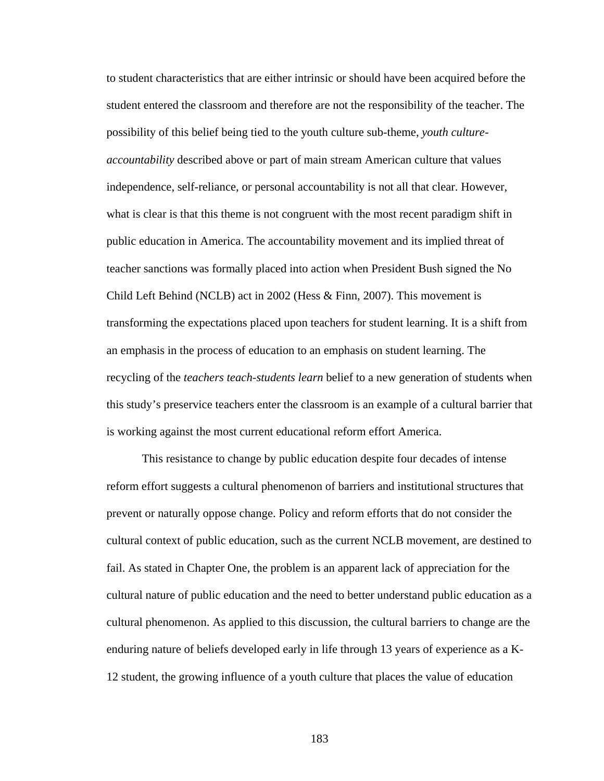to student characteristics that are either intrinsic or should have been acquired before the student entered the classroom and therefore are not the responsibility of the teacher. The possibility of this belief being tied to the youth culture sub-theme, *youth cultureaccountability* described above or part of main stream American culture that values independence, self-reliance, or personal accountability is not all that clear. However, what is clear is that this theme is not congruent with the most recent paradigm shift in public education in America. The accountability movement and its implied threat of teacher sanctions was formally placed into action when President Bush signed the No Child Left Behind (NCLB) act in 2002 (Hess  $\&$  Finn, 2007). This movement is transforming the expectations placed upon teachers for student learning. It is a shift from an emphasis in the process of education to an emphasis on student learning. The recycling of the *teachers teach-students learn* belief to a new generation of students when this study's preservice teachers enter the classroom is an example of a cultural barrier that is working against the most current educational reform effort America.

This resistance to change by public education despite four decades of intense reform effort suggests a cultural phenomenon of barriers and institutional structures that prevent or naturally oppose change. Policy and reform efforts that do not consider the cultural context of public education, such as the current NCLB movement, are destined to fail. As stated in Chapter One, the problem is an apparent lack of appreciation for the cultural nature of public education and the need to better understand public education as a cultural phenomenon. As applied to this discussion, the cultural barriers to change are the enduring nature of beliefs developed early in life through 13 years of experience as a K-12 student, the growing influence of a youth culture that places the value of education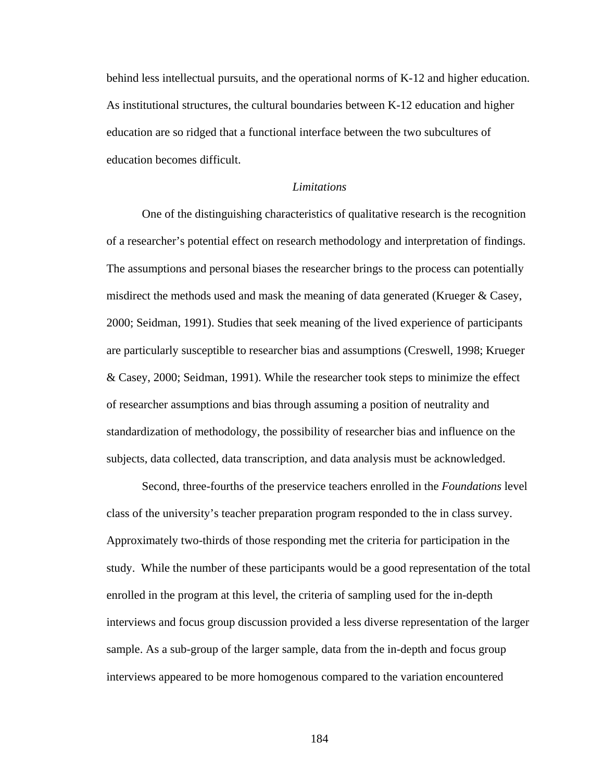behind less intellectual pursuits, and the operational norms of K-12 and higher education. As institutional structures, the cultural boundaries between K-12 education and higher education are so ridged that a functional interface between the two subcultures of education becomes difficult.

#### *Limitations*

 One of the distinguishing characteristics of qualitative research is the recognition of a researcher's potential effect on research methodology and interpretation of findings. The assumptions and personal biases the researcher brings to the process can potentially misdirect the methods used and mask the meaning of data generated (Krueger & Casey, 2000; Seidman, 1991). Studies that seek meaning of the lived experience of participants are particularly susceptible to researcher bias and assumptions (Creswell, 1998; Krueger & Casey, 2000; Seidman, 1991). While the researcher took steps to minimize the effect of researcher assumptions and bias through assuming a position of neutrality and standardization of methodology, the possibility of researcher bias and influence on the subjects, data collected, data transcription, and data analysis must be acknowledged.

Second, three-fourths of the preservice teachers enrolled in the *Foundations* level class of the university's teacher preparation program responded to the in class survey. Approximately two-thirds of those responding met the criteria for participation in the study. While the number of these participants would be a good representation of the total enrolled in the program at this level, the criteria of sampling used for the in-depth interviews and focus group discussion provided a less diverse representation of the larger sample. As a sub-group of the larger sample, data from the in-depth and focus group interviews appeared to be more homogenous compared to the variation encountered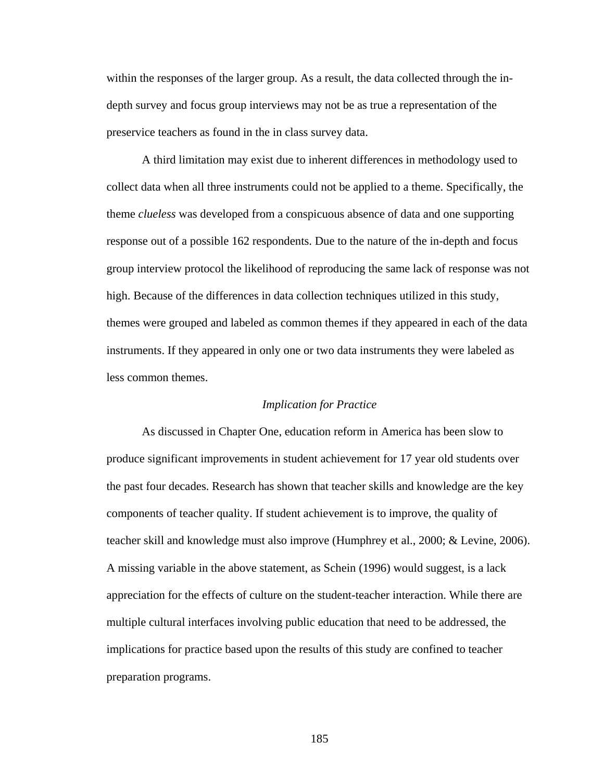within the responses of the larger group. As a result, the data collected through the indepth survey and focus group interviews may not be as true a representation of the preservice teachers as found in the in class survey data.

A third limitation may exist due to inherent differences in methodology used to collect data when all three instruments could not be applied to a theme. Specifically, the theme *clueless* was developed from a conspicuous absence of data and one supporting response out of a possible 162 respondents. Due to the nature of the in-depth and focus group interview protocol the likelihood of reproducing the same lack of response was not high. Because of the differences in data collection techniques utilized in this study, themes were grouped and labeled as common themes if they appeared in each of the data instruments. If they appeared in only one or two data instruments they were labeled as less common themes.

#### *Implication for Practice*

As discussed in Chapter One, education reform in America has been slow to produce significant improvements in student achievement for 17 year old students over the past four decades. Research has shown that teacher skills and knowledge are the key components of teacher quality. If student achievement is to improve, the quality of teacher skill and knowledge must also improve (Humphrey et al., 2000; & Levine, 2006). A missing variable in the above statement, as Schein (1996) would suggest, is a lack appreciation for the effects of culture on the student-teacher interaction. While there are multiple cultural interfaces involving public education that need to be addressed, the implications for practice based upon the results of this study are confined to teacher preparation programs.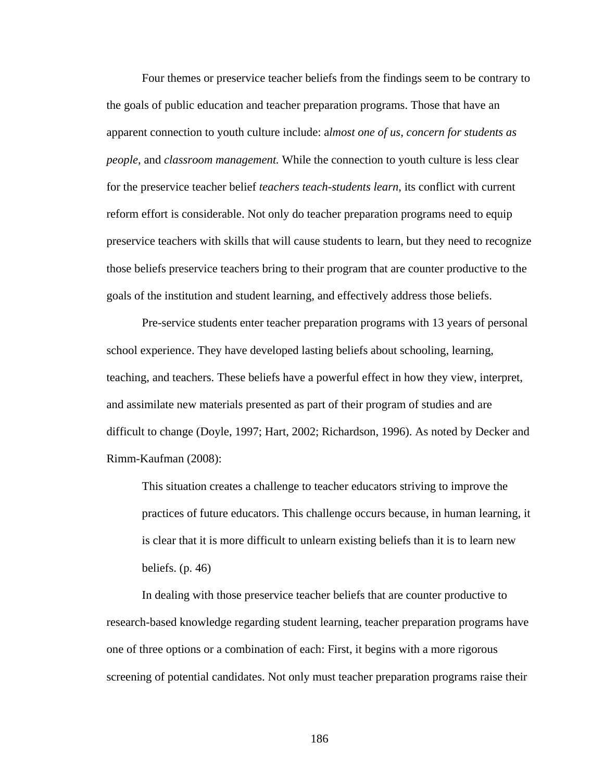Four themes or preservice teacher beliefs from the findings seem to be contrary to the goals of public education and teacher preparation programs. Those that have an apparent connection to youth culture include: a*lmost one of us*, *concern for students as people*, and *classroom management.* While the connection to youth culture is less clear for the preservice teacher belief *teachers teach-students learn*, its conflict with current reform effort is considerable. Not only do teacher preparation programs need to equip preservice teachers with skills that will cause students to learn, but they need to recognize those beliefs preservice teachers bring to their program that are counter productive to the goals of the institution and student learning, and effectively address those beliefs.

 Pre-service students enter teacher preparation programs with 13 years of personal school experience. They have developed lasting beliefs about schooling, learning, teaching, and teachers. These beliefs have a powerful effect in how they view, interpret, and assimilate new materials presented as part of their program of studies and are difficult to change (Doyle, 1997; Hart, 2002; Richardson, 1996). As noted by Decker and Rimm-Kaufman (2008):

This situation creates a challenge to teacher educators striving to improve the practices of future educators. This challenge occurs because, in human learning, it is clear that it is more difficult to unlearn existing beliefs than it is to learn new beliefs. (p. 46)

In dealing with those preservice teacher beliefs that are counter productive to research-based knowledge regarding student learning, teacher preparation programs have one of three options or a combination of each: First, it begins with a more rigorous screening of potential candidates. Not only must teacher preparation programs raise their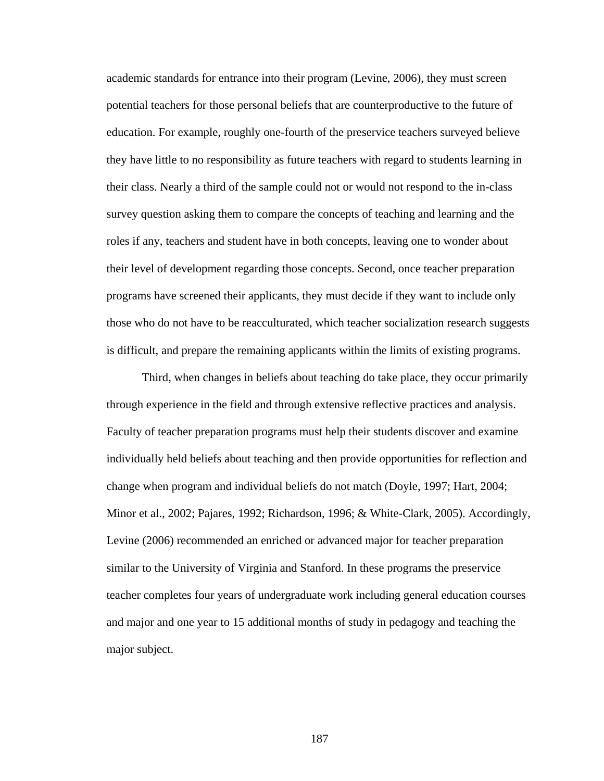academic standards for entrance into their program (Levine, 2006), they must screen potential teachers for those personal beliefs that are counterproductive to the future of education. For example, roughly one-fourth of the preservice teachers surveyed believe they have little to no responsibility as future teachers with regard to students learning in their class. Nearly a third of the sample could not or would not respond to the in-class survey question asking them to compare the concepts of teaching and learning and the roles if any, teachers and student have in both concepts, leaving one to wonder about their level of development regarding those concepts. Second, once teacher preparation programs have screened their applicants, they must decide if they want to include only those who do not have to be reacculturated, which teacher socialization research suggests is difficult, and prepare the remaining applicants within the limits of existing programs.

Third, when changes in beliefs about teaching do take place, they occur primarily through experience in the field and through extensive reflective practices and analysis. Faculty of teacher preparation programs must help their students discover and examine individually held beliefs about teaching and then provide opportunities for reflection and change when program and individual beliefs do not match (Doyle, 1997; Hart, 2004; Minor et al., 2002; Pajares, 1992; Richardson, 1996; & White-Clark, 2005). Accordingly, Levine (2006) recommended an enriched or advanced major for teacher preparation similar to the University of Virginia and Stanford. In these programs the preservice teacher completes four years of undergraduate work including general education courses and major and one year to 15 additional months of study in pedagogy and teaching the major subject.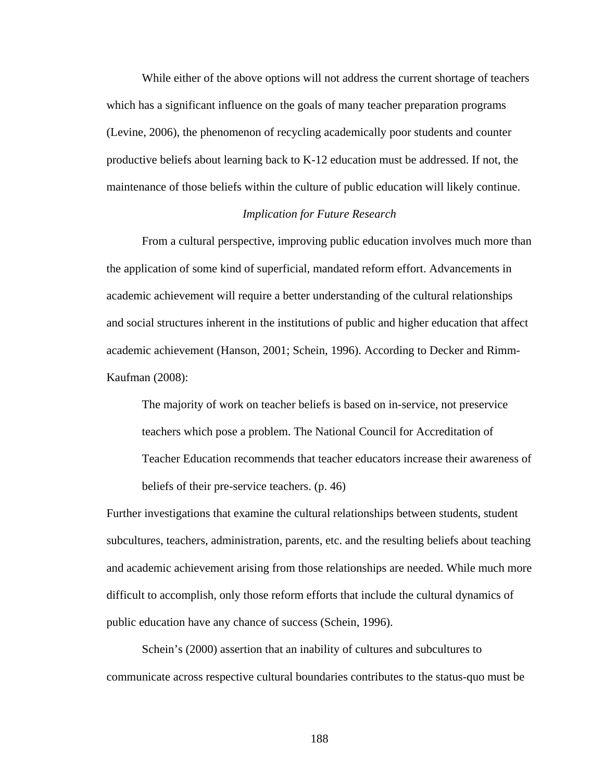While either of the above options will not address the current shortage of teachers which has a significant influence on the goals of many teacher preparation programs (Levine, 2006), the phenomenon of recycling academically poor students and counter productive beliefs about learning back to K-12 education must be addressed. If not, the maintenance of those beliefs within the culture of public education will likely continue.

# *Implication for Future Research*

From a cultural perspective, improving public education involves much more than the application of some kind of superficial, mandated reform effort. Advancements in academic achievement will require a better understanding of the cultural relationships and social structures inherent in the institutions of public and higher education that affect academic achievement (Hanson, 2001; Schein, 1996). According to Decker and Rimm-Kaufman (2008):

The majority of work on teacher beliefs is based on in-service, not preservice teachers which pose a problem. The National Council for Accreditation of Teacher Education recommends that teacher educators increase their awareness of beliefs of their pre-service teachers. (p. 46)

Further investigations that examine the cultural relationships between students, student subcultures, teachers, administration, parents, etc. and the resulting beliefs about teaching and academic achievement arising from those relationships are needed. While much more difficult to accomplish, only those reform efforts that include the cultural dynamics of public education have any chance of success (Schein, 1996).

Schein's (2000) assertion that an inability of cultures and subcultures to communicate across respective cultural boundaries contributes to the status-quo must be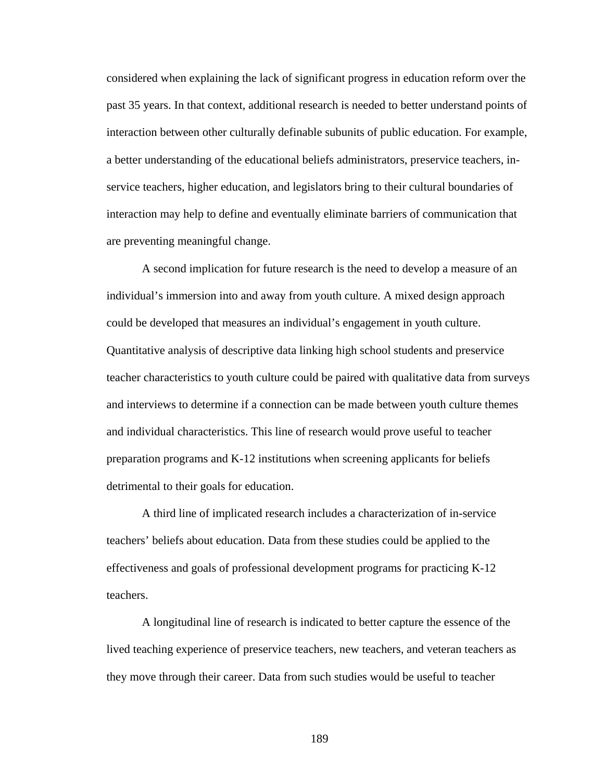considered when explaining the lack of significant progress in education reform over the past 35 years. In that context, additional research is needed to better understand points of interaction between other culturally definable subunits of public education. For example, a better understanding of the educational beliefs administrators, preservice teachers, inservice teachers, higher education, and legislators bring to their cultural boundaries of interaction may help to define and eventually eliminate barriers of communication that are preventing meaningful change.

A second implication for future research is the need to develop a measure of an individual's immersion into and away from youth culture. A mixed design approach could be developed that measures an individual's engagement in youth culture. Quantitative analysis of descriptive data linking high school students and preservice teacher characteristics to youth culture could be paired with qualitative data from surveys and interviews to determine if a connection can be made between youth culture themes and individual characteristics. This line of research would prove useful to teacher preparation programs and K-12 institutions when screening applicants for beliefs detrimental to their goals for education.

A third line of implicated research includes a characterization of in-service teachers' beliefs about education. Data from these studies could be applied to the effectiveness and goals of professional development programs for practicing K-12 teachers.

A longitudinal line of research is indicated to better capture the essence of the lived teaching experience of preservice teachers, new teachers, and veteran teachers as they move through their career. Data from such studies would be useful to teacher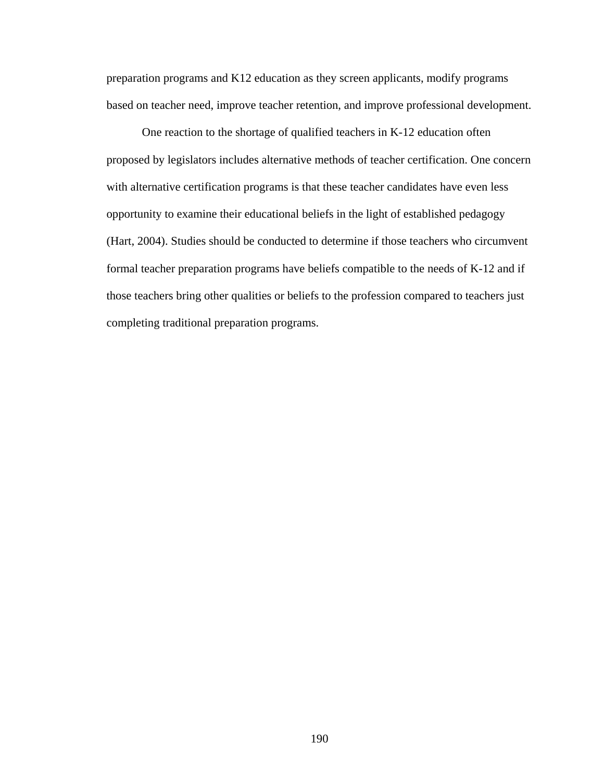preparation programs and K12 education as they screen applicants, modify programs based on teacher need, improve teacher retention, and improve professional development.

One reaction to the shortage of qualified teachers in K-12 education often proposed by legislators includes alternative methods of teacher certification. One concern with alternative certification programs is that these teacher candidates have even less opportunity to examine their educational beliefs in the light of established pedagogy (Hart, 2004). Studies should be conducted to determine if those teachers who circumvent formal teacher preparation programs have beliefs compatible to the needs of K-12 and if those teachers bring other qualities or beliefs to the profession compared to teachers just completing traditional preparation programs.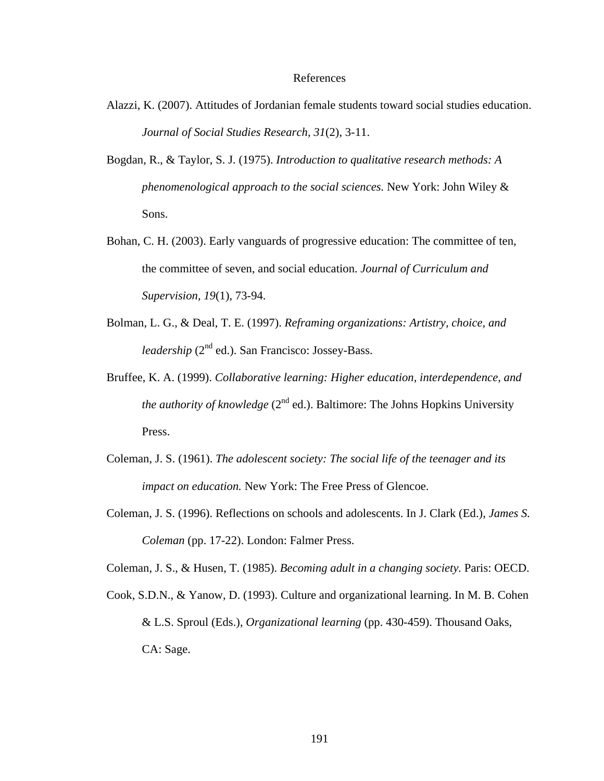#### References

- Alazzi, K. (2007). Attitudes of Jordanian female students toward social studies education. *Journal of Social Studies Research, 31*(2), 3-11.
- Bogdan, R., & Taylor, S. J. (1975). *Introduction to qualitative research methods: A phenomenological approach to the social sciences.* New York: John Wiley & Sons.
- Bohan, C. H. (2003). Early vanguards of progressive education: The committee of ten, the committee of seven, and social education. *Journal of Curriculum and Supervision, 19*(1), 73-94.
- Bolman, L. G., & Deal, T. E. (1997). *Reframing organizations: Artistry, choice, and leadership* (2<sup>nd</sup> ed.). San Francisco: Jossey-Bass.
- Bruffee, K. A. (1999). *Collaborative learning: Higher education, interdependence, and the authority of knowledge*  $(2^{nd}$  ed.). Baltimore: The Johns Hopkins University Press.
- Coleman, J. S. (1961). *The adolescent society: The social life of the teenager and its impact on education.* New York: The Free Press of Glencoe.
- Coleman, J. S. (1996). Reflections on schools and adolescents. In J. Clark (Ed.), *James S. Coleman* (pp. 17-22). London: Falmer Press.

Coleman, J. S., & Husen, T. (1985). *Becoming adult in a changing society.* Paris: OECD.

Cook, S.D.N., & Yanow, D. (1993). Culture and organizational learning. In M. B. Cohen & L.S. Sproul (Eds.), *Organizational learning* (pp. 430-459). Thousand Oaks, CA: Sage.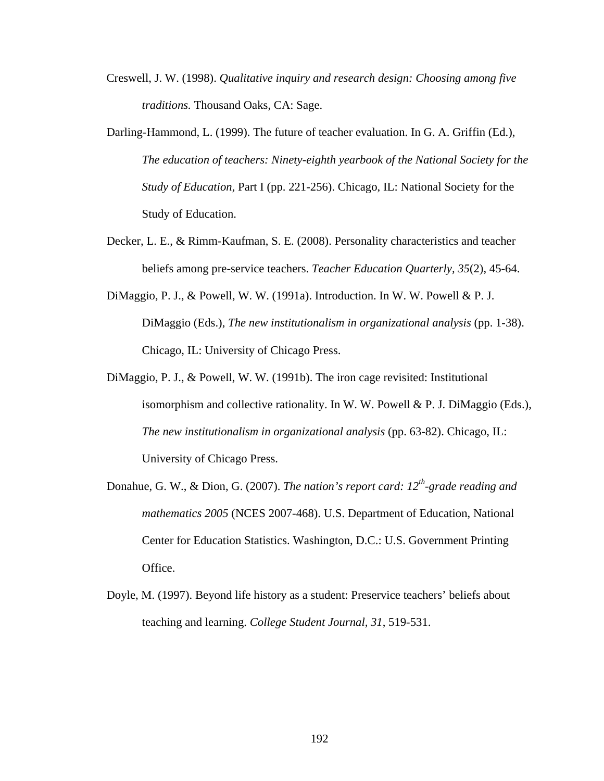- Creswell, J. W. (1998). *Qualitative inquiry and research design: Choosing among five traditions.* Thousand Oaks, CA: Sage.
- Darling-Hammond, L. (1999). The future of teacher evaluation. In G. A. Griffin (Ed.), *The education of teachers: Ninety-eighth yearbook of the National Society for the Study of Education,* Part I (pp. 221-256). Chicago, IL: National Society for the Study of Education.
- Decker, L. E., & Rimm-Kaufman, S. E. (2008). Personality characteristics and teacher beliefs among pre-service teachers. *Teacher Education Quarterly, 35*(2), 45-64.
- DiMaggio, P. J., & Powell, W. W. (1991a). Introduction. In W. W. Powell & P. J. DiMaggio (Eds.), *The new institutionalism in organizational analysis* (pp. 1-38). Chicago, IL: University of Chicago Press.
- DiMaggio, P. J., & Powell, W. W. (1991b). The iron cage revisited: Institutional isomorphism and collective rationality. In W. W. Powell & P. J. DiMaggio (Eds.), *The new institutionalism in organizational analysis* (pp. 63-82). Chicago, IL: University of Chicago Press.
- Donahue, G. W., & Dion, G. (2007). *The nation's report card: 12<sup>th</sup>-grade reading and mathematics 2005* (NCES 2007-468). U.S. Department of Education, National Center for Education Statistics. Washington, D.C.: U.S. Government Printing Office.
- Doyle, M. (1997). Beyond life history as a student: Preservice teachers' beliefs about teaching and learning. *College Student Journal, 31*, 519-531.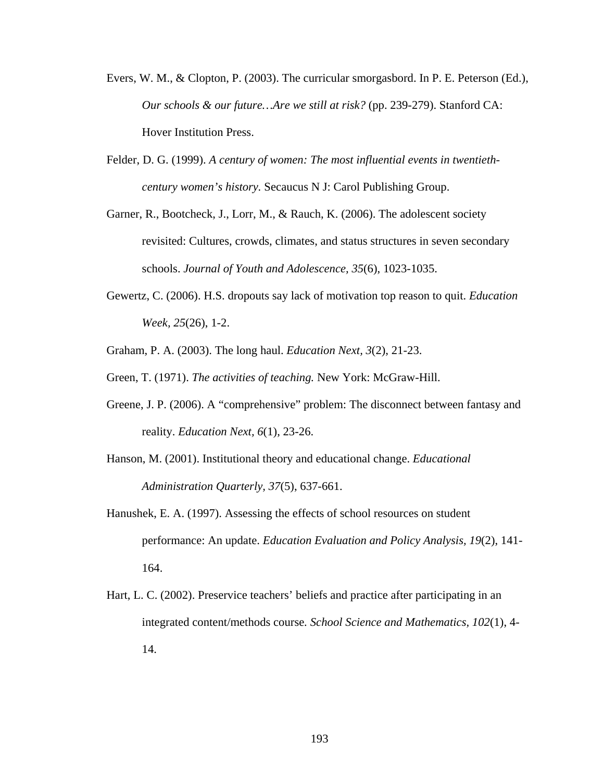- Evers, W. M., & Clopton, P. (2003). The curricular smorgasbord. In P. E. Peterson (Ed.), *Our schools & our future…Are we still at risk?* (pp. 239-279). Stanford CA: Hover Institution Press.
- Felder, D. G. (1999). *A century of women: The most influential events in twentiethcentury women's history.* Secaucus N J: Carol Publishing Group.
- Garner, R., Bootcheck, J., Lorr, M., & Rauch, K. (2006). The adolescent society revisited: Cultures, crowds, climates, and status structures in seven secondary schools. *Journal of Youth and Adolescence, 35*(6), 1023-1035.
- Gewertz, C. (2006). H.S. dropouts say lack of motivation top reason to quit. *Education Week, 25*(26), 1-2.
- Graham, P. A. (2003). The long haul. *Education Next, 3*(2), 21-23.
- Green, T. (1971). *The activities of teaching.* New York: McGraw-Hill.
- Greene, J. P. (2006). A "comprehensive" problem: The disconnect between fantasy and reality. *Education Next, 6*(1), 23-26.
- Hanson, M. (2001). Institutional theory and educational change. *Educational Administration Quarterly, 37*(5), 637-661.
- Hanushek, E. A. (1997). Assessing the effects of school resources on student performance: An update. *Education Evaluation and Policy Analysis, 19*(2), 141- 164.
- Hart, L. C. (2002). Preservice teachers' beliefs and practice after participating in an integrated content/methods course*. School Science and Mathematics, 102*(1), 4- 14.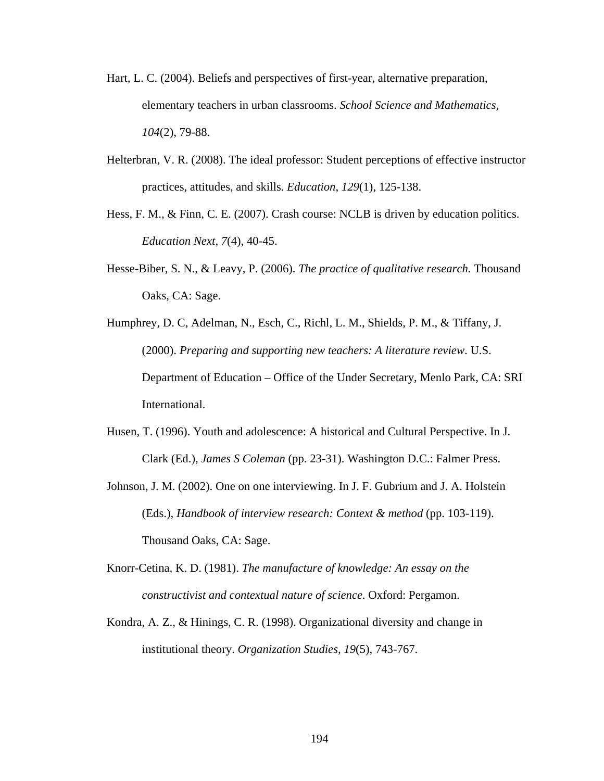- Hart, L. C. (2004). Beliefs and perspectives of first-year, alternative preparation, elementary teachers in urban classrooms. *School Science and Mathematics, 104*(2), 79-88.
- Helterbran, V. R. (2008). The ideal professor: Student perceptions of effective instructor practices, attitudes, and skills. *Education, 129*(1), 125-138.
- Hess, F. M., & Finn, C. E. (2007). Crash course: NCLB is driven by education politics. *Education Next, 7*(4), 40-45.
- Hesse-Biber, S. N., & Leavy, P. (2006). *The practice of qualitative research.* Thousand Oaks, CA: Sage.
- Humphrey, D. C, Adelman, N., Esch, C., Richl, L. M., Shields, P. M., & Tiffany, J. (2000). *Preparing and supporting new teachers: A literature review*. U.S. Department of Education – Office of the Under Secretary, Menlo Park, CA: SRI International.
- Husen, T. (1996). Youth and adolescence: A historical and Cultural Perspective. In J. Clark (Ed.), *James S Coleman* (pp. 23-31). Washington D.C.: Falmer Press.
- Johnson, J. M. (2002). One on one interviewing. In J. F. Gubrium and J. A. Holstein (Eds.), *Handbook of interview research: Context & method* (pp. 103-119). Thousand Oaks, CA: Sage.
- Knorr-Cetina, K. D. (1981). *The manufacture of knowledge: An essay on the constructivist and contextual nature of science.* Oxford: Pergamon.
- Kondra, A. Z., & Hinings, C. R. (1998). Organizational diversity and change in institutional theory. *Organization Studies, 19*(5), 743-767.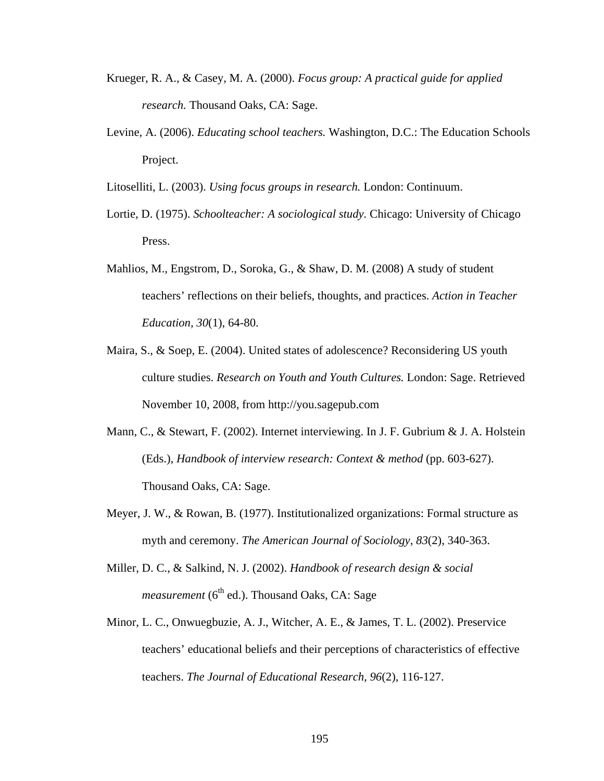- Krueger, R. A., & Casey, M. A. (2000). *Focus group: A practical guide for applied research.* Thousand Oaks, CA: Sage.
- Levine, A. (2006). *Educating school teachers.* Washington, D.C.: The Education Schools Project.
- Litoselliti, L. (2003). *Using focus groups in research.* London: Continuum.
- Lortie, D. (1975). *Schoolteacher: A sociological study.* Chicago: University of Chicago Press.
- Mahlios, M., Engstrom, D., Soroka, G., & Shaw, D. M. (2008) A study of student teachers' reflections on their beliefs, thoughts, and practices. *Action in Teacher Education, 30*(1), 64-80.
- Maira, S., & Soep, E. (2004). United states of adolescence? Reconsidering US youth culture studies. *Research on Youth and Youth Cultures.* London: Sage. Retrieved November 10, 2008, from http://you.sagepub.com
- Mann, C., & Stewart, F. (2002). Internet interviewing. In J. F. Gubrium & J. A. Holstein (Eds.), *Handbook of interview research: Context & method* (pp. 603-627). Thousand Oaks, CA: Sage.
- Meyer, J. W., & Rowan, B. (1977). Institutionalized organizations: Formal structure as myth and ceremony. *The American Journal of Sociology, 83*(2), 340-363.
- Miller, D. C., & Salkind, N. J. (2002). *Handbook of research design & social*   $measurement (6<sup>th</sup> ed.)$ . Thousand Oaks, CA: Sage
- Minor, L. C., Onwuegbuzie, A. J., Witcher, A. E., & James, T. L. (2002). Preservice teachers' educational beliefs and their perceptions of characteristics of effective teachers. *The Journal of Educational Research, 96*(2), 116-127.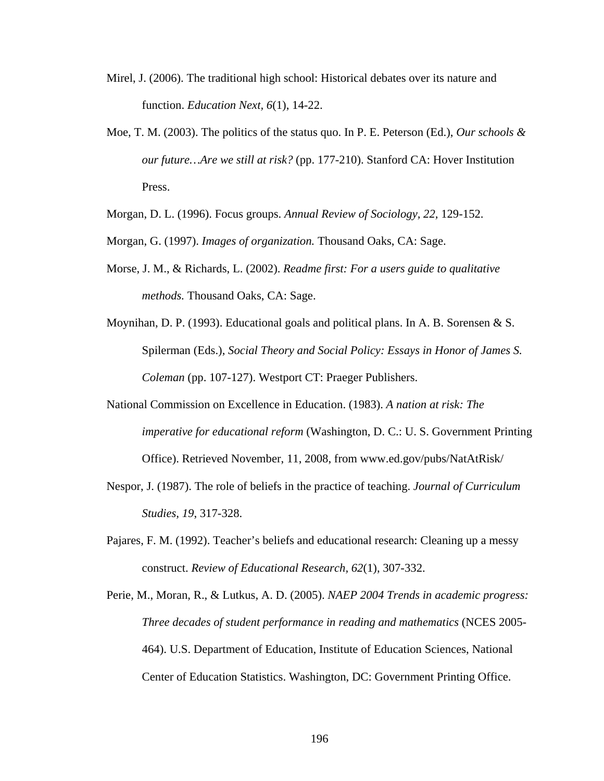- Mirel, J. (2006). The traditional high school: Historical debates over its nature and function. *Education Next, 6*(1), 14-22.
- Moe, T. M. (2003). The politics of the status quo. In P. E. Peterson (Ed.), *Our schools & our future…Are we still at risk?* (pp. 177-210). Stanford CA: Hover Institution Press.

Morgan, D. L. (1996). Focus groups. *Annual Review of Sociology, 22,* 129-152.

- Morgan, G. (1997). *Images of organization.* Thousand Oaks, CA: Sage.
- Morse, J. M., & Richards, L. (2002). *Readme first: For a users guide to qualitative methods.* Thousand Oaks, CA: Sage.
- Moynihan, D. P. (1993). Educational goals and political plans. In A. B. Sorensen & S. Spilerman (Eds.), *Social Theory and Social Policy: Essays in Honor of James S. Coleman* (pp. 107-127). Westport CT: Praeger Publishers.
- National Commission on Excellence in Education. (1983). *A nation at risk: The imperative for educational reform* (Washington, D. C.: U. S. Government Printing Office). Retrieved November, 11, 2008, from www.ed.gov/pubs/NatAtRisk/
- Nespor, J. (1987). The role of beliefs in the practice of teaching. *Journal of Curriculum Studies, 19*, 317-328.
- Pajares, F. M. (1992). Teacher's beliefs and educational research: Cleaning up a messy construct. *Review of Educational Research, 62*(1), 307-332.
- Perie, M., Moran, R., & Lutkus, A. D. (2005). *NAEP 2004 Trends in academic progress: Three decades of student performance in reading and mathematics* (NCES 2005- 464). U.S. Department of Education, Institute of Education Sciences, National Center of Education Statistics. Washington, DC: Government Printing Office.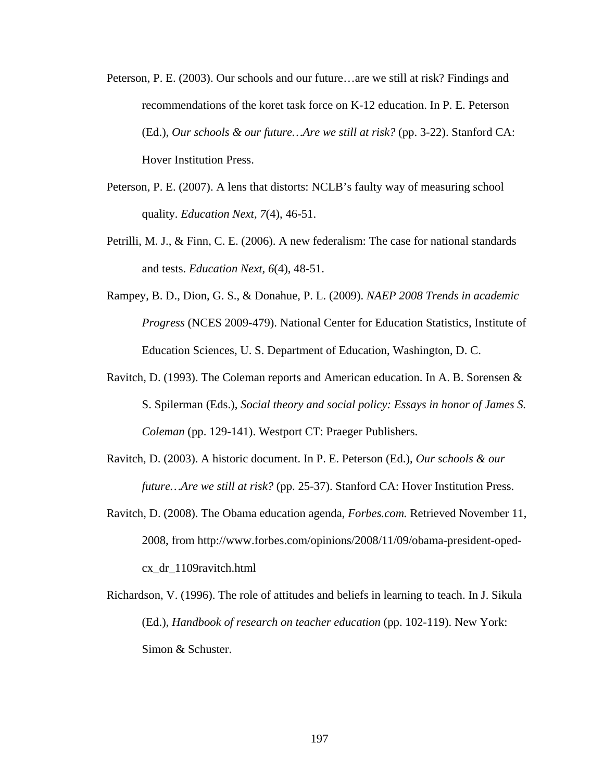- Peterson, P. E. (2003). Our schools and our future…are we still at risk? Findings and recommendations of the koret task force on K-12 education. In P. E. Peterson (Ed.), *Our schools & our future…Are we still at risk?* (pp. 3-22). Stanford CA: Hover Institution Press.
- Peterson, P. E. (2007). A lens that distorts: NCLB's faulty way of measuring school quality. *Education Next, 7*(4), 46-51.
- Petrilli, M. J., & Finn, C. E. (2006). A new federalism: The case for national standards and tests. *Education Next, 6*(4), 48-51.
- Rampey, B. D., Dion, G. S., & Donahue, P. L. (2009). *NAEP 2008 Trends in academic Progress* (NCES 2009-479). National Center for Education Statistics, Institute of Education Sciences, U. S. Department of Education, Washington, D. C.
- Ravitch, D. (1993). The Coleman reports and American education. In A. B. Sorensen & S. Spilerman (Eds.), *Social theory and social policy: Essays in honor of James S. Coleman* (pp. 129-141). Westport CT: Praeger Publishers.
- Ravitch, D. (2003). A historic document. In P. E. Peterson (Ed.), *Our schools & our future…Are we still at risk?* (pp. 25-37). Stanford CA: Hover Institution Press.
- Ravitch, D. (2008). The Obama education agenda, *Forbes.com.* Retrieved November 11, 2008, from http://www.forbes.com/opinions/2008/11/09/obama-president-opedcx\_dr\_1109ravitch.html
- Richardson, V. (1996). The role of attitudes and beliefs in learning to teach. In J. Sikula (Ed.), *Handbook of research on teacher education* (pp. 102-119). New York: Simon & Schuster.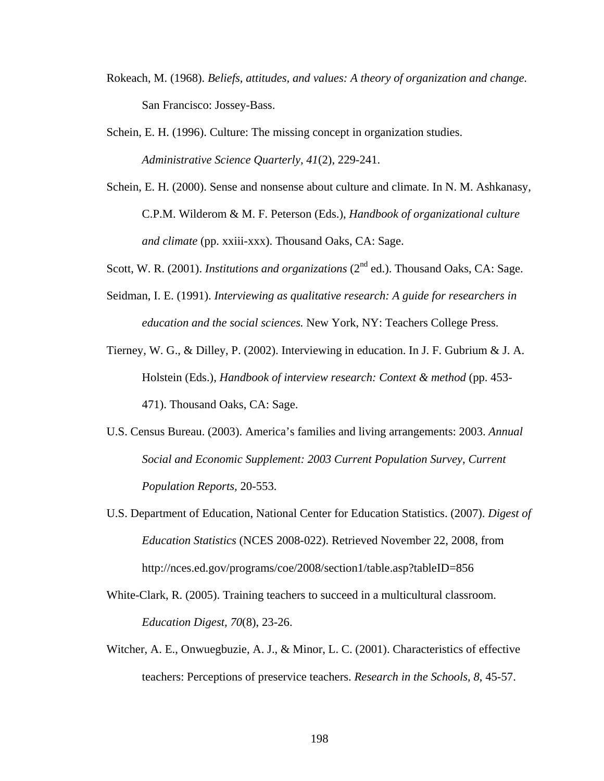- Rokeach, M. (1968). *Beliefs, attitudes, and values: A theory of organization and change.* San Francisco: Jossey-Bass.
- Schein, E. H. (1996). Culture: The missing concept in organization studies. *Administrative Science Quarterly, 41*(2), 229-241.
- Schein, E. H. (2000). Sense and nonsense about culture and climate. In N. M. Ashkanasy, C.P.M. Wilderom & M. F. Peterson (Eds.), *Handbook of organizational culture and climate* (pp. xxiii-xxx). Thousand Oaks, CA: Sage.
- Scott, W. R. (2001). *Institutions and organizations* (2<sup>nd</sup> ed.). Thousand Oaks, CA: Sage.
- Seidman, I. E. (1991). *Interviewing as qualitative research: A guide for researchers in education and the social sciences.* New York, NY: Teachers College Press.
- Tierney, W. G., & Dilley, P. (2002). Interviewing in education. In J. F. Gubrium & J. A. Holstein (Eds.), *Handbook of interview research: Context & method* (pp. 453- 471). Thousand Oaks, CA: Sage.
- U.S. Census Bureau. (2003). America's families and living arrangements: 2003. *Annual Social and Economic Supplement: 2003 Current Population Survey, Current Population Reports,* 20-553.
- U.S. Department of Education, National Center for Education Statistics. (2007). *Digest of Education Statistics* (NCES 2008-022). Retrieved November 22, 2008, from http://nces.ed.gov/programs/coe/2008/section1/table.asp?tableID=856
- White-Clark, R. (2005). Training teachers to succeed in a multicultural classroom. *Education Digest, 70*(8), 23-26.
- Witcher, A. E., Onwuegbuzie, A. J., & Minor, L. C. (2001). Characteristics of effective teachers: Perceptions of preservice teachers. *Research in the Schools, 8*, 45-57.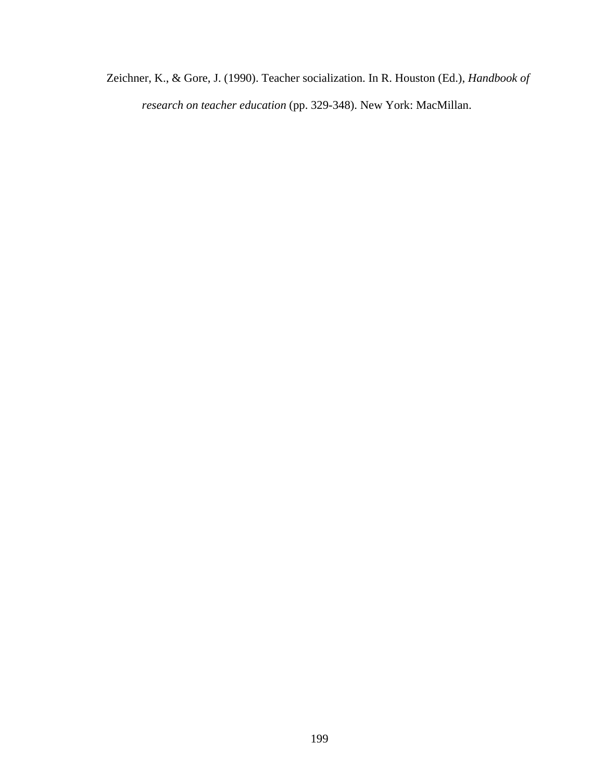Zeichner, K., & Gore, J. (1990). Teacher socialization. In R. Houston (Ed.), *Handbook of research on teacher education* (pp. 329-348). New York: MacMillan.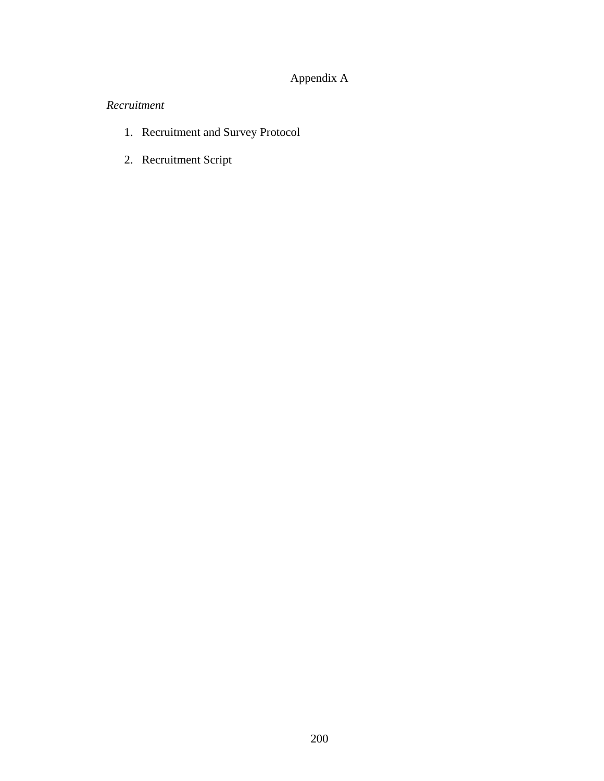# Appendix A

# *Recruitment*

- 1. Recruitment and Survey Protocol
- 2. Recruitment Script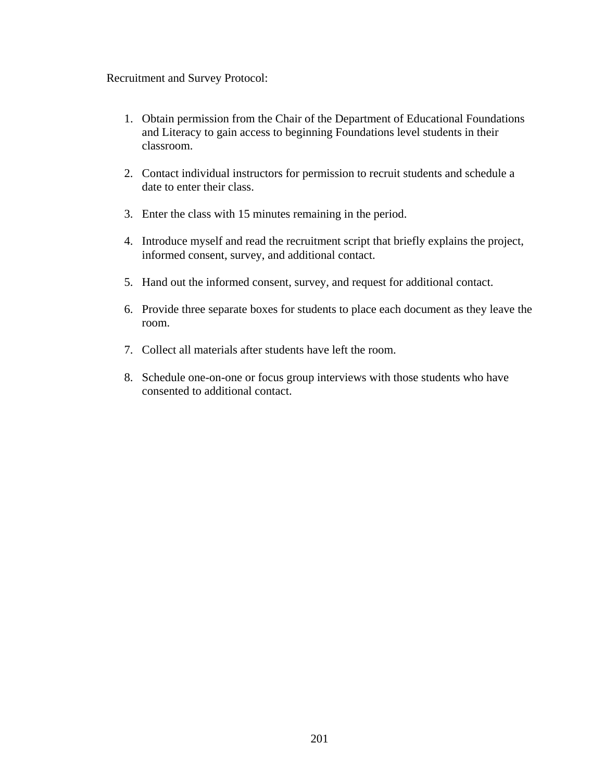Recruitment and Survey Protocol:

- 1. Obtain permission from the Chair of the Department of Educational Foundations and Literacy to gain access to beginning Foundations level students in their classroom.
- 2. Contact individual instructors for permission to recruit students and schedule a date to enter their class.
- 3. Enter the class with 15 minutes remaining in the period.
- 4. Introduce myself and read the recruitment script that briefly explains the project, informed consent, survey, and additional contact.
- 5. Hand out the informed consent, survey, and request for additional contact.
- 6. Provide three separate boxes for students to place each document as they leave the room.
- 7. Collect all materials after students have left the room.
- 8. Schedule one-on-one or focus group interviews with those students who have consented to additional contact.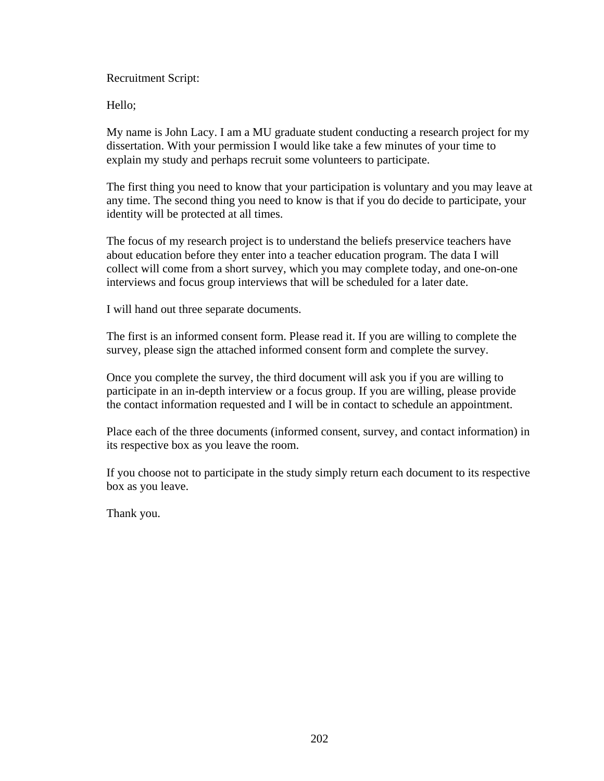Recruitment Script:

Hello;

My name is John Lacy. I am a MU graduate student conducting a research project for my dissertation. With your permission I would like take a few minutes of your time to explain my study and perhaps recruit some volunteers to participate.

The first thing you need to know that your participation is voluntary and you may leave at any time. The second thing you need to know is that if you do decide to participate, your identity will be protected at all times.

The focus of my research project is to understand the beliefs preservice teachers have about education before they enter into a teacher education program. The data I will collect will come from a short survey, which you may complete today, and one-on-one interviews and focus group interviews that will be scheduled for a later date.

I will hand out three separate documents.

The first is an informed consent form. Please read it. If you are willing to complete the survey, please sign the attached informed consent form and complete the survey.

Once you complete the survey, the third document will ask you if you are willing to participate in an in-depth interview or a focus group. If you are willing, please provide the contact information requested and I will be in contact to schedule an appointment.

Place each of the three documents (informed consent, survey, and contact information) in its respective box as you leave the room.

If you choose not to participate in the study simply return each document to its respective box as you leave.

Thank you.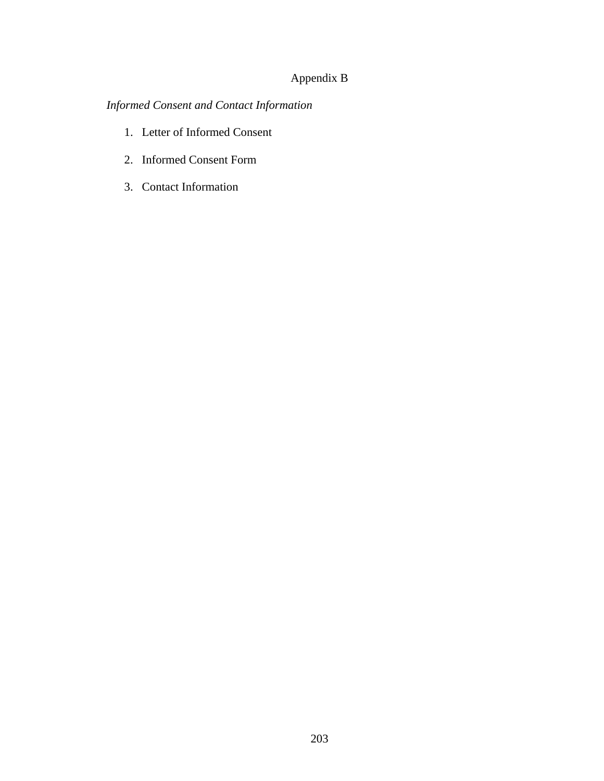### Appendix B

# *Informed Consent and Contact Information*

- 1. Letter of Informed Consent
- 2. Informed Consent Form
- 3. Contact Information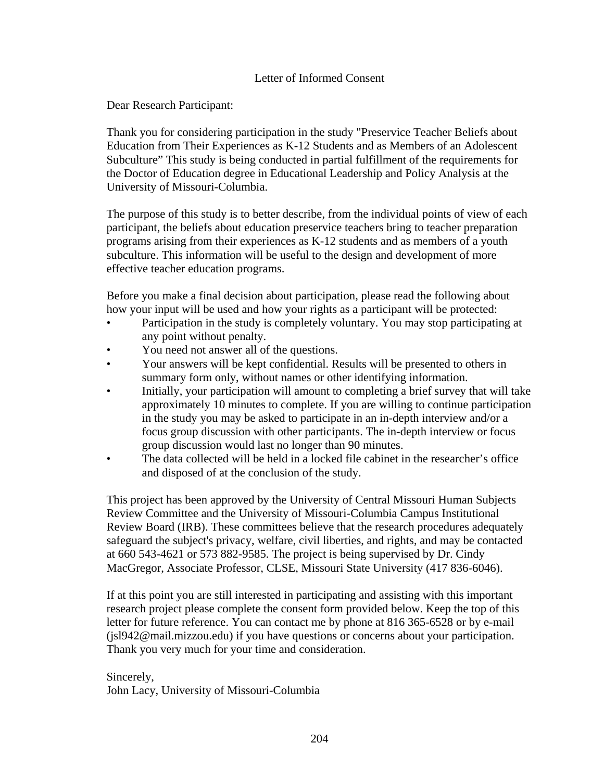### Letter of Informed Consent

Dear Research Participant:

Thank you for considering participation in the study "Preservice Teacher Beliefs about Education from Their Experiences as K-12 Students and as Members of an Adolescent Subculture" This study is being conducted in partial fulfillment of the requirements for the Doctor of Education degree in Educational Leadership and Policy Analysis at the University of Missouri-Columbia.

The purpose of this study is to better describe, from the individual points of view of each participant, the beliefs about education preservice teachers bring to teacher preparation programs arising from their experiences as K-12 students and as members of a youth subculture. This information will be useful to the design and development of more effective teacher education programs.

Before you make a final decision about participation, please read the following about how your input will be used and how your rights as a participant will be protected:

- Participation in the study is completely voluntary. You may stop participating at any point without penalty.
- You need not answer all of the questions.
- Your answers will be kept confidential. Results will be presented to others in summary form only, without names or other identifying information.
- Initially, your participation will amount to completing a brief survey that will take approximately 10 minutes to complete. If you are willing to continue participation in the study you may be asked to participate in an in-depth interview and/or a focus group discussion with other participants. The in-depth interview or focus group discussion would last no longer than 90 minutes.
- The data collected will be held in a locked file cabinet in the researcher's office and disposed of at the conclusion of the study.

This project has been approved by the University of Central Missouri Human Subjects Review Committee and the University of Missouri-Columbia Campus Institutional Review Board (IRB). These committees believe that the research procedures adequately safeguard the subject's privacy, welfare, civil liberties, and rights, and may be contacted at 660 543-4621 or 573 882-9585. The project is being supervised by Dr. Cindy MacGregor, Associate Professor, CLSE, Missouri State University (417 836-6046).

If at this point you are still interested in participating and assisting with this important research project please complete the consent form provided below. Keep the top of this letter for future reference. You can contact me by phone at 816 365-6528 or by e-mail (jsl942@mail.mizzou.edu) if you have questions or concerns about your participation. Thank you very much for your time and consideration.

Sincerely, John Lacy, University of Missouri-Columbia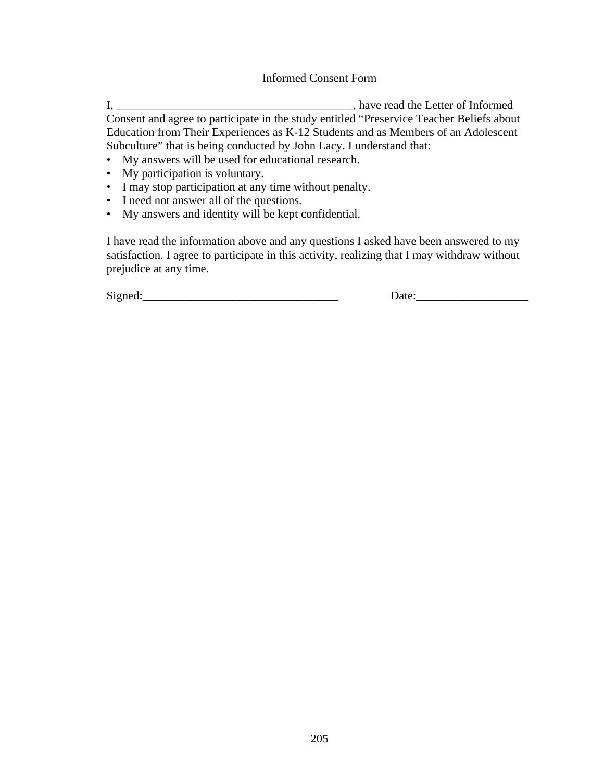#### Informed Consent Form

I, \_\_\_\_\_\_\_\_\_\_\_\_\_\_\_\_\_\_\_\_\_\_\_\_\_\_\_\_\_\_\_\_\_\_\_\_\_\_\_\_, have read the Letter of Informed Consent and agree to participate in the study entitled "Preservice Teacher Beliefs about Education from Their Experiences as K-12 Students and as Members of an Adolescent Subculture" that is being conducted by John Lacy. I understand that:

- My answers will be used for educational research.
- My participation is voluntary.
- I may stop participation at any time without penalty.
- I need not answer all of the questions.
- My answers and identity will be kept confidential.

I have read the information above and any questions I asked have been answered to my satisfaction. I agree to participate in this activity, realizing that I may withdraw without prejudice at any time.

 $Signed:$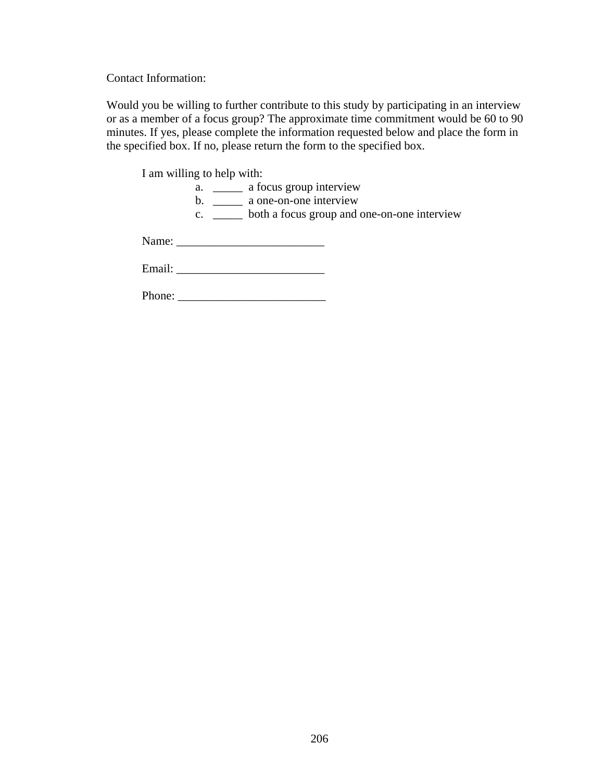Contact Information:

Would you be willing to further contribute to this study by participating in an interview or as a member of a focus group? The approximate time commitment would be 60 to 90 minutes. If yes, please complete the information requested below and place the form in the specified box. If no, please return the form to the specified box.

I am willing to help with:

|        | $\frac{1}{2}$ and $\frac{1}{2}$ and $\frac{1}{2}$ and $\frac{1}{2}$                                                                                                                                                            |
|--------|--------------------------------------------------------------------------------------------------------------------------------------------------------------------------------------------------------------------------------|
|        | a focus group interview<br>a.                                                                                                                                                                                                  |
|        | a one-on-one interview<br>$\mathbf{b}$ .                                                                                                                                                                                       |
|        | both a focus group and one-on-one interview<br>C.                                                                                                                                                                              |
|        |                                                                                                                                                                                                                                |
|        |                                                                                                                                                                                                                                |
|        |                                                                                                                                                                                                                                |
|        | Email: The contract of the contract of the contract of the contract of the contract of the contract of the contract of the contract of the contract of the contract of the contract of the contract of the contract of the con |
|        |                                                                                                                                                                                                                                |
| Phone: |                                                                                                                                                                                                                                |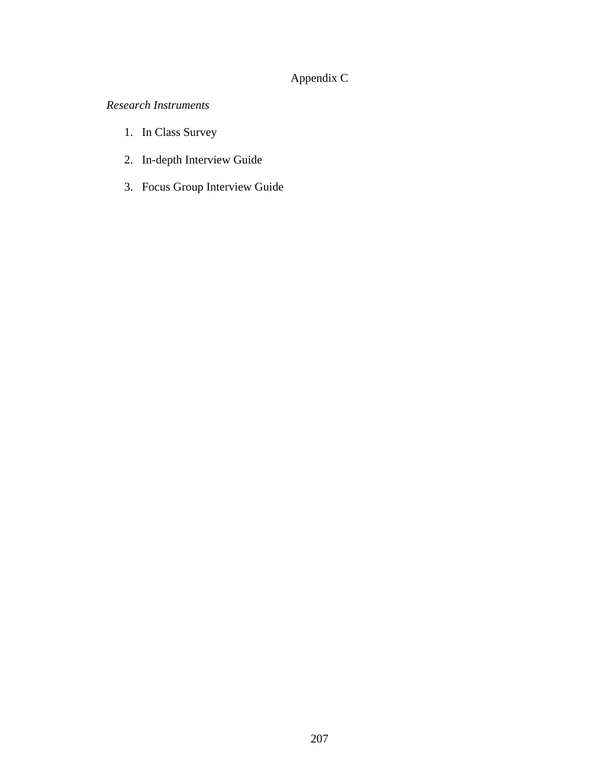# Appendix C

*Research Instruments* 

- 1. In Class Survey
- 2. In-depth Interview Guide
- 3. Focus Group Interview Guide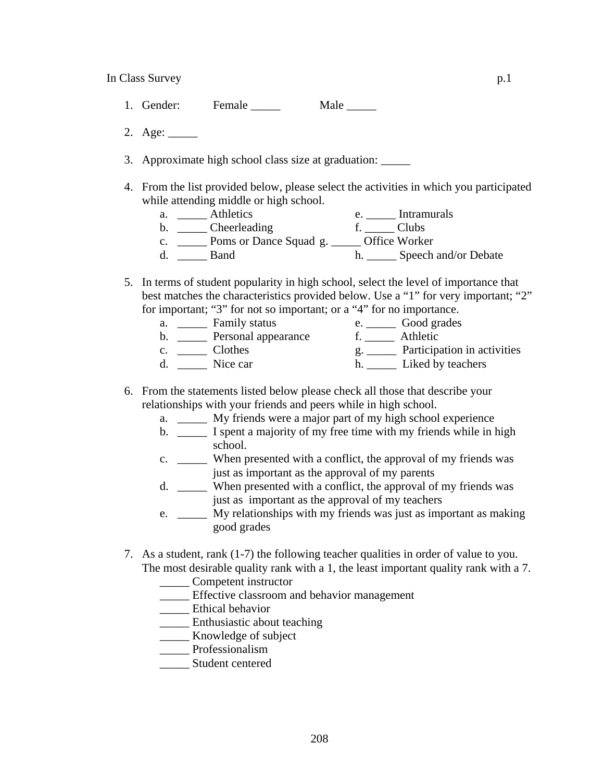- 1. Gender: Female 1. Male 2012
- 2. Age: \_\_\_\_\_
- 3. Approximate high school class size at graduation:
- 4. From the list provided below, please select the activities in which you participated while attending middle or high school.
	- a. \_\_\_\_\_\_ Athletics e. \_\_\_\_\_ Intramurals b. \_\_\_\_\_\_ Cheerleading f. \_\_\_\_\_ Clubs c. \_\_\_\_\_ Poms or Dance Squad g. \_\_\_\_\_ Office Worker
	- d. \_\_\_\_\_\_ Band h. \_\_\_\_\_ Speech and/or Debate
- 5. In terms of student popularity in high school, select the level of importance that best matches the characteristics provided below. Use a "1" for very important; "2" for important; "3" for not so important; or a "4" for no importance.
	- a. \_\_\_\_\_\_ Family status e. \_\_\_\_\_ Good grades b. \_\_\_\_\_ Personal appearance f. \_\_\_\_\_ Athletic c. \_\_\_\_\_\_ Clothes g. \_\_\_\_\_ Participation in activities d. \_\_\_\_\_\_ Nice car h. \_\_\_\_\_ Liked by teachers
- 6. From the statements listed below please check all those that describe your relationships with your friends and peers while in high school.
	- a. \_\_\_\_\_ My friends were a major part of my high school experience
	- b. \_\_\_\_\_ I spent a majority of my free time with my friends while in high school.
	- c. \_\_\_\_\_ When presented with a conflict, the approval of my friends was just as important as the approval of my parents
	- d. \_\_\_\_\_ When presented with a conflict, the approval of my friends was just as important as the approval of my teachers
	- e. \_\_\_\_\_ My relationships with my friends was just as important as making good grades
- 7. As a student, rank (1-7) the following teacher qualities in order of value to you. The most desirable quality rank with a 1, the least important quality rank with a 7.
	- \_\_\_\_\_ Competent instructor
	- \_\_\_\_\_ Effective classroom and behavior management
	- \_\_\_\_\_ Ethical behavior
	- \_\_\_\_\_ Enthusiastic about teaching
	- \_\_\_\_\_ Knowledge of subject
	- \_\_\_\_\_ Professionalism
	- \_\_\_\_\_ Student centered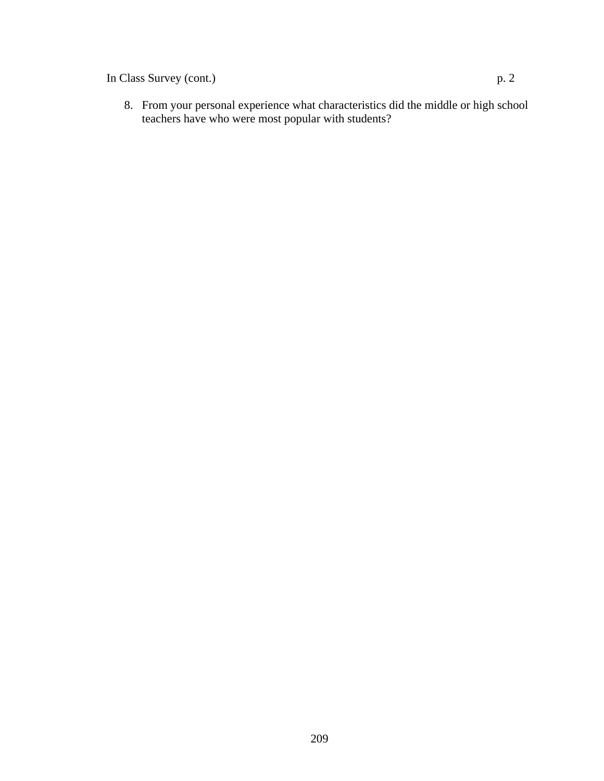In Class Survey (cont.) p. 2

8. From your personal experience what characteristics did the middle or high school teachers have who were most popular with students?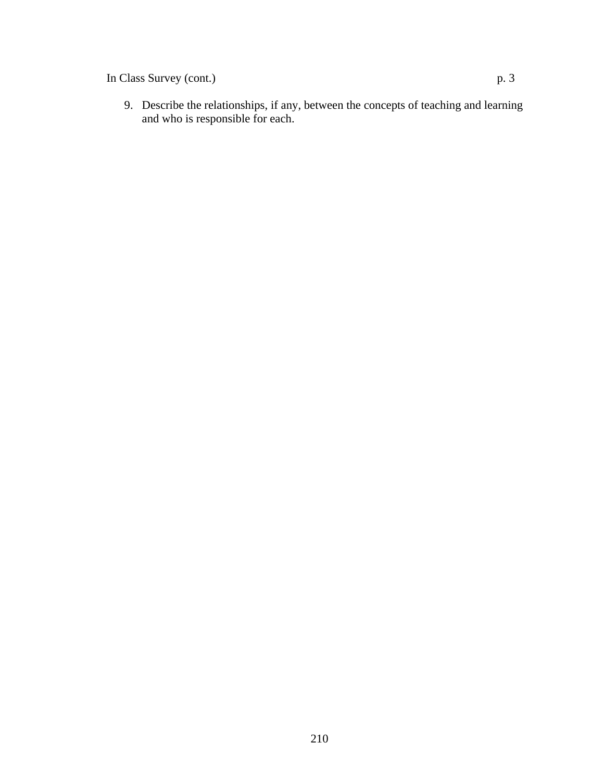In Class Survey (cont.) p. 3

9. Describe the relationships, if any, between the concepts of teaching and learning and who is responsible for each.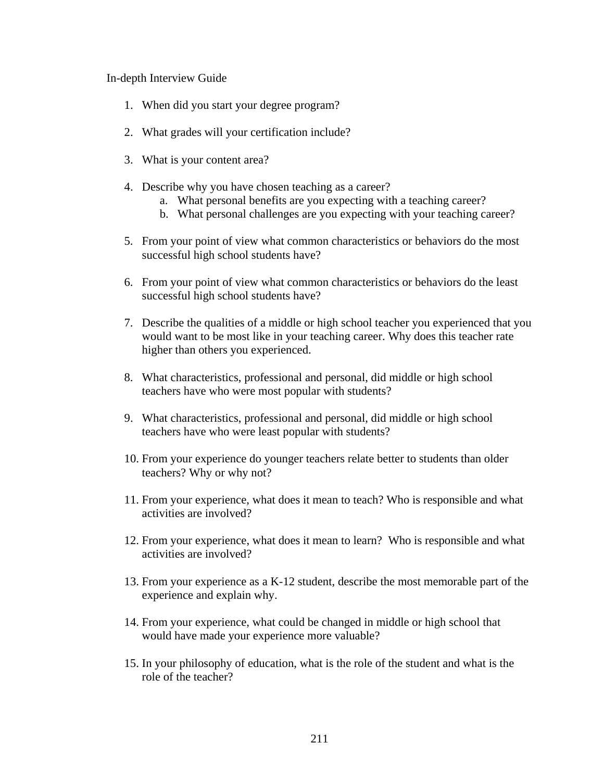In-depth Interview Guide

- 1. When did you start your degree program?
- 2. What grades will your certification include?
- 3. What is your content area?
- 4. Describe why you have chosen teaching as a career?
	- a. What personal benefits are you expecting with a teaching career?
	- b. What personal challenges are you expecting with your teaching career?
- 5. From your point of view what common characteristics or behaviors do the most successful high school students have?
- 6. From your point of view what common characteristics or behaviors do the least successful high school students have?
- 7. Describe the qualities of a middle or high school teacher you experienced that you would want to be most like in your teaching career. Why does this teacher rate higher than others you experienced.
- 8. What characteristics, professional and personal, did middle or high school teachers have who were most popular with students?
- 9. What characteristics, professional and personal, did middle or high school teachers have who were least popular with students?
- 10. From your experience do younger teachers relate better to students than older teachers? Why or why not?
- 11. From your experience, what does it mean to teach? Who is responsible and what activities are involved?
- 12. From your experience, what does it mean to learn? Who is responsible and what activities are involved?
- 13. From your experience as a K-12 student, describe the most memorable part of the experience and explain why.
- 14. From your experience, what could be changed in middle or high school that would have made your experience more valuable?
- 15. In your philosophy of education, what is the role of the student and what is the role of the teacher?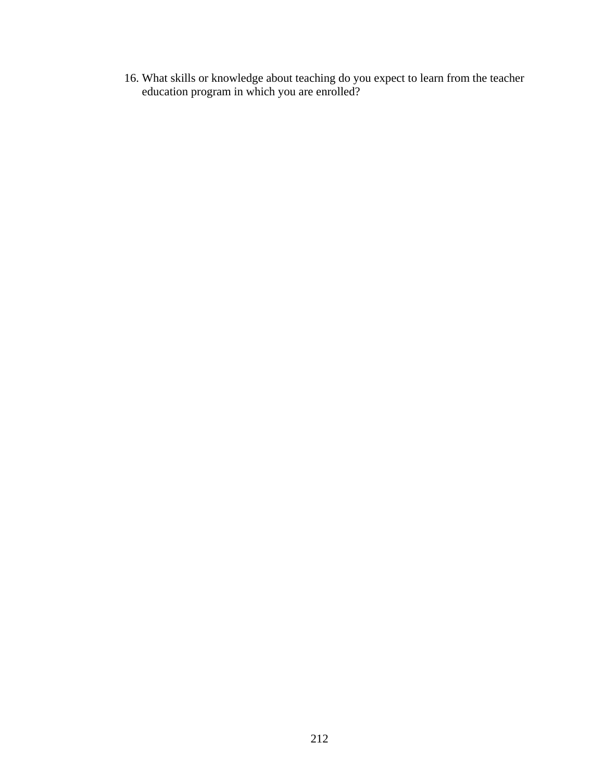16. What skills or knowledge about teaching do you expect to learn from the teacher education program in which you are enrolled?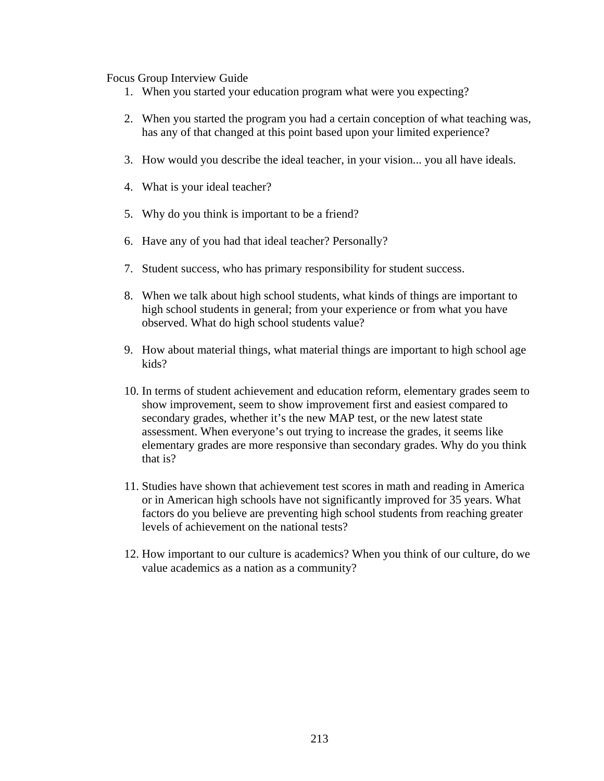Focus Group Interview Guide

- 1. When you started your education program what were you expecting?
- 2. When you started the program you had a certain conception of what teaching was, has any of that changed at this point based upon your limited experience?
- 3. How would you describe the ideal teacher, in your vision... you all have ideals.
- 4. What is your ideal teacher?
- 5. Why do you think is important to be a friend?
- 6. Have any of you had that ideal teacher? Personally?
- 7. Student success, who has primary responsibility for student success.
- 8. When we talk about high school students, what kinds of things are important to high school students in general; from your experience or from what you have observed. What do high school students value?
- 9. How about material things, what material things are important to high school age kids?
- 10. In terms of student achievement and education reform, elementary grades seem to show improvement, seem to show improvement first and easiest compared to secondary grades, whether it's the new MAP test, or the new latest state assessment. When everyone's out trying to increase the grades, it seems like elementary grades are more responsive than secondary grades. Why do you think that is?
- 11. Studies have shown that achievement test scores in math and reading in America or in American high schools have not significantly improved for 35 years. What factors do you believe are preventing high school students from reaching greater levels of achievement on the national tests?
- 12. How important to our culture is academics? When you think of our culture, do we value academics as a nation as a community?